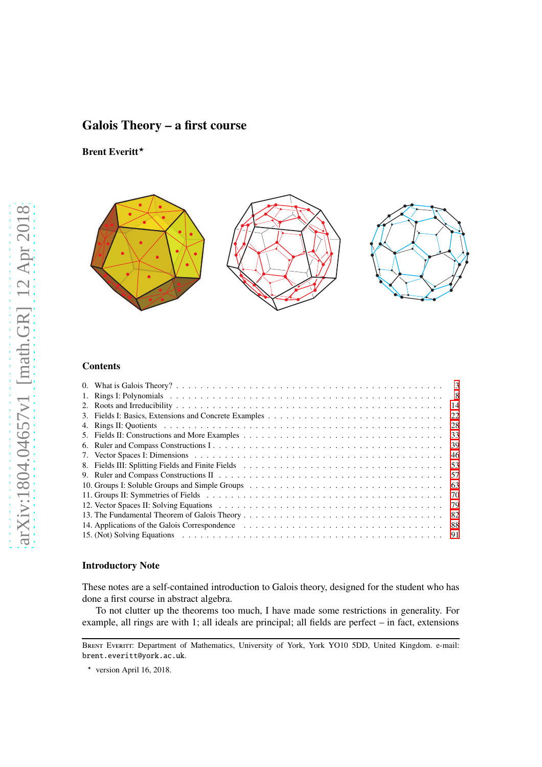# Galois Theory – a first course

Brent Everitt\*



## Contents

|                                                | $\overline{\mathbf{3}}$ |
|------------------------------------------------|-------------------------|
|                                                | 8                       |
|                                                | -14                     |
|                                                | 22                      |
|                                                | -28                     |
|                                                |                         |
|                                                | 39                      |
|                                                | 46                      |
|                                                |                         |
|                                                | .57                     |
| 10. Groups I: Soluble Groups and Simple Groups | -63                     |
|                                                | -70                     |
|                                                | -79                     |
|                                                | -82                     |
|                                                | 88                      |
|                                                | 91                      |

## Introductory Note

These notes are a self-contained introduction to Galois theory, designed for the student who has done a first course in abstract algebra.

To not clutter up the theorems too much, I have made some restrictions in generality. For example, all rings are with 1; all ideals are principal; all fields are perfect – in fact, extensions

BRENT EVERITT: Department of Mathematics, University of York, York YO10 5DD, United Kingdom. e-mail: brent.everitt@york.ac.uk.

 $\star$  version April 16, 2018.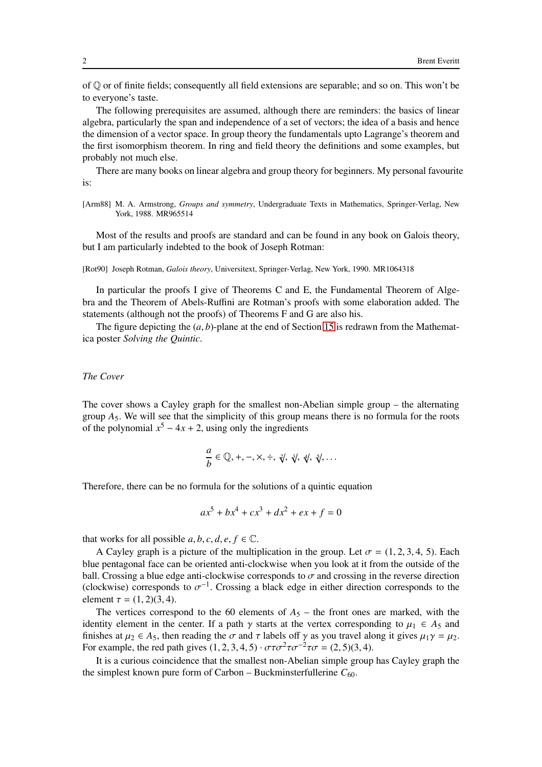of Q or of finite fields; consequently all field extensions are separable; and so on. This won't be to everyone's taste.

The following prerequisites are assumed, although there are reminders: the basics of linear algebra, particularly the span and independence of a set of vectors; the idea of a basis and hence the dimension of a vector space. In group theory the fundamentals upto Lagrange's theorem and the first isomorphism theorem. In ring and field theory the definitions and some examples, but probably not much else.

There are many books on linear algebra and group theory for beginners. My personal favourite is:

[Arm88] M. A. Armstrong, *Groups and symmetry*, Undergraduate Texts in Mathematics, Springer-Verlag, New York, 1988. MR965514

Most of the results and proofs are standard and can be found in any book on Galois theory, but I am particularly indebted to the book of Joseph Rotman:

[Rot90] Joseph Rotman, *Galois theory*, Universitext, Springer-Verlag, New York, 1990. MR1064318

In particular the proofs I give of Theorems C and E, the Fundamental Theorem of Algebra and the Theorem of Abels-Ruffini are Rotman's proofs with some elaboration added. The statements (although not the proofs) of Theorems F and G are also his.

The figure depicting the (*a*, *b*)-plane at the end of Section [15](#page-90-0) is redrawn from the Mathematica poster *Solving the Quintic*.

## *The Cover*

The cover shows a Cayley graph for the smallest non-Abelian simple group – the alternating group  $A_5$ . We will see that the simplicity of this group means there is no formula for the roots of the polynomial  $x^5 - 4x + 2$ , using only the ingredients

$$
\frac{a}{b} \in \mathbb{Q}, +, -, \times, \div, \sqrt[2]{}, \sqrt[3]{}, \sqrt[4]{}, \sqrt[5]{}, \ldots
$$

Therefore, there can be no formula for the solutions of a quintic equation

$$
ax^5 + bx^4 + cx^3 + dx^2 + ex + f = 0
$$

that works for all possible  $a, b, c, d, e, f \in \mathbb{C}$ .

A Cayley graph is a picture of the multiplication in the group. Let  $\sigma = (1, 2, 3, 4, 5)$ . Each blue pentagonal face can be oriented anti-clockwise when you look at it from the outside of the ball. Crossing a blue edge anti-clockwise corresponds to  $\sigma$  and crossing in the reverse direction (clockwise) corresponds to  $\sigma^{-1}$ . Crossing a black edge in either direction corresponds to the element  $\tau = (1, 2)(3, 4)$ .

The vertices correspond to the 60 elements of  $A_5$  – the front ones are marked, with the identity element in the center. If a path  $\gamma$  starts at the vertex corresponding to  $\mu_1 \in A_5$  and finishes at  $\mu_2 \in A_5$ , then reading the  $\sigma$  and  $\tau$  labels off  $\gamma$  as you travel along it gives  $\mu_1 \gamma = \mu_2$ . For example, the red path gives  $(1, 2, 3, 4, 5) \cdot \sigma \tau \sigma^2 \tau \sigma^{-2} \tau \sigma = (2, 5)(3, 4)$ .

It is a curious coincidence that the smallest non-Abelian simple group has Cayley graph the the simplest known pure form of Carbon – Buckminsterfullerine  $C_{60}$ .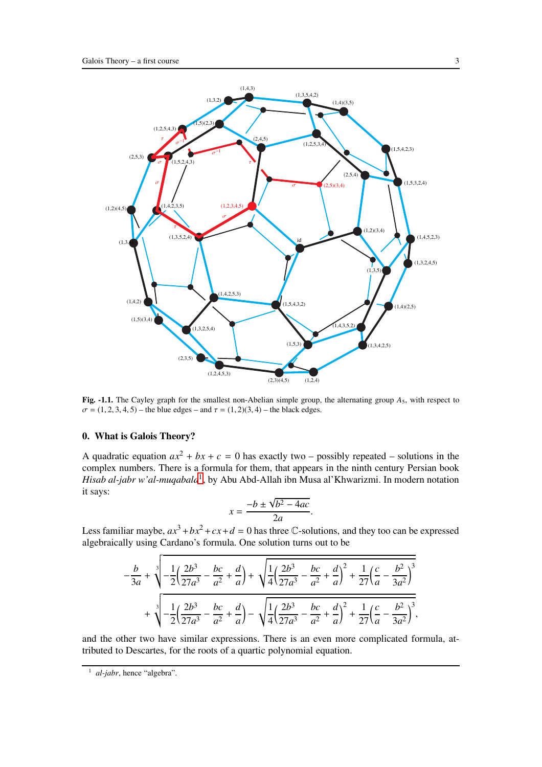

Fig. -1.1. The Cayley graph for the smallest non-Abelian simple group, the alternating group  $A_5$ , with respect to  $\sigma = (1, 2, 3, 4, 5)$  – the blue edges – and  $\tau = (1, 2)(3, 4)$  – the black edges.

## <span id="page-2-0"></span>0. What is Galois Theory?

A quadratic equation  $ax^2 + bx + c = 0$  has exactly two – possibly repeated – solutions in the complex numbers. There is a formula for them, that appears in the ninth century Persian book *Hisab al-jabr w'al-muqabala*[1](#page-2-1) , by Abu Abd-Allah ibn Musa al'Khwarizmi. In modern notation it says:

$$
x = \frac{-b \pm \sqrt{b^2 - 4ac}}{2a}.
$$

Less familiar maybe,  $ax^3 + bx^2 + cx + d = 0$  has three C-solutions, and they too can be expressed algebraically using Cardano's formula. One solution turns out to be

$$
-\frac{b}{3a} + \sqrt[3]{-\frac{1}{2}(\frac{2b^3}{27a^3} - \frac{bc}{a^2} + \frac{d}{a})} + \sqrt{\frac{1}{4}(\frac{2b^3}{27a^3} - \frac{bc}{a^2} + \frac{d}{a})^2 + \frac{1}{27}(\frac{c}{a} - \frac{b^2}{3a^2})^3}
$$

$$
+\sqrt[3]{-\frac{1}{2}(\frac{2b^3}{27a^3} - \frac{bc}{a^2} + \frac{d}{a})} - \sqrt{\frac{1}{4}(\frac{2b^3}{27a^3} - \frac{bc}{a^2} + \frac{d}{a})^2 + \frac{1}{27}(\frac{c}{a} - \frac{b^2}{3a^2})^3},
$$

and the other two have similar expressions. There is an even more complicated formula, attributed to Descartes, for the roots of a quartic polynomial equation.

<span id="page-2-1"></span><sup>1</sup> *al-jabr*, hence "algebra".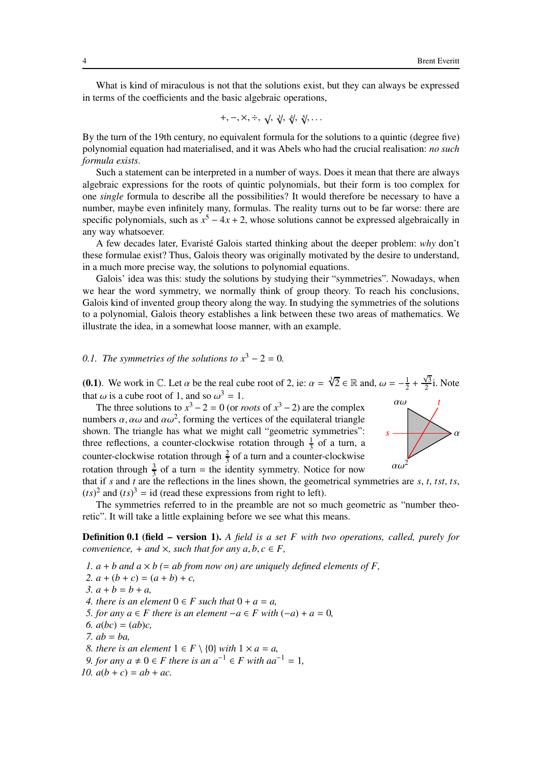What is kind of miraculous is not that the solutions exist, but they can always be expressed in terms of the coefficients and the basic algebraic operations,

$$
+,-,\times,\div,\sqrt{,\sqrt[3]{\sqrt{3}}},\sqrt[4]{\sqrt{3}}},\ldots
$$

By the turn of the 19th century, no equivalent formula for the solutions to a quintic (degree five) polynomial equation had materialised, and it was Abels who had the crucial realisation: *no such formula exists*.

Such a statement can be interpreted in a number of ways. Does it mean that there are always algebraic expressions for the roots of quintic polynomials, but their form is too complex for one *single* formula to describe all the possibilities? It would therefore be necessary to have a number, maybe even infinitely many, formulas. The reality turns out to be far worse: there are specific polynomials, such as  $x^5 - 4x + 2$ , whose solutions cannot be expressed algebraically in any way whatsoever.

A few decades later, Evaristé Galois started thinking about the deeper problem: *why* don't these formulae exist? Thus, Galois theory was originally motivated by the desire to understand, in a much more precise way, the solutions to polynomial equations.

Galois' idea was this: study the solutions by studying their "symmetries". Nowadays, when we hear the word symmetry, we normally think of group theory. To reach his conclusions, Galois kind of invented group theory along the way. In studying the symmetries of the solutions to a polynomial, Galois theory establishes a link between these two areas of mathematics. We illustrate the idea, in a somewhat loose manner, with an example.

## *0.1. The symmetries of the solutions to*  $x^3 - 2 = 0$ .

**(0.1)**. We work in C. Let  $\alpha$  be the real cube root of 2, ie:  $\alpha = \sqrt[3]{2} \in \mathbb{R}$  and,  $\omega = -\frac{1}{2}$  $rac{1}{2} + \frac{\sqrt{3}}{2}$  $\frac{\sqrt{3}}{2}$ i. Note that  $\omega$  is a cube root of 1, and so  $\omega^3 = 1$ .

rotation through  $\frac{3}{3}$  of a turn = the identity symmetry. Notice for now  $\alpha\omega^2$ The three solutions to  $x^3 - 2 = 0$  (or *roots* of  $x^3 - 2$ ) are the complex numbers  $\alpha$ ,  $\alpha\omega$  and  $\alpha\omega^2$ , forming the vertices of the equilateral triangle shown. The triangle has what we might call "geometric symmetries": three reflections, a counter-clockwise rotation through  $\frac{1}{3}$  of a turn, a counter-clockwise rotation through  $\frac{2}{3}$  of a turn and a counter-clockwise that if *s* and *t* are the reflections in the lines shown, the geometrical symmetries are *s*, *t*, *tst*, *ts*,



 $(ts)^2$  and  $(ts)^3$  = id (read these expressions from right to left).

The symmetries referred to in the preamble are not so much geometric as "number theoretic". It will take a little explaining before we see what this means.

Definition 0.1 (field – version 1). *A field is a set F with two operations, called, purely for convenience,*  $+$  *and*  $\times$ *, such that for any*  $a, b, c \in F$ *,* 

- *1.*  $a + b$  and  $a \times b$  (= ab from now on) are uniquely defined elements of F,
- 2.  $a + (b + c) = (a + b) + c$ ,
- $3. a + b = b + a$

*4. there is an element*  $0 \in F$  *such that*  $0 + a = a$ ,

- *5. for any*  $a \in F$  *there is an element*  $-a \in F$  *with*  $(-a) + a = 0$ *,*
- *6.*  $a(bc) = (ab)c$ ,
- *7. ab* = *ba,*
- *8. there is an element*  $1 \in F \setminus \{0\}$  *with*  $1 \times a = a$ ,
- *9. for any*  $a \neq 0 \in F$  *there is an*  $a^{-1} \in F$  *with aa*<sup>-1</sup> = 1*,*
- *10.*  $a(b + c) = ab + ac$ .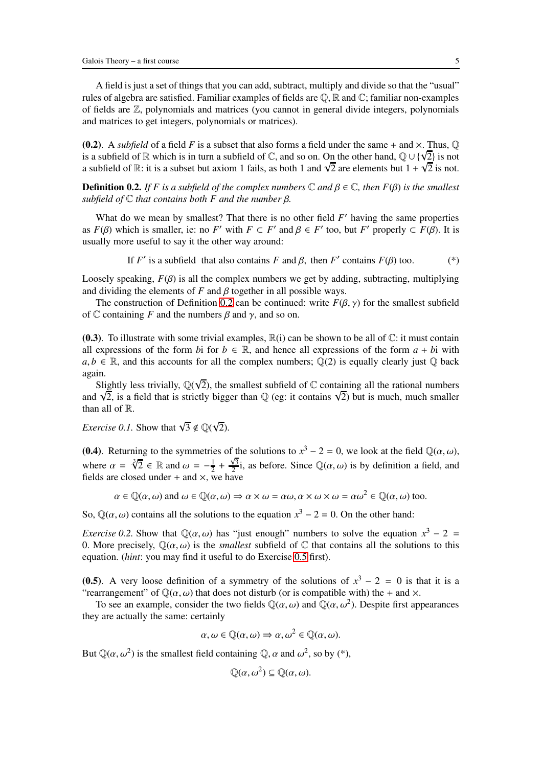A field is just a set of things that you can add, subtract, multiply and divide so that the "usual" rules of algebra are satisfied. Familiar examples of fields are  $\mathbb{Q}, \mathbb{R}$  and  $\mathbb{C}$ ; familiar non-examples of fields are  $\mathbb{Z}$ , polynomials and matrices (you cannot in general divide integers, polynomials and matrices to get integers, polynomials or matrices).

(0.2). A *subfield* of a field *F* is a subset that also forms a field under the same + and  $\times$ . Thus,  $\mathbb{Q}$ is a subfield of R which is in turn a subfield of C, and so on. On the other hand,  $\mathbb{Q} \cup \{\sqrt{2}\}$  is not a subfield of R: it is a subset but axiom 1 fails, as both 1 and  $\sqrt{2}$  are elements but  $1 + \sqrt{2}$  is not.

<span id="page-4-0"></span>**Definition 0.2.** *If F is a subfield of the complex numbers*  $\mathbb C$  *and*  $\beta \in \mathbb C$ *, then*  $F(\beta)$  *is the smallest subfield of* C *that contains both F and the number* β*.*

What do we mean by smallest? That there is no other field *F'* having the same properties as  $F(\beta)$  which is smaller, ie: no  $F'$  with  $F \subset F'$  and  $\beta \in F'$  too, but  $F'$  properly  $\subset F(\beta)$ . It is usually more useful to say it the other way around:

If 
$$
F'
$$
 is a subfield that also contains  $F$  and  $\beta$ , then  $F'$  contains  $F(\beta)$  too. (\*)

Loosely speaking,  $F(\beta)$  is all the complex numbers we get by adding, subtracting, multiplying and dividing the elements of  $F$  and  $\beta$  together in all possible ways.

The construction of Definition [0.2](#page-4-0) can be continued: write  $F(\beta, \gamma)$  for the smallest subfield of  $\mathbb C$  containing *F* and the numbers  $\beta$  and  $\gamma$ , and so on.

(0.3). To illustrate with some trivial examples,  $\mathbb{R}(i)$  can be shown to be all of  $\mathbb{C}$ : it must contain all expressions of the form *b*i for  $b \in \mathbb{R}$ , and hence all expressions of the form  $a + bi$  with  $a, b \in \mathbb{R}$ , and this accounts for all the complex numbers;  $\mathbb{Q}(2)$  is equally clearly just  $\mathbb{Q}$  back again.

Slightly less trivially,  $\mathbb{Q}(\sqrt{2})$ , the smallest subfield of  $\mathbb C$  containing all the rational numbers and  $\sqrt{2}$ , is a field that is strictly bigger than  $\mathbb{Q}$  (eg: it contains  $\sqrt{2}$ ) but is much, much smaller than all of R.

*Exercise 0.1.* Show that  $\sqrt{3} \notin \mathbb{Q}(\sqrt{2})$ .

(0.4). Returning to the symmetries of the solutions to  $x^3 - 2 = 0$ , we look at the field  $\mathbb{Q}(\alpha, \omega)$ , where  $\alpha = \sqrt[3]{2} \in \mathbb{R}$  and  $\omega = -\frac{1}{2}$  $\frac{1}{2} + \frac{\sqrt{3}}{2}$  $\frac{\sqrt{3}}{2}i$ , as before. Since  $\mathbb{Q}(\alpha,\omega)$  is by definition a field, and fields are closed under + and  $\times$ , we have

 $\alpha \in \mathbb{Q}(\alpha,\omega)$  and  $\omega \in \mathbb{Q}(\alpha,\omega) \Rightarrow \alpha \times \omega = \alpha\omega, \alpha \times \omega \times \omega = \alpha\omega^2 \in \mathbb{Q}(\alpha,\omega)$  too.

So,  $\mathbb{Q}(\alpha,\omega)$  contains all the solutions to the equation  $x^3 - 2 = 0$ . On the other hand:

*Exercise 0.2.* Show that  $\mathbb{Q}(\alpha,\omega)$  has "just enough" numbers to solve the equation  $x^3 - 2 =$ 0. More precisely,  $\mathbb{Q}(\alpha,\omega)$  is the *smallest* subfield of  $\mathbb{C}$  that contains all the solutions to this equation. (*hint*: you may find it useful to do Exercise [0.5](#page-7-1) first).

(0.5). A very loose definition of a symmetry of the solutions of  $x^3 - 2 = 0$  is that it is a "rearrangement" of  $\mathbb{Q}(\alpha,\omega)$  that does not disturb (or is compatible with) the + and  $\times$ .

To see an example, consider the two fields  $\mathbb{Q}(\alpha,\omega)$  and  $\mathbb{Q}(\alpha,\omega^2)$ . Despite first appearances they are actually the same: certainly

$$
\alpha, \omega \in \mathbb{Q}(\alpha, \omega) \Rightarrow \alpha, \omega^2 \in \mathbb{Q}(\alpha, \omega).
$$

But  $\mathbb{Q}(\alpha, \omega^2)$  is the smallest field containing  $\mathbb{Q}, \alpha$  and  $\omega^2$ , so by (\*),

$$
\mathbb{Q}(\alpha,\omega^2) \subseteq \mathbb{Q}(\alpha,\omega).
$$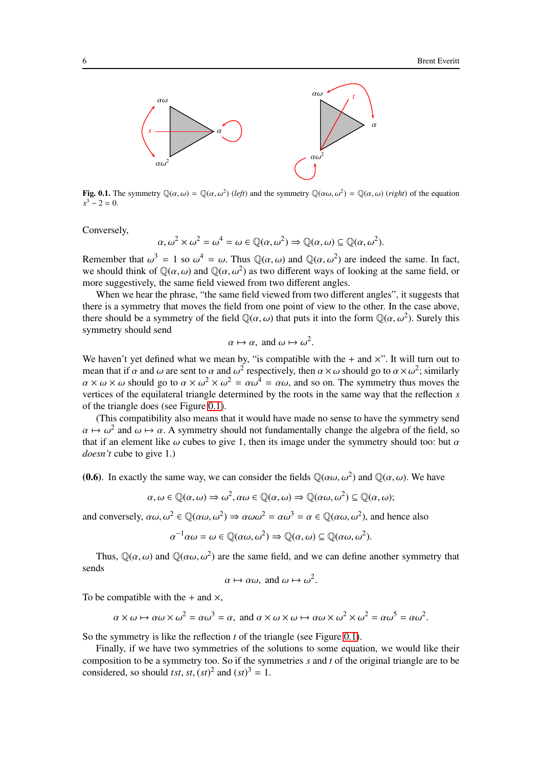

**Fig. 0.1.** The symmetry  $\mathbb{Q}(\alpha,\omega) = \mathbb{Q}(\alpha,\omega^2)$  (left) and the symmetry  $\mathbb{Q}(\alpha\omega,\omega^2) = \mathbb{Q}(\alpha,\omega)$  (*right*) of the equation  $x^3 - 2 = 0.$ 

Conversely,

$$
\alpha, \omega^2 \times \omega^2 = \omega^4 = \omega \in \mathbb{Q}(\alpha, \omega^2) \Rightarrow \mathbb{Q}(\alpha, \omega) \subseteq \mathbb{Q}(\alpha, \omega^2).
$$

Remember that  $\omega^3 = 1$  so  $\omega^4 = \omega$ . Thus  $\mathbb{Q}(\alpha, \omega)$  and  $\mathbb{Q}(\alpha, \omega^2)$  are indeed the same. In fact, we should think of  $\mathbb{Q}(\alpha,\omega)$  and  $\mathbb{Q}(\alpha,\omega^2)$  as two different ways of looking at the same field, or more suggestively, the same field viewed from two different angles.

When we hear the phrase, "the same field viewed from two different angles", it suggests that there is a symmetry that moves the field from one point of view to the other. In the case above, there should be a symmetry of the field  $\mathbb{Q}(\alpha,\omega)$  that puts it into the form  $\mathbb{Q}(\alpha,\omega^2)$ . Surely this symmetry should send

$$
\alpha \mapsto \alpha
$$
, and  $\omega \mapsto \omega^2$ .

We haven't yet defined what we mean by, "is compatible with the  $+$  and  $\times$ ". It will turn out to mean that if  $\alpha$  and  $\omega$  are sent to  $\alpha$  and  $\omega^2$  respectively, then  $\alpha \times \omega$  should go to  $\alpha \times \omega^2$ ; similarly  $\alpha \times \omega \times \omega$  should go to  $\alpha \times \omega^2 \times \omega^2 = \alpha \omega^4 = \alpha \omega$ , and so on. The symmetry thus moves the vertices of the equilateral triangle determined by the roots in the same way that the reflection *s* of the triangle does (see Figure [0.1\)](#page-92-0).

(This compatibility also means that it would have made no sense to have the symmetry send  $\alpha \mapsto \omega^2$  and  $\omega \mapsto \alpha$ . A symmetry should not fundamentally change the algebra of the field, so that if an element like  $\omega$  cubes to give 1, then its image under the symmetry should too: but  $\alpha$ *doesn't* cube to give 1.)

(0.6). In exactly the same way, we can consider the fields  $\mathbb{Q}(\alpha\omega, \omega^2)$  and  $\mathbb{Q}(\alpha, \omega)$ . We have

$$
\alpha, \omega \in \mathbb{Q}(\alpha, \omega) \Rightarrow \omega^2, \alpha \omega \in \mathbb{Q}(\alpha, \omega) \Rightarrow \mathbb{Q}(\alpha \omega, \omega^2) \subseteq \mathbb{Q}(\alpha, \omega);
$$

and conversely,  $\alpha\omega$ ,  $\omega^2 \in \mathbb{Q}(\alpha\omega, \omega^2) \Rightarrow \alpha\omega\omega^2 = \alpha\omega^3 = \alpha \in \mathbb{Q}(\alpha\omega, \omega^2)$ , and hence also

$$
\alpha^{-1}\alpha\omega = \omega \in \mathbb{Q}(\alpha\omega, \omega^2) \Rightarrow \mathbb{Q}(\alpha, \omega) \subseteq \mathbb{Q}(\alpha\omega, \omega^2).
$$

Thus,  $\mathbb{Q}(\alpha,\omega)$  and  $\mathbb{Q}(\alpha\omega,\omega^2)$  are the same field, and we can define another symmetry that sends

$$
\alpha \mapsto \alpha \omega
$$
, and  $\omega \mapsto \omega^2$ .

To be compatible with the  $+$  and  $\times$ ,

$$
\alpha \times \omega \mapsto \alpha \omega \times \omega^2 = \alpha \omega^3 = \alpha, \text{ and } \alpha \times \omega \times \omega \mapsto \alpha \omega \times \omega^2 \times \omega^2 = \alpha \omega^5 = \alpha \omega^2.
$$

So the symmetry is like the reflection *t* of the triangle (see Figure [0.1\)](#page-92-0).

Finally, if we have two symmetries of the solutions to some equation, we would like their composition to be a symmetry too. So if the symmetries *s* and *t* of the original triangle are to be considered, so should *tst*, *st*,  $(st)^2$  and  $(st)^3 = 1$ .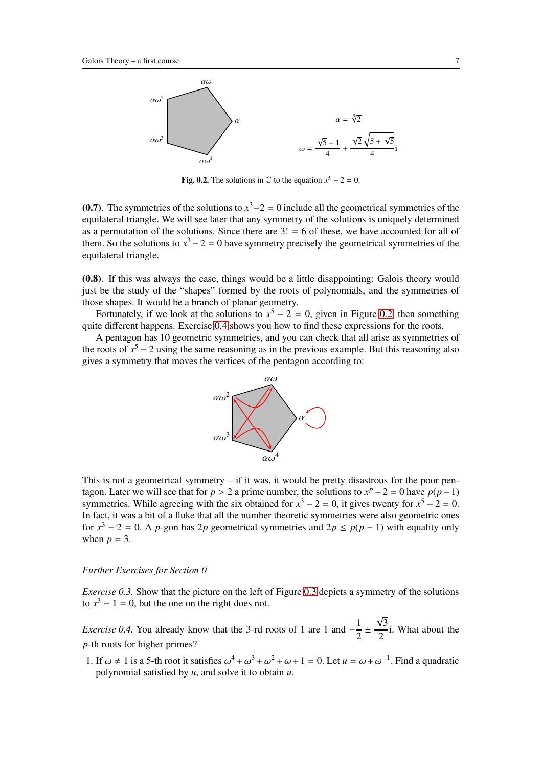

Fig. 0.2. The solutions in  $\mathbb C$  to the equation  $x^5 - 2 = 0$ .

(0.7). The symmetries of the solutions to  $x^3 - 2 = 0$  include all the geometrical symmetries of the equilateral triangle. We will see later that any symmetry of the solutions is uniquely determined as a permutation of the solutions. Since there are  $3! = 6$  of these, we have accounted for all of them. So the solutions to  $x^3 - 2 = 0$  have symmetry precisely the geometrical symmetries of the equilateral triangle.

(0.8). If this was always the case, things would be a little disappointing: Galois theory would just be the study of the "shapes" formed by the roots of polynomials, and the symmetries of those shapes. It would be a branch of planar geometry.

Fortunately, if we look at the solutions to  $x^5 - 2 = 0$ , given in Figure [0.2,](#page-90-1) then something quite different happens. Exercise [0.4](#page-6-0) shows you how to find these expressions for the roots.

A pentagon has 10 geometric symmetries, and you can check that all arise as symmetries of the roots of  $x^5 - 2$  using the same reasoning as in the previous example. But this reasoning also gives a symmetry that moves the vertices of the pentagon according to:



This is not a geometrical symmetry – if it was, it would be pretty disastrous for the poor pentagon. Later we will see that for  $p > 2$  a prime number, the solutions to  $x^p - 2 = 0$  have  $p(p-1)$ symmetries. While agreeing with the six obtained for  $x^3 - 2 = 0$ , it gives twenty for  $x^5 - 2 = 0$ . In fact, it was a bit of a fluke that all the number theoretic symmetries were also geometric ones for  $x^3 - 2 = 0$ . A *p*-gon has 2*p* geometrical symmetries and  $2p \le p(p-1)$  with equality only when  $p = 3$ .

#### <span id="page-6-1"></span>*Further Exercises for Section 0*

*Exercise [0.3](#page-85-0).* Show that the picture on the left of Figure 0.3 depicts a symmetry of the solutions to  $x^3 - 1 = 0$ , but the one on the right does not.

<span id="page-6-0"></span>*Exercise 0.4.* You already know that the 3-rd roots of 1 are 1 and  $-\frac{1}{2}$  $\frac{1}{2}$   $\pm$  $\sqrt{3}$  $\frac{1}{2}$ i. What about the *p*-th roots for higher primes?

1. If  $\omega \neq 1$  is a 5-th root it satisfies  $\omega^4 + \omega^3 + \omega^2 + \omega + 1 = 0$ . Let  $u = \omega + \omega^{-1}$ . Find a quadratic polynomial satisfied by *u*, and solve it to obtain *u*.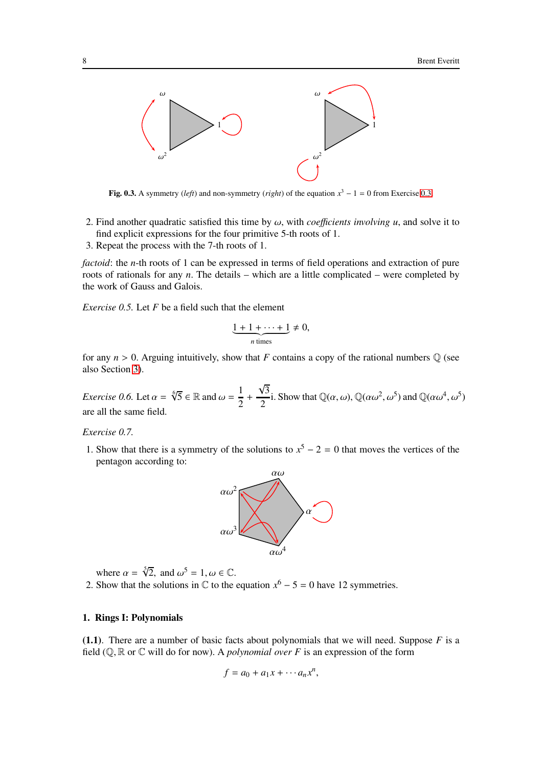

Fig. [0.3.](#page-6-1) A symmetry (*left*) and non-symmetry (*right*) of the equation  $x^3 - 1 = 0$  from Exercise 0.3.

- 2. Find another quadratic satisfied this time by  $\omega$ , with *coefficients involving u*, and solve it to find explicit expressions for the four primitive 5-th roots of 1.
- 3. Repeat the process with the 7-th roots of 1.

*factoid*: the *n*-th roots of 1 can be expressed in terms of field operations and extraction of pure roots of rationals for any *n*. The details – which are a little complicated – were completed by the work of Gauss and Galois.

<span id="page-7-1"></span>*Exercise 0.5.* Let *F* be a field such that the element

$$
\underbrace{1+1+\cdots+1}_{n \text{ times}} \neq 0,
$$

for any  $n > 0$ . Arguing intuitively, show that *F* contains a copy of the rational numbers  $\mathbb{Q}$  (see also Section [3\)](#page-21-0).

*Exercise 0.6.* Let  $\alpha = \sqrt[6]{5} \in \mathbb{R}$  and  $\omega = \frac{1}{2}$ 2 +  $\sqrt{3}$  $\frac{\partial^2}{\partial \omega^2}$ i. Show that  $\mathbb{Q}(\alpha,\omega)$ ,  $\mathbb{Q}(\alpha\omega^2,\omega^5)$  and  $\mathbb{Q}(\alpha\omega^4,\omega^5)$ are all the same field.

#### *Exercise 0.7.*

1. Show that there is a symmetry of the solutions to  $x^5 - 2 = 0$  that moves the vertices of the pentagon according to:



where  $\alpha = \sqrt[5]{2}$ , and  $\omega^5 = 1$ ,  $\omega \in \mathbb{C}$ .

2. Show that the solutions in  $\mathbb C$  to the equation  $x^6 - 5 = 0$  have 12 symmetries.

## <span id="page-7-0"></span>1. Rings I: Polynomials

(1.1). There are a number of basic facts about polynomials that we will need. Suppose *F* is a field  $(\mathbb{Q}, \mathbb{R})$  or  $\mathbb{C}$  will do for now). A *polynomial over* F is an expression of the form

$$
f = a_0 + a_1 x + \cdots a_n x^n,
$$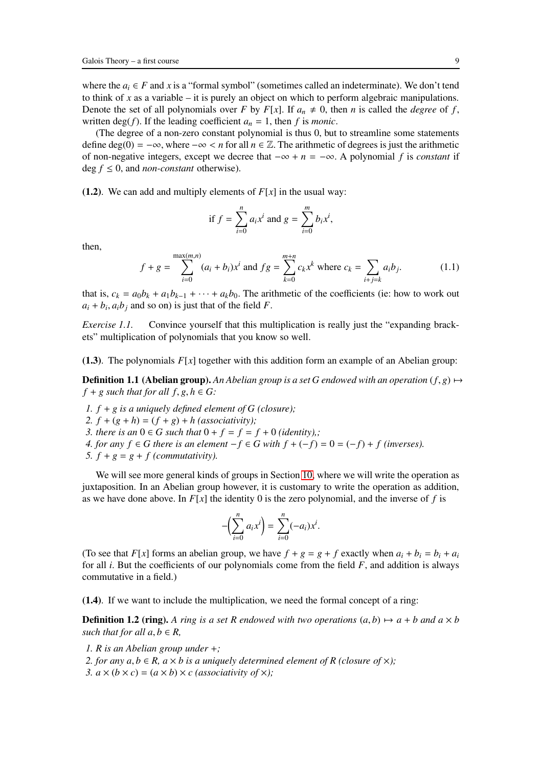where the  $a_i \in F$  and x is a "formal symbol" (sometimes called an indeterminate). We don't tend to think of *x* as a variable – it is purely an object on which to perform algebraic manipulations. Denote the set of all polynomials over *F* by *F*[*x*]. If  $a_n \neq 0$ , then *n* is called the *degree* of *f*, written  $deg(f)$ . If the leading coefficient  $a_n = 1$ , then f is *monic*.

(The degree of a non-zero constant polynomial is thus 0, but to streamline some statements define deg(0) =  $-\infty$ , where  $-\infty < n$  for all  $n \in \mathbb{Z}$ . The arithmetic of degrees is just the arithmetic of non-negative integers, except we decree that −∞ + *n* = −∞. A polynomial *f* is *constant* if deg  $f \leq 0$ , and *non-constant* otherwise).

(1.2). We can add and multiply elements of  $F[x]$  in the usual way:

if 
$$
f = \sum_{i=0}^{n} a_i x^i
$$
 and  $g = \sum_{i=0}^{m} b_i x^i$ ,

then,

<span id="page-8-0"></span>
$$
f + g = \sum_{i=0}^{\max(m,n)} (a_i + b_i)x^i \text{ and } fg = \sum_{k=0}^{m+n} c_k x^k \text{ where } c_k = \sum_{i+j=k} a_i b_j.
$$
 (1.1)

that is,  $c_k = a_0b_k + a_1b_{k-1} + \cdots + a_kb_0$ . The arithmetic of the coefficients (ie: how to work out  $a_i + b_i$ ,  $a_i b_j$  and so on) is just that of the field *F*.

*Exercise 1.1.* Convince yourself that this multiplication is really just the "expanding brackets" multiplication of polynomials that you know so well.

(1.3). The polynomials  $F[x]$  together with this addition form an example of an Abelian group:

**Definition 1.1 (Abelian group).** An Abelian group is a set G endowed with an operation  $(f, g) \mapsto$  $f + g$  *such that for all*  $f, g, h \in G$ *:* 

- *1. f* + *g is a uniquely defined element of G (closure);*
- 2.  $f + (g + h) = (f + g) + h$  (associativity);
- *3. there is an*  $0 \in G$  *such that*  $0 + f = f = f + 0$  *(identity),;*
- *4. for any*  $f \in G$  *there is an element* −*f* ∈ *G with*  $f + (-f) = 0 = (-f) + f$  (inverses). 5.  $f + g = g + f$  (commutativity).

We will see more general kinds of groups in Section [10,](#page-62-0) where we will write the operation as juxtaposition. In an Abelian group however, it is customary to write the operation as addition, as we have done above. In  $F[x]$  the identity 0 is the zero polynomial, and the inverse of f is

$$
-\left(\sum_{i=0}^n a_i x^i\right) = \sum_{i=0}^n (-a_i) x^i.
$$

(To see that *F*[*x*] forms an abelian group, we have  $f + g = g + f$  exactly when  $a_i + b_i = b_i + a_i$ for all *i*. But the coefficients of our polynomials come from the field *F*, and addition is always commutative in a field.)

(1.4). If we want to include the multiplication, we need the formal concept of a ring:

**Definition 1.2 (ring).** A ring is a set R endowed with two operations  $(a, b) \mapsto a + b$  and  $a \times b$ *such that for all*  $a, b \in R$ *,* 

- *1. R is an Abelian group under* +*;*
- *2. for any*  $a, b \in R$ *,*  $a \times b$  *is a uniquely determined element of R (closure of*  $\times$ *);*
- *3.*  $a \times (b \times c) = (a \times b) \times c$  (associativity of  $\times$ );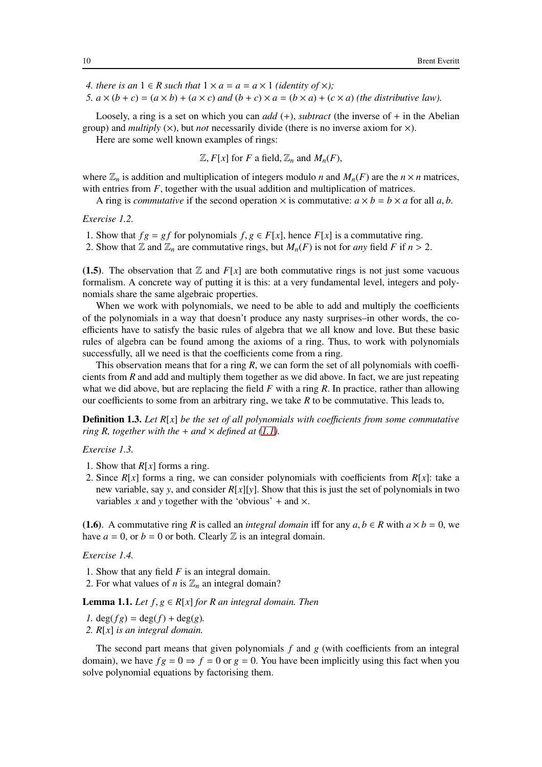*4. there is an*  $1 \in R$  *such that*  $1 \times a = a = a \times 1$  *(identity of*  $\times$ *);* 

*5.*  $a \times (b + c) = (a \times b) + (a \times c)$  *and*  $(b + c) \times a = (b \times a) + (c \times a)$  (the distributive law).

Loosely, a ring is a set on which you can *add* (+), *subtract* (the inverse of + in the Abelian group) and *multiply*  $(X)$ , but *not* necessarily divide (there is no inverse axiom for  $X$ ).

Here are some well known examples of rings:

 $\mathbb{Z}, F[x]$  for *F* a field,  $\mathbb{Z}_n$  and  $M_n(F)$ ,

where  $\mathbb{Z}_n$  is addition and multiplication of integers modulo *n* and  $M_n(F)$  are the  $n \times n$  matrices, with entries from  $F$ , together with the usual addition and multiplication of matrices.

A ring is *commutative* if the second operation  $\times$  is commutative:  $a \times b = b \times a$  for all a, b.

*Exercise 1.2.*

1. Show that  $fg = gf$  for polynomials  $f, g \in F[x]$ , hence  $F[x]$  is a commutative ring.

2. Show that  $\mathbb{Z}$  and  $\mathbb{Z}_n$  are commutative rings, but  $M_n(F)$  is not for *any* field *F* if  $n > 2$ .

(1.5). The observation that  $\mathbb{Z}$  and  $F[x]$  are both commutative rings is not just some vacuous formalism. A concrete way of putting it is this: at a very fundamental level, integers and polynomials share the same algebraic properties.

When we work with polynomials, we need to be able to add and multiply the coefficients of the polynomials in a way that doesn't produce any nasty surprises–in other words, the coefficients have to satisfy the basic rules of algebra that we all know and love. But these basic rules of algebra can be found among the axioms of a ring. Thus, to work with polynomials successfully, all we need is that the coefficients come from a ring.

This observation means that for a ring *R*, we can form the set of all polynomials with coefficients from *R* and add and multiply them together as we did above. In fact, we are just repeating what we did above, but are replacing the field *F* with a ring *R*. In practice, rather than allowing our coefficients to some from an arbitrary ring, we take *R* to be commutative. This leads to,

**Definition 1.3.** Let R[x] be the set of all polynomials with coefficients from some commutative *ring R, together with the*  $+$  *and*  $\times$  *defined at* [\(1.1\)](#page-8-0)*.* 

*Exercise 1.3.*

- 1. Show that  $R[x]$  forms a ring.
- 2. Since  $R[x]$  forms a ring, we can consider polynomials with coefficients from  $R[x]$ : take a new variable, say *y*, and consider  $R[x][y]$ . Show that this is just the set of polynomials in two variables *x* and *y* together with the 'obvious' + and  $\times$ .

(1.6). A commutative ring *R* is called an *integral domain* iff for any  $a, b \in R$  with  $a \times b = 0$ , we have  $a = 0$ , or  $b = 0$  or both. Clearly  $\mathbb Z$  is an integral domain.

*Exercise 1.4.*

1. Show that any field *F* is an integral domain.

<span id="page-9-0"></span>2. For what values of *n* is  $\mathbb{Z}_n$  an integral domain?

**Lemma 1.1.** *Let*  $f, g \in R[x]$  *for R an integral domain. Then* 

*1.*  $deg(fg) = deg(f) + deg(g)$ .

*2. R*[*x*] *is an integral domain.*

The second part means that given polynomials *f* and *g* (with coefficients from an integral domain), we have  $fg = 0 \Rightarrow f = 0$  or  $g = 0$ . You have been implicitly using this fact when you solve polynomial equations by factorising them.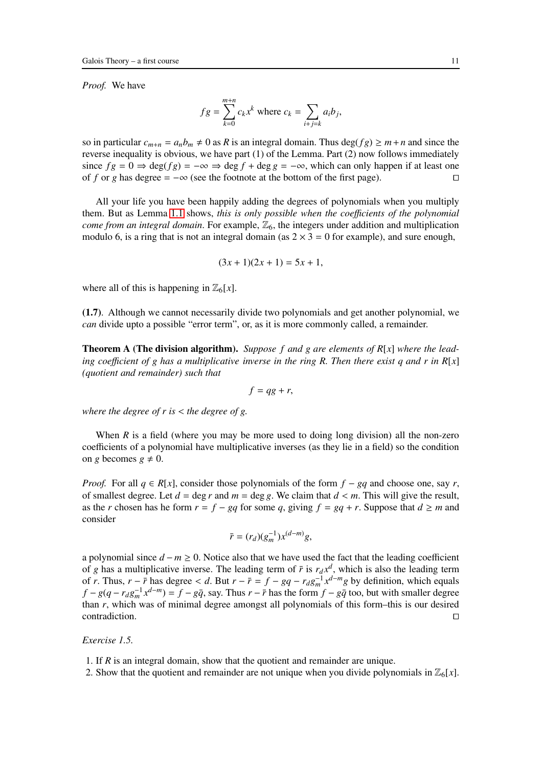*Proof.* We have

$$
fg = \sum_{k=0}^{m+n} c_k x^k
$$
 where  $c_k = \sum_{i+j=k} a_i b_j$ ,

so in particular  $c_{m+n} = a_n b_m \neq 0$  as *R* is an integral domain. Thus deg(*f g*)  $\geq m+n$  and since the reverse inequality is obvious, we have part (1) of the Lemma. Part (2) now follows immediately since  $fg = 0 \Rightarrow \deg(fg) = -\infty \Rightarrow \deg f + \deg g = -\infty$ , which can only happen if at least one of f or g has degree  $= -\infty$  (see the footnote at the bottom of the first page). of *f* or *g* has degree =  $-\infty$  (see the footnote at the bottom of the first page).

All your life you have been happily adding the degrees of polynomials when you multiply them. But as Lemma [1.1](#page-9-0) shows, *this is only possible when the coe*ffi*cients of the polynomial come from an integral domain*. For example,  $\mathbb{Z}_6$ , the integers under addition and multiplication modulo 6, is a ring that is not an integral domain (as  $2 \times 3 = 0$  for example), and sure enough,

$$
(3x+1)(2x+1) = 5x+1,
$$

where all of this is happening in  $\mathbb{Z}_6[x]$ .

(1.7). Although we cannot necessarily divide two polynomials and get another polynomial, we *can* divide upto a possible "error term", or, as it is more commonly called, a remainder.

Theorem A (The division algorithm). *Suppose f and g are elements of R*[*x*] *where the leading coefficient of g has a multiplicative inverse in the ring R. Then there exist q and r in R[x] (quotient and remainder) such that*

$$
f = qg + r,
$$

*where the degree of r is* < *the degree of g.*

When  $R$  is a field (where you may be more used to doing long division) all the non-zero coefficients of a polynomial have multiplicative inverses (as they lie in a field) so the condition on *g* becomes  $g \neq 0$ .

*Proof.* For all  $q \in R[x]$ , consider those polynomials of the form  $f - gq$  and choose one, say r, of smallest degree. Let  $d = \deg r$  and  $m = \deg g$ . We claim that  $d < m$ . This will give the result, as the *r* chosen has he form  $r = f - gq$  for some *q*, giving  $f = gq + r$ . Suppose that  $d \ge m$  and consider

$$
\bar{r} = (r_d)(g_m^{-1})x^{(d-m)}g,
$$

a polynomial since *d* − *m* ≥ 0. Notice also that we have used the fact that the leading coefficient of *g* has a multiplicative inverse. The leading term of  $\bar{r}$  is  $r_d x^d$ , which is also the leading term of *r*. Thus,  $r - \bar{r}$  has degree < *d*. But  $r - \bar{r} = f - g q - r_d g_m^{-1} x^{d-m} g$  by definition, which equals  $f - g(q - r_d g_m^{-1} x^{d-m}) = f - g\overline{q}$ , say. Thus  $r - \overline{r}$  has the form  $f - g\overline{q}$  too, but with smaller degree than *r*, which was of minimal degree amongst all polynomials of this form–this is our desired contradiction. □

## *Exercise 1.5.*

- 1. If *R* is an integral domain, show that the quotient and remainder are unique.
- 2. Show that the quotient and remainder are not unique when you divide polynomials in  $\mathbb{Z}_6[x]$ .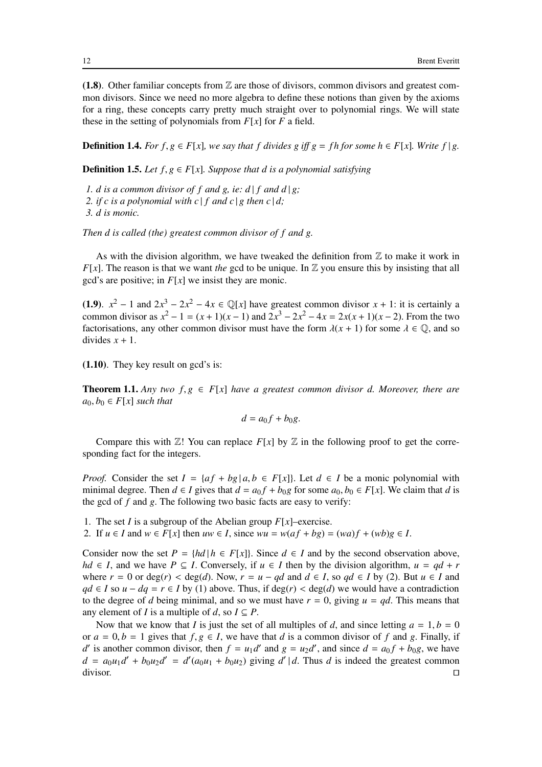(1.8). Other familiar concepts from  $\mathbb Z$  are those of divisors, common divisors and greatest common divisors. Since we need no more algebra to define these notions than given by the axioms for a ring, these concepts carry pretty much straight over to polynomial rings. We will state these in the setting of polynomials from  $F[x]$  for  $F$  a field.

**Definition 1.4.** *For*  $f, g \in F[x]$ *, we say that*  $f$  *divides*  $g$  *iff*  $g = fh$  *for some*  $h \in F[x]$ *. Write*  $f|g$ *.* 

**Definition 1.5.** *Let*  $f, g \in F[x]$ *. Suppose that d is a polynomial satisfying* 

*1. d is a common divisor of f and g, ie: d | f and d | g;* 2. if c is a polynomial with c  $|f|$  and c  $|g|$  then c  $|d;$ 

*3. d is monic.*

*Then d is called (the) greatest common divisor of f and g.*

As with the division algorithm, we have tweaked the definition from  $\mathbb Z$  to make it work in *F*[ $x$ ]. The reason is that we want *the* gcd to be unique. In  $\mathbb{Z}$  you ensure this by insisting that all gcd's are positive; in *F*[*x*] we insist they are monic.

(1.9).  $x^2 - 1$  and  $2x^3 - 2x^2 - 4x \in \mathbb{Q}[x]$  have greatest common divisor  $x + 1$ : it is certainly a common divisor as  $x^2 - 1 = (x + 1)(x - 1)$  and  $2x^3 - 2x^2 - 4x = 2x(x + 1)(x - 2)$ . From the two factorisations, any other common divisor must have the form  $\lambda(x + 1)$  for some  $\lambda \in \mathbb{Q}$ , and so divides  $x + 1$ .

(1.10). They key result on gcd's is:

**Theorem 1.1.** Any two  $f, g \in F[x]$  have a greatest common divisor d. Moreover, there are  $a_0, b_0 \in F[x]$  *such that* 

$$
d = a_0 f + b_0 g.
$$

Compare this with  $\mathbb{Z}$ ! You can replace  $F[x]$  by  $\mathbb Z$  in the following proof to get the corresponding fact for the integers.

*Proof.* Consider the set  $I = \{af + bg | a, b \in F[x]\}$ . Let  $d \in I$  be a monic polynomial with minimal degree. Then  $d \in I$  gives that  $d = a_0 f + b_0 g$  for some  $a_0, b_0 \in F[x]$ . We claim that *d* is the gcd of *f* and *g*. The following two basic facts are easy to verify:

- 1. The set *I* is a subgroup of the Abelian group  $F[x]$ –exercise.
- 2. If  $u \in I$  and  $w \in F[x]$  then  $uw \in I$ , since  $wu = w(af + bg) = (wa)f + (wb)g \in I$ .

Consider now the set  $P = \{hd \mid h \in F[x]\}$ . Since  $d \in I$  and by the second observation above, *hd* ∈ *I*, and we have  $P \subseteq I$ . Conversely, if  $u \in I$  then by the division algorithm,  $u = qd + r$ where  $r = 0$  or  $deg(r) < deg(d)$ . Now,  $r = u - qd$  and  $d \in I$ , so  $qd \in I$  by (2). But  $u \in I$  and *qd* ∈ *I* so *u* − *dq* = *r* ∈ *I* by (1) above. Thus, if deg(*r*) < deg(*d*) we would have a contradiction to the degree of *d* being minimal, and so we must have  $r = 0$ , giving  $u = qd$ . This means that any element of *I* is a multiple of *d*, so  $I \subseteq P$ .

Now that we know that *I* is just the set of all multiples of *d*, and since letting  $a = 1, b = 0$ or  $a = 0, b = 1$  gives that  $f, g \in I$ , we have that *d* is a common divisor of *f* and *g*. Finally, if *d*' is another common divisor, then  $f = u_1 d'$  and  $g = u_2 d'$ , and since  $d = a_0 f + b_0 g$ , we have  $d = a_0u_1d' + b_0u_2d' = d'(a_0u_1 + b_0u_2)$  giving  $d' | d$ . Thus *d* is indeed the greatest common divisor. □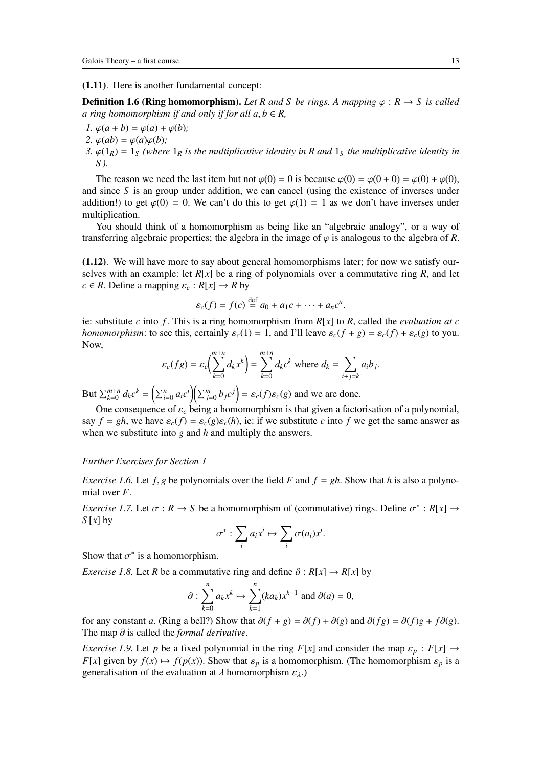#### (1.11). Here is another fundamental concept:

**Definition 1.6 (Ring homomorphism).** Let R and S be rings. A mapping  $\varphi : R \to S$  is called *a ring homomorphism if and only if for all*  $a, b \in R$ *,* 

*1.*  $\varphi(a + b) = \varphi(a) + \varphi(b)$ ; 2.  $\varphi(ab) = \varphi(a)\varphi(b)$ ; *3.*  $\varphi(1_R) = 1_S$  *(where*  $1_R$  *is the multiplicative identity in R and*  $1_S$  *the multiplicative identity in S ).*

The reason we need the last item but not  $\varphi(0) = 0$  is because  $\varphi(0) = \varphi(0 + 0) = \varphi(0) + \varphi(0)$ , and since *S* is an group under addition, we can cancel (using the existence of inverses under addition!) to get  $\varphi(0) = 0$ . We can't do this to get  $\varphi(1) = 1$  as we don't have inverses under multiplication.

You should think of a homomorphism as being like an "algebraic analogy", or a way of transferring algebraic properties; the algebra in the image of  $\varphi$  is analogous to the algebra of *R*.

(1.12). We will have more to say about general homomorphisms later; for now we satisfy ourselves with an example: let  $R[x]$  be a ring of polynomials over a commutative ring  $R$ , and let  $c \in R$ . Define a mapping  $\varepsilon_c : R[x] \to R$  by

$$
\varepsilon_c(f) = f(c) \stackrel{\text{def}}{=} a_0 + a_1c + \cdots + a_nc^n.
$$

ie: substitute *c* into *f* . This is a ring homomorphism from *R*[*x*] to *R*, called the *evaluation at c homomorphism*: to see this, certainly  $\varepsilon_c(1) = 1$ , and I'll leave  $\varepsilon_c(f + g) = \varepsilon_c(f) + \varepsilon_c(g)$  to you. Now,

$$
\varepsilon_c(fg) = \varepsilon_c \bigg(\sum_{k=0}^{m+n} d_k x^k\bigg) = \sum_{k=0}^{m+n} d_k c^k \text{ where } d_k = \sum_{i+j=k} a_i b_j.
$$

But  $\sum_{k=0}^{m+n} d_k c^k = \left(\sum_{i=0}^n a_i c^i\right) \left(\sum_{j=0}^m b_j c^j\right) = \varepsilon_c(f) \varepsilon_c(g)$  and we are done.

One consequence of  $\varepsilon_c$  being a homomorphism is that given a factorisation of a polynomial, say  $f = gh$ , we have  $\varepsilon_c(f) = \varepsilon_c(g)\varepsilon_c(h)$ , ie: if we substitute *c* into *f* we get the same answer as when we substitute into *g* and *h* and multiply the answers.

#### *Further Exercises for Section 1*

*Exercise 1.6.* Let  $f, g$  be polynomials over the field *F* and  $f = gh$ . Show that *h* is also a polynomial over *F*.

<span id="page-12-1"></span>*Exercise 1.7.* Let  $\sigma : R \to S$  be a homomorphism of (commutative) rings. Define  $\sigma^* : R[x] \to R[x]$ *S* [*x*] by

$$
\sigma^* : \sum_i a_i x^i \mapsto \sum_i \sigma(a_i) x^i.
$$

<span id="page-12-0"></span>Show that  $\sigma^*$  is a homomorphism.

*Exercise 1.8.* Let *R* be a commutative ring and define  $\partial : R[x] \rightarrow R[x]$  by

$$
\partial: \sum_{k=0}^{n} a_k x^k \mapsto \sum_{k=1}^{n} (ka_k) x^{k-1} \text{ and } \partial(a) = 0,
$$

for any constant *a*. (Ring a bell?) Show that  $\partial(f+g) = \partial(f) + \partial(g)$  and  $\partial(fg) = \partial(f)g + f\partial(g)$ . The map ∂ is called the *formal derivative*.

*Exercise 1.9.* Let *p* be a fixed polynomial in the ring  $F[x]$  and consider the map  $\varepsilon_p : F[x] \rightarrow$ *F*[*x*] given by  $f(x) \mapsto f(p(x))$ . Show that  $\varepsilon_p$  is a homomorphism. (The homomorphism  $\varepsilon_p$  is a generalisation of the evaluation at  $\lambda$  homomorphism  $\varepsilon_{\lambda}$ .)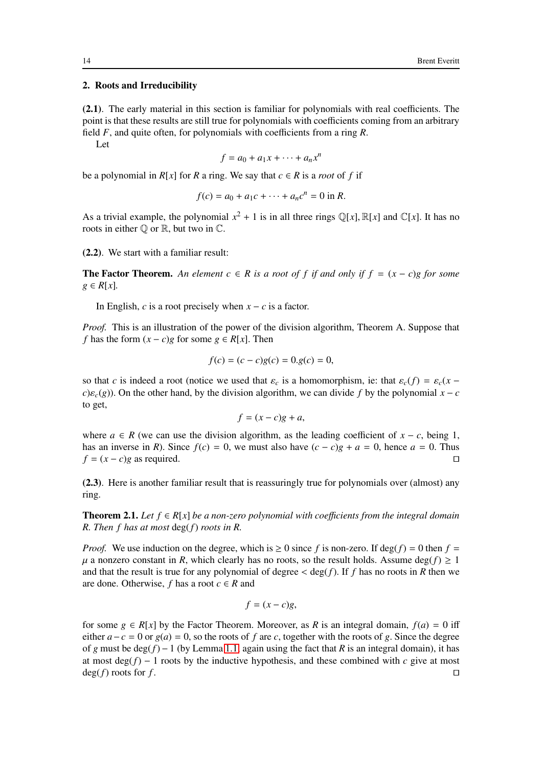## <span id="page-13-0"></span>2. Roots and Irreducibility

(2.1). The early material in this section is familiar for polynomials with real coefficients. The point is that these results are still true for polynomials with coefficients coming from an arbitrary field *F*, and quite often, for polynomials with coefficients from a ring *R*.

Let

$$
f = a_0 + a_1 x + \dots + a_n x^n
$$

be a polynomial in  $R[x]$  for R a ring. We say that  $c \in R$  is a *root* of f if

$$
f(c) = a_0 + a_1c + \dots + a_nc^n = 0 \text{ in } R.
$$

As a trivial example, the polynomial  $x^2 + 1$  is in all three rings  $\mathbb{Q}[x]$ ,  $\mathbb{R}[x]$  and  $\mathbb{C}[x]$ . It has no roots in either  $\mathbb O$  or  $\mathbb R$ , but two in  $\mathbb C$ .

(2.2). We start with a familiar result:

**The Factor Theorem.** An element  $c ∈ R$  is a root of f if and only if  $f = (x - c)g$  for some *g* ∈ *R*[*x*]*.*

In English, *c* is a root precisely when  $x - c$  is a factor.

*Proof.* This is an illustration of the power of the division algorithm, Theorem A. Suppose that *f* has the form  $(x - c)g$  for some  $g \in R[x]$ . Then

$$
f(c) = (c - c)g(c) = 0. g(c) = 0,
$$

so that *c* is indeed a root (notice we used that  $\varepsilon_c$  is a homomorphism, ie: that  $\varepsilon_c(f) = \varepsilon_c(x - f)$ *c*) $\varepsilon$ <sub>*c*</sub>(*g*)). On the other hand, by the division algorithm, we can divide *f* by the polynomial *x* − *c* to get,

$$
f = (x - c)g + a,
$$

where  $a \in R$  (we can use the division algorithm, as the leading coefficient of  $x - c$ , being 1, has an inverse in *R*). Since  $f(c) = 0$ , we must also have  $(c - c)g + a = 0$ , hence  $a = 0$ . Thus  $f = (x - c)g$  as required  $f = (x - c)g$  as required.

<span id="page-13-1"></span>(2.3). Here is another familiar result that is reassuringly true for polynomials over (almost) any ring.

**Theorem 2.1.** Let  $f \in R[x]$  be a non-zero polynomial with coefficients from the integral domain *R. Then f has at most* deg(*f*) *roots in R.*

*Proof.* We use induction on the degree, which is  $\geq 0$  since f is non-zero. If deg(f) = 0 then f =  $\mu$  a nonzero constant in *R*, which clearly has no roots, so the result holds. Assume deg(*f*)  $\geq 1$ and that the result is true for any polynomial of degree  $\lt$  deg(*f*). If *f* has no roots in *R* then we are done. Otherwise,  $f$  has a root  $c \in R$  and

$$
f = (x - c)g,
$$

for some  $g \in R[x]$  by the Factor Theorem. Moreover, as R is an integral domain,  $f(a) = 0$  iff either  $a - c = 0$  or  $g(a) = 0$ , so the roots of *f* are *c*, together with the roots of *g*. Since the degree of *g* must be deg( $f$ ) − 1 (by Lemma [1.1,](#page-9-0) again using the fact that *R* is an integral domain), it has at most deg(*f*) − 1 roots by the inductive hypothesis, and these combined with *c* give at most deg(*f*) roots for *f*.  $deg(f)$  roots for *f*.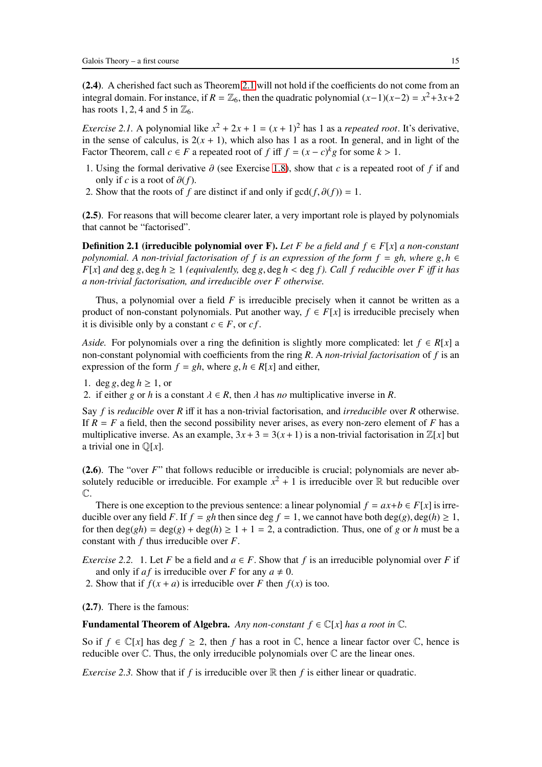(2.4). A cherished fact such as Theorem [2.1](#page-13-1) will not hold if the coefficients do not come from an integral domain. For instance, if  $R = \mathbb{Z}_6$ , then the quadratic polynomial  $(x-1)(x-2) = x^2+3x+2$ has roots 1, 2, 4 and 5 in  $\mathbb{Z}_6$ .

<span id="page-14-0"></span>*Exercise 2.1.* A polynomial like  $x^2 + 2x + 1 = (x + 1)^2$  has 1 as a *repeated root*. It's derivative, in the sense of calculus, is  $2(x + 1)$ , which also has 1 as a root. In general, and in light of the Factor Theorem, call  $c \in F$  a repeated root of  $f$  iff  $f = (x - c)^k g$  for some  $k > 1$ .

- 1. Using the formal derivative ∂ (see Exercise [1.8\)](#page-12-0), show that *c* is a repeated root of *f* if and only if *c* is a root of  $\partial(f)$ .
- 2. Show that the roots of *f* are distinct if and only if  $gcd(f, \partial(f)) = 1$ .

(2.5). For reasons that will become clearer later, a very important role is played by polynomials that cannot be "factorised".

**Definition 2.1 (irreducible polynomial over F).** Let *F* be a field and  $f$  ∈  $F[x]$  a non-constant *polynomial. A non-trivial factorisation of f is an expression of the form*  $f = gh$ *, where*  $g, h \in$ *F*[*x*] *and* deg *g*, deg *h*  $\geq$  1 *(equivalently,* deg *g*, deg *h* < deg *f*). Call *f reducible over F iff it has a non-trivial factorisation, and irreducible over F otherwise.*

Thus, a polynomial over a field *F* is irreducible precisely when it cannot be written as a product of non-constant polynomials. Put another way,  $f \in F[x]$  is irreducible precisely when it is divisible only by a constant  $c \in F$ , or  $cf$ .

*Aside.* For polynomials over a ring the definition is slightly more complicated: let  $f \in R[x]$  a non-constant polynomial with coefficients from the ring *R*. A *non-trivial factorisation* of *f* is an expression of the form  $f = gh$ , where  $g, h \in R[x]$  and either,

1. deg *g*, deg  $h \ge 1$ , or

2. if either *g* or *h* is a constant  $\lambda \in R$ , then  $\lambda$  has *no* multiplicative inverse in *R*.

Say *f* is *reducible* over *R* iff it has a non-trivial factorisation, and *irreducible* over *R* otherwise. If  $R = F$  a field, then the second possibility never arises, as every non-zero element of  $F$  has a multiplicative inverse. As an example,  $3x+3 = 3(x+1)$  is a non-trivial factorisation in  $\mathbb{Z}[x]$  but a trivial one in Q[*x*].

(2.6). The "over *F*" that follows reducible or irreducible is crucial; polynomials are never absolutely reducible or irreducible. For example  $x^2 + 1$  is irreducible over  $\mathbb R$  but reducible over  $\mathbb{C}.$ 

There is one exception to the previous sentence: a linear polynomial  $f = ax + b \in F[x]$  is irreducible over any field *F*. If  $f = gh$  then since deg  $f = 1$ , we cannot have both deg(*g*), deg(*h*)  $\geq 1$ , for then  $deg(gh) = deg(g) + deg(h) \ge 1 + 1 = 2$ , a contradiction. Thus, one of *g* or *h* must be a constant with *f* thus irreducible over *F*.

*Exercise 2.2.* 1. Let *F* be a field and  $a \in F$ . Show that *f* is an irreducible polynomial over *F* if and only if *af* is irreducible over *F* for any  $a \neq 0$ .

2. Show that if  $f(x + a)$  is irreducible over *F* then  $f(x)$  is too.

(2.7). There is the famous:

**Fundamental Theorem of Algebra.** *Any non-constant*  $f \in \mathbb{C}[x]$  *has a root in*  $\mathbb{C}$ *.* 

<span id="page-14-1"></span>So if  $f \in \mathbb{C}[x]$  has deg  $f \ge 2$ , then f has a root in  $\mathbb{C}$ , hence a linear factor over  $\mathbb{C}$ , hence is reducible over  $\mathbb C$ . Thus, the only irreducible polynomials over  $\mathbb C$  are the linear ones.

*Exercise 2.3.* Show that if  $f$  is irreducible over  $\mathbb R$  then  $f$  is either linear or quadratic.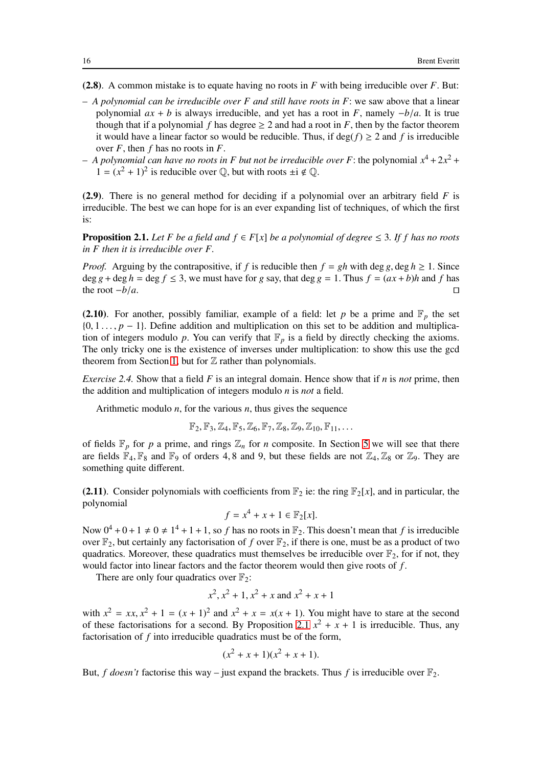- (2.8). A common mistake is to equate having no roots in *F* with being irreducible over *F*. But:
- *A polynomial can be irreducible over F and still have roots in F*: we saw above that a linear polynomial  $ax + b$  is always irreducible, and yet has a root in *F*, namely  $-b/a$ . It is true though that if a polynomial *f* has degree  $\geq 2$  and had a root in *F*, then by the factor theorem it would have a linear factor so would be reducible. Thus, if  $\deg(f) \ge 2$  and f is irreducible over *F*, then *f* has no roots in *F*.
- $-$  *A polynomial can have no roots in F but not be irreducible over F:* the polynomial  $x^4 + 2x^2 +$  $1 = (x^2 + 1)^2$  is reducible over  $\mathbb{Q}$ , but with roots  $\pm i \notin \mathbb{Q}$ .

(2.9). There is no general method for deciding if a polynomial over an arbitrary field *F* is irreducible. The best we can hope for is an ever expanding list of techniques, of which the first is:

<span id="page-15-0"></span>**Proposition 2.1.** Let F be a field and  $f \in F[x]$  be a polynomial of degree  $\leq 3$ . If f has no roots *in F then it is irreducible over F.*

*Proof.* Arguing by the contrapositive, if *f* is reducible then  $f = gh$  with deg *g*, deg  $h \ge 1$ . Since deg *g* + deg *h* = deg *f*  $\le$  3, we must have for *g* say, that deg *g* = 1. Thus *f* =  $(ax + b)h$  and *f* has the root  $-b/a$ . the root  $-b/a$ .

(2.10). For another, possibly familiar, example of a field: let *p* be a prime and  $\mathbb{F}_p$  the set  $\{0, 1, \ldots, p - 1\}$ . Define addition and multiplication on this set to be addition and multiplication of integers modulo p. You can verify that  $\mathbb{F}_p$  is a field by directly checking the axioms. The only tricky one is the existence of inverses under multiplication: to show this use the gcd theorem from Section [1,](#page-7-0) but for  $\mathbb Z$  rather than polynomials.

*Exercise 2.4.* Show that a field *F* is an integral domain. Hence show that if *n* is *not* prime, then the addition and multiplication of integers modulo *n* is *not* a field.

Arithmetic modulo *n*, for the various *n*, thus gives the sequence

$$
\mathbb{F}_2,\mathbb{F}_3,\mathbb{Z}_4,\mathbb{F}_5,\mathbb{Z}_6,\mathbb{F}_7,\mathbb{Z}_8,\mathbb{Z}_9,\mathbb{Z}_{10},\mathbb{F}_{11},\ldots
$$

of fields  $\mathbb{F}_p$  for *p* a prime, and rings  $\mathbb{Z}_n$  for *n* composite. In Section [5](#page-32-0) we will see that there are fields  $\mathbb{F}_4$ ,  $\mathbb{F}_8$  and  $\mathbb{F}_9$  of orders 4, 8 and 9, but these fields are not  $\mathbb{Z}_4$ ,  $\mathbb{Z}_8$  or  $\mathbb{Z}_9$ . They are something quite different.

<span id="page-15-1"></span>(2.11). Consider polynomials with coefficients from  $\mathbb{F}_2$  ie: the ring  $\mathbb{F}_2[x]$ , and in particular, the polynomial

$$
f = x^4 + x + 1 \in \mathbb{F}_2[x].
$$

Now  $0^4 + 0 + 1 \neq 0 \neq 1^4 + 1 + 1$ , so *f* has no roots in  $\mathbb{F}_2$ . This doesn't mean that *f* is irreducible over  $\mathbb{F}_2$ , but certainly any factorisation of *f* over  $\mathbb{F}_2$ , if there is one, must be as a product of two quadratics. Moreover, these quadratics must themselves be irreducible over  $\mathbb{F}_2$ , for if not, they would factor into linear factors and the factor theorem would then give roots of *f* .

There are only four quadratics over  $\mathbb{F}_2$ :

$$
x^2
$$
,  $x^2 + 1$ ,  $x^2 + x$  and  $x^2 + x + 1$ 

with  $x^2 = xx$ ,  $x^2 + 1 = (x + 1)^2$  and  $x^2 + x = x(x + 1)$ . You might have to stare at the second of these factorisations for a second. By Proposition [2.1](#page-15-0)  $x^2 + x + 1$  is irreducible. Thus, any factorisation of *f* into irreducible quadratics must be of the form,

$$
(x^2 + x + 1)(x^2 + x + 1).
$$

But, *f doesn't* factorise this way – just expand the brackets. Thus *f* is irreducible over  $\mathbb{F}_2$ .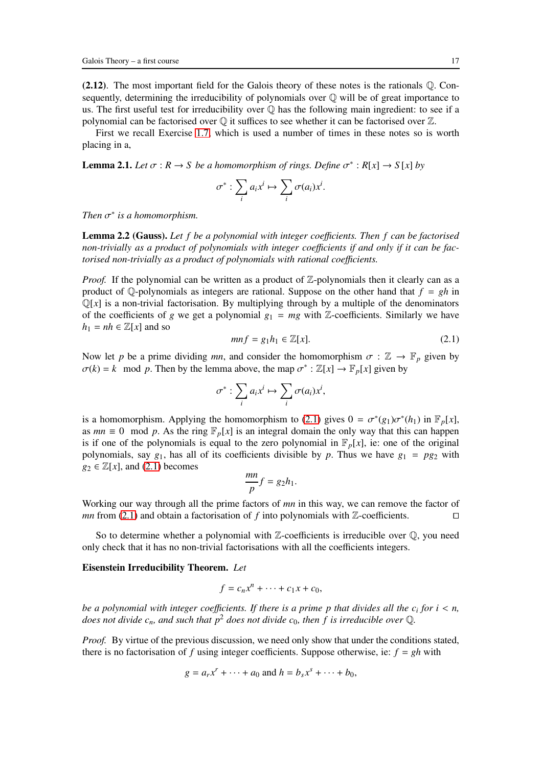$(2.12)$ . The most important field for the Galois theory of these notes is the rationals  $\mathbb{O}$ . Consequently, determining the irreducibility of polynomials over  $\mathbb Q$  will be of great importance to us. The first useful test for irreducibility over  $\mathbb O$  has the following main ingredient: to see if a polynomial can be factorised over  $\mathbb Q$  it suffices to see whether it can be factorised over  $\mathbb Z$ .

<span id="page-16-1"></span>First we recall Exercise [1.7,](#page-12-1) which is used a number of times in these notes so is worth placing in a,

**Lemma 2.1.** Let  $\sigma : R \to S$  be a homomorphism of rings. Define  $\sigma^* : R[x] \to S[x]$  by

$$
\sigma^* : \sum_i a_i x^i \mapsto \sum_i \sigma(a_i) x^i.
$$

*Then*  $\sigma^*$  *is a homomorphism.* 

Lemma 2.2 (Gauss). *Let f be a polynomial with integer coe*ffi*cients. Then f can be factorised non-trivially as a product of polynomials with integer coe*ffi*cients if and only if it can be factorised non-trivially as a product of polynomials with rational coefficients.* 

*Proof.* If the polynomial can be written as a product of  $\mathbb{Z}$ -polynomials then it clearly can as a product of  $\mathbb{Q}$ -polynomials as integers are rational. Suppose on the other hand that  $f = gh$  in  $\mathbb{Q}[x]$  is a non-trivial factorisation. By multiplying through by a multiple of the denominators of the coefficients of *g* we get a polynomial  $g_1 = mg$  with Z-coefficients. Similarly we have  $h_1 = nh \in \mathbb{Z}[x]$  and so

<span id="page-16-0"></span>
$$
mnf = g_1h_1 \in \mathbb{Z}[x].\tag{2.1}
$$

Now let *p* be a prime dividing *mn*, and consider the homomorphism  $\sigma : \mathbb{Z} \to \mathbb{F}_p$  given by  $\sigma(k) = k \mod p$ . Then by the lemma above, the map  $\sigma^* : \mathbb{Z}[x] \to \mathbb{F}_p[x]$  given by

$$
\sigma^* : \sum_i a_i x^i \mapsto \sum_i \sigma(a_i) x^i,
$$

is a homomorphism. Applying the homomorphism to [\(2.1\)](#page-16-0) gives  $0 = \sigma^*(g_1)\sigma^*(h_1)$  in  $\mathbb{F}_p[x]$ , as  $mn \equiv 0 \mod p$ . As the ring  $\mathbb{F}_p[x]$  is an integral domain the only way that this can happen is if one of the polynomials is equal to the zero polynomial in  $\mathbb{F}_p[x]$ , ie: one of the original polynomials, say  $g_1$ , has all of its coefficients divisible by p. Thus we have  $g_1 = pg_2$  with  $g_2 \in \mathbb{Z}[x]$ , and [\(2.1\)](#page-16-0) becomes

$$
\frac{mn}{p}f = g_2h_1.
$$

Working our way through all the prime factors of *mn* in this way, we can remove the factor of *mn* from [\(2.1\)](#page-16-0) and obtain a factorisation of *f* into polynomials with Z-coefficients. □

So to determine whether a polynomial with  $\mathbb{Z}$ -coefficients is irreducible over  $\mathbb{Q}$ , you need only check that it has no non-trivial factorisations with all the coefficients integers.

## Eisenstein Irreducibility Theorem. *Let*

$$
f = c_n x^n + \dots + c_1 x + c_0,
$$

*be a polynomial with integer coe*ffi*cients. If there is a prime p that divides all the c<sup>i</sup> for i* < *n, does not divide c<sub>n</sub>, and such that*  $p^2$  *does not divide c<sub>0</sub>, then f is irreducible over Q.* 

*Proof.* By virtue of the previous discussion, we need only show that under the conditions stated, there is no factorisation of *f* using integer coefficients. Suppose otherwise, ie:  $f = gh$  with

$$
g = a_r x^r + \dots + a_0 \text{ and } h = b_s x^s + \dots + b_0,
$$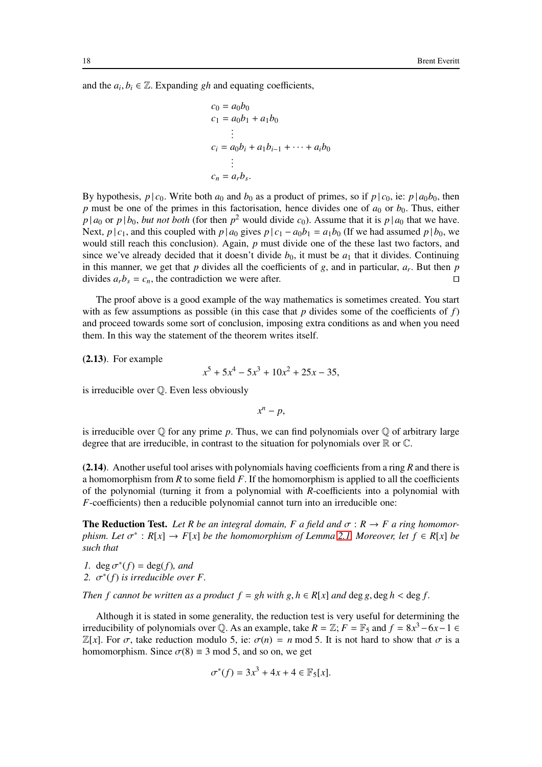and the  $a_i, b_i \in \mathbb{Z}$ . Expanding *gh* and equating coefficients,

$$
c_0 = a_0b_0
$$
  
\n
$$
c_1 = a_0b_1 + a_1b_0
$$
  
\n
$$
\vdots
$$
  
\n
$$
c_i = a_0b_i + a_1b_{i-1} + \dots + a_ib_0
$$
  
\n
$$
\vdots
$$
  
\n
$$
c_n = a_rb_s.
$$

By hypothesis,  $p \mid c_0$ . Write both  $a_0$  and  $b_0$  as a product of primes, so if  $p \mid c_0$ , ie:  $p \mid a_0b_0$ , then  $p$  must be one of the primes in this factorisation, hence divides one of  $a_0$  or  $b_0$ . Thus, either  $p \mid a_0$  or  $p \mid b_0$ , *but not both* (for then  $p^2$  would divide  $c_0$ ). Assume that it is  $p \mid a_0$  that we have. Next, *p* | *c*<sub>1</sub>, and this coupled with *p* | *a*<sub>0</sub> gives *p* | *c*<sub>1</sub> − *a*<sub>0</sub>*b*<sub>1</sub> = *a*<sub>1</sub>*b*<sub>0</sub> (If we had assumed *p* | *b*<sub>0</sub>, we would still reach this conclusion). Again, *p* must divide one of the these last two factors, and since we've already decided that it doesn't divide  $b_0$ , it must be  $a_1$  that it divides. Continuing in this manner, we get that *p* divides all the coefficients of *g*, and in particular, *a<sup>r</sup>* . But then *p* divides  $a_r b_s = c_n$ , the contradiction we were after.

The proof above is a good example of the way mathematics is sometimes created. You start with as few assumptions as possible (in this case that *p* divides some of the coefficients of *f*) and proceed towards some sort of conclusion, imposing extra conditions as and when you need them. In this way the statement of the theorem writes itself.

(2.13). For example

$$
x^5 + 5x^4 - 5x^3 + 10x^2 + 25x - 35,
$$

is irreducible over Q. Even less obviously

*x <sup>n</sup>* <sup>−</sup> *<sup>p</sup>*,

is irreducible over  $\mathbb Q$  for any prime p. Thus, we can find polynomials over  $\mathbb Q$  of arbitrary large degree that are irreducible, in contrast to the situation for polynomials over  $\mathbb R$  or  $\mathbb C$ .

(2.14). Another useful tool arises with polynomials having coefficients from a ring *R* and there is a homomorphism from *R* to some field *F*. If the homomorphism is applied to all the coefficients of the polynomial (turning it from a polynomial with *R*-coefficients into a polynomial with *F*-coefficients) then a reducible polynomial cannot turn into an irreducible one:

**The Reduction Test.** Let R be an integral domain, F a field and  $\sigma : R \to F$  a ring homomor $phism.$  Let  $\sigma^* : R[x] \to F[x]$  *be the homomorphism of Lemma [2.1.](#page-16-1) Moreover, let*  $f \in R[x]$  *be such that*

*1*. deg  $\sigma^*(f) = \deg(f)$ *, and* 2.  $\sigma^*(f)$  *is irreducible over F.* 

*Then f cannot be written as a product*  $f = gh$  *with*  $g, h \in R[x]$  *and deg*  $g, deg h < deg f$ *.* 

Although it is stated in some generality, the reduction test is very useful for determining the irreducibility of polynomials over  $\mathbb{Q}$ . As an example, take  $R = \mathbb{Z}$ ;  $F = \mathbb{F}_5$  and  $f = 8x^3 - 6x - 1 \in \mathbb{Z}$  $\mathbb{Z}[x]$ . For  $\sigma$ , take reduction modulo 5, ie:  $\sigma(n) = n \mod 5$ . It is not hard to show that  $\sigma$  is a homomorphism. Since  $\sigma(8) \equiv 3 \text{ mod } 5$ , and so on, we get

$$
\sigma^*(f) = 3x^3 + 4x + 4 \in \mathbb{F}_5[x].
$$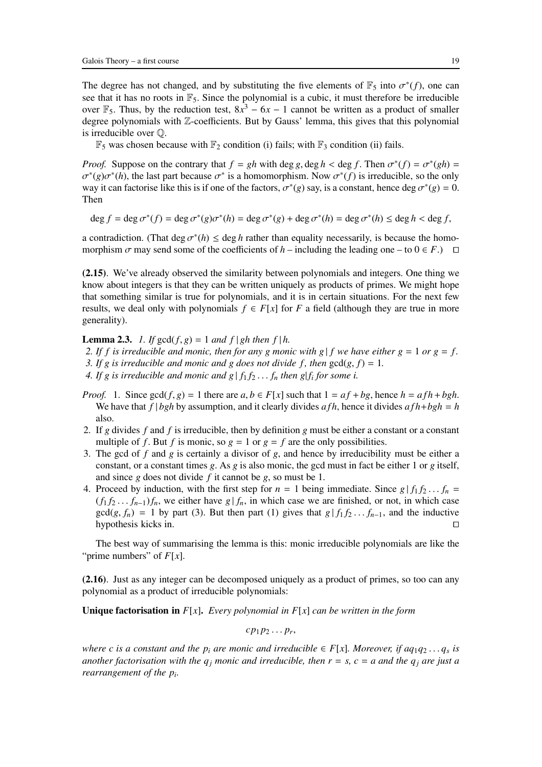The degree has not changed, and by substituting the five elements of  $\mathbb{F}_5$  into  $\sigma^*(f)$ , one can see that it has no roots in  $\mathbb{F}_5$ . Since the polynomial is a cubic, it must therefore be irreducible over  $\mathbb{F}_5$ . Thus, by the reduction test,  $8x^3 - 6x - 1$  cannot be written as a product of smaller degree polynomials with Z-coefficients. But by Gauss' lemma, this gives that this polynomial is irreducible over Q.

 $\mathbb{F}_5$  was chosen because with  $\mathbb{F}_2$  condition (i) fails; with  $\mathbb{F}_3$  condition (ii) fails.

*Proof.* Suppose on the contrary that  $f = gh$  with deg *g*, deg  $h < deg f$ . Then  $\sigma^*(f) = \sigma^*(gh) =$  $\sigma^*(g)\sigma^*(h)$ , the last part because  $\sigma^*$  is a homomorphism. Now  $\sigma^*(f)$  is irreducible, so the only way it can factorise like this is if one of the factors,  $\sigma^*(g)$  say, is a constant, hence deg  $\sigma^*(g) = 0$ . Then

$$
\deg f = \deg \sigma^*(f) = \deg \sigma^*(g)\sigma^*(h) = \deg \sigma^*(g) + \deg \sigma^*(h) = \deg \sigma^*(h) \le \deg h < \deg f,
$$

a contradiction. (That deg  $\sigma^*(h) \leq \deg h$  rather than equality necessarily, is because the homomorphism  $\sigma$  may send some of the coefficients of *h* – including the leading one – to  $0 \in F$ .) □

(2.15). We've already observed the similarity between polynomials and integers. One thing we know about integers is that they can be written uniquely as products of primes. We might hope that something similar is true for polynomials, and it is in certain situations. For the next few results, we deal only with polynomials  $f \in F[x]$  for *F* a field (although they are true in more generality).

<span id="page-18-0"></span>**Lemma 2.3.** *1. If*  $gcd(f, g) = 1$  *and*  $f | gh$  *then*  $f | h$ .

*2. If f is irreducible and monic, then for any g monic with g|f we have either g = 1 or g = f.* 

*3. If g is irreducible and monic and g does not divide f, then*  $gcd(g, f) = 1$ .

- 4. If g is irreducible and monic and  $g \mid f_1 f_2 \ldots f_n$  then  $g \mid f_i$  for some i.
- *Proof.* 1. Since  $gcd(f, g) = 1$  there are  $a, b \in F[x]$  such that  $1 = af + bg$ , hence  $h = afh + bgh$ . We have that  $f | bgh$  by assumption, and it clearly divides  $afh$ , hence it divides  $afh + bgh = h$ also.
- 2. If *g* divides *f* and *f* is irreducible, then by definition *g* must be either a constant or a constant multiple of *f*. But *f* is monic, so  $g = 1$  or  $g = f$  are the only possibilities.
- 3. The gcd of *f* and *g* is certainly a divisor of *g*, and hence by irreducibility must be either a constant, or a constant times *g*. As *g* is also monic, the gcd must in fact be either 1 or *g* itself, and since *g* does not divide *f* it cannot be *g*, so must be 1.
- 4. Proceed by induction, with the first step for  $n = 1$  being immediate. Since  $g | f_1 f_2 ... f_n =$  $(f_1 f_2 \ldots f_{n-1}) f_n$ , we either have  $g \mid f_n$ , in which case we are finished, or not, in which case  $gcd(g, f_n) = 1$  by part (3). But then part (1) gives that  $g | f_1 f_2 ... f_{n-1}$ , and the inductive hypothesis kicks in.

The best way of summarising the lemma is this: monic irreducible polynomials are like the "prime numbers" of *F*[*x*].

(2.16). Just as any integer can be decomposed uniquely as a product of primes, so too can any polynomial as a product of irreducible polynomials:

Unique factorisation in *F*[*x*]. *Every polynomial in F*[*x*] *can be written in the form*

$$
cp_1p_2\ldots p_r,
$$

*where c is a constant and the*  $p_i$  *are monic and irreducible*  $\in F[x]$ *. Moreover, if aq*<sub>1</sub>*q*<sub>2</sub> . . . *q*<sub>*s*</sub> is *another factorisation with the*  $q_j$  *monic and irreducible, then*  $r = s$ *,*  $c = a$  *and the*  $q_j$  *are just a rearrangement of the p<sup>i</sup> .*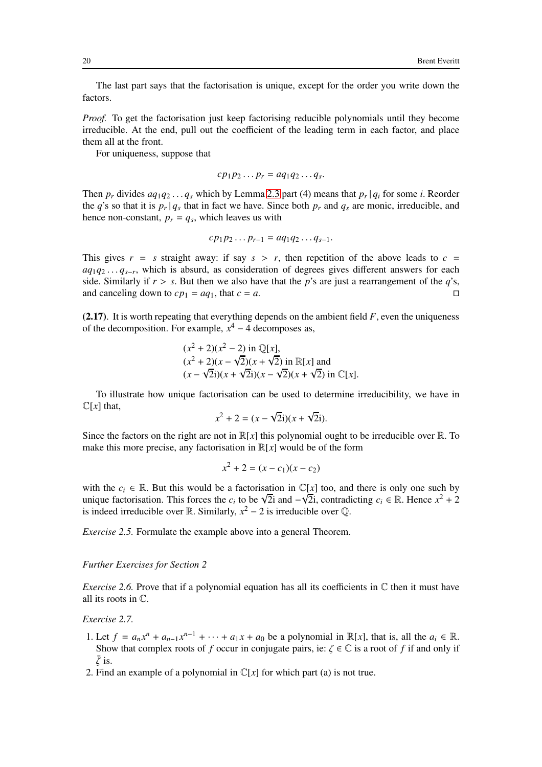The last part says that the factorisation is unique, except for the order you write down the factors.

*Proof.* To get the factorisation just keep factorising reducible polynomials until they become irreducible. At the end, pull out the coefficient of the leading term in each factor, and place them all at the front.

For uniqueness, suppose that

$$
cp_1p_2\ldots p_r = aq_1q_2\ldots q_s.
$$

Then  $p_r$  divides  $aq_1q_2 \ldots q_s$  which by Lemma [2.3](#page-18-0) part (4) means that  $p_r | q_i$  for some *i*. Reorder the *q*'s so that it is  $p_r | q_s$  that in fact we have. Since both  $p_r$  and  $q_s$  are monic, irreducible, and hence non-constant,  $p_r = q_s$ , which leaves us with

$$
cp_1p_2\ldots p_{r-1}=aq_1q_2\ldots q_{s-1}.
$$

This gives  $r = s$  straight away: if say  $s > r$ , then repetition of the above leads to  $c =$ *aq*<sub>1</sub>*q*<sub>2</sub> . . . *q*<sub>*s*−*r*</sub>, which is absurd, as consideration of degrees gives different answers for each side. Similarly if  $r > s$ . But then we also have that the *p*'s are just a rearrangement of the *q*'s, and canceling down to  $cp_1 = aq_1$ , that  $c = a$ . □

(2.17). It is worth repeating that everything depends on the ambient field *F*, even the uniqueness of the decomposition. For example,  $x^4 - 4$  decomposes as,

$$
(x^2 + 2)(x^2 - 2)
$$
 in  $\mathbb{Q}[x]$ ,  
\n $(x^2 + 2)(x - \sqrt{2})(x + \sqrt{2})$  in  $\mathbb{R}[x]$  and  
\n $(x - \sqrt{2}i)(x + \sqrt{2}i)(x - \sqrt{2})(x + \sqrt{2})$  in  $\mathbb{C}[x]$ .

To illustrate how unique factorisation can be used to determine irreducibility, we have in  $\mathbb{C}[x]$  that,

$$
x^2 + 2 = (x - \sqrt{2}i)(x + \sqrt{2}i).
$$

Since the factors on the right are not in  $\mathbb{R}[x]$  this polynomial ought to be irreducible over  $\mathbb{R}$ . To make this more precise, any factorisation in  $\mathbb{R}[x]$  would be of the form

$$
x^2 + 2 = (x - c_1)(x - c_2)
$$

with the  $c_i \in \mathbb{R}$ . But this would be a factorisation in  $\mathbb{C}[x]$  too, and there is only one such by unique factorisation. This forces the *c<sub>i</sub>* to be √2i and  $-\sqrt{2}i$ , contradicting *c<sub>i</sub>* ∈ R. Hence  $x^2 + 2$ is indeed irreducible over  $\mathbb{R}$ . Similarly,  $x^2 - 2$  is irreducible over  $\mathbb{Q}$ .

*Exercise 2.5.* Formulate the example above into a general Theorem.

#### *Further Exercises for Section 2*

*Exercise 2.6.* Prove that if a polynomial equation has all its coefficients in  $\mathbb C$  then it must have all its roots in C.

*Exercise 2.7.*

- 1. Let  $f = a_n x^n + a_{n-1} x^{n-1} + \cdots + a_1 x + a_0$  be a polynomial in  $\mathbb{R}[x]$ , that is, all the  $a_i \in \mathbb{R}$ . Show that complex roots of *f* occur in conjugate pairs, ie:  $\zeta \in \mathbb{C}$  is a root of *f* if and only if  $\bar{\zeta}$  is.
- 2. Find an example of a polynomial in  $\mathbb{C}[x]$  for which part (a) is not true.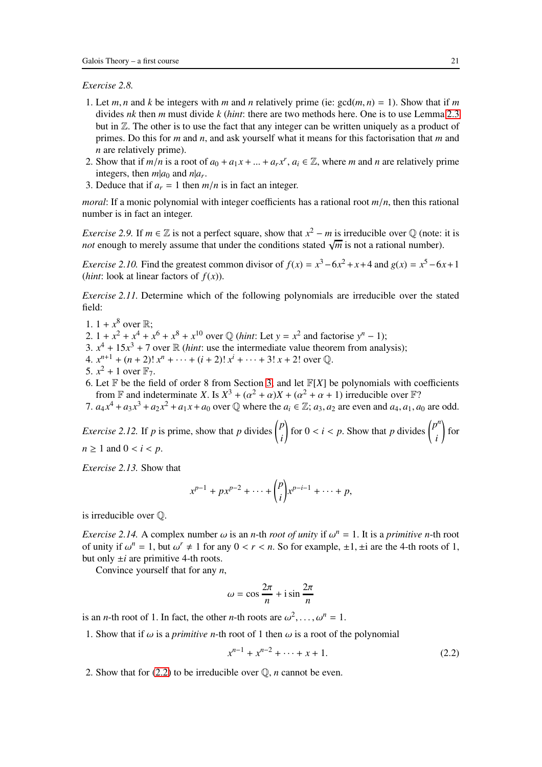*Exercise 2.8.*

- 1. Let *m*, *n* and *k* be integers with *m* and *n* relatively prime (ie:  $gcd(m, n) = 1$ ). Show that if *m* divides *nk* then *m* must divide *k* (*hint*: there are two methods here. One is to use Lemma [2.3](#page-18-0) but in  $\mathbb{Z}$ . The other is to use the fact that any integer can be written uniquely as a product of primes. Do this for *m* and *n*, and ask yourself what it means for this factorisation that *m* and *n* are relatively prime).
- 2. Show that if  $m/n$  is a root of  $a_0 + a_1x + ... + a_rx^r$ ,  $a_i \in \mathbb{Z}$ , where *m* and *n* are relatively prime integers, then  $m|a_0$  and  $n|a_r$ .
- 3. Deduce that if  $a_r = 1$  then  $m/n$  is in fact an integer.

*moral*: If a monic polynomial with integer coefficients has a rational root  $m/n$ , then this rational number is in fact an integer.

*Exercise 2.9.* If  $m \in \mathbb{Z}$  is not a perfect square, show that  $x^2 - m$  is irreducible over  $\mathbb{Q}$  (note: it is *not* enough to merely assume that under the conditions stated  $\sqrt{m}$  is not a rational number).

*Exercise 2.10.* Find the greatest common divisor of  $f(x) = x^3 - 6x^2 + x + 4$  and  $g(x) = x^5 - 6x + 1$ (*hint*: look at linear factors of  $f(x)$ ).

*Exercise 2.11.* Determine which of the following polynomials are irreducible over the stated field:

- 1.  $1 + x^8$  over  $\mathbb{R}$ ; 2.  $1 + x^2 + x^4 + x^6 + x^8 + x^{10}$  over  $\mathbb{Q}$  (*hint*: Let  $y = x^2$  and factorise  $y^n - 1$ ); 3.  $x^4 + 15x^3 + 7$  over R (*hint*: use the intermediate value theorem from analysis); 4.  $x^{n+1} + (n+2)! x^n + \cdots + (i+2)! x^i + \cdots + 3! x + 2!$  over  $\mathbb{Q}$ . 5.  $x^2 + 1$  over  $\mathbb{F}_7$ . 6. Let  $\mathbb F$  be the field of order 8 from Section [3,](#page-21-0) and let  $\mathbb F[X]$  be polynomials with coefficients
- from  $\mathbb F$  and indeterminate *X*. Is  $X^3 + (\alpha^2 + \alpha)X + (\alpha^2 + \alpha + 1)$  irreducible over  $\mathbb F$ ?
- 7.  $a_4x^4 + a_3x^3 + a_2x^2 + a_1x + a_0$  over  $\mathbb Q$  where the  $a_i \in \mathbb Z$ ;  $a_3, a_2$  are even and  $a_4, a_1, a_0$  are odd.

<span id="page-20-1"></span>*Exercise 2.12.* If *p* is prime, show that *p* divides  $\binom{p}{n}$ *i* for  $0 < i < p$ . Show that *p* divides  $\binom{p^n}{p}$ *i* ! for  $n > 1$  and  $0 < i < p$ .

*Exercise 2.13.* Show that

$$
x^{p-1} + px^{p-2} + \cdots + {p \choose i} x^{p-i-1} + \cdots + p,
$$

is irreducible over Q.

*Exercise 2.14.* A complex number  $\omega$  is an *n*-th *root of unity* if  $\omega^n = 1$ . It is a *primitive n*-th root of unity if  $\omega^n = 1$ , but  $\omega^r \neq 1$  for any  $0 < r < n$ . So for example,  $\pm 1$ ,  $\pm i$  are the 4-th roots of 1, but only  $\pm i$  are primitive 4-th roots.

Convince yourself that for any *n*,

$$
\omega = \cos \frac{2\pi}{n} + i \sin \frac{2\pi}{n}
$$

is an *n*-th root of 1. In fact, the other *n*-th roots are  $\omega^2, \dots, \omega^n = 1$ .

1. Show that if  $\omega$  is a *primitive n*-th root of 1 then  $\omega$  is a root of the polynomial

<span id="page-20-0"></span>
$$
x^{n-1} + x^{n-2} + \dots + x + 1. \tag{2.2}
$$

2. Show that for [\(2.2\)](#page-20-0) to be irreducible over Q, *n* cannot be even.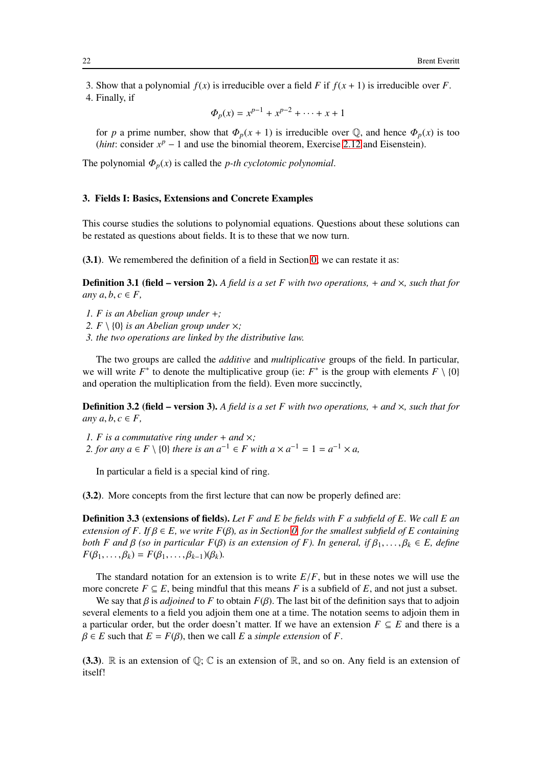3. Show that a polynomial  $f(x)$  is irreducible over a field *F* if  $f(x + 1)$  is irreducible over *F*.

4. Finally, if

$$
\Phi_p(x) = x^{p-1} + x^{p-2} + \dots + x + 1
$$

for *p* a prime number, show that  $\Phi_p(x + 1)$  is irreducible over  $\mathbb{Q}$ , and hence  $\Phi_p(x)$  is too (*hint*: consider  $x^p - 1$  and use the binomial theorem, Exercise [2.12](#page-20-1) and Eisenstein).

The polynomial  $\Phi_p(x)$  is called the *p-th cyclotomic polynomial*.

## <span id="page-21-0"></span>3. Fields I: Basics, Extensions and Concrete Examples

This course studies the solutions to polynomial equations. Questions about these solutions can be restated as questions about fields. It is to these that we now turn.

(3.1). We remembered the definition of a field in Section [0;](#page-2-0) we can restate it as:

**Definition 3.1 (field – version 2).** A field is a set F with two operations,  $+$  and  $\times$ , such that for *any*  $a, b, c \in F$ ,

- *1. F is an Abelian group under* +*;*
- 2.  $F \setminus \{0\}$  *is an Abelian group under*  $\times$ ;
- *3. the two operations are linked by the distributive law.*

The two groups are called the *additive* and *multiplicative* groups of the field. In particular, we will write  $F^*$  to denote the multiplicative group (ie:  $F^*$  is the group with elements  $F \setminus \{0\}$ and operation the multiplication from the field). Even more succinctly,

Definition 3.2 (field – version 3). *A field is a set F with two operations,* + *and* ×*, such that for any*  $a, b, c \in F$ ,

*1. F is a commutative ring under* + *and* ×*; 2. for any*  $a \in F \setminus \{0\}$  *there is an*  $a^{-1} \in F$  *with*  $a \times a^{-1} = 1 = a^{-1} \times a$ ,

In particular a field is a special kind of ring.

(3.2). More concepts from the first lecture that can now be properly defined are:

Definition 3.3 (extensions of fields). *Let F and E be fields with F a subfield of E. We call E an extension of F. If* β ∈ *E, we write F*(β)*, as in Section [0,](#page-2-0) for the smallest subfield of E containing both F and*  $\beta$  *(so in particular F(* $\beta$ *) is an extension of F). In general, if*  $\beta_1, \ldots, \beta_k \in E$ *, define*  $F(\beta_1,\ldots,\beta_k)=F(\beta_1,\ldots,\beta_{k-1})(\beta_k).$ 

The standard notation for an extension is to write  $E/F$ , but in these notes we will use the more concrete  $F \subseteq E$ , being mindful that this means *F* is a subfield of *E*, and not just a subset.

We say that  $\beta$  is *adjoined* to F to obtain  $F(\beta)$ . The last bit of the definition says that to adjoin several elements to a field you adjoin them one at a time. The notation seems to adjoin them in a particular order, but the order doesn't matter. If we have an extension  $F \subseteq E$  and there is a  $\beta \in E$  such that  $E = F(\beta)$ , then we call *E* a *simple extension* of *F*.

(3.3).  $\mathbb R$  is an extension of  $\mathbb Q$ ;  $\mathbb C$  is an extension of  $\mathbb R$ , and so on. Any field is an extension of itself!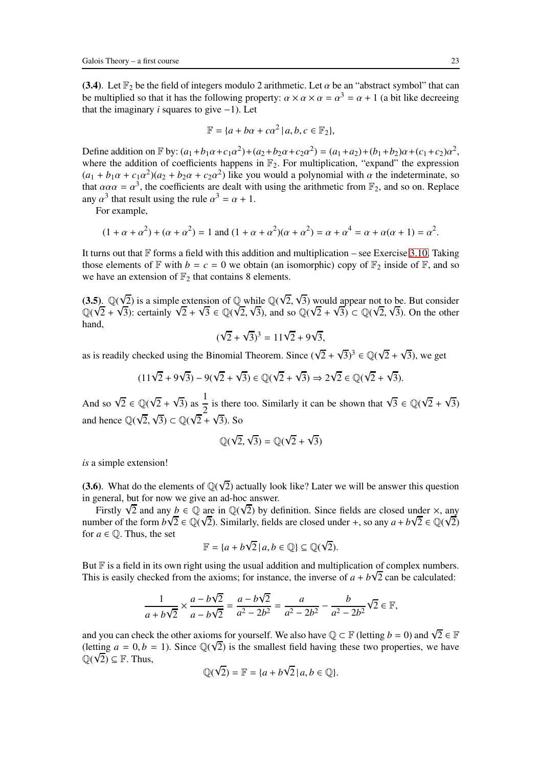(3.4). Let  $\mathbb{F}_2$  be the field of integers modulo 2 arithmetic. Let  $\alpha$  be an "abstract symbol" that can be multiplied so that it has the following property:  $\alpha \times \alpha \times \alpha = \alpha^3 = \alpha + 1$  (a bit like decreeing that the imaginary *i* squares to give −1). Let

$$
\mathbb{F} = \{a + b\alpha + c\alpha^2 \mid a, b, c \in \mathbb{F}_2\},\
$$

Define addition on  $\mathbb{F}$  by:  $(a_1 + b_1\alpha + c_1\alpha^2) + (a_2 + b_2\alpha + c_2\alpha^2) = (a_1 + a_2) + (b_1 + b_2)\alpha + (c_1 + c_2)\alpha^2$ , where the addition of coefficients happens in  $\mathbb{F}_2$ . For multiplication, "expand" the expression  $(a_1 + b_1\alpha + c_1\alpha^2)(a_2 + b_2\alpha + c_2\alpha^2)$  like you would a polynomial with  $\alpha$  the indeterminate, so that  $\alpha \alpha \alpha = \alpha^3$ , the coefficients are dealt with using the arithmetic from  $\mathbb{F}_2$ , and so on. Replace any  $\alpha^3$  that result using the rule  $\alpha^3 = \alpha + 1$ .

For example,

$$
(1 + \alpha + \alpha^2) + (\alpha + \alpha^2) = 1
$$
 and 
$$
(1 + \alpha + \alpha^2)(\alpha + \alpha^2) = \alpha + \alpha^4 = \alpha + \alpha(\alpha + 1) = \alpha^2.
$$

It turns out that  $\mathbb F$  forms a field with this addition and multiplication – see Exercise [3.10.](#page-26-0) Taking those elements of  $\mathbb F$  with  $b = c = 0$  we obtain (an isomorphic) copy of  $\mathbb F_2$  inside of  $\mathbb F$ , and so we have an extension of  $\mathbb{F}_2$  that contains 8 elements.

(3.5).  $\mathbb{Q}(\sqrt{2})$  is a simple extension of  $\mathbb{Q}$  while  $\mathbb{Q}(\sqrt{2}, \sqrt{3})$  would appear not to be. But consider Q( $\sqrt{2} + \sqrt{3}$ ): certainly  $\sqrt{2} + \sqrt{3} \in \mathbb{Q}(\sqrt{2}, \sqrt{3})$ , and so  $\mathbb{Q}(\sqrt{2} + \sqrt{3}) \subset \mathbb{Q}(\sqrt{2}, \sqrt{3})$ . On the other hand,

$$
(\sqrt{2} + \sqrt{3})^3 = 11\sqrt{2} + 9\sqrt{3},
$$

as is readily checked using the Binomial Theorem. Since  $(\sqrt{2} + \sqrt{3})^3 \in \mathbb{Q}(\sqrt{2} + \sqrt{3})$ , we get

 $(11\sqrt{2} + 9\sqrt{3}) - 9(\sqrt{2} + \sqrt{3}) \in \mathbb{Q}(\sqrt{2} + \sqrt{3}) \Rightarrow 2\sqrt{2} \in \mathbb{Q}(\sqrt{2} + \sqrt{3}).$ 

And so  $\sqrt{2} \in \mathbb{Q}(\sqrt{2} + \sqrt{3})$  as  $\frac{1}{2}$  $\frac{1}{2}$  is there too. Similarly it can be shown that  $\sqrt{3} \in \mathbb{Q}(\sqrt{2} + \sqrt{3})$ and hence  $\mathbb{Q}(\sqrt{2}, \sqrt{3}) \subset \mathbb{Q}(\sqrt{2} + \sqrt{3})$ . So

$$
\mathbb{Q}(\sqrt{2},\sqrt{3})=\mathbb{Q}(\sqrt{2}+\sqrt{3})
$$

*is* a simple extension!

(3.6). What do the elements of  $\mathbb{Q}(\sqrt{2})$  actually look like? Later we will be answer this question in general, but for now we give an ad-hoc answer.

Firstly  $\sqrt{2}$  and any *b*  $\in \mathbb{Q}$  are in  $\mathbb{Q}(\sqrt{2})$  by definition. Since fields are closed under  $\times$ , any number of the form  $b\sqrt{2} \in \mathbb{Q}(\sqrt{2})$ . Similarly, fields are closed under +, so any  $a + b\sqrt{2} \in \mathbb{Q}(\sqrt{2})$ for  $a \in \mathbb{Q}$ . Thus, the set

$$
\mathbb{F} = \{a + b\sqrt{2} \mid a, b \in \mathbb{Q}\} \subseteq \mathbb{Q}(\sqrt{2}).
$$

But  $\mathbb F$  is a field in its own right using the usual addition and multiplication of complex numbers. This is easily checked from the axioms; for instance, the inverse of  $a + b\sqrt{2}$  can be calculated:

$$
\frac{1}{a+b\sqrt{2}} \times \frac{a-b\sqrt{2}}{a-b\sqrt{2}} = \frac{a-b\sqrt{2}}{a^2 - 2b^2} = \frac{a}{a^2 - 2b^2} - \frac{b}{a^2 - 2b^2} \sqrt{2} \in \mathbb{F},
$$

and you can check the other axioms for yourself. We also have  $\mathbb{Q} \subset \mathbb{F}$  (letting *b* = 0) and  $\sqrt{2} \in \mathbb{F}$ (letting  $a = 0, b = 1$ ). Since  $\mathbb{Q}(\sqrt{2})$  is the smallest field having these two properties, we have  $\mathbb{Q}(\sqrt{2}) \subseteq \mathbb{F}$ . Thus,

$$
\mathbb{Q}(\sqrt{2}) = \mathbb{F} = \{a + b\sqrt{2} \mid a, b \in \mathbb{Q}\}.
$$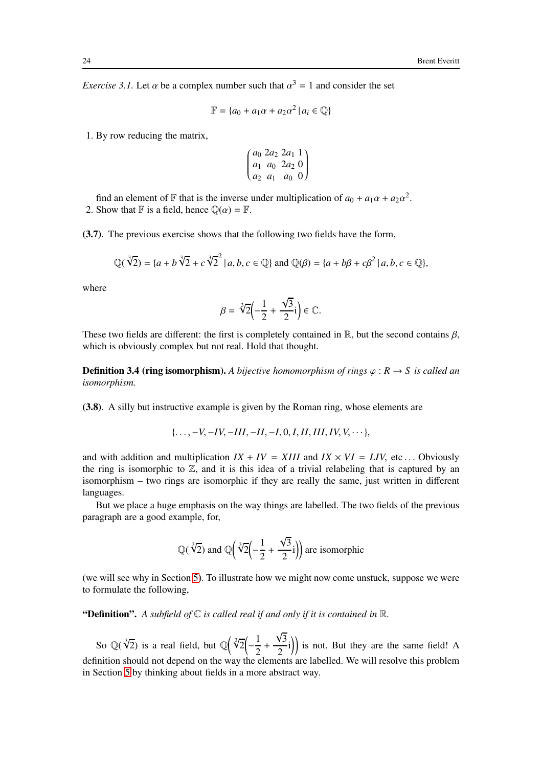*Exercise 3.1.* Let  $\alpha$  be a complex number such that  $\alpha^3 = 1$  and consider the set

$$
\mathbb{F} = \{a_0 + a_1\alpha + a_2\alpha^2 \mid a_i \in \mathbb{Q}\}\
$$

1. By row reducing the matrix,

$$
\begin{pmatrix} a_0 & 2a_2 & 2a_1 & 1 \ a_1 & a_0 & 2a_2 & 0 \ a_2 & a_1 & a_0 & 0 \end{pmatrix}
$$

find an element of F that is the inverse under multiplication of  $a_0 + a_1\alpha + a_2\alpha^2$ . 2. Show that  $\mathbb F$  is a field, hence  $\mathbb Q(\alpha) = \mathbb F$ .

(3.7). The previous exercise shows that the following two fields have the form,

$$
\mathbb{Q}(\sqrt[3]{2}) = \{a + b\sqrt[3]{2} + c\sqrt[3]{2}^2 | a, b, c \in \mathbb{Q}\} \text{ and } \mathbb{Q}(\beta) = \{a + b\beta + c\beta^2 | a, b, c \in \mathbb{Q}\},
$$

where

$$
\beta = \sqrt[3]{2} \left(-\frac{1}{2} + \frac{\sqrt{3}}{2}i\right) \in \mathbb{C}.
$$

These two fields are different: the first is completely contained in  $\mathbb{R}$ , but the second contains  $\beta$ , which is obviously complex but not real. Hold that thought.

**Definition 3.4 (ring isomorphism).** A bijective homomorphism of rings  $\varphi : R \to S$  is called an *isomorphism.*

(3.8). A silly but instructive example is given by the Roman ring, whose elements are

$$
\{\ldots, -V, -IV, -III, -II, -I, 0, I, II, III, IV, V, \cdots\},\
$$

and with addition and multiplication  $IX + IV = XIII$  and  $IX \times VI = LIV$ , etc... Obviously the ring is isomorphic to  $\mathbb{Z}$ , and it is this idea of a trivial relabeling that is captured by an isomorphism – two rings are isomorphic if they are really the same, just written in different languages.

But we place a huge emphasis on the way things are labelled. The two fields of the previous paragraph are a good example, for,

$$
\mathbb{Q}(\sqrt[3]{2})
$$
 and  $\mathbb{Q}(\sqrt[3]{2}\left(-\frac{1}{2} + \frac{\sqrt{3}}{2}i\right))$  are isomorphic

(we will see why in Section [5\)](#page-32-0). To illustrate how we might now come unstuck, suppose we were to formulate the following,

"Definition". *A subfield of* C *is called real if and only if it is contained in* R*.*

So  $\mathbb{Q}(\sqrt[3]{2})$  is a real field, but  $\mathbb{Q}(\sqrt[3]{2})$ − 1  $\frac{1}{2}$  +  $\sqrt{3}$  $\left(\frac{\sqrt{3}}{2}i\right)$  is not. But they are the same field! A definition should not depend on the way the elements are labelled. We will resolve this problem in Section [5](#page-32-0) by thinking about fields in a more abstract way.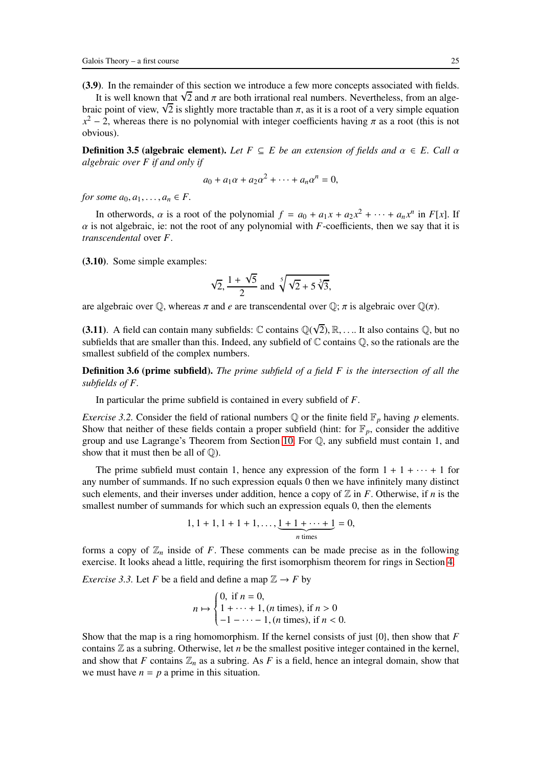(3.9). In the remainder of this section we introduce a few more concepts associated with fields.

It is well known that  $\sqrt{2}$  and  $\pi$  are both irrational real numbers. Nevertheless, from an algebraic point of view,  $\sqrt{2}$  is slightly more tractable than  $\pi$ , as it is a root of a very simple equation  $x^2 - 2$ , whereas there is no polynomial with integer coefficients having  $\pi$  as a root (this is not obvious).

**Definition 3.5 (algebraic element).** *Let*  $F \subseteq E$  *be an extension of fields and*  $\alpha \in E$ *. Call*  $\alpha$ *algebraic over F if and only if*

$$
a_0 + a_1 \alpha + a_2 \alpha^2 + \cdots + a_n \alpha^n = 0,
$$

*for some*  $a_0, a_1, \ldots, a_n \in F$ .

In otherwords,  $\alpha$  is a root of the polynomial  $f = a_0 + a_1x + a_2x^2 + \cdots + a_nx^n$  in  $F[x]$ . If  $\alpha$  is not algebraic, ie: not the root of any polynomial with *F*-coefficients, then we say that it is *transcendental* over *F*.

(3.10). Some simple examples:

$$
\sqrt{2}, \frac{1+\sqrt{5}}{2} \text{ and } \sqrt[5]{\sqrt{2}+5\sqrt[3]{3}},
$$

are algebraic over  $\mathbb{Q}$ , whereas  $\pi$  and *e* are transcendental over  $\mathbb{Q}$ ;  $\pi$  is algebraic over  $\mathbb{Q}(\pi)$ .

(3.11). A field can contain many subfields:  $\mathbb C$  contains  $\mathbb Q(\sqrt{2}), \mathbb R, \dots$  It also contains  $\mathbb Q$ , but no subfields that are smaller than this. Indeed, any subfield of  $\mathbb C$  contains  $\mathbb Q$ , so the rationals are the smallest subfield of the complex numbers.

Definition 3.6 (prime subfield). *The prime subfield of a field F is the intersection of all the subfields of F.*

<span id="page-24-0"></span>In particular the prime subfield is contained in every subfield of *F*.

*Exercise 3.2.* Consider the field of rational numbers  $\mathbb Q$  or the finite field  $\mathbb F_p$  having *p* elements. Show that neither of these fields contain a proper subfield (hint: for  $\mathbb{F}_p$ , consider the additive group and use Lagrange's Theorem from Section [10.](#page-62-0) For Q, any subfield must contain 1, and show that it must then be all of  $\mathbb{Q}$ ).

The prime subfield must contain 1, hence any expression of the form  $1 + 1 + \cdots + 1$  for any number of summands. If no such expression equals 0 then we have infinitely many distinct such elements, and their inverses under addition, hence a copy of  $\mathbb Z$  in *F*. Otherwise, if *n* is the smallest number of summands for which such an expression equals 0, then the elements

$$
1, 1 + 1, 1 + 1 + 1, \ldots, \underbrace{1 + 1 + \cdots + 1}_{n \text{ times}} = 0,
$$

forms a copy of  $\mathbb{Z}_n$  inside of *F*. These comments can be made precise as in the following exercise. It looks ahead a little, requiring the first isomorphism theorem for rings in Section [4.](#page-27-0)

*Exercise 3.3.* Let *F* be a field and define a map  $\mathbb{Z} \rightarrow F$  by

$$
n \mapsto \begin{cases} 0, \text{ if } n = 0, \\ 1 + \dots + 1, (n \text{ times}), \text{ if } n > 0 \\ -1 - \dots - 1, (n \text{ times}), \text{ if } n < 0. \end{cases}
$$

Show that the map is a ring homomorphism. If the kernel consists of just {0}, then show that *F* contains Z as a subring. Otherwise, let *n* be the smallest positive integer contained in the kernel, and show that  $F$  contains  $\mathbb{Z}_n$  as a subring. As  $F$  is a field, hence an integral domain, show that we must have  $n = p$  a prime in this situation.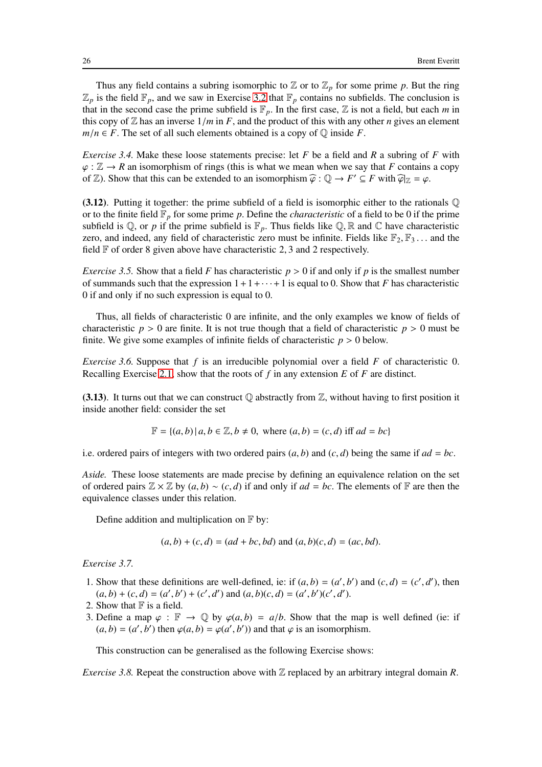Thus any field contains a subring isomorphic to  $\mathbb{Z}$  or to  $\mathbb{Z}_p$  for some prime p. But the ring  $\mathbb{Z}_p$  is the field  $\mathbb{F}_p$ , and we saw in Exercise [3.2](#page-24-0) that  $\mathbb{F}_p$  contains no subfields. The conclusion is that in the second case the prime subfield is  $\mathbb{F}_p$ . In the first case,  $\mathbb Z$  is not a field, but each *m* in this copy of  $\mathbb Z$  has an inverse  $1/m$  in *F*, and the product of this with any other *n* gives an element  $m/n \in F$ . The set of all such elements obtained is a copy of  $\mathbb Q$  inside *F*.

*Exercise 3.4.* Make these loose statements precise: let *F* be a field and *R* a subring of *F* with  $\varphi$ :  $\mathbb{Z} \to R$  an isomorphism of rings (this is what we mean when we say that *F* contains a copy of  $\mathbb{Z}$ ). Show that this can be extended to an isomorphism  $\hat{\varphi} : \mathbb{Q} \to F' \subseteq F$  with  $\hat{\varphi}|_{\mathbb{Z}} = \varphi$ .

(3.12). Putting it together: the prime subfield of a field is isomorphic either to the rationals  $\mathbb Q$ or to the finite field  $\mathbb{F}_p$  for some prime p. Define the *characteristic* of a field to be 0 if the prime subfield is  $\mathbb{Q}$ , or *p* if the prime subfield is  $\mathbb{F}_p$ . Thus fields like  $\mathbb{Q}$ ,  $\mathbb{R}$  and  $\mathbb{C}$  have characteristic zero, and indeed, any field of characteristic zero must be infinite. Fields like  $\mathbb{F}_2, \mathbb{F}_3, \dots$  and the field  $\mathbb F$  of order 8 given above have characteristic 2, 3 and 2 respectively.

*Exercise 3.5.* Show that a field *F* has characteristic  $p > 0$  if and only if p is the smallest number of summands such that the expression  $1+1+\cdots+1$  is equal to 0. Show that *F* has characteristic 0 if and only if no such expression is equal to 0.

Thus, all fields of characteristic 0 are infinite, and the only examples we know of fields of characteristic  $p > 0$  are finite. It is not true though that a field of characteristic  $p > 0$  must be finite. We give some examples of infinite fields of characteristic  $p > 0$  below.

*Exercise 3.6.* Suppose that *f* is an irreducible polynomial over a field *F* of characteristic 0. Recalling Exercise [2.1,](#page-14-0) show that the roots of *f* in any extension *E* of *F* are distinct.

(3.13). It turns out that we can construct  $\mathbb Q$  abstractly from  $\mathbb Z$ , without having to first position it inside another field: consider the set

$$
\mathbb{F} = \{(a, b) \mid a, b \in \mathbb{Z}, b \neq 0, \text{ where } (a, b) = (c, d) \text{ iff } ad = bc\}
$$

i.e. ordered pairs of integers with two ordered pairs  $(a, b)$  and  $(c, d)$  being the same if  $ad = bc$ .

*Aside.* These loose statements are made precise by defining an equivalence relation on the set of ordered pairs  $\mathbb{Z} \times \mathbb{Z}$  by  $(a, b) \sim (c, d)$  if and only if  $ad = bc$ . The elements of  $\mathbb{F}$  are then the equivalence classes under this relation.

Define addition and multiplication on  $\mathbb F$  by:

 $(a, b) + (c, d) = (ad + bc, bd)$  and  $(a, b)(c, d) = (ac, bd)$ .

*Exercise 3.7.*

- 1. Show that these definitions are well-defined, ie: if  $(a, b) = (a', b')$  and  $(c, d) = (c', d')$ , then  $(a, b) + (c, d) = (a', b') + (c', d')$  and  $(a, b)(c, d) = (a', b')(c', d')$ .
- 2. Show that  $F$  is a field.
- 3. Define a map  $\varphi : \mathbb{F} \to \mathbb{Q}$  by  $\varphi(a, b) = a/b$ . Show that the map is well defined (ie: if  $(a, b) = (a', b')$  then  $\varphi(a, b) = \varphi(a', b')$  and that  $\varphi$  is an isomorphism.

This construction can be generalised as the following Exercise shows:

*Exercise 3.8.* Repeat the construction above with  $\mathbb Z$  replaced by an arbitrary integral domain *R*.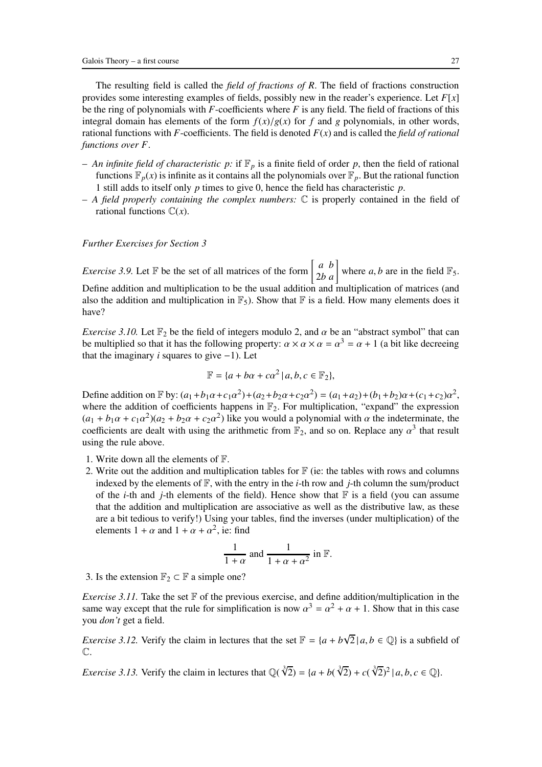The resulting field is called the *field of fractions of R*. The field of fractions construction provides some interesting examples of fields, possibly new in the reader's experience. Let *F*[*x*] be the ring of polynomials with *F*-coefficients where *F* is any field. The field of fractions of this integral domain has elements of the form  $f(x)/g(x)$  for *f* and *g* polynomials, in other words, rational functions with *F*-coefficients. The field is denoted  $F(x)$  and is called the *field of rational functions over F*.

- An infinite field of characteristic p: if  $\mathbb{F}_p$  is a finite field of order p, then the field of rational functions  $\mathbb{F}_p(x)$  is infinite as it contains all the polynomials over  $\mathbb{F}_p$ . But the rational function 1 still adds to itself only *p* times to give 0, hence the field has characteristic *p*.
- *A field properly containing the complex numbers:* C is properly contained in the field of rational functions  $\mathbb{C}(x)$ .

#### *Further Exercises for Section 3*

*Exercise 3.9.* Let  $\mathbb{F}$  be the set of all matrices of the form  $\begin{bmatrix} a & b \\ 2b & a \end{bmatrix}$  where *a*, *b* are in the field  $\mathbb{F}_5$ . Define addition and multiplication to be the usual addition and multiplication of matrices (and also the addition and multiplication in  $\mathbb{F}_5$ ). Show that  $\mathbb F$  is a field. How many elements does it have?

<span id="page-26-0"></span>*Exercise 3.10.* Let  $\mathbb{F}_2$  be the field of integers modulo 2, and  $\alpha$  be an "abstract symbol" that can be multiplied so that it has the following property:  $\alpha \times \alpha \times \alpha = \alpha^3 = \alpha + 1$  (a bit like decreeing that the imaginary *i* squares to give  $-1$ ). Let

$$
\mathbb{F} = \{a + b\alpha + c\alpha^2 \mid a, b, c \in \mathbb{F}_2\},\
$$

Define addition on  $\mathbb{F}$  by:  $(a_1 + b_1\alpha + c_1\alpha^2) + (a_2 + b_2\alpha + c_2\alpha^2) = (a_1 + a_2) + (b_1 + b_2)\alpha + (c_1 + c_2)\alpha^2$ , where the addition of coefficients happens in  $\mathbb{F}_2$ . For multiplication, "expand" the expression  $(a_1 + b_1\alpha + c_1\alpha^2)(a_2 + b_2\alpha + c_2\alpha^2)$  like you would a polynomial with  $\alpha$  the indeterminate, the coefficients are dealt with using the arithmetic from  $\mathbb{F}_2$ , and so on. Replace any  $\alpha^3$  that result using the rule above.

- 1. Write down all the elements of F.
- 2. Write out the addition and multiplication tables for  $\mathbb{F}$  (ie: the tables with rows and columns indexed by the elements of  $\mathbb{F}$ , with the entry in the *i*-th row and *j*-th column the sum/product of the *i*-th and *j*-th elements of the field). Hence show that  $\mathbb F$  is a field (you can assume that the addition and multiplication are associative as well as the distributive law, as these are a bit tedious to verify!) Using your tables, find the inverses (under multiplication) of the elements  $1 + \alpha$  and  $1 + \alpha + \alpha^2$ , ie: find

$$
\frac{1}{1+\alpha} \text{ and } \frac{1}{1+\alpha+\alpha^2} \text{ in } \mathbb{F}.
$$

3. Is the extension  $\mathbb{F}_2 \subset \mathbb{F}$  a simple one?

*Exercise 3.11.* Take the set  $\mathbb F$  of the previous exercise, and define addition/multiplication in the same way except that the rule for simplification is now  $\alpha^3 = \alpha^2 + \alpha + 1$ . Show that in this case you *don't* get a field.

*Exercise 3.12.* Verify the claim in lectures that the set  $\mathbb{F} = \{a + b\sqrt{2} \mid a, b \in \mathbb{Q}\}\)$  is a subfield of C.

*Exercise 3.13.* Verify the claim in lectures that  $\mathbb{Q}(\sqrt[3]{2}) = \{a + b(\sqrt[3]{2}) + c(\sqrt[3]{2})^2 | a, b, c \in \mathbb{Q}\}\.$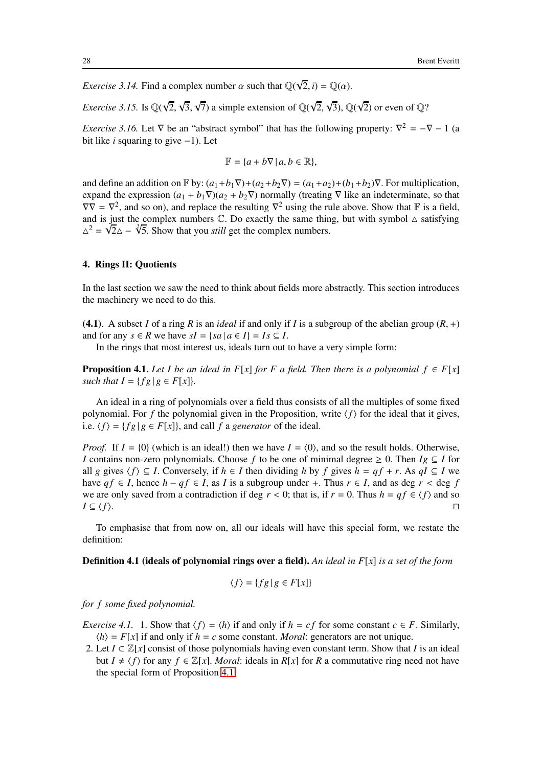*Exercise 3.14.* Find a complex number  $\alpha$  such that  $\mathbb{Q}(\sqrt{2}, i) = \mathbb{Q}(\alpha)$ .

*Exercise 3.15.* Is  $\mathbb{Q}(\sqrt{2}, \sqrt{3}, \sqrt{7})$  a simple extension of  $\mathbb{Q}(\sqrt{2}, \sqrt{3})$ ,  $\mathbb{Q}(\sqrt{2})$  or even of  $\mathbb{Q}$ ?

*Exercise 3.16.* Let  $\nabla$  be an "abstract symbol" that has the following property:  $\nabla^2 = -\nabla - 1$  (a bit like *i* squaring to give −1). Let

$$
\mathbb{F} = \{a + b\nabla \,|\, a, b \in \mathbb{R}\},\
$$

and define an addition on  $\mathbb{F}$  by:  $(a_1+b_1\nabla)+(a_2+b_2\nabla)=(a_1+a_2)+(b_1+b_2)\nabla$ . For multiplication, expand the expression  $(a_1 + b_1 \nabla)(a_2 + b_2 \nabla)$  normally (treating  $\nabla$  like an indeterminate, so that  $\nabla \nabla = \nabla^2$ , and so on), and replace the resulting  $\nabla^2$  using the rule above. Show that  $\mathbb F$  is a field, and is just the complex numbers  $\mathbb C$ . Do exactly the same thing, but with symbol  $\Delta$  satisfying  $\Delta^2 = \sqrt{2}\Delta - \sqrt[3]{5}$ . Show that you *still* get the complex numbers.

### <span id="page-27-0"></span>4. Rings II: Quotients

In the last section we saw the need to think about fields more abstractly. This section introduces the machinery we need to do this.

(4.1). A subset *I* of a ring *R* is an *ideal* if and only if *I* is a subgroup of the abelian group  $(R, +)$ and for any  $s \in R$  we have  $sI = \{sa | a \in I\} = Is \subseteq I$ .

<span id="page-27-1"></span>In the rings that most interest us, ideals turn out to have a very simple form:

**Proposition 4.1.** *Let I be an ideal in F[x] for F a field. Then there is a polynomial*  $f \in F[x]$ *such that*  $I = \{fg \mid g \in F[x]\}.$ 

An ideal in a ring of polynomials over a field thus consists of all the multiples of some fixed polynomial. For *f* the polynomial given in the Proposition, write  $\langle f \rangle$  for the ideal that it gives, i.e.  $\langle f \rangle = \{fg | g \in F[x]\}$ , and call *f* a *generator* of the ideal.

*Proof.* If  $I = \{0\}$  (which is an ideal!) then we have  $I = \{0\}$ , and so the result holds. Otherwise, *I* contains non-zero polynomials. Choose *f* to be one of minimal degree  $\geq 0$ . Then *Ig*  $\subseteq$  *I* for all *g* gives  $\langle f \rangle$  ⊆ *I*. Conversely, if *h* ∈ *I* then dividing *h* by *f* gives *h* = *qf* + *r*. As *qI* ⊆ *I* we have  $q f$  ∈ *I*, hence  $h - q f$  ∈ *I*, as *I* is a subgroup under +. Thus  $r$  ∈ *I*, and as deg  $r$  < deg  $f$ we are only saved from a contradiction if deg  $r < 0$ ; that is, if  $r = 0$ . Thus  $h = qf \in \langle f \rangle$  and so  $I \subseteq \langle f \rangle$ . *I* ⊆  $\langle f \rangle$ . □

To emphasise that from now on, all our ideals will have this special form, we restate the definition:

Definition 4.1 (ideals of polynomial rings over a field). *An ideal in F*[*x*] *is a set of the form*

$$
\langle f \rangle = \{ fg \mid g \in F[x] \}
$$

<span id="page-27-2"></span>*for f some fixed polynomial.*

*Exercise 4.1.* 1. Show that  $\langle f \rangle = \langle h \rangle$  if and only if  $h = cf$  for some constant  $c \in F$ . Similarly,  $\langle h \rangle = F[x]$  if and only if  $h = c$  some constant. *Moral*: generators are not unique.

2. Let  $I \subset \mathbb{Z}[x]$  consist of those polynomials having even constant term. Show that *I* is an ideal but  $I \neq \langle f \rangle$  for any  $f \in \mathbb{Z}[x]$ . *Moral*: ideals in *R[x]* for *R* a commutative ring need not have the special form of Proposition [4.1.](#page-27-1)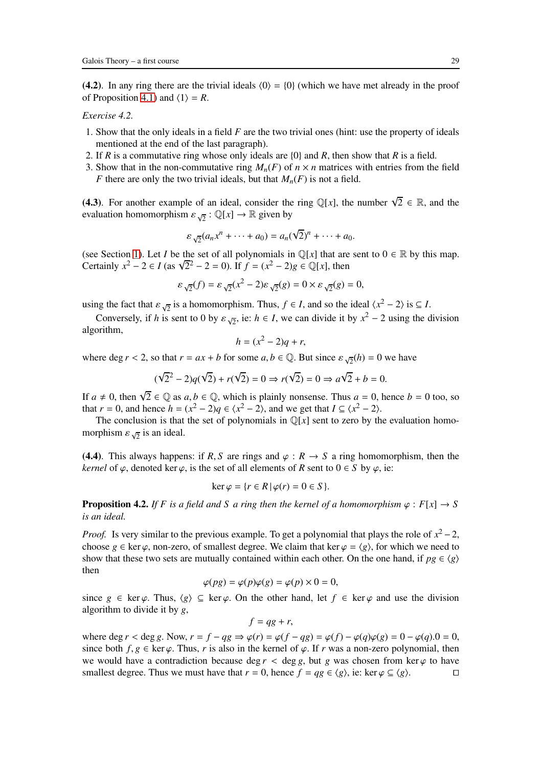<span id="page-28-0"></span>(4.2). In any ring there are the trivial ideals  $\langle 0 \rangle = \{0\}$  (which we have met already in the proof of Proposition [4.1\)](#page-27-1) and  $\langle 1 \rangle = R$ .

## *Exercise 4.2.*

- 1. Show that the only ideals in a field *F* are the two trivial ones (hint: use the property of ideals mentioned at the end of the last paragraph).
- 2. If *R* is a commutative ring whose only ideals are {0} and *R*, then show that *R* is a field.
- 3. Show that in the non-commutative ring  $M_n(F)$  of  $n \times n$  matrices with entries from the field *F* there are only the two trivial ideals, but that  $M_n(F)$  is not a field.

(4.3). For another example of an ideal, consider the ring  $\mathbb{Q}[x]$ , the number  $\sqrt{2} \in \mathbb{R}$ , and the evaluation homomorphism  $\varepsilon_{\sqrt{2}} : \mathbb{Q}[x] \to \mathbb{R}$  given by

$$
\varepsilon_{\sqrt{2}}(a_n x^n + \dots + a_0) = a_n(\sqrt{2})^n + \dots + a_0.
$$

(see Section [1\)](#page-7-0). Let *I* be the set of all polynomials in  $\mathbb{Q}[x]$  that are sent to  $0 \in \mathbb{R}$  by this map. Certainly  $x^2 - 2 \in I$  (as  $\sqrt{2^2 - 2} = 0$ ). If  $f = (x^2 - 2)g \in \mathbb{Q}[x]$ , then

$$
\varepsilon_{\sqrt{2}}(f) = \varepsilon_{\sqrt{2}}(x^2 - 2)\varepsilon_{\sqrt{2}}(g) = 0 \times \varepsilon_{\sqrt{2}}(g) = 0,
$$

using the fact that  $\varepsilon_{\sqrt{2}}$  is a homomorphism. Thus,  $f \in I$ , and so the ideal  $\langle x^2 - 2 \rangle$  is  $\subseteq I$ .

Conversely, if *h* is sent to 0 by  $\varepsilon_{\sqrt{2}}$ , ie: *h* ∈ *I*, we can divide it by  $x^2 - 2$  using the division algorithm,

$$
h = (x^2 - 2)q + r,
$$

where deg  $r < 2$ , so that  $r = ax + b$  for some  $a, b \in \mathbb{Q}$ . But since  $\varepsilon \sqrt{2}(h) = 0$  we have

$$
(\sqrt{2}^2 - 2)q(\sqrt{2}) + r(\sqrt{2}) = 0 \Rightarrow r(\sqrt{2}) = 0 \Rightarrow a\sqrt{2} + b = 0.
$$

If  $a \neq 0$ , then  $\sqrt{2} \in \mathbb{Q}$  as  $a, b \in \mathbb{Q}$ , which is plainly nonsense. Thus  $a = 0$ , hence  $b = 0$  too, so that  $r = 0$ , and hence  $h = (x^2 - 2)q \in \langle x^2 - 2 \rangle$ , and we get that  $I \subseteq \langle x^2 - 2 \rangle$ .

The conclusion is that the set of polynomials in  $\mathbb{Q}[x]$  sent to zero by the evaluation homomorphism  $\varepsilon_{\sqrt{2}}$  is an ideal.

(4.4). This always happens: if *R*, *S* are rings and  $\varphi$  : *R*  $\rightarrow$  *S* a ring homomorphism, then the *kernel* of  $\varphi$ , denoted ker  $\varphi$ , is the set of all elements of *R* sent to  $0 \in S$  by  $\varphi$ , ie:

$$
\ker \varphi = \{ r \in R \, | \, \varphi(r) = 0 \in S \}.
$$

**Proposition 4.2.** *If* F is a field and S a ring then the kernel of a homomorphism  $\varphi : F[x] \to S$ *is an ideal.*

*Proof.* Is very similar to the previous example. To get a polynomial that plays the role of  $x^2 - 2$ , choose  $g \in \text{ker } \varphi$ , non-zero, of smallest degree. We claim that ker  $\varphi = \langle g \rangle$ , for which we need to show that these two sets are mutually contained within each other. On the one hand, if  $pg \in \langle g \rangle$ then

$$
\varphi(pg) = \varphi(p)\varphi(g) = \varphi(p) \times 0 = 0,
$$

since  $g \in \text{ker } \varphi$ . Thus,  $\langle g \rangle \subseteq \text{ker } \varphi$ . On the other hand, let  $f \in \text{ker } \varphi$  and use the division algorithm to divide it by *g*,

$$
f = qg + r,
$$

where deg  $r <$  deg  $g$ . Now,  $r = f - qg \Rightarrow \varphi(r) = \varphi(f - qg) = \varphi(f) - \varphi(q)\varphi(g) = 0 - \varphi(q).0 = 0$ , since both  $f, g \in \text{ker } \varphi$ . Thus, r is also in the kernel of  $\varphi$ . If r was a non-zero polynomial, then we would have a contradiction because deg  $r <$  deg g, but g was chosen from ker  $\varphi$  to have smallest degree. Thus we must have that  $r = 0$ , hence  $f = qg \in \langle g \rangle$ , ie: ker  $\varphi \subseteq \langle g \rangle$ . □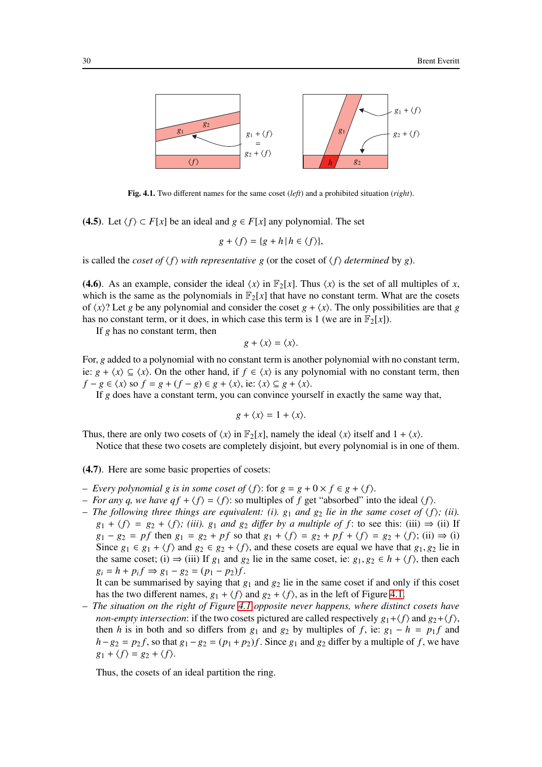

Fig. 4.1. Two different names for the same coset (*left*) and a prohibited situation (*right*).

(4.5). Let  $\langle f \rangle$  ⊂ *F*[*x*] be an ideal and *g* ∈ *F*[*x*] any polynomial. The set

$$
g + \langle f \rangle = \{ g + h \, | \, h \in \langle f \rangle \},
$$

is called the *coset of*  $\langle f \rangle$  *with representative g* (or the coset of  $\langle f \rangle$  *determined* by *g*).

(4.6). As an example, consider the ideal  $\langle x \rangle$  in  $\mathbb{F}_2[x]$ . Thus  $\langle x \rangle$  is the set of all multiples of *x*, which is the same as the polynomials in  $\mathbb{F}_2[x]$  that have no constant term. What are the cosets of  $\langle x \rangle$ ? Let *g* be any polynomial and consider the coset  $g + \langle x \rangle$ . The only possibilities are that *g* has no constant term, or it does, in which case this term is 1 (we are in  $\mathbb{F}_2[x]$ ).

If *g* has no constant term, then

$$
g + \langle x \rangle = \langle x \rangle.
$$

For, *g* added to a polynomial with no constant term is another polynomial with no constant term, ie: *g* +  $\langle x \rangle$  ⊆  $\langle x \rangle$ . On the other hand, if *f* ∈  $\langle x \rangle$  is any polynomial with no constant term, then  $f - g \in \langle x \rangle$  so  $f = g + (f - g) \in g + \langle x \rangle$ , ie:  $\langle x \rangle \subseteq g + \langle x \rangle$ .

If *g* does have a constant term, you can convince yourself in exactly the same way that,

$$
g + \langle x \rangle = 1 + \langle x \rangle.
$$

Thus, there are only two cosets of  $\langle x \rangle$  in  $\mathbb{F}_2[x]$ , namely the ideal  $\langle x \rangle$  itself and  $1 + \langle x \rangle$ .

Notice that these two cosets are completely disjoint, but every polynomial is in one of them.

(4.7). Here are some basic properties of cosets:

- *− Every polynomial g is in some coset of*  $\langle f \rangle$ : for *g* = *g* + 0 × *f* ∈ *g* +  $\langle f \rangle$ .
- *For any q, we have*  $q f + \langle f \rangle = \langle f \rangle$ *: so multiples of f get "absorbed" into the ideal*  $\langle f \rangle$ .
- *The following three things are equivalent: (i).*  $g_1$  *and*  $g_2$  *lie in the same coset of*  $\langle f \rangle$ *; (ii).*  $g_1 + \langle f \rangle = g_2 + \langle f \rangle$ ; (*iii*).  $g_1$  *and*  $g_2$  *differ by a multiple of f* : to see this: (iii)  $\Rightarrow$  (ii) If  $g_1 - g_2 = pf$  then  $g_1 = g_2 + pf$  so that  $g_1 + \langle f \rangle = g_2 + pf + \langle f \rangle = g_2 + \langle f \rangle$ ; (ii)  $\Rightarrow$  (i) Since  $g_1 \in g_1 + \langle f \rangle$  and  $g_2 \in g_2 + \langle f \rangle$ , and these cosets are equal we have that  $g_1, g_2$  lie in the same coset; (i)  $\Rightarrow$  (iii) If  $g_1$  and  $g_2$  lie in the same coset, ie:  $g_1, g_2 \in h + \langle f \rangle$ , then each  $g_i = h + p_i f \Rightarrow g_1 - g_2 = (p_1 - p_2)f.$

It can be summarised by saying that  $g_1$  and  $g_2$  lie in the same coset if and only if this coset has the two different names,  $g_1 + \langle f \rangle$  and  $g_2 + \langle f \rangle$ , as in the left of Figure [4.1.](#page-92-0)

– *The situation on the right of Figure [4.1](#page-92-0) opposite never happens, where distinct cosets have non-empty intersection*: if the two cosets pictured are called respectively  $g_1 + \langle f \rangle$  and  $g_2 + \langle f \rangle$ , then *h* is in both and so differs from  $g_1$  and  $g_2$  by multiples of *f*, ie:  $g_1 - h = p_1 f$  and  $h-g_2 = p_2 f$ , so that  $g_1 - g_2 = (p_1 + p_2)f$ . Since  $g_1$  and  $g_2$  differ by a multiple of *f*, we have  $g_1 + \langle f \rangle = g_2 + \langle f \rangle$ .

Thus, the cosets of an ideal partition the ring.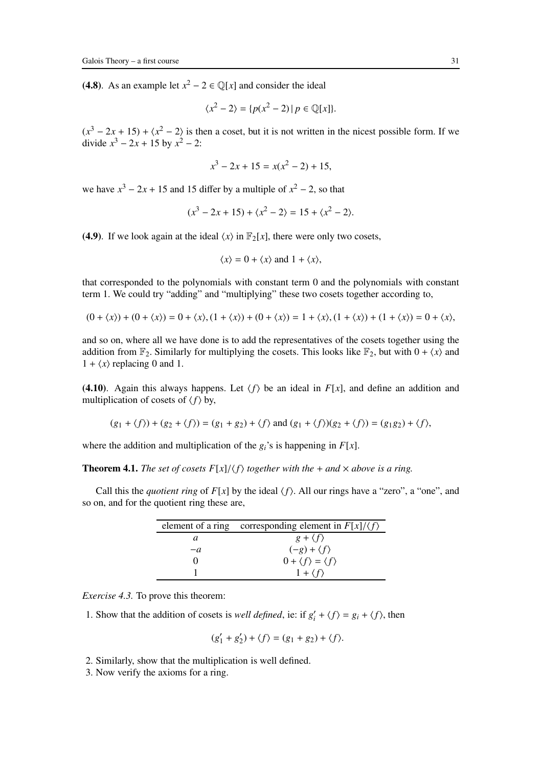(4.8). As an example let  $x^2 - 2 \in \mathbb{Q}[x]$  and consider the ideal

$$
\langle x^2 - 2 \rangle = \{ p(x^2 - 2) \mid p \in \mathbb{Q}[x] \}.
$$

 $(x^3 - 2x + 15) + (x^2 - 2)$  is then a coset, but it is not written in the nicest possible form. If we divide  $x^3 - 2x + 15$  by  $x^2 - 2$ :

$$
x^3 - 2x + 15 = x(x^2 - 2) + 15,
$$

we have  $x^3 - 2x + 15$  and 15 differ by a multiple of  $x^2 - 2$ , so that

$$
(x3 - 2x + 15) + \langle x2 - 2 \rangle = 15 + \langle x2 - 2 \rangle.
$$

(4.9). If we look again at the ideal  $\langle x \rangle$  in  $\mathbb{F}_2[x]$ , there were only two cosets,

$$
\langle x \rangle = 0 + \langle x \rangle \text{ and } 1 + \langle x \rangle,
$$

that corresponded to the polynomials with constant term 0 and the polynomials with constant term 1. We could try "adding" and "multiplying" these two cosets together according to,

$$
(0 + \langle x \rangle) + (0 + \langle x \rangle) = 0 + \langle x \rangle, (1 + \langle x \rangle) + (0 + \langle x \rangle) = 1 + \langle x \rangle, (1 + \langle x \rangle) + (1 + \langle x \rangle) = 0 + \langle x \rangle,
$$

and so on, where all we have done is to add the representatives of the cosets together using the addition from  $\mathbb{F}_2$ . Similarly for multiplying the cosets. This looks like  $\mathbb{F}_2$ , but with  $0 + \langle x \rangle$  and  $1 + \langle x \rangle$  replacing 0 and 1.

(4.10). Again this always happens. Let  $\langle f \rangle$  be an ideal in  $F[x]$ , and define an addition and multiplication of cosets of  $\langle f \rangle$  by,

$$
(g_1 + \langle f \rangle) + (g_2 + \langle f \rangle) = (g_1 + g_2) + \langle f \rangle
$$
 and  $(g_1 + \langle f \rangle)(g_2 + \langle f \rangle) = (g_1g_2) + \langle f \rangle$ ,

where the addition and multiplication of the  $g_i$ 's is happening in  $F[x]$ .

**Theorem 4.1.** *The set of cosets*  $F[x]/\langle f \rangle$  *together with the* + *and*  $\times$  *above is a ring.* 

Call this the *quotient ring* of  $F[x]$  by the ideal  $\langle f \rangle$ . All our rings have a "zero", a "one", and so on, and for the quotient ring these are,

|      | element of a ring corresponding element in $F[x]/\langle f \rangle$ |
|------|---------------------------------------------------------------------|
| a    | $g + \langle f \rangle$                                             |
| $-a$ | $(-g) + \langle f \rangle$                                          |
|      | $0 + \langle f \rangle = \langle f \rangle$                         |
|      | $1 + \langle f \rangle$                                             |

*Exercise 4.3.* To prove this theorem:

1. Show that the addition of cosets is *well defined*, ie: if  $g'_i + \langle f \rangle = g_i + \langle f \rangle$ , then

$$
(g'_1 + g'_2) + \langle f \rangle = (g_1 + g_2) + \langle f \rangle.
$$

2. Similarly, show that the multiplication is well defined.

3. Now verify the axioms for a ring.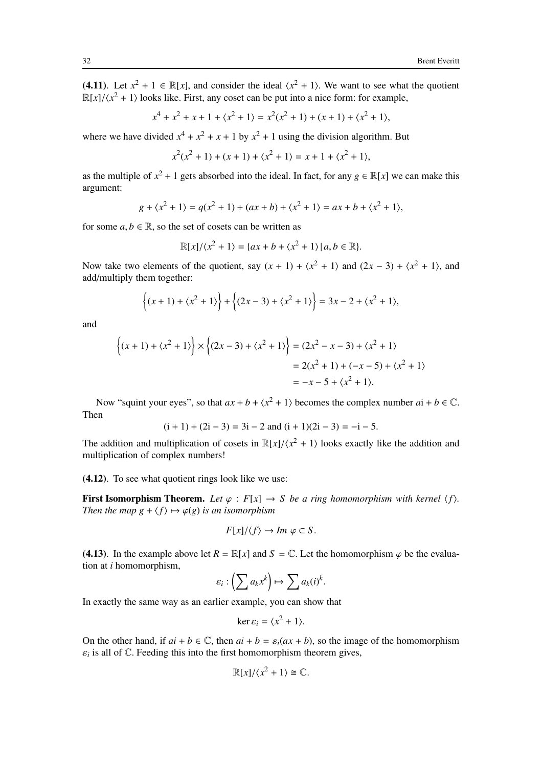(4.11). Let  $x^2 + 1 \in \mathbb{R}[x]$ , and consider the ideal  $\langle x^2 + 1 \rangle$ . We want to see what the quotient  $\mathbb{R}[x]/\langle x^2 + 1 \rangle$  looks like. First, any coset can be put into a nice form: for example,

$$
x^{4} + x^{2} + x + 1 + \langle x^{2} + 1 \rangle = x^{2}(x^{2} + 1) + (x + 1) + \langle x^{2} + 1 \rangle,
$$

where we have divided  $x^4 + x^2 + x + 1$  by  $x^2 + 1$  using the division algorithm. But

$$
x^{2}(x^{2}+1) + (x+1) + \langle x^{2} + 1 \rangle = x + 1 + \langle x^{2} + 1 \rangle,
$$

as the multiple of  $x^2 + 1$  gets absorbed into the ideal. In fact, for any  $g \in \mathbb{R}[x]$  we can make this argument:

$$
g + \langle x^2 + 1 \rangle = q(x^2 + 1) + (ax + b) + \langle x^2 + 1 \rangle = ax + b + \langle x^2 + 1 \rangle,
$$

for some  $a, b \in \mathbb{R}$ , so the set of cosets can be written as

$$
\mathbb{R}[x]/\langle x^2+1\rangle = \{ax+b+\langle x^2+1\rangle \,|\, a,b\in\mathbb{R}\}.
$$

Now take two elements of the quotient, say  $(x + 1) + \langle x^2 + 1 \rangle$  and  $(2x - 3) + \langle x^2 + 1 \rangle$ , and add/multiply them together:

$$
\{(x + 1) + \langle x^2 + 1 \rangle\} + \{(2x - 3) + \langle x^2 + 1 \rangle\} = 3x - 2 + \langle x^2 + 1 \rangle,
$$

and

$$
\{(x+1) + \langle x^2 + 1 \rangle\} \times \{(2x-3) + \langle x^2 + 1 \rangle\} = (2x^2 - x - 3) + \langle x^2 + 1 \rangle
$$
  
= 2(x<sup>2</sup> + 1) + (-x - 5) + \langle x^2 + 1 \rangle  
= -x - 5 + \langle x^2 + 1 \rangle.

Now "squint your eyes", so that  $ax + b + \langle x^2 + 1 \rangle$  becomes the complex number  $ai + b \in \mathbb{C}$ . Then

$$
(i + 1) + (2i - 3) = 3i - 2
$$
 and 
$$
(i + 1)(2i - 3) = -i - 5.
$$

The addition and multiplication of cosets in  $\mathbb{R}[x]/\langle x^2 + 1 \rangle$  looks exactly like the addition and multiplication of complex numbers!

(4.12). To see what quotient rings look like we use:

**First Isomorphism Theorem.** Let  $\varphi : F[x] \to S$  be a ring homomorphism with kernel  $\langle f \rangle$ . *Then the map g* +  $\langle f \rangle \mapsto \varphi(g)$  *is an isomorphism* 

$$
F[x]/\langle f \rangle \to Im \ \varphi \subset S.
$$

(4.13). In the example above let  $R = \mathbb{R}[x]$  and  $S = \mathbb{C}$ . Let the homomorphism  $\varphi$  be the evaluation at *i* homomorphism,

$$
\varepsilon_i:\left(\sum a_k x^k\right)\mapsto \sum a_k(i)^k.
$$

In exactly the same way as an earlier example, you can show that

$$
\ker \varepsilon_i = \langle x^2 + 1 \rangle.
$$

On the other hand, if  $ai + b \in \mathbb{C}$ , then  $ai + b = \varepsilon_i(ax + b)$ , so the image of the homomorphism  $\varepsilon_i$  is all of  $\mathbb C$ . Feeding this into the first homomorphism theorem gives,

$$
\mathbb{R}[x]/\langle x^2+1\rangle \cong \mathbb{C}.
$$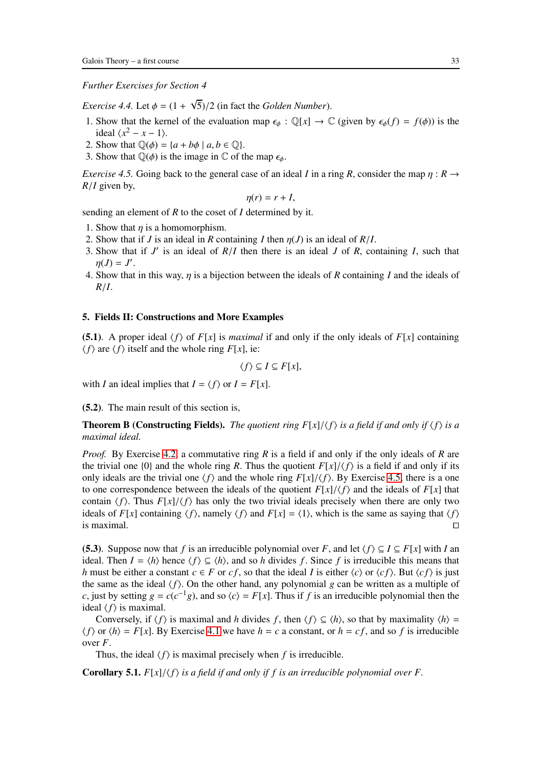*Further Exercises for Section 4*

*Exercise 4.4.* Let  $\phi = (1 + \sqrt{5})/2$  (in fact the *Golden Number*).

- 1. Show that the kernel of the evaluation map  $\epsilon_{\phi}: \mathbb{Q}[x] \to \mathbb{C}$  (given by  $\epsilon_{\phi}(f) = f(\phi)$ ) is the ideal  $\langle x^2 - x - 1 \rangle$ .
- 2. Show that  $\mathbb{Q}(\phi) = \{a + b\phi \mid a, b \in \mathbb{Q}\}.$
- <span id="page-32-1"></span>3. Show that  $\mathbb{Q}(\phi)$  is the image in  $\mathbb C$  of the map  $\epsilon_{\phi}$ .

*Exercise 4.5.* Going back to the general case of an ideal *I* in a ring *R*, consider the map  $\eta : R \rightarrow$ *R*/*I* given by,

$$
\eta(r)=r+I,
$$

sending an element of *R* to the coset of *I* determined by it.

- 1. Show that  $\eta$  is a homomorphism.
- 2. Show that if *J* is an ideal in *R* containing *I* then  $\eta$ (*J*) is an ideal of *R*/*I*.
- 3. Show that if *J* ′ is an ideal of *R*/*I* then there is an ideal *J* of *R*, containing *I*, such that  $\eta(J) = J'.$
- 4. Show that in this way, η is a bijection between the ideals of *R* containing *I* and the ideals of *R*/*I*.

## <span id="page-32-0"></span>5. Fields II: Constructions and More Examples

(5.1). A proper ideal  $\langle f \rangle$  of  $F[x]$  is *maximal* if and only if the only ideals of  $F[x]$  containing  $\langle f \rangle$  are  $\langle f \rangle$  itself and the whole ring *F*[*x*], ie:

$$
\langle f \rangle \subseteq I \subseteq F[x],
$$

with *I* an ideal implies that  $I = \langle f \rangle$  or  $I = F[x]$ .

(5.2). The main result of this section is,

**Theorem B (Constructing Fields).** *The quotient ring F[x]/* $\langle f \rangle$  *is a field if and only if*  $\langle f \rangle$  *is a maximal ideal.*

*Proof.* By Exercise [4.2,](#page-28-0) a commutative ring *R* is a field if and only if the only ideals of *R* are the trivial one {0} and the whole ring *R*. Thus the quotient  $F[x]/\langle f \rangle$  is a field if and only if its only ideals are the trivial one  $\langle f \rangle$  and the whole ring  $F[x]/\langle f \rangle$ . By Exercise [4.5,](#page-32-1) there is a one to one correspondence between the ideals of the quotient  $F[x]/\langle f \rangle$  and the ideals of  $F[x]$  that contain  $\langle f \rangle$ . Thus  $F[x]/\langle f \rangle$  has only the two trivial ideals precisely when there are only two ideals of *F*[*x*] containing  $\langle f \rangle$ , namely  $\langle f \rangle$  and *F*[*x*] =  $\langle 1 \rangle$ , which is the same as saying that  $\langle f \rangle$  is maximal. is maximal.  $□$ 

(5.3). Suppose now that *f* is an irreducible polynomial over *F*, and let  $\langle f \rangle \subseteq I \subseteq F[x]$  with *I* an *ideal.* Then *I* =  $\langle h \rangle$  hence  $\langle f \rangle$  ⊆  $\langle h \rangle$ , and so *h* divides *f*. Since *f* is irreducible this means that *h* must be either a constant  $c \in F$  or *cf*, so that the ideal *I* is either  $\langle c \rangle$  or  $\langle cf \rangle$ . But  $\langle cf \rangle$  is just the same as the ideal  $\langle f \rangle$ . On the other hand, any polynomial *g* can be written as a multiple of *c*, just by setting  $g = c(c^{-1}g)$ , and so  $\langle c \rangle = F[x]$ . Thus if *f* is an irreducible polynomial then the ideal  $\langle f \rangle$  is maximal.

Conversely, if  $\langle f \rangle$  is maximal and *h* divides *f*, then  $\langle f \rangle \subseteq \langle h \rangle$ , so that by maximality  $\langle h \rangle =$  $\langle f \rangle$  or  $\langle h \rangle = F[x]$ . By Exercise [4.1](#page-27-2) we have  $h = c$  a constant, or  $h = cf$ , and so f is irreducible over *F*.

Thus, the ideal  $\langle f \rangle$  is maximal precisely when *f* is irreducible.

**Corollary 5.1.**  $F[x]/\langle f \rangle$  *is a field if and only if f is an irreducible polynomial over F.*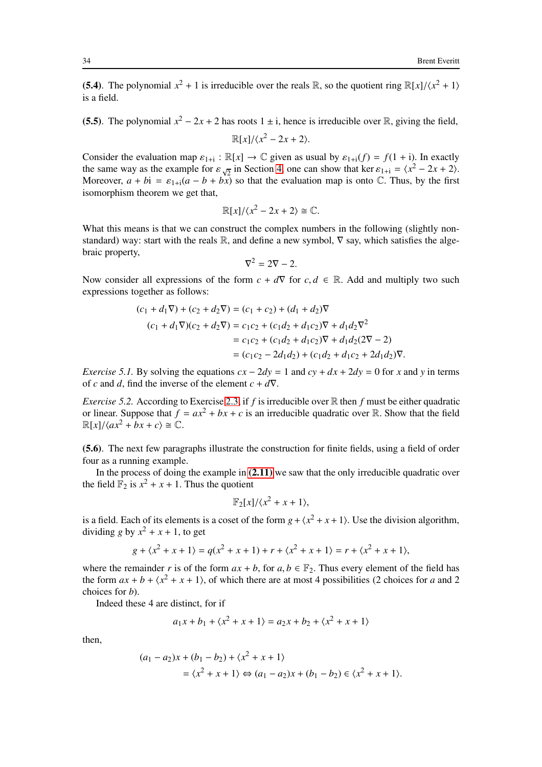(5.4). The polynomial  $x^2 + 1$  is irreducible over the reals R, so the quotient ring  $\mathbb{R}[x]/\langle x^2 + 1 \rangle$ is a field.

(5.5). The polynomial  $x^2 - 2x + 2$  has roots  $1 \pm i$ , hence is irreducible over R, giving the field,

$$
\mathbb{R}[x]/\langle x^2-2x+2\rangle.
$$

Consider the evaluation map  $\varepsilon_{1+i}$ :  $\mathbb{R}[x] \to \mathbb{C}$  given as usual by  $\varepsilon_{1+i}(f) = f(1+i)$ . In exactly the same way as the example for  $\varepsilon_{\sqrt{2}}$  in Section [4,](#page-27-0) one can show that ker  $\varepsilon_{1+i} = \langle x^2 - 2x + 2 \rangle$ . Moreover,  $a + bi = \varepsilon_{1+i}(a - b + b\overline{x})$  so that the evaluation map is onto  $\mathbb{C}$ . Thus, by the first isomorphism theorem we get that,

$$
\mathbb{R}[x]/\langle x^2 - 2x + 2 \rangle \cong \mathbb{C}.
$$

What this means is that we can construct the complex numbers in the following (slightly nonstandard) way: start with the reals R, and define a new symbol,  $\nabla$  say, which satisfies the algebraic property,

$$
\nabla^2 = 2\nabla - 2.
$$

Now consider all expressions of the form  $c + d\nabla$  for  $c, d \in \mathbb{R}$ . Add and multiply two such expressions together as follows:

$$
(c_1 + d_1 \nabla) + (c_2 + d_2 \nabla) = (c_1 + c_2) + (d_1 + d_2) \nabla
$$
  
\n
$$
(c_1 + d_1 \nabla)(c_2 + d_2 \nabla) = c_1 c_2 + (c_1 d_2 + d_1 c_2) \nabla + d_1 d_2 \nabla^2
$$
  
\n
$$
= c_1 c_2 + (c_1 d_2 + d_1 c_2) \nabla + d_1 d_2 (2 \nabla - 2)
$$
  
\n
$$
= (c_1 c_2 - 2 d_1 d_2) + (c_1 d_2 + d_1 c_2 + 2 d_1 d_2) \nabla.
$$

*Exercise 5.1.* By solving the equations  $cx - 2dy = 1$  and  $cy + dx + 2dy = 0$  for *x* and *y* in terms of *c* and *d*, find the inverse of the element  $c + d\nabla$ .

*Exercise 5.2.* According to Exercise [2.3,](#page-14-1) if *f* is irreducible over R then *f* must be either quadratic or linear. Suppose that  $f = ax^2 + bx + c$  is an irreducible quadratic over R. Show that the field  $\mathbb{R}[x]/\langle ax^2 + bx + c \rangle \cong \mathbb{C}.$ 

(5.6). The next few paragraphs illustrate the construction for finite fields, using a field of order four as a running example.

In the process of doing the example in  $(2.11)$  we saw that the only irreducible quadratic over the field  $\mathbb{F}_2$  is  $x^2 + x + 1$ . Thus the quotient

$$
\mathbb{F}_2[x]/\langle x^2+x+1\rangle,
$$

is a field. Each of its elements is a coset of the form  $g + \langle x^2 + x + 1 \rangle$ . Use the division algorithm, dividing *g* by  $x^2 + x + 1$ , to get

$$
g + \langle x^2 + x + 1 \rangle = q(x^2 + x + 1) + r + \langle x^2 + x + 1 \rangle = r + \langle x^2 + x + 1 \rangle,
$$

where the remainder *r* is of the form  $ax + b$ , for  $a, b \in \mathbb{F}_2$ . Thus every element of the field has the form  $ax + b + \langle x^2 + x + 1 \rangle$ , of which there are at most 4 possibilities (2 choices for *a* and 2 choices for *b*).

Indeed these 4 are distinct, for if

$$
a_1x+b_1+\langle x^2+x+1\rangle=a_2x+b_2+\langle x^2+x+1\rangle
$$

then,

$$
(a_1 - a_2)x + (b_1 - b_2) + \langle x^2 + x + 1 \rangle
$$
  
=  $\langle x^2 + x + 1 \rangle \Leftrightarrow (a_1 - a_2)x + (b_1 - b_2) \in \langle x^2 + x + 1 \rangle$ .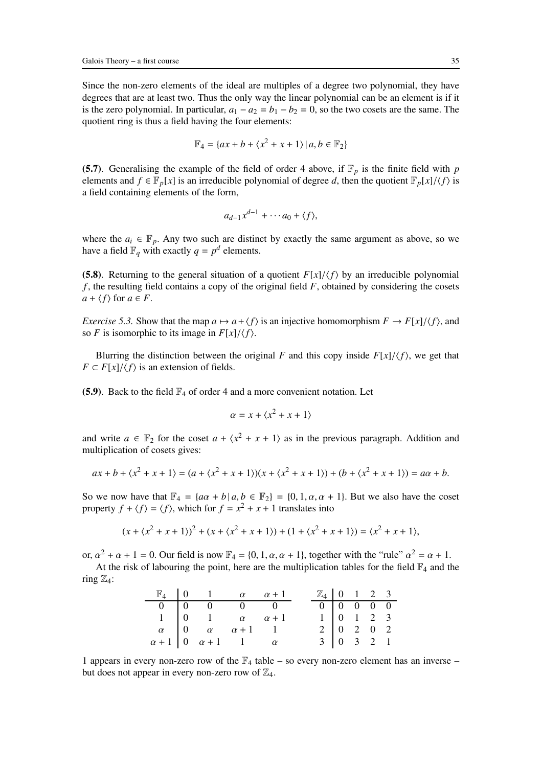Since the non-zero elements of the ideal are multiples of a degree two polynomial, they have degrees that are at least two. Thus the only way the linear polynomial can be an element is if it is the zero polynomial. In particular,  $a_1 - a_2 = b_1 - b_2 = 0$ , so the two cosets are the same. The quotient ring is thus a field having the four elements:

$$
\mathbb{F}_4 = \{ax + b + \langle x^2 + x + 1 \rangle \mid a, b \in \mathbb{F}_2\}
$$

(5.7). Generalising the example of the field of order 4 above, if  $\mathbb{F}_p$  is the finite field with *p* elements and  $f \in \mathbb{F}_p[x]$  is an irreducible polynomial of degree *d*, then the quotient  $\mathbb{F}_p[x]/\langle f \rangle$  is a field containing elements of the form,

$$
a_{d-1}x^{d-1}+\cdots a_0+\langle f\rangle,
$$

where the  $a_i \in \mathbb{F}_p$ . Any two such are distinct by exactly the same argument as above, so we have a field  $\mathbb{F}_q$  with exactly  $q = p^d$  elements.

(5.8). Returning to the general situation of a quotient  $F[x]/\langle f \rangle$  by an irreducible polynomial *f* , the resulting field contains a copy of the original field *F*, obtained by considering the cosets  $a + \langle f \rangle$  for  $a \in F$ .

*Exercise 5.3.* Show that the map  $a \mapsto a + \langle f \rangle$  is an injective homomorphism  $F \to F[x]/\langle f \rangle$ , and so *F* is isomorphic to its image in  $F[x]/\langle f \rangle$ .

Blurring the distinction between the original *F* and this copy inside  $F[x]/\langle f \rangle$ , we get that  $F \subset F[x]/\langle f \rangle$  is an extension of fields.

(5.9). Back to the field  $\mathbb{F}_4$  of order 4 and a more convenient notation. Let

$$
\alpha = x + \langle x^2 + x + 1 \rangle
$$

and write  $a \in \mathbb{F}_2$  for the coset  $a + \langle x^2 + x + 1 \rangle$  as in the previous paragraph. Addition and multiplication of cosets gives:

$$
ax + b + \langle x^2 + x + 1 \rangle = (a + \langle x^2 + x + 1 \rangle)(x + \langle x^2 + x + 1 \rangle) + (b + \langle x^2 + x + 1 \rangle) = a\alpha + b.
$$

So we now have that  $\mathbb{F}_4 = \{a\alpha + b \mid a, b \in \mathbb{F}_2\} = \{0, 1, \alpha, \alpha + 1\}$ . But we also have the coset property  $f + \langle f \rangle = \langle f \rangle$ , which for  $f = x^2 + x + 1$  translates into

$$
(x + \langle x^2 + x + 1 \rangle)^2 + (x + \langle x^2 + x + 1 \rangle) + (1 + \langle x^2 + x + 1 \rangle) = \langle x^2 + x + 1 \rangle,
$$

or,  $\alpha^2 + \alpha + 1 = 0$ . Our field is now  $\mathbb{F}_4 = \{0, 1, \alpha, \alpha + 1\}$ , together with the "rule"  $\alpha^2 = \alpha + 1$ .

At the risk of labouring the point, here are the multiplication tables for the field  $\mathbb{F}_4$  and the ring  $\mathbb{Z}_4$ :

|  | $\mathbb{F}_4$   0   1   $\alpha$   $\alpha + 1$            |  | $\mathbb{Z}_4$ 0 1 2 3 |                                                 |  |  |
|--|-------------------------------------------------------------|--|------------------------|-------------------------------------------------|--|--|
|  | $0 \quad 0 \quad 0 \quad 0$                                 |  |                        |                                                 |  |  |
|  | 1   0   1   $\alpha$   $\alpha + 1$                         |  |                        | $1 \ 0 \ 1 \ 2 \ 3$                             |  |  |
|  | $\alpha$   0 $\alpha$ $\alpha + 1$ 1                        |  |                        | $2 \begin{bmatrix} 0 & 2 & 0 & 2 \end{bmatrix}$ |  |  |
|  | $\alpha + 1 \mid 0 \quad \alpha + 1 \qquad 1 \qquad \alpha$ |  |                        | $3 \ 0 \ 3 \ 2 \ 1$                             |  |  |

1 appears in every non-zero row of the  $\mathbb{F}_4$  table – so every non-zero element has an inverse – but does not appear in every non-zero row of  $\mathbb{Z}_4$ .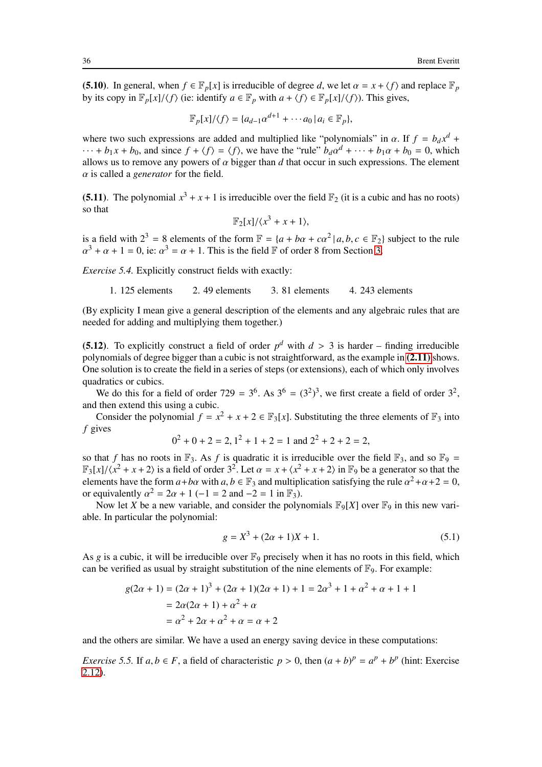(5.10). In general, when  $f \in \mathbb{F}_p[x]$  is irreducible of degree *d*, we let  $\alpha = x + \langle f \rangle$  and replace  $\mathbb{F}_p$ by its copy in  $\mathbb{F}_p[x]/\langle f \rangle$  (ie: identify  $a \in \mathbb{F}_p$  with  $a + \langle f \rangle \in \mathbb{F}_p[x]/\langle f \rangle$ ). This gives,

$$
\mathbb{F}_p[x]/\langle f \rangle = \{a_{d-1}\alpha^{d+1} + \cdots a_0 \,|\, a_i \in \mathbb{F}_p\},\
$$

where two such expressions are added and multiplied like "polynomials" in  $\alpha$ . If  $f = b_d x^d + c_d x^d$  $\cdots + b_1 x + b_0$ , and since  $f + \langle f \rangle = \langle f \rangle$ , we have the "rule"  $b_d \alpha^d + \cdots + b_1 \alpha + b_0 = 0$ , which allows us to remove any powers of  $\alpha$  bigger than  $d$  that occur in such expressions. The element α is called a *generator* for the field.

(5.11). The polynomial  $x^3 + x + 1$  is irreducible over the field  $\mathbb{F}_2$  (it is a cubic and has no roots) so that

$$
\mathbb{F}_2[x]/\langle x^3+x+1\rangle,
$$

is a field with  $2^3 = 8$  elements of the form  $\mathbb{F} = \{a + b\alpha + c\alpha^2 | a, b, c \in \mathbb{F}_2\}$  subject to the rule  $\alpha^3 + \alpha + 1 = 0$ , ie:  $\alpha^3 = \alpha + 1$ . This is the field  $\mathbb F$  of order 8 from Section [3.](#page-21-0)

*Exercise 5.4.* Explicitly construct fields with exactly:

1. 125 elements 2. 49 elements 3. 81 elements 4. 243 elements

(By explicity I mean give a general description of the elements and any algebraic rules that are needed for adding and multiplying them together.)

(5.12). To explicitly construct a field of order  $p^d$  with  $d > 3$  is harder – finding irreducible polynomials of degree bigger than a cubic is not straightforward, as the example in [\(2.11\)](#page-15-1) shows. One solution is to create the field in a series of steps (or extensions), each of which only involves quadratics or cubics.

We do this for a field of order 729 =  $3^6$ . As  $3^6 = (3^2)^3$ , we first create a field of order  $3^2$ , and then extend this using a cubic.

Consider the polynomial  $f = x^2 + x + 2 \in \mathbb{F}_3[x]$ . Substituting the three elements of  $\mathbb{F}_3$  into *f* gives

$$
0^2 + 0 + 2 = 2, 1^2 + 1 + 2 = 1 \text{ and } 2^2 + 2 + 2 = 2,
$$

so that *f* has no roots in  $\mathbb{F}_3$ . As *f* is quadratic it is irreducible over the field  $\mathbb{F}_3$ , and so  $\mathbb{F}_9$  =  $\mathbb{F}_3[x]/\langle x^2 + x + 2 \rangle$  is a field of order  $3^2$ . Let  $\alpha = x + \langle x^2 + x + 2 \rangle$  in  $\mathbb{F}_9$  be a generator so that the elements have the form  $a + b\alpha$  with  $a, b \in \mathbb{F}_3$  and multiplication satisfying the rule  $\alpha^2 + \alpha + 2 = 0$ , or equivalently  $\alpha^2 = 2\alpha + 1$  (-1 = 2 and -2 = 1 in  $\mathbb{F}_3$ ).

Now let *X* be a new variable, and consider the polynomials  $\mathbb{F}_9[X]$  over  $\mathbb{F}_9$  in this new variable. In particular the polynomial:

$$
g = X^3 + (2\alpha + 1)X + 1.
$$
 (5.1)

As  $g$  is a cubic, it will be irreducible over  $\mathbb{F}_9$  precisely when it has no roots in this field, which can be verified as usual by straight substitution of the nine elements of  $\mathbb{F}_9$ . For example:

$$
g(2\alpha + 1) = (2\alpha + 1)^3 + (2\alpha + 1)(2\alpha + 1) + 1 = 2\alpha^3 + 1 + \alpha^2 + \alpha + 1 + 1
$$
  
=  $2\alpha(2\alpha + 1) + \alpha^2 + \alpha$   
=  $\alpha^2 + 2\alpha + \alpha^2 + \alpha = \alpha + 2$ 

and the others are similar. We have a used an energy saving device in these computations:

*Exercise 5.5.* If  $a, b \in F$ , a field of characteristic  $p > 0$ , then  $(a + b)^p = a^p + b^p$  (hint: Exercise [2.12\)](#page-20-1).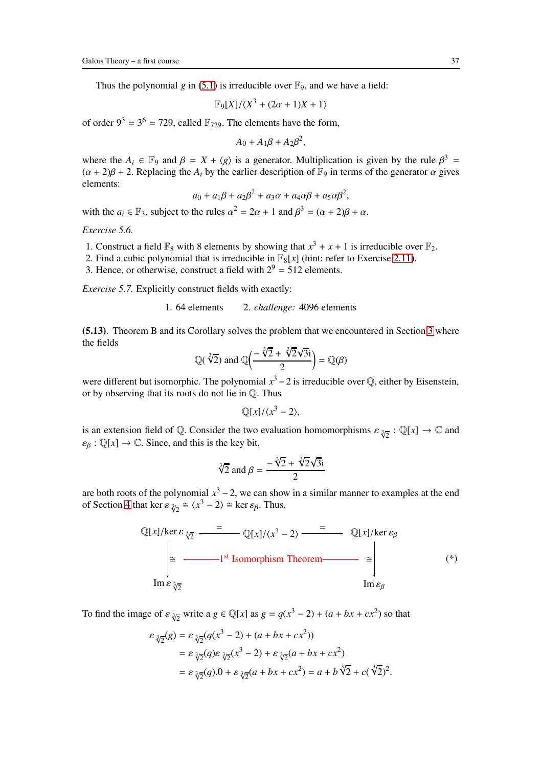Thus the polynomial *g* in [\(5.1\)](#page-35-0) is irreducible over  $\mathbb{F}_9$ , and we have a field:

$$
\mathbb{F}_9[X]/\langle X^3 + (2\alpha + 1)X + 1 \rangle
$$

of order  $9^3 = 3^6 = 729$ , called  $\mathbb{F}_{729}$ . The elements have the form,

$$
A_0 + A_1 \beta + A_2 \beta^2,
$$

where the  $A_i \in \mathbb{F}_9$  and  $\beta = X + \langle g \rangle$  is a generator. Multiplication is given by the rule  $\beta^3 =$  $(\alpha + 2)\beta + 2$ . Replacing the *A<sub>i</sub>* by the earlier description of  $\mathbb{F}_9$  in terms of the generator  $\alpha$  gives elements:

$$
a_0 + a_1\beta + a_2\beta^2 + a_3\alpha + a_4\alpha\beta + a_5\alpha\beta^2,
$$

with the  $a_i \in \mathbb{F}_3$ , subject to the rules  $\alpha^2 = 2\alpha + 1$  and  $\beta^3 = (\alpha + 2)\beta + \alpha$ .

*Exercise 5.6.*

- 1. Construct a field  $\mathbb{F}_8$  with 8 elements by showing that  $x^3 + x + 1$  is irreducible over  $\mathbb{F}_2$ .
- 2. Find a cubic polynomial that is irreducible in  $\mathbb{F}_8[x]$  (hint: refer to Exercise [2.11\)](#page-20-0).
- 3. Hence, or otherwise, construct a field with  $2^9 = 512$  elements.

*Exercise 5.7.* Explicitly construct fields with exactly:

1. 64 elements 2. *challenge:* 4096 elements

(5.13). Theorem B and its Corollary solves the problem that we encountered in Section [3](#page-21-0) where the fields

$$
\mathbb{Q}(\sqrt[3]{2}) \text{ and } \mathbb{Q}\left(\frac{-\sqrt[3]{2} + \sqrt[3]{2}\sqrt{3}i}{2}\right) = \mathbb{Q}(\beta)
$$

were different but isomorphic. The polynomial  $x^3 - 2$  is irreducible over  $\mathbb Q$ , either by Eisenstein, or by observing that its roots do not lie in Q. Thus

$$
\mathbb{Q}[x]/\langle x^3-2\rangle,
$$

is an extension field of Q. Consider the two evaluation homomorphisms  $\varepsilon_{\sqrt[3]{2}}: \mathbb{Q}[x] \to \mathbb{C}$  and  $\varepsilon_{\beta} : \mathbb{Q}[x] \to \mathbb{C}$ . Since, and this is the key bit,

$$
\sqrt[3]{2} \text{ and } \beta = \frac{-\sqrt[3]{2} + \sqrt[3]{2}\sqrt{3}i}{2}
$$

are both roots of the polynomial  $x^3 - 2$ , we can show in a similar manner to examples at the end of Section [4](#page-27-0) that ker  $\varepsilon_{\sqrt[3]{2}} \cong \langle x^3 - 2 \rangle \cong$  ker  $\varepsilon_{\beta}$ . Thus,

$$
\mathbb{Q}[x]/\text{ker } \varepsilon_{\sqrt[3]{2}} \xrightarrow{=} \mathbb{Q}[x]/\langle x^3 - 2 \rangle \xrightarrow{=} \mathbb{Q}[x]/\text{ker } \varepsilon_{\beta}
$$
\n
$$
\overset{\ge}{\underset{\text{Im } \varepsilon_{\sqrt[3]{2}}}{=}} \xrightarrow{=} \mathbb{I}^{\text{st}} \text{Isomorphism Theorem} \xrightarrow{=} \overset{\ge}{\underset{\text{Im } \varepsilon_{\beta}}{=}} \cdots \xrightarrow{(*)}
$$
\n
$$
\text{(*)}
$$

To find the image of  $\varepsilon_{\sqrt[3]{2}}$  write a  $g \in \mathbb{Q}[x]$  as  $g = q(x^3 - 2) + (a + bx + cx^2)$  so that

$$
\varepsilon_{\sqrt[3]{2}}(g) = \varepsilon_{\sqrt[3]{2}}(q(x^3 - 2) + (a + bx + cx^2))
$$
  
=  $\varepsilon_{\sqrt[3]{2}}(q)\varepsilon_{\sqrt[3]{2}}(x^3 - 2) + \varepsilon_{\sqrt[3]{2}}(a + bx + cx^2)$   
=  $\varepsilon_{\sqrt[3]{2}}(q).0 + \varepsilon_{\sqrt[3]{2}}(a + bx + cx^2) = a + b\sqrt[3]{2} + c(\sqrt[3]{2})^2$ .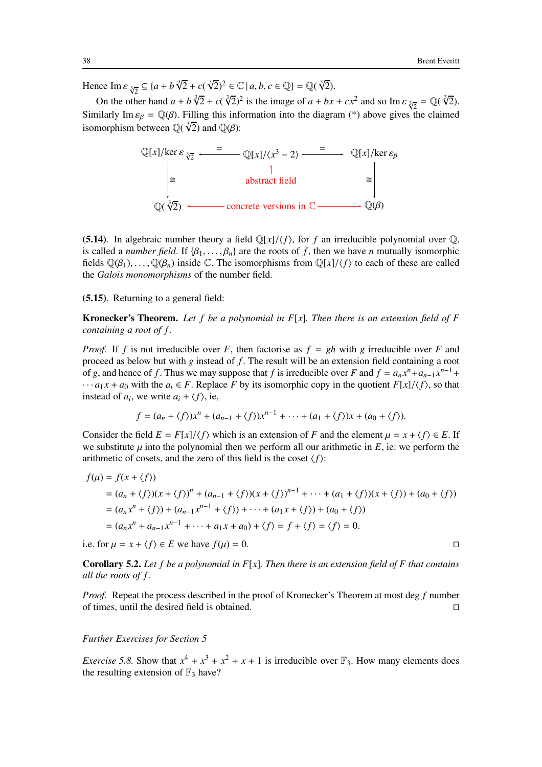Hence  $\text{Im } \varepsilon \frac{3}{\sqrt{2}} \subseteq \{a + b\sqrt[3]{2} + c(\sqrt[3]{2})^2 \in \mathbb{C} \mid a, b, c \in \mathbb{Q}\} = \mathbb{Q}(\sqrt[3]{2}).$ 

On the other hand  $a + b\sqrt[3]{2} + c(\sqrt[3]{2})^2$  is the image of  $a + bx + cx^2$  and so Im  $\varepsilon_{\sqrt[3]{2}} = \mathbb{Q}(\sqrt[3]{2})$ . Similarly Im  $\varepsilon_{\beta} = \mathbb{Q}(\beta)$ . Filling this information into the diagram (\*) above gives the claimed isomorphism between  $\mathbb{Q}(\sqrt[3]{2})$  and  $\mathbb{Q}(\beta)$ :



(5.14). In algebraic number theory a field  $\mathbb{Q}[x]/\langle f \rangle$ , for f an irreducible polynomial over  $\mathbb{Q}$ , is called a *number field*. If  $\{\beta_1, \ldots, \beta_n\}$  are the roots of f, then we have *n* mutually isomorphic fields  $\mathbb{Q}(\beta_1), \ldots, \mathbb{Q}(\beta_n)$  inside C. The isomorphisms from  $\mathbb{Q}[x]/\langle f \rangle$  to each of these are called the *Galois monomorphisms* of the number field.

(5.15). Returning to a general field:

Kronecker's Theorem. *Let f be a polynomial in F*[*x*]*. Then there is an extension field of F containing a root of f .*

*Proof.* If *f* is not irreducible over *F*, then factorise as  $f = gh$  with *g* irreducible over *F* and proceed as below but with *g* instead of *f* . The result will be an extension field containing a root of *g*, and hence of *f*. Thus we may suppose that *f* is irreducible over *F* and  $f = a_n x^n + a_{n-1} x^{n-1} +$  $\cdots a_1 x + a_0$  with the  $a_i \in F$ . Replace *F* by its isomorphic copy in the quotient  $F[x]/\langle f \rangle$ , so that instead of  $a_i$ , we write  $a_i + \langle f \rangle$ , ie,

$$
f = (a_n + \langle f \rangle)x^n + (a_{n-1} + \langle f \rangle)x^{n-1} + \cdots + (a_1 + \langle f \rangle)x + (a_0 + \langle f \rangle).
$$

Consider the field  $E = F[x]/\langle f \rangle$  which is an extension of *F* and the element  $\mu = x + \langle f \rangle \in E$ . If we substitute  $\mu$  into the polynomial then we perform all our arithmetic in  $E$ , ie: we perform the arithmetic of cosets, and the zero of this field is the coset  $\langle f \rangle$ :

$$
f(\mu) = f(x + \langle f \rangle)
$$
  
=  $(a_n + \langle f \rangle)(x + \langle f \rangle)^n + (a_{n-1} + \langle f \rangle)(x + \langle f \rangle)^{n-1} + \dots + (a_1 + \langle f \rangle)(x + \langle f \rangle) + (a_0 + \langle f \rangle)$   
=  $(a_n x^n + \langle f \rangle) + (a_{n-1} x^{n-1} + \langle f \rangle) + \dots + (a_1 x + \langle f \rangle) + (a_0 + \langle f \rangle)$   
=  $(a_n x^n + a_{n-1} x^{n-1} + \dots + a_1 x + a_0) + \langle f \rangle = f + \langle f \rangle = \langle f \rangle = 0.$ 

<span id="page-37-0"></span>i.e. for  $\mu = x + \langle f \rangle \in E$  we have  $f(\mu) = 0$ . □

Corollary 5.2. *Let f be a polynomial in F*[*x*]*. Then there is an extension field of F that contains all the roots of f .*

*Proof.* Repeat the process described in the proof of Kronecker's Theorem at most deg *f* number of times, until the desired field is obtained. ⊓⊔

#### *Further Exercises for Section 5*

*Exercise* 5.8. Show that  $x^4 + x^3 + x^2 + x + 1$  is irreducible over  $\mathbb{F}_3$ . How many elements does the resulting extension of  $\mathbb{F}_3$  have?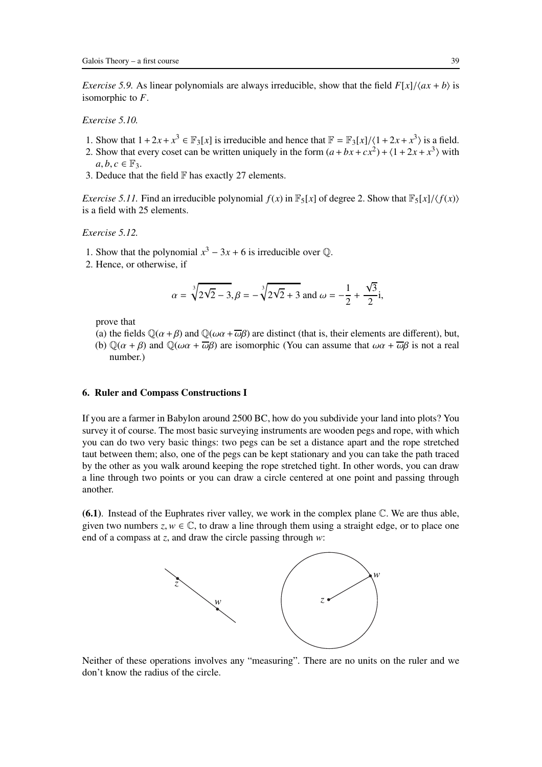*Exercise 5.9.* As linear polynomials are always irreducible, show that the field  $F[x]/\langle ax + b \rangle$  is isomorphic to *F*.

*Exercise 5.10.*

- 1. Show that  $1 + 2x + x^3 \in \mathbb{F}_3[x]$  is irreducible and hence that  $\mathbb{F} = \mathbb{F}_3[x]/\langle 1 + 2x + x^3 \rangle$  is a field.
- 2. Show that every coset can be written uniquely in the form  $(a + bx + cx^2) + (1 + 2x + x^3)$  with  $a, b, c \in \mathbb{F}_3$ .
- 3. Deduce that the field  $\mathbb F$  has exactly 27 elements.

*Exercise 5.11.* Find an irreducible polynomial  $f(x)$  in  $\mathbb{F}_5[x]$  of degree 2. Show that  $\mathbb{F}_5[x]/\langle f(x) \rangle$ is a field with 25 elements.

*Exercise 5.12.*

- 1. Show that the polynomial  $x^3 3x + 6$  is irreducible over  $\mathbb{Q}$ .
- 2. Hence, or otherwise, if

$$
\alpha = \sqrt[3]{2\sqrt{2} - 3}, \beta = -\sqrt[3]{2\sqrt{2} + 3}
$$
 and  $\omega = -\frac{1}{2} + \frac{\sqrt{3}}{2}i$ ,

prove that

- (a) the fields  $\mathbb{Q}(\alpha + \beta)$  and  $\mathbb{Q}(\omega \alpha + \overline{\omega} \beta)$  are distinct (that is, their elements are different), but,
- (b)  $\mathbb{Q}(\alpha + \beta)$  and  $\mathbb{Q}(\omega \alpha + \overline{\omega} \beta)$  are isomorphic (You can assume that  $\omega \alpha + \overline{\omega} \beta$  is not a real number.)

## <span id="page-38-0"></span>6. Ruler and Compass Constructions I

If you are a farmer in Babylon around 2500 BC, how do you subdivide your land into plots? You survey it of course. The most basic surveying instruments are wooden pegs and rope, with which you can do two very basic things: two pegs can be set a distance apart and the rope stretched taut between them; also, one of the pegs can be kept stationary and you can take the path traced by the other as you walk around keeping the rope stretched tight. In other words, you can draw a line through two points or you can draw a circle centered at one point and passing through another.

 $(6.1)$ . Instead of the Euphrates river valley, we work in the complex plane  $\mathbb{C}$ . We are thus able, given two numbers  $z, w \in \mathbb{C}$ , to draw a line through them using a straight edge, or to place one end of a compass at *z*, and draw the circle passing through *w*:



Neither of these operations involves any "measuring". There are no units on the ruler and we don't know the radius of the circle.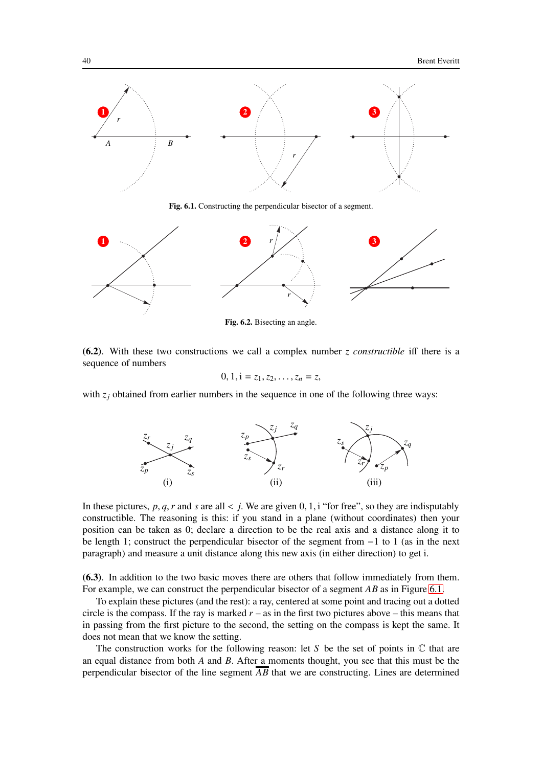

Fig. 6.1. Constructing the perpendicular bisector of a segment.



Fig. 6.2. Bisecting an angle.

(6.2). With these two constructions we call a complex number *z constructible* iff there is a sequence of numbers

$$
0, 1, i = z_1, z_2, \ldots, z_n = z,
$$

with  $z_i$  obtained from earlier numbers in the sequence in one of the following three ways:



In these pictures,  $p, q, r$  and  $s$  are all  $\lt j$ . We are given 0, 1, i "for free", so they are indisputably constructible. The reasoning is this: if you stand in a plane (without coordinates) then your position can be taken as 0; declare a direction to be the real axis and a distance along it to be length 1; construct the perpendicular bisector of the segment from −1 to 1 (as in the next paragraph) and measure a unit distance along this new axis (in either direction) to get i.

(6.3). In addition to the two basic moves there are others that follow immediately from them. For example, we can construct the perpendicular bisector of a segment *AB* as in Figure [6.1.](#page-92-0)

To explain these pictures (and the rest): a ray, centered at some point and tracing out a dotted circle is the compass. If the ray is marked  $r -$  as in the first two pictures above – this means that in passing from the first picture to the second, the setting on the compass is kept the same. It does not mean that we know the setting.

The construction works for the following reason: let *S* be the set of points in  $\mathbb C$  that are an equal distance from both *A* and *B*. After a moments thought, you see that this must be the perpendicular bisector of the line segment  $\overline{AB}$  that we are constructing. Lines are determined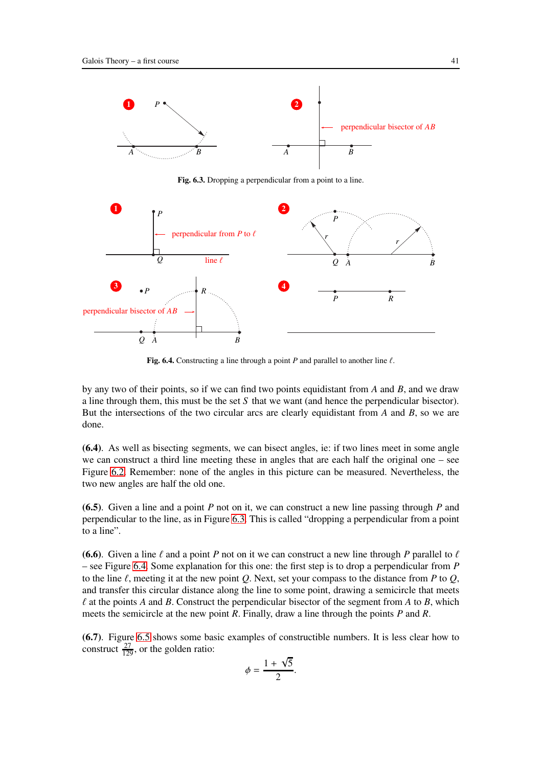

Fig. 6.3. Dropping a perpendicular from a point to a line.



Fig. 6.4. Constructing a line through a point  $P$  and parallel to another line  $\ell$ .

by any two of their points, so if we can find two points equidistant from *A* and *B*, and we draw a line through them, this must be the set *S* that we want (and hence the perpendicular bisector). But the intersections of the two circular arcs are clearly equidistant from *A* and *B*, so we are done.

(6.4). As well as bisecting segments, we can bisect angles, ie: if two lines meet in some angle we can construct a third line meeting these in angles that are each half the original one – see Figure [6.2.](#page-90-0) Remember: none of the angles in this picture can be measured. Nevertheless, the two new angles are half the old one.

(6.5). Given a line and a point *P* not on it, we can construct a new line passing through *P* and perpendicular to the line, as in Figure [6.3.](#page-85-0) This is called "dropping a perpendicular from a point to a line".

(6.6). Given a line  $\ell$  and a point *P* not on it we can construct a new line through *P* parallel to  $\ell$ – see Figure [6.4.](#page-86-0) Some explanation for this one: the first step is to drop a perpendicular from *P* to the line  $\ell$ , meeting it at the new point  $\Omega$ . Next, set your compass to the distance from  $P$  to  $\Omega$ , and transfer this circular distance along the line to some point, drawing a semicircle that meets  $\ell$  at the points *A* and *B*. Construct the perpendicular bisector of the segment from *A* to *B*, which meets the semicircle at the new point *R*. Finally, draw a line through the points *P* and *R*.

(6.7). Figure [6.5](#page-86-1) shows some basic examples of constructible numbers. It is less clear how to construct  $\frac{27}{129}$ , or the golden ratio:

$$
\phi = \frac{1 + \sqrt{5}}{2}.
$$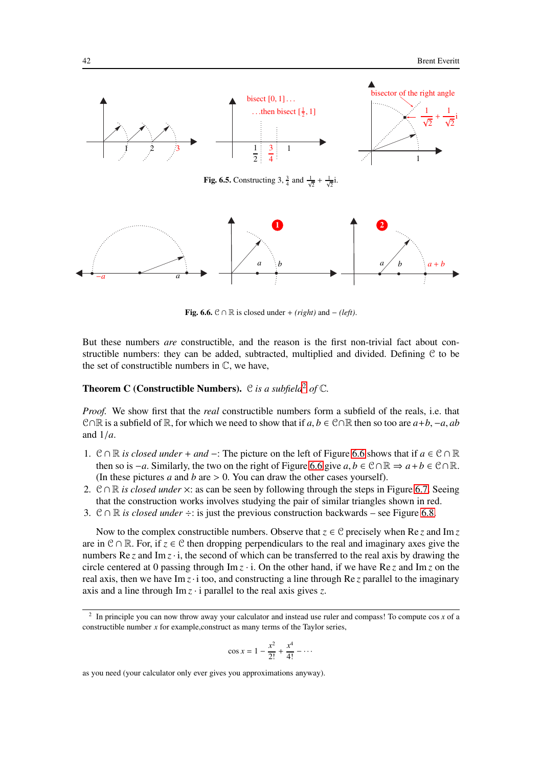

**Fig. 6.6.**  $\mathcal{C} \cap \mathbb{R}$  is closed under + *(right)* and − *(left)*.

But these numbers *are* constructible, and the reason is the first non-trivial fact about constructible numbers: they can be added, subtracted, multiplied and divided. Defining C to be the set of constructible numbers in  $\mathbb{C}$ , we have,

# Theorem C (Constructible Numbers). C *is a subfield*[2](#page-41-0) *of* C*.*

*Proof.* We show first that the *real* constructible numbers form a subfield of the reals, i.e. that C∩R is a subfield of R, for which we need to show that if  $a, b \in \mathbb{C} \cap \mathbb{R}$  then so too are  $a+b, -a, ab$ and 1/*a*.

- 1. <sup>C</sup> <sup>∩</sup> <sup>R</sup> *is closed under* <sup>+</sup> *and* <sup>−</sup>: The picture on the left of Figure [6.6](#page-87-0) shows that if *<sup>a</sup>* <sup>∈</sup> <sup>C</sup> <sup>∩</sup> <sup>R</sup> then so is  $-a$ . Similarly, the two on the right of Figure [6.6](#page-87-0) give  $a, b \in \mathbb{C} \cap \mathbb{R} \Rightarrow a + b \in \mathbb{C} \cap \mathbb{R}$ . (In these pictures *a* and *b* are > 0. You can draw the other cases yourself).
- 2. C∩R *is closed under*  $\times$ : as can be seen by following through the steps in Figure [6.7.](#page-42-0) Seeing that the construction works involves studying the pair of similar triangles shown in red.
- 3. <sup>C</sup> <sup>∩</sup> <sup>R</sup> *is closed under* <sup>÷</sup>: is just the previous construction backwards see Figure [6.8.](#page-42-1)

Now to the complex constructible numbers. Observe that  $z \in C$  precisely when Re *z* and Im *z* are in <sup>C</sup> <sup>∩</sup> <sup>R</sup>. For, if *<sup>z</sup>* <sup>∈</sup> <sup>C</sup> then dropping perpendiculars to the real and imaginary axes give the numbers  $\text{Re } z$  and  $\text{Im } z \cdot i$ , the second of which can be transferred to the real axis by drawing the circle centered at 0 passing through  $\text{Im } z \cdot i$ . On the other hand, if we have Re *z* and  $\text{Im } z$  on the real axis, then we have Im *z*· i too, and constructing a line through Re *z* parallel to the imaginary axis and a line through Im *z* · i parallel to the real axis gives *z*.

$$
\cos x = 1 - \frac{x^2}{2!} + \frac{x^4}{4!} - \cdots
$$

as you need (your calculator only ever gives you approximations anyway).

<span id="page-41-0"></span><sup>2</sup> In principle you can now throw away your calculator and instead use ruler and compass! To compute cos *x* of a constructible number *x* for example,construct as many terms of the Taylor series,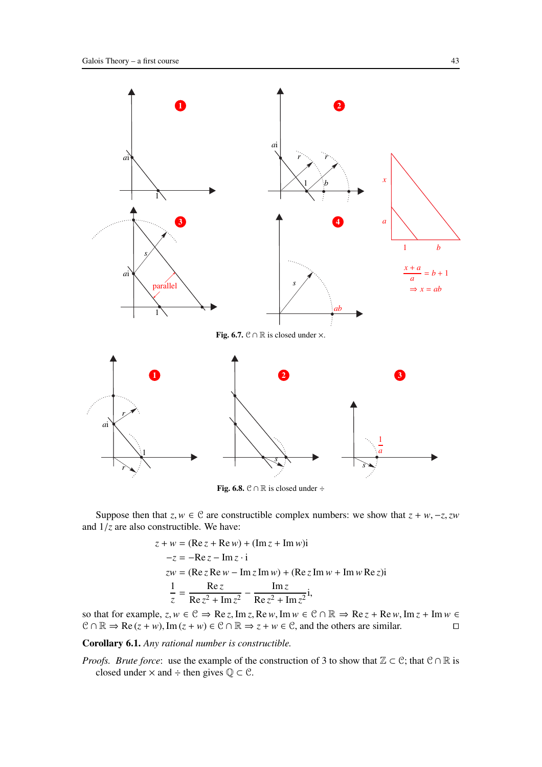

<span id="page-42-1"></span><span id="page-42-0"></span>Fig. 6.8.  $\mathcal{C} \cap \mathbb{R}$  is closed under ÷

Suppose then that  $z, w \in \mathcal{C}$  are constructible complex numbers: we show that  $z + w, -z, zw$ and 1/*z* are also constructible. We have:

$$
z + w = (\text{Re } z + \text{Re } w) + (\text{Im } z + \text{Im } w)i
$$
  
\n
$$
-z = -\text{Re } z - \text{Im } z \cdot i
$$
  
\n
$$
zw = (\text{Re } z \text{Re } w - \text{Im } z \text{Im } w) + (\text{Re } z \text{Im } w + \text{Im } w \text{Re } z)i
$$
  
\n
$$
\frac{1}{z} = \frac{\text{Re } z}{\text{Re } z^2 + \text{Im } z^2} - \frac{\text{Im } z}{\text{Re } z^2 + \text{Im } z^2}i,
$$

so that for example,  $z, w \in \mathcal{C} \Rightarrow \text{Re } z, \text{Im } z, \text{Re } w, \text{Im } w \in \mathcal{C} \cap \mathbb{R} \Rightarrow \text{Re } z + \text{Re } w, \text{Im } z + \text{Im } w \in \mathcal{C} \cap \mathbb{R} \Rightarrow \text{Re } (z + w), \text{Im } (z + w) \in \mathcal{C} \cap \mathbb{R} \Rightarrow z + w \in \mathcal{C}$ , and the others are similar.  $C \cap \mathbb{R} \Rightarrow \text{Re}(z + w), \text{Im}(z + w) \in \mathbb{C} \cap \mathbb{R} \Rightarrow z + w \in \mathbb{C}$ , and the others are similar.

Corollary 6.1. *Any rational number is constructible.*

*Proofs. Brute force*: use the example of the construction of 3 to show that  $\mathbb{Z} \subset \mathbb{C}$ ; that  $\mathbb{C} \cap \mathbb{R}$  is closed under  $\times$  and ÷ then gives  $\mathbb{Q} \subset \mathcal{C}$ .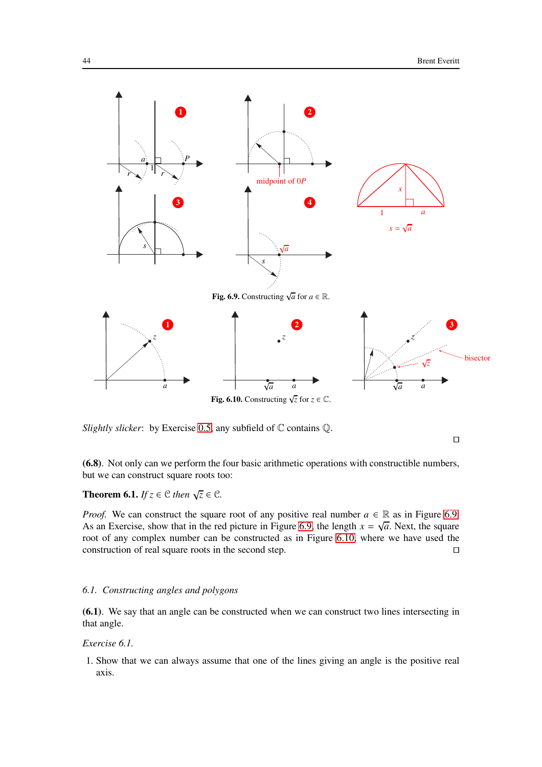

<span id="page-43-1"></span><span id="page-43-0"></span>*Slightly slicker*: by Exercise [0.5,](#page-7-0) any subfield of  $\mathbb C$  contains  $\mathbb Q$ .

⊓⊔

(6.8). Not only can we perform the four basic arithmetic operations with constructible numbers, but we can construct square roots too:

**Theorem 6.1.** *If*  $z \in C$  *then*  $\sqrt{z} \in C$ *.* 

*Proof.* We can construct the square root of any positive real number  $a \in \mathbb{R}$  as in Figure [6.9.](#page-43-0) As an Exercise, show that in the red picture in Figure [6.9,](#page-43-0) the length  $x = \sqrt{a}$ . Next, the square root of any complex number can be constructed as in Figure [6.10,](#page-43-1) where we have used the construction of real square roots in the second step. □

### *6.1. Constructing angles and polygons*

<span id="page-43-2"></span>(6.1). We say that an angle can be constructed when we can construct two lines intersecting in that angle.

## *Exercise 6.1.*

1. Show that we can always assume that one of the lines giving an angle is the positive real axis.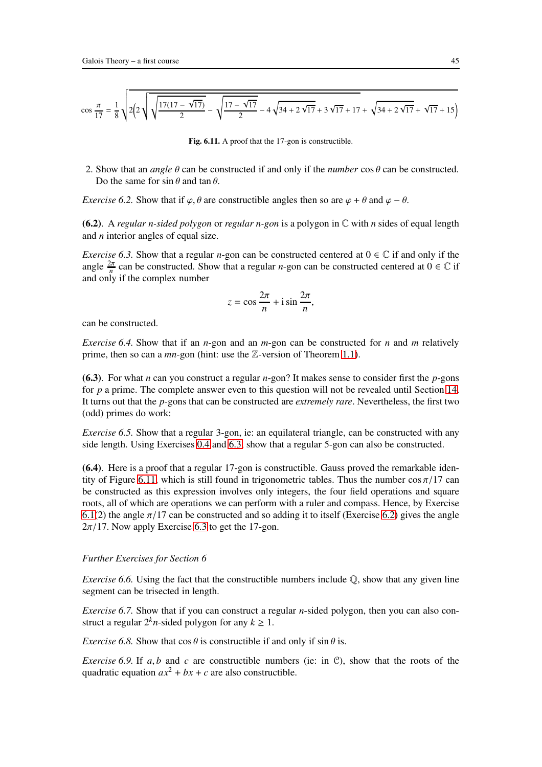$$
\cos\frac{\pi}{17} = \frac{1}{8}\sqrt{2\left(2\sqrt{\sqrt{\frac{17(17-\sqrt{17})}{2}}}-\sqrt{\frac{17-\sqrt{17}}{2}}-4\sqrt{34+2\sqrt{17}}+3\sqrt{17}+17+\sqrt{34+2\sqrt{17}}+\sqrt{17}+15\right)}
$$

<span id="page-44-1"></span>Fig. 6.11. A proof that the 17-gon is constructible.

2. Show that an *angle* θ can be constructed if and only if the *number* cos θ can be constructed. Do the same for  $\sin \theta$  and  $\tan \theta$ .

<span id="page-44-2"></span>*Exercise 6.2.* Show that if  $\varphi$ ,  $\theta$  are constructible angles then so are  $\varphi + \theta$  and  $\varphi - \theta$ .

<span id="page-44-0"></span>(6.2). A *regular n-sided polygon* or *regular n-gon* is a polygon in C with *n* sides of equal length and *n* interior angles of equal size.

*Exercise 6.3.* Show that a regular *n*-gon can be constructed centered at  $0 \in \mathbb{C}$  if and only if the angle  $\frac{2\pi}{n}$  can be constructed. Show that a regular *n*-gon can be constructed centered at  $0 \in \mathbb{C}$  if and only if the complex number

$$
z = \cos\frac{2\pi}{n} + i\sin\frac{2\pi}{n},
$$

can be constructed.

*Exercise 6.4.* Show that if an *n*-gon and an *m*-gon can be constructed for *n* and *m* relatively prime, then so can a *mn*-gon (hint: use the Z-version of Theorem [1.1\)](#page-11-0).

(6.3). For what *n* can you construct a regular *n*-gon? It makes sense to consider first the *p*-gons for *p* a prime. The complete answer even to this question will not be revealed until Section [14.](#page-87-1) It turns out that the *p*-gons that can be constructed are *extremely rare*. Nevertheless, the first two (odd) primes do work:

*Exercise 6.5.* Show that a regular 3-gon, ie: an equilateral triangle, can be constructed with any side length. Using Exercises [0.4](#page-6-0) and [6.3,](#page-44-0) show that a regular 5-gon can also be constructed.

(6.4). Here is a proof that a regular 17-gon is constructible. Gauss proved the remarkable iden-tity of Figure [6.11,](#page-44-1) which is still found in trigonometric tables. Thus the number  $\cos(\pi/17 \text{ can})$ be constructed as this expression involves only integers, the four field operations and square roots, all of which are operations we can perform with a ruler and compass. Hence, by Exercise [6.1\(](#page-43-2)2) the angle  $\pi/17$  can be constructed and so adding it to itself (Exercise [6.2\)](#page-44-2) gives the angle  $2\pi/17$ . Now apply Exercise [6.3](#page-44-0) to get the 17-gon.

## *Further Exercises for Section 6*

*Exercise 6.6.* Using the fact that the constructible numbers include  $\mathbb{Q}$ , show that any given line segment can be trisected in length.

*Exercise 6.7.* Show that if you can construct a regular *n*-sided polygon, then you can also construct a regular  $2^k n$ -sided polygon for any  $k \geq 1$ .

*Exercise 6.8.* Show that  $\cos \theta$  is constructible if and only if  $\sin \theta$  is.

*Exercise* 6.9. If  $a, b$  and  $c$  are constructible numbers (ie: in  $\mathcal{C}$ ), show that the roots of the quadratic equation  $ax^2 + bx + c$  are also constructible.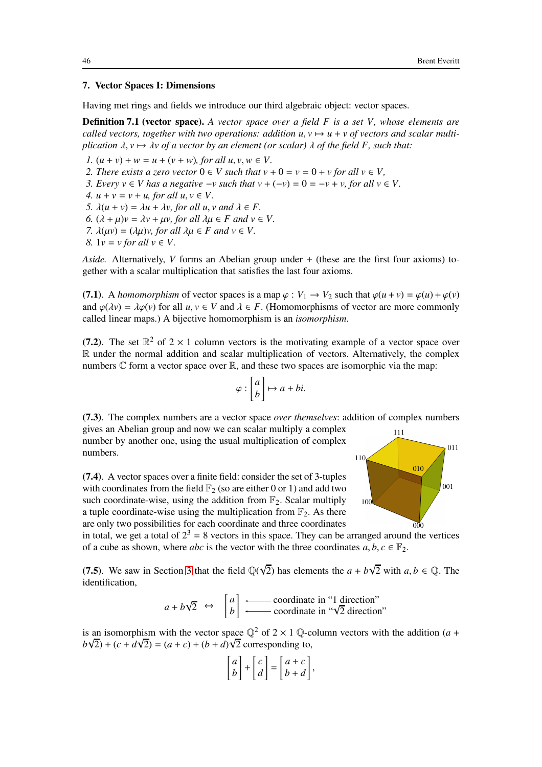## <span id="page-45-0"></span>7. Vector Spaces I: Dimensions

Having met rings and fields we introduce our third algebraic object: vector spaces.

Definition 7.1 (vector space). *A vector space over a field F is a set V, whose elements are called vectors, together with two operations: addition*  $u, v \mapsto u + v$  *of vectors and scalar multiplication*  $\lambda$ ,  $\nu \mapsto \lambda \nu$  of a vector by an element (or scalar)  $\lambda$  of the field F, such that:

*1.*  $(u + v) + w = u + (v + w)$ *, for all u, v, w*  $\in V$ *.* 2. There exists a zero vector  $0 \in V$  such that  $v + 0 = v = 0 + v$  for all  $v \in V$ , *3. Every*  $v \in V$  *has a negative*  $-v$  *such that*  $v + (-v) = 0 = -v + v$ *, for all*  $v \in V$ *. 4.*  $u + v = v + u$ , for all  $u, v \in V$ . *5.*  $\lambda(u + v) = \lambda u + \lambda v$ , for all  $u, v$  and  $\lambda \in F$ . *6.*  $(\lambda + \mu)v = \lambda v + \mu v$ , for all  $\lambda \mu \in F$  and  $v \in V$ . *7.*  $\lambda(\mu\nu) = (\lambda\mu)\nu$ , for all  $\lambda\mu \in F$  and  $\nu \in V$ . *8.*  $1v = v$  *for all*  $v \in V$ .

*Aside.* Alternatively, *V* forms an Abelian group under + (these are the first four axioms) together with a scalar multiplication that satisfies the last four axioms.

(7.1). A *homomorphism* of vector spaces is a map  $\varphi : V_1 \to V_2$  such that  $\varphi(u+v) = \varphi(u) + \varphi(v)$ and  $\varphi(\lambda v) = \lambda \varphi(v)$  for all  $u, v \in V$  and  $\lambda \in F$ . (Homomorphisms of vector are more commonly called linear maps.) A bijective homomorphism is an *isomorphism*.

(7.2). The set  $\mathbb{R}^2$  of  $2 \times 1$  column vectors is the motivating example of a vector space over R under the normal addition and scalar multiplication of vectors. Alternatively, the complex numbers  $\mathbb C$  form a vector space over  $\mathbb R$ , and these two spaces are isomorphic via the map:

$$
\varphi : \begin{bmatrix} a \\ b \end{bmatrix} \mapsto a + bi.
$$

(7.3). The complex numbers are a vector space *over themselves*: addition of complex numbers gives an Abelian group and now we can scalar multiply a complex number by another one, using the usual multiplication of complex 111



(7.4). A vector spaces over a finite field: consider the set of 3-tuples with coordinates from the field  $\mathbb{F}_2$  (so are either 0 or 1) and add two such coordinate-wise, using the addition from  $\mathbb{F}_2$ . Scalar multiply a tuple coordinate-wise using the multiplication from  $\mathbb{F}_2$ . As there are only two possibilities for each coordinate and three coordinates

in total, we get a total of  $2<sup>3</sup> = 8$  vectors in this space. They can be arranged around the vertices of a cube as shown, where *abc* is the vector with the three coordinates  $a, b, c \in \mathbb{F}_2$ .

(7.5). We saw in Section [3](#page-21-0) that the field  $\mathbb{Q}(\sqrt{2})$  has elements the  $a + b\sqrt{2}$  with  $a, b \in \mathbb{Q}$ . The identification,

$$
a + b\sqrt{2} \leftrightarrow \begin{bmatrix} a \\ b \end{bmatrix}
$$
  $\longleftarrow$  coordinate in "1 direction"  
coordinate in " $\sqrt{2}$  direction"

is an isomorphism with the vector space  $\mathbb{Q}^2$  of  $2 \times 1$   $\mathbb{Q}$ -column vectors with the addition (*a* +  $b\sqrt{2}$ ) + (*c* + *d* $\sqrt{2}$ ) = (*a* + *c*) + (*b* + *d*) $\sqrt{2}$  corresponding to,

$$
\begin{bmatrix} a \\ b \end{bmatrix} + \begin{bmatrix} c \\ d \end{bmatrix} = \begin{bmatrix} a+c \\ b+d \end{bmatrix},
$$

numbers.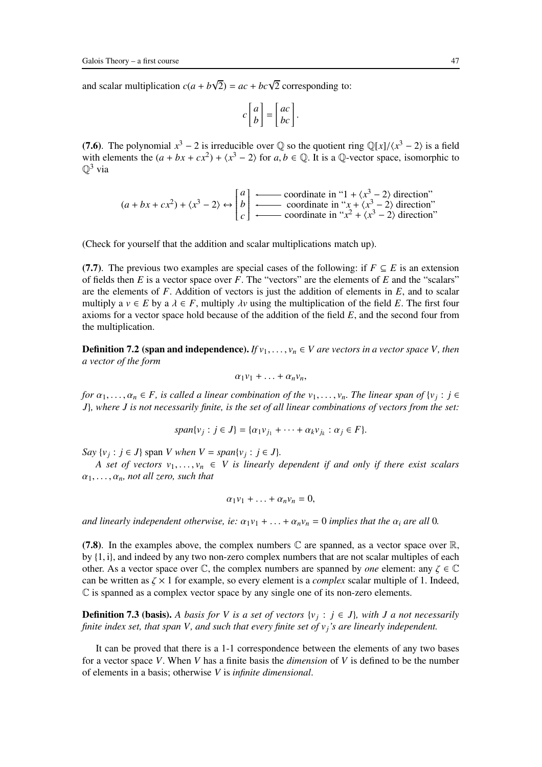and scalar multiplication  $c(a + b\sqrt{2}) = ac + bc\sqrt{2}$  corresponding to:

$$
c \begin{bmatrix} a \\ b \end{bmatrix} = \begin{bmatrix} ac \\ bc \end{bmatrix}.
$$

(7.6). The polynomial  $x^3 - 2$  is irreducible over  $\mathbb{Q}$  so the quotient ring  $\mathbb{Q}[x]/\langle x^3 - 2 \rangle$  is a field with elements the  $(a + bx + cx^2) + \langle x^3 - 2 \rangle$  for  $a, b \in \mathbb{Q}$ . It is a  $\mathbb{Q}$ -vector space, isomorphic to  $\mathbb{Q}^3$  via

$$
(a + bx + cx^2) + \langle x^3 - 2 \rangle \leftrightarrow \begin{bmatrix} a \\ b \\ c \end{bmatrix} \xleftarrow{\text{coordinate in } '1 + \langle x^3 - 2 \rangle \text{ direction}}' \text{coordinate in } 'x + \langle x^3 - 2 \rangle \text{ direction'}
$$
\n
$$
\text{coordinate in } 'x^2 + \langle x^3 - 2 \rangle \text{ direction'}
$$

(Check for yourself that the addition and scalar multiplications match up).

(7.7). The previous two examples are special cases of the following: if  $F \subseteq E$  is an extension of fields then  $E$  is a vector space over  $F$ . The "vectors" are the elements of  $E$  and the "scalars" are the elements of *F*. Addition of vectors is just the addition of elements in *E*, and to scalar multiply a  $v \in E$  by a  $\lambda \in F$ , multiply  $\lambda v$  using the multiplication of the field E. The first four axioms for a vector space hold because of the addition of the field *E*, and the second four from the multiplication.

**Definition 7.2 (span and independence).** *If*  $v_1, \ldots, v_n \in V$  are vectors in a vector space V, then *a vector of the form*

$$
\alpha_1v_1+\ldots+\alpha_nv_n,
$$

*for*  $\alpha_1, \ldots, \alpha_n \in F$ , is called a linear combination of the  $v_1, \ldots, v_n$ . The linear span of  $\{v_j : j \in F_j\}$ *J*}*, where J is not necessarily finite, is the set of all linear combinations of vectors from the set:*

$$
span\{v_j:j\in J\}=\{\alpha_1v_{j_1}+\cdots+\alpha_kv_{j_k}:\alpha_j\in F\}.
$$

*Say*  $\{v_j : j \in J\}$  span *V* when  $V = span\{v_j : j \in J\}$ .

*A set of vectors*  $v_1, \ldots, v_n \in V$  *is linearly dependent if and only if there exist scalars*  $\alpha_1, \ldots, \alpha_n$ , not all zero, such that

$$
\alpha_1v_1+\ldots+\alpha_nv_n=0,
$$

*and linearly independent otherwise, ie:*  $\alpha_1v_1 + \ldots + \alpha_nv_n = 0$  *implies that the*  $\alpha_i$  *are all* 0*.* 

(7.8). In the examples above, the complex numbers  $\mathbb C$  are spanned, as a vector space over  $\mathbb R$ , by {1, i}, and indeed by any two non-zero complex numbers that are not scalar multiples of each other. As a vector space over  $\mathbb{C}$ , the complex numbers are spanned by *one* element: any  $\zeta \in \mathbb{C}$ can be written as  $\zeta \times 1$  for example, so every element is a *complex* scalar multiple of 1. Indeed,  $\mathbb C$  is spanned as a complex vector space by any single one of its non-zero elements.

**Definition 7.3 (basis).** A basis for V is a set of vectors  $\{v_j : j \in J\}$ , with J a not necessarily *finite index set, that span V, and such that every finite set of vj's are linearly independent.*

It can be proved that there is a 1-1 correspondence between the elements of any two bases for a vector space *V*. When *V* has a finite basis the *dimension* of *V* is defined to be the number of elements in a basis; otherwise *V* is *infinite dimensional*.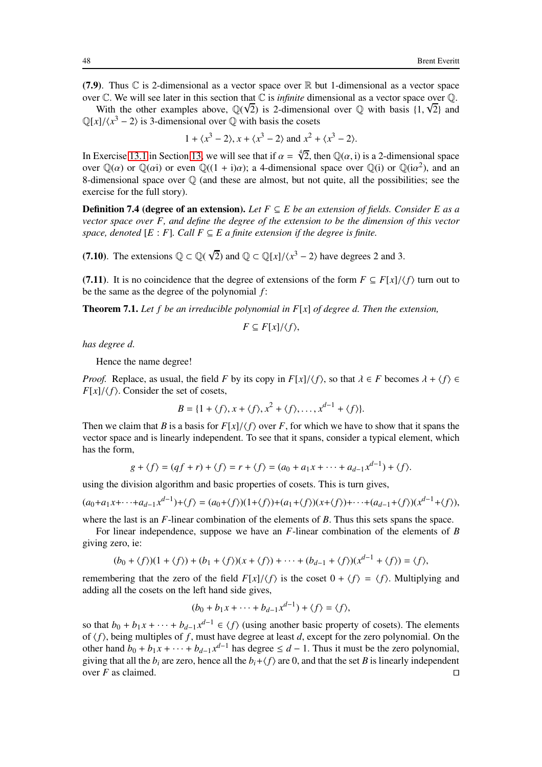(7.9). Thus  $\mathbb C$  is 2-dimensional as a vector space over  $\mathbb R$  but 1-dimensional as a vector space over  $\mathbb C$ . We will see later in this section that  $\mathbb C$  is *infinite* dimensional as a vector space over  $\mathbb Q$ .

With the other examples above,  $\mathbb{Q}(\sqrt{2})$  is 2-dimensional over  $\mathbb{Q}$  with basis  $\{1, \sqrt{2}\}$  and  $\mathbb{Q}[x]/\langle x^3 - 2 \rangle$  is 3-dimensional over  $\mathbb Q$  with basis the cosets

$$
1 + \langle x^3 - 2 \rangle
$$
,  $x + \langle x^3 - 2 \rangle$  and  $x^2 + \langle x^3 - 2 \rangle$ .

In Exercise [13.1](#page-85-1) in Section [13,](#page-81-0) we will see that if  $\alpha = \sqrt[4]{2}$ , then  $\mathbb{Q}(\alpha, i)$  is a 2-dimensional space over  $\mathbb{Q}(\alpha)$  or  $\mathbb{Q}(\alpha i)$  or even  $\mathbb{Q}((1 + i)\alpha)$ ; a 4-dimensional space over  $\mathbb{Q}(i)$  or  $\mathbb{Q}(i\alpha^2)$ , and an 8-dimensional space over Q (and these are almost, but not quite, all the possibilities; see the exercise for the full story).

Definition 7.4 (degree of an extension). *Let F* ⊆ *E be an extension of fields. Consider E as a vector space over F, and define the degree of the extension to be the dimension of this vector space, denoted*  $[E : F]$ *. Call*  $F \subseteq E$  *a finite extension if the degree is finite.* 

(7.10). The extensions  $\mathbb{Q} \subset \mathbb{Q}(\sqrt{2})$  and  $\mathbb{Q} \subset \mathbb{Q}[x]/\langle x^3 - 2 \rangle$  have degrees 2 and 3.

<span id="page-47-0"></span>(7.11). It is no coincidence that the degree of extensions of the form  $F \subseteq F[x]/\langle f \rangle$  turn out to be the same as the degree of the polynomial *f* :

Theorem 7.1. *Let f be an irreducible polynomial in F*[*x*] *of degree d. Then the extension,*

$$
F\subseteq F[x]/\langle f\rangle,
$$

*has degree d.*

Hence the name degree!

*Proof.* Replace, as usual, the field *F* by its copy in  $F[x]/\langle f \rangle$ , so that  $\lambda \in F$  becomes  $\lambda + \langle f \rangle \in$  $F[x]/\langle f \rangle$ . Consider the set of cosets,

$$
B = \{1 + \langle f \rangle, x + \langle f \rangle, x^2 + \langle f \rangle, \dots, x^{d-1} + \langle f \rangle\}.
$$

Then we claim that *B* is a basis for  $F[x]/\langle f \rangle$  over *F*, for which we have to show that it spans the vector space and is linearly independent. To see that it spans, consider a typical element, which has the form,

$$
g + \langle f \rangle = (qf + r) + \langle f \rangle = r + \langle f \rangle = (a_0 + a_1x + \dots + a_{d-1}x^{d-1}) + \langle f \rangle.
$$

using the division algorithm and basic properties of cosets. This is turn gives,

$$
(a_0 + a_1x + \dots + a_{d-1}x^{d-1}) + \langle f \rangle = (a_0 + \langle f \rangle)(1 + \langle f \rangle) + (a_1 + \langle f \rangle)(x + \langle f \rangle) + \dots + (a_{d-1} + \langle f \rangle)(x^{d-1} + \langle f \rangle),
$$

where the last is an *F*-linear combination of the elements of *B*. Thus this sets spans the space.

For linear independence, suppose we have an *F*-linear combination of the elements of *B* giving zero, ie:

$$
(b_0 + \langle f \rangle)(1 + \langle f \rangle) + (b_1 + \langle f \rangle)(x + \langle f \rangle) + \cdots + (b_{d-1} + \langle f \rangle)(x^{d-1} + \langle f \rangle) = \langle f \rangle,
$$

remembering that the zero of the field  $F[x]/\langle f \rangle$  is the coset  $0 + \langle f \rangle = \langle f \rangle$ . Multiplying and adding all the cosets on the left hand side gives,

$$
(b_0 + b_1x + \dots + b_{d-1}x^{d-1}) + \langle f \rangle = \langle f \rangle,
$$

so that  $b_0 + b_1 x + \cdots + b_{d-1} x^{d-1} \in \langle f \rangle$  (using another basic property of cosets). The elements of  $\langle f \rangle$ , being multiples of *f*, must have degree at least *d*, except for the zero polynomial. On the other hand  $b_0 + b_1 x + \cdots + b_{d-1} x^{d-1}$  has degree ≤ *d* − 1. Thus it must be the zero polynomial, giving that all the  $b_i$  are zero, hence all the  $b_i + \langle f \rangle$  are 0, and that the set *B* is linearly independent over *F* as claimed. over *F* as claimed. ⊓⊔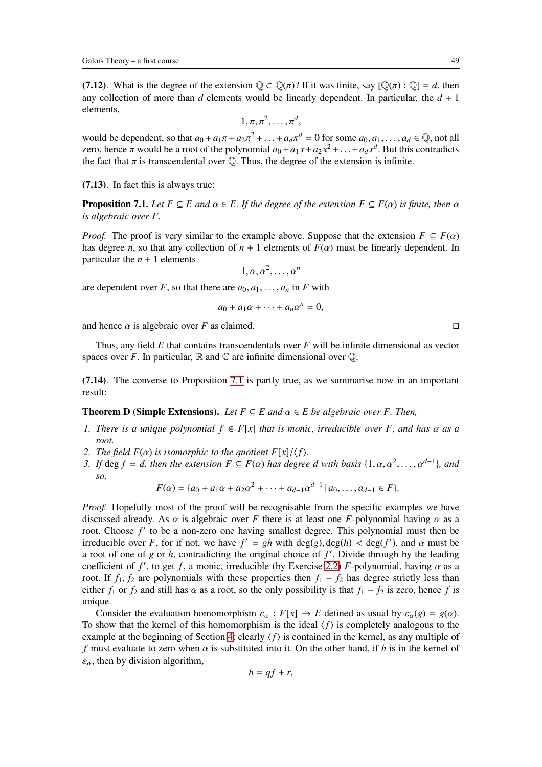(7.12). What is the degree of the extension  $\mathbb{Q} \subset \mathbb{Q}(\pi)$ ? If it was finite, say  $[\mathbb{Q}(\pi) : \mathbb{Q}] = d$ , then any collection of more than *d* elements would be linearly dependent. In particular, the  $d + 1$ elements,

$$
1, \pi, \pi^2, \ldots, \pi^d,
$$

would be dependent, so that  $a_0 + a_1\pi + a_2\pi^2 + \ldots + a_d\pi^d = 0$  for some  $a_0, a_1, \ldots, a_d \in \mathbb{Q}$ , not all zero, hence  $\pi$  would be a root of the polynomial  $a_0 + a_1 x + a_2 x^2 + \ldots + a_d x^d$ . But this contradicts the fact that  $\pi$  is transcendental over  $\mathbb Q$ . Thus, the degree of the extension is infinite.

<span id="page-48-0"></span>(7.13). In fact this is always true:

**Proposition 7.1.** *Let*  $F \subseteq E$  *and*  $\alpha \in E$ *. If the degree of the extension*  $F \subseteq F(\alpha)$  *is finite, then*  $\alpha$ *is algebraic over F.*

*Proof.* The proof is very similar to the example above. Suppose that the extension  $F \subseteq F(\alpha)$ has degree *n*, so that any collection of  $n + 1$  elements of  $F(\alpha)$  must be linearly dependent. In particular the  $n + 1$  elements

$$
1, \alpha, \alpha^2, \ldots, \alpha^n
$$

are dependent over *F*, so that there are  $a_0, a_1, \ldots, a_n$  in *F* with

$$
a_0 + a_1 \alpha + \cdots + a_n \alpha^n = 0,
$$

and hence  $\alpha$  is algebraic over *F* as claimed. □

Thus, any field *E* that contains transcendentals over *F* will be infinite dimensional as vector spaces over *F*. In particular,  $\mathbb R$  and  $\mathbb C$  are infinite dimensional over  $\mathbb Q$ .

(7.14). The converse to Proposition [7.1](#page-48-0) is partly true, as we summarise now in an important result:

## **Theorem D (Simple Extensions).** *Let*  $F \subseteq E$  *and*  $\alpha \in E$  *be algebraic over F. Then,*

- *1. There is a unique polynomial*  $f \in F[x]$  *that is monic, irreducible over* F, and has  $\alpha$  as a *root.*
- *2. The field*  $F(\alpha)$  *is isomorphic to the quotient*  $F[x]/\langle f \rangle$ *.*
- *3. If* deg  $f = d$ *, then the extension*  $F \subseteq F(\alpha)$  *has degree d with basis*  $\{1, \alpha, \alpha^2, \dots, \alpha^{d-1}\}$ *, and so,*

$$
F(\alpha) = \{a_0 + a_1\alpha + a_2\alpha^2 + \cdots + a_{d-1}\alpha^{d-1} \mid a_0, \ldots, a_{d-1} \in F\}.
$$

*Proof.* Hopefully most of the proof will be recognisable from the specific examples we have discussed already. As  $\alpha$  is algebraic over *F* there is at least one *F*-polynomial having  $\alpha$  as a root. Choose f' to be a non-zero one having smallest degree. This polynomial must then be irreducible over *F*, for if not, we have  $f' = gh$  with  $deg(g)$ ,  $deg(h) < deg(f')$ , and  $\alpha$  must be a root of one of *g* or *h*, contradicting the original choice of *f* ′ . Divide through by the leading coefficient of  $f'$ , to get  $f$ , a monic, irreducible (by Exercise [2.2\)](#page-14-0)  $F$ -polynomial, having  $\alpha$  as a root. If  $f_1, f_2$  are polynomials with these properties then  $f_1 - f_2$  has degree strictly less than either *f*<sub>1</sub> or *f*<sub>2</sub> and still has  $\alpha$  as a root, so the only possibility is that *f*<sub>1</sub> − *f*<sub>2</sub> is zero, hence *f* is unique.

Consider the evaluation homomorphism  $\varepsilon_{\alpha}$ :  $F[x] \to E$  defined as usual by  $\varepsilon_{\alpha}(g) = g(\alpha)$ . To show that the kernel of this homomorphism is the ideal  $\langle f \rangle$  is completely analogous to the example at the beginning of Section [4:](#page-27-0) clearly  $\langle f \rangle$  is contained in the kernel, as any multiple of *f* must evaluate to zero when  $\alpha$  is substituted into it. On the other hand, if *h* is in the kernel of  $\varepsilon_{\alpha}$ , then by division algorithm,

$$
h = qf + r,
$$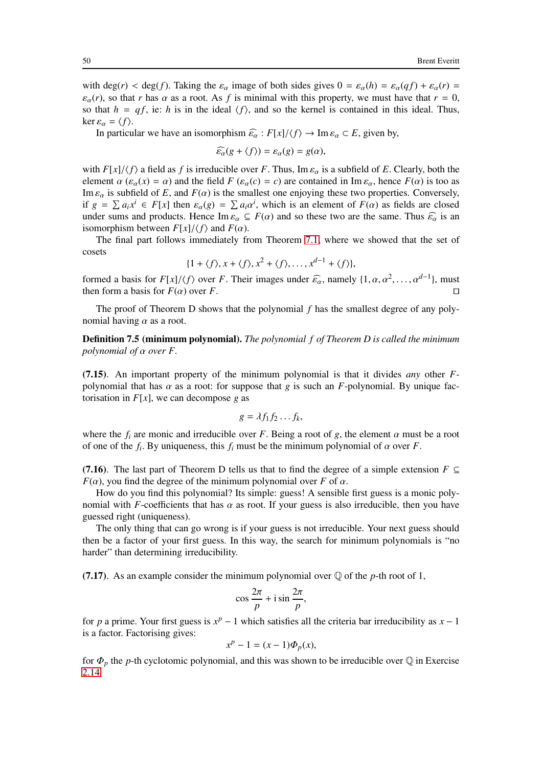with deg(*r*) < deg(*f*). Taking the  $\varepsilon_{\alpha}$  image of both sides gives  $0 = \varepsilon_{\alpha}(h) = \varepsilon_{\alpha}(q f) + \varepsilon_{\alpha}(r) =$  $\varepsilon_{\alpha}(r)$ , so that *r* has  $\alpha$  as a root. As *f* is minimal with this property, we must have that  $r = 0$ , so that  $h = qf$ , ie: *h* is in the ideal  $\langle f \rangle$ , and so the kernel is contained in this ideal. Thus, ker  $\varepsilon_{\alpha} = \langle f \rangle$ .

In particular we have an isomorphism  $\widehat{\epsilon_{\alpha}}$  :  $F[x]/\langle f \rangle \rightarrow \text{Im} \epsilon_{\alpha} \subset E$ , given by,

$$
\widehat{\varepsilon_{\alpha}}(g + \langle f \rangle) = \varepsilon_{\alpha}(g) = g(\alpha),
$$

with  $F[x]/\langle f \rangle$  a field as f is irreducible over F. Thus, Im  $\varepsilon_\alpha$  is a subfield of E. Clearly, both the element  $\alpha$  ( $\varepsilon_{\alpha}(x) = \alpha$ ) and the field *F* ( $\varepsilon_{\alpha}(c) = c$ ) are contained in Im  $\varepsilon_{\alpha}$ , hence *F*( $\alpha$ ) is too as Im  $\varepsilon_{\alpha}$  is subfield of *E*, and  $F(\alpha)$  is the smallest one enjoying these two properties. Conversely, if  $g = \sum a_i x^i \in F[x]$  then  $\varepsilon_\alpha(g) = \sum a_i \alpha^i$ , which is an element of  $F(\alpha)$  as fields are closed under sums and products. Hence Im  $\varepsilon_{\alpha} \subseteq F(\alpha)$  and so these two are the same. Thus  $\widehat{\varepsilon_{\alpha}}$  is an isomorphism between  $F[x]/\langle f \rangle$  and  $F(\alpha)$ .

The final part follows immediately from Theorem [7.1,](#page-47-0) where we showed that the set of cosets

$$
\{1+\langle f\rangle, x+\langle f\rangle, x^2+\langle f\rangle, \ldots, x^{d-1}+\langle f\rangle\},\
$$

formed a basis for  $F[x]/\langle f \rangle$  over *F*. Their images under  $\widehat{\varepsilon_\alpha}$ , namely  $\{1, \alpha, \alpha^2, \dots, \alpha^{d-1}\}$ , must then form a basis for  $F(\alpha)$  over *F*. then form a basis for  $F(\alpha)$  over *F*. □

The proof of Theorem D shows that the polynomial *f* has the smallest degree of any polynomial having  $\alpha$  as a root.

Definition 7.5 (minimum polynomial). *The polynomial f of Theorem D is called the minimum polynomial of* α *over F.*

(7.15). An important property of the minimum polynomial is that it divides *any* other *F*polynomial that has  $\alpha$  as a root: for suppose that  $g$  is such an  $F$ -polynomial. By unique factorisation in  $F[x]$ , we can decompose g as

$$
g=\lambda f_1 f_2 \ldots f_k,
$$

where the  $f_i$  are monic and irreducible over *F*. Being a root of *g*, the element  $\alpha$  must be a root of one of the  $f_i$ . By uniqueness, this  $f_i$  must be the minimum polynomial of  $\alpha$  over  $F$ .

(7.16). The last part of Theorem D tells us that to find the degree of a simple extension  $F \subseteq$ *F*( $\alpha$ ), you find the degree of the minimum polynomial over *F* of  $\alpha$ .

How do you find this polynomial? Its simple: guess! A sensible first guess is a monic polynomial with *F*-coefficients that has  $\alpha$  as root. If your guess is also irreducible, then you have guessed right (uniqueness).

The only thing that can go wrong is if your guess is not irreducible. Your next guess should then be a factor of your first guess. In this way, the search for minimum polynomials is "no harder" than determining irreducibility.

(7.17). As an example consider the minimum polynomial over  $\mathbb Q$  of the *p*-th root of 1,

$$
\cos\frac{2\pi}{p} + i\sin\frac{2\pi}{p},
$$

for *p* a prime. Your first guess is  $x^p - 1$  which satisfies all the criteria bar irreducibility as  $x - 1$ is a factor. Factorising gives:

$$
x^p - 1 = (x - 1)\Phi_p(x),
$$

for  $\Phi_p$  the *p*-th cyclotomic polynomial, and this was shown to be irreducible over  $\mathbb Q$  in Exercise [2.14.](#page-20-1)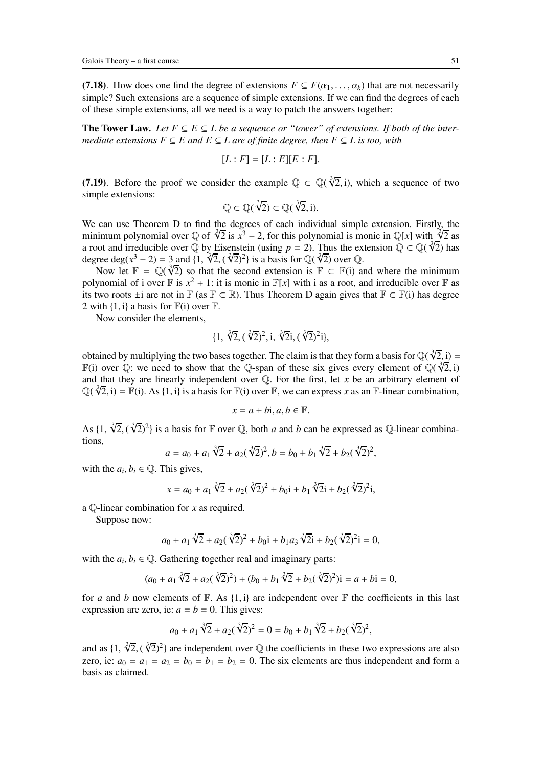(7.18). How does one find the degree of extensions  $F \subseteq F(\alpha_1, \ldots, \alpha_k)$  that are not necessarily simple? Such extensions are a sequence of simple extensions. If we can find the degrees of each of these simple extensions, all we need is a way to patch the answers together:

**The Tower Law.** *Let*  $F ⊆ E ⊆ L$  *be a sequence or "tower" of extensions. If both of the intermediate extensions*  $F \subseteq E$  *and*  $E \subseteq L$  *are of finite degree, then*  $F \subseteq L$  *is too, with* 

$$
[L:F]=[L:E][E:F].
$$

(7.19). Before the proof we consider the example  $\mathbb{Q} \subset \mathbb{Q}(\sqrt[3]{2}, i)$ , which a sequence of two simple extensions:

$$
\mathbb{Q} \subset \mathbb{Q}(\sqrt[3]{2}) \subset \mathbb{Q}(\sqrt[3]{2}, i).
$$

We can use Theorem D to find the degrees of each individual simple extension. Firstly, the minimum polynomial over Q of  $\sqrt[3]{2}$  is  $x^3 - 2$ , for this polynomial is monic in Q[*x*] with  $\sqrt[3]{2}$  as a root and irreducible over Q by Eisenstein (using *p* = 2). Thus the extension  $\mathbb{Q} \subset \mathbb{Q}(\sqrt[3]{2})$  has degree deg( $x^3 - 2$ ) = 3 and {1,  $\sqrt[3]{2}$ ,  $(\sqrt[3]{2})^2$ } is a basis for Q( $\sqrt[3]{2}$ ) over Q.

Now let  $\mathbb{F} = \mathbb{Q}(\sqrt[3]{2})$  so that the second extension is  $\mathbb{F} \subset \mathbb{F}$  and where the minimum polynomial of i over  $\mathbb F$  is  $x^2 + 1$ : it is monic in  $\mathbb F[x]$  with i as a root, and irreducible over  $\mathbb F$  as its two roots  $\pm i$  are not in  $\mathbb{F}$  (as  $\mathbb{F} \subset \mathbb{R}$ ). Thus Theorem D again gives that  $\mathbb{F} \subset \mathbb{F}(i)$  has degree 2 with  $\{1, i\}$  a basis for  $\mathbb{F}(i)$  over  $\mathbb{F}$ .

Now consider the elements,

$$
\{1, \sqrt[3]{2}, (\sqrt[3]{2})^2, i, \sqrt[3]{2}i, (\sqrt[3]{2})^2i\},\
$$

obtained by multiplying the two bases together. The claim is that they form a basis for  $\mathbb{Q}(\sqrt[3]{2}, i) =$ F(i) over Q: we need to show that the Q-span of these six gives every element of  $\mathbb{Q}(\sqrt[3]{2},i)$ and that they are linearly independent over  $\mathbb{Q}$ . For the first, let *x* be an arbitrary element of  $\mathbb{Q}(\sqrt[3]{2}, i) = \mathbb{F}(i)$ . As {1, i} is a basis for  $\mathbb{F}(i)$  over  $\mathbb{F}$ , we can express *x* as an  $\mathbb{F}$ -linear combination,

$$
x = a + bi, a, b \in \mathbb{F}.
$$

As  $\{1, \sqrt[3]{2}, (\sqrt[3]{2})^2\}$  is a basis for  $\mathbb F$  over  $\mathbb Q$ , both *a* and *b* can be expressed as  $\mathbb Q$ -linear combinations,

$$
a = a_0 + a_1 \sqrt[3]{2} + a_2(\sqrt[3]{2})^2, b = b_0 + b_1 \sqrt[3]{2} + b_2(\sqrt[3]{2})^2,
$$

with the  $a_i, b_i \in \mathbb{Q}$ . This gives,

$$
x = a_0 + a_1 \sqrt[3]{2} + a_2(\sqrt[3]{2})^2 + b_0 i + b_1 \sqrt[3]{2} i + b_2(\sqrt[3]{2})^2 i,
$$

a Q-linear combination for *x* as required.

Suppose now:

$$
a_0 + a_1 \sqrt[3]{2} + a_2(\sqrt[3]{2})^2 + b_0 i + b_1 a_3 \sqrt[3]{2} i + b_2(\sqrt[3]{2})^2 i = 0,
$$

with the  $a_i, b_i \in \mathbb{Q}$ . Gathering together real and imaginary parts:

$$
(a_0 + a_1 \sqrt[3]{2} + a_2(\sqrt[3]{2})^2) + (b_0 + b_1 \sqrt[3]{2} + b_2(\sqrt[3]{2})^2)i = a + bi = 0,
$$

for *a* and *b* now elements of  $\mathbb{F}$ . As {1, i} are independent over  $\mathbb{F}$  the coefficients in this last expression are zero, ie:  $a = b = 0$ . This gives:

$$
a_0 + a_1 \sqrt[3]{2} + a_2(\sqrt[3]{2})^2 = 0 = b_0 + b_1 \sqrt[3]{2} + b_2(\sqrt[3]{2})^2,
$$

and as  $\{1, \sqrt[3]{2}, (\sqrt[3]{2})^2\}$  are independent over Q the coefficients in these two expressions are also zero, ie:  $a_0 = a_1 = a_2 = b_0 = b_1 = b_2 = 0$ . The six elements are thus independent and form a basis as claimed.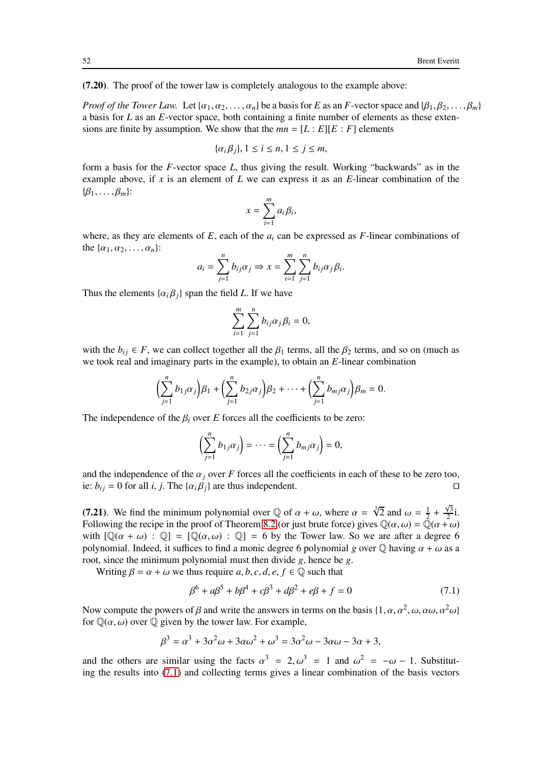(7.20). The proof of the tower law is completely analogous to the example above:

*Proof of the Tower Law.* Let  $\{\alpha_1, \alpha_2, \ldots, \alpha_n\}$  be a basis for *E* as an *F*-vector space and  $\{\beta_1, \beta_2, \ldots, \beta_m\}$ a basis for *L* as an *E*-vector space, both containing a finite number of elements as these extensions are finite by assumption. We show that the  $mn = [L : E][E : F]$  elements

$$
\{\alpha_i\beta_j\}, 1 \le i \le n, 1 \le j \le m,
$$

form a basis for the *F*-vector space *L*, thus giving the result. Working "backwards" as in the example above, if *x* is an element of *L* we can express it as an *E*-linear combination of the  $\{\beta_1,\ldots,\beta_m\}$ :

$$
x=\sum_{i=1}^m a_i\beta_i,
$$

where, as they are elements of  $E$ , each of the  $a_i$  can be expressed as  $F$ -linear combinations of the  $\{\alpha_1, \alpha_2, \ldots, \alpha_n\}$ :

$$
a_i = \sum_{j=1}^n b_{ij} \alpha_j \Rightarrow x = \sum_{i=1}^m \sum_{j=1}^n b_{ij} \alpha_j \beta_i.
$$

Thus the elements  $\{\alpha_i \beta_j\}$  span the field *L*. If we have

$$
\sum_{i=1}^m \sum_{j=1}^n b_{ij} \alpha_j \beta_i = 0,
$$

with the  $b_{ij} \in F$ , we can collect together all the  $\beta_1$  terms, all the  $\beta_2$  terms, and so on (much as we took real and imaginary parts in the example), to obtain an *E*-linear combination

$$
\left(\sum_{j=1}^n b_{1j}\alpha_j\right)\beta_1+\left(\sum_{j=1}^n b_{2j}\alpha_j\right)\beta_2+\cdots+\left(\sum_{j=1}^n b_{mj}\alpha_j\right)\beta_m=0.
$$

The independence of the  $\beta_i$  over *E* forces all the coefficients to be zero:

$$
\left(\sum_{j=1}^n b_{1j}\alpha_j\right)=\cdots=\left(\sum_{j=1}^n b_{mj}\alpha_j\right)=0,
$$

and the independence of the  $\alpha_j$  over *F* forces all the coefficients in each of these to be zero too, ie: *b*<sub>*i*</sub> = 0 for all *i*, *j*. The { $\alpha_i \beta_j$ } are thus independent. □

(7.21). We find the minimum polynomial over  $\mathbb Q$  of  $\alpha + \omega$ , where  $\alpha = \sqrt[3]{2}$  and  $\omega = \frac{1}{2}$  $\frac{1}{2} + \frac{\sqrt{3}}{2}$  $\frac{\sqrt{3}}{2}i$ . Following the recipe in the proof of Theorem [8.2](#page-55-0) (or just brute force) gives  $\mathbb{Q}(\alpha,\omega) = \mathbb{Q}(\alpha+\omega)$ with  $[\mathbb{Q}(\alpha + \omega) : \mathbb{Q}] = [\mathbb{Q}(\alpha, \omega) : \mathbb{Q}] = 6$  by the Tower law. So we are after a degree 6 polynomial. Indeed, it suffices to find a monic degree 6 polynomial *g* over  $\mathbb Q$  having  $\alpha + \omega$  as a root, since the minimum polynomial must then divide *g*, hence be *g*.

Writing  $\beta = \alpha + \omega$  we thus require *a*, *b*, *c*, *d*, *e*, *f*  $\in \mathbb{Q}$  such that

<span id="page-51-0"></span>
$$
\beta^6 + a\beta^5 + b\beta^4 + c\beta^3 + d\beta^2 + e\beta + f = 0 \tag{7.1}
$$

Now compute the powers of  $\beta$  and write the answers in terms on the basis  $\{1, \alpha, \alpha^2, \omega, \alpha\omega, \alpha^2\omega\}$ for  $\mathbb{Q}(\alpha,\omega)$  over  $\mathbb Q$  given by the tower law. For example,

$$
\beta^3 = \alpha^3 + 3\alpha^2\omega + 3\alpha\omega^2 + \omega^3 = 3\alpha^2\omega - 3\alpha\omega - 3\alpha + 3,
$$

and the others are similar using the facts  $\alpha^3 = 2, \omega^3 = 1$  and  $\omega^2 = -\omega - 1$ . Substituting the results into [\(7.1\)](#page-51-0) and collecting terms gives a linear combination of the basis vectors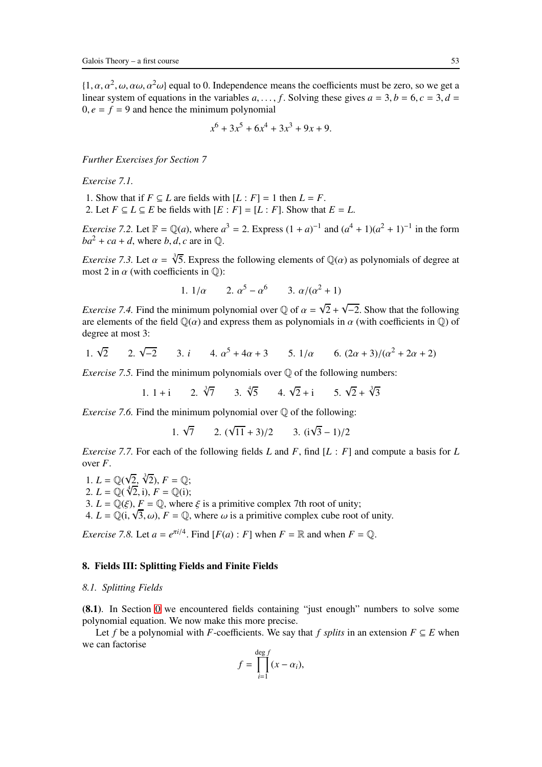$\{(1, \alpha, \alpha^2, \omega, \alpha\omega, \alpha^2\omega)\}$  equal to 0. Independence means the coefficients must be zero, so we get a linear system of equations in the variables  $a, \ldots, f$ . Solving these gives  $a = 3, b = 6, c = 3, d = 1$  $0, e = f = 9$  and hence the minimum polynomial

$$
x^6 + 3x^5 + 6x^4 + 3x^3 + 9x + 9.
$$

*Further Exercises for Section 7*

*Exercise 7.1.*

1. Show that if  $F \subseteq L$  are fields with  $[L : F] = 1$  then  $L = F$ .

2. Let  $F \subseteq L \subseteq E$  be fields with  $[E : F] = [L : F]$ . Show that  $E = L$ .

*Exercise* 7.2. Let  $\mathbb{F} = \mathbb{Q}(a)$ , where  $a^3 = 2$ . Express  $(1 + a)^{-1}$  and  $(a^4 + 1)(a^2 + 1)^{-1}$  in the form  $ba^2 + ca + d$ , where *b*, *d*, *c* are in  $\mathbb{O}$ .

*Exercise* 7.3. Let  $\alpha = \sqrt[3]{5}$ . Express the following elements of  $\mathbb{Q}(\alpha)$  as polynomials of degree at most 2 in  $\alpha$  (with coefficients in  $\mathbb{Q}$ ):

1. 
$$
1/\alpha
$$
 2.  $\alpha^5 - \alpha^6$  3.  $\alpha/(\alpha^2 + 1)$ 

*Exercise 7.4.* Find the minimum polynomial over  $\mathbb{Q}$  of  $\alpha = \sqrt{2} + \sqrt{-2}$ . Show that the following are elements of the field  $\mathbb{Q}(\alpha)$  and express them as polynomials in  $\alpha$  (with coefficients in  $\mathbb{Q}$ ) of degree at most 3:

1. 
$$
\sqrt{2}
$$
 2.  $\sqrt{-2}$  3.  $i$  4.  $\alpha^5 + 4\alpha + 3$  5.  $1/\alpha$  6.  $(2\alpha + 3)/(\alpha^2 + 2\alpha + 2)$ 

*Exercise 7.5.* Find the minimum polynomials over Q of the following numbers:

 $1 + i$  $\sqrt[3]{7}$  3.  $\sqrt[4]{5}$  4.  $\sqrt{2}+i$  5.  $\sqrt{2}+\sqrt[3]{3}$ 

*Exercise* 7.6. Find the minimum polynomial over  $\mathbb Q$  of the following:

1.  $\sqrt{7}$  2.  $(\sqrt{11} + 3)/2$  3.  $(i\sqrt{3} - 1)/2$ 

*Exercise 7.7.* For each of the following fields *L* and *F*, find [*L* : *F*] and compute a basis for *L* over *F*.

1.  $L = \mathbb{Q}(\sqrt{2}, \sqrt[3]{2}), F = \mathbb{Q};$ 2.  $L = \mathbb{Q}(\sqrt[4]{2}, i), F = \mathbb{Q}(i);$ 3.  $L = \mathbb{O}(\mathcal{E})$ ,  $F = \mathbb{O}$ , where  $\mathcal{E}$  is a primitive complex 7th root of unity; 4.  $L = \mathbb{Q}(i, \sqrt{3}, \omega)$ ,  $F = \mathbb{Q}$ , where  $\omega$  is a primitive complex cube root of unity.

*Exercise* 7.8. Let  $a = e^{\pi i/4}$ . Find  $[F(a) : F]$  when  $F = \mathbb{R}$  and when  $F = \mathbb{Q}$ .

## 8. Fields III: Splitting Fields and Finite Fields

#### *8.1. Splitting Fields*

(8.1). In Section [0](#page-2-0) we encountered fields containing "just enough" numbers to solve some polynomial equation. We now make this more precise.

Let *f* be a polynomial with *F*-coefficients. We say that *f splits* in an extension  $F \subseteq E$  when we can factorise

$$
f = \prod_{i=1}^{\deg f} (x - \alpha_i),
$$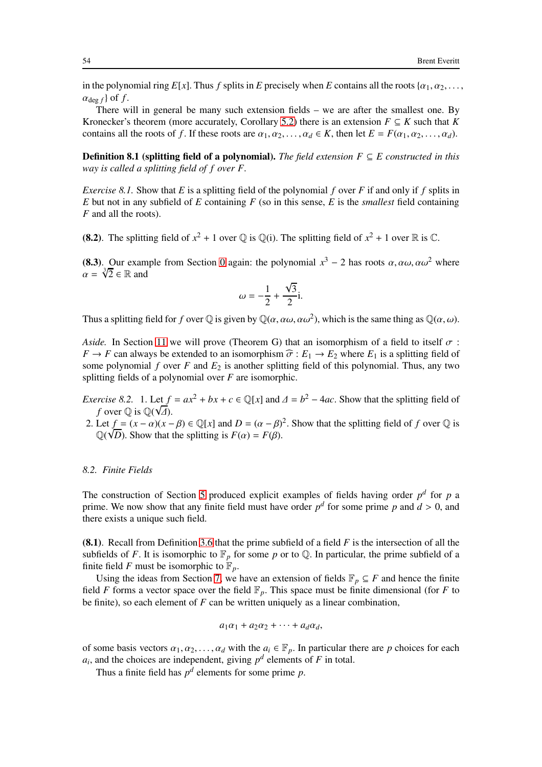in the polynomial ring  $E[x]$ . Thus *f* splits in *E* precisely when *E* contains all the roots { $\alpha_1, \alpha_2, \ldots$ }  $\alpha_{\text{deg }f}$  of f.

There will in general be many such extension fields – we are after the smallest one. By Kronecker's theorem (more accurately, Corollary [5.2\)](#page-37-0) there is an extension  $F \subseteq K$  such that *K* contains all the roots of *f*. If these roots are  $\alpha_1, \alpha_2, \ldots, \alpha_d \in K$ , then let  $E = F(\alpha_1, \alpha_2, \ldots, \alpha_d)$ .

**Definition 8.1 (splitting field of a polynomial).** *The field extension*  $F \subseteq E$  constructed in this *way is called a splitting field of f over F.*

*Exercise 8.1.* Show that *E* is a splitting field of the polynomial *f* over *F* if and only if *f* splits in *E* but not in any subfield of *E* containing *F* (so in this sense, *E* is the *smallest* field containing *F* and all the roots).

(8.2). The splitting field of  $x^2 + 1$  over  $\mathbb Q$  is  $\mathbb Q$ (i). The splitting field of  $x^2 + 1$  over  $\mathbb R$  is  $\mathbb C$ .

(8.3). Our example from Section [0](#page-2-0) again: the polynomial  $x^3 - 2$  has roots  $\alpha, \alpha\omega, \alpha\omega^2$  where  $\alpha = \sqrt[3]{2} \in \mathbb{R}$  and

$$
\omega = -\frac{1}{2} + \frac{\sqrt{3}}{2}i.
$$

Thus a splitting field for *f* over  $\mathbb Q$  is given by  $\mathbb Q(\alpha,\alpha\omega,\alpha\omega^2)$ , which is the same thing as  $\mathbb Q(\alpha,\omega)$ .

*Aside.* In Section [11](#page-69-0) we will prove (Theorem G) that an isomorphism of a field to itself  $\sigma$ :  $F \to F$  can always be extended to an isomorphism  $\hat{\sigma} : E_1 \to E_2$  where  $E_1$  is a splitting field of some polynomial *f* over *F* and *E*<sup>2</sup> is another splitting field of this polynomial. Thus, any two splitting fields of a polynomial over *F* are isomorphic.

- *Exercise 8.2.* 1. Let  $f = ax^2 + bx + c \in \mathbb{Q}[x]$  and  $\Delta = b^2 4ac$ . Show that the splitting field of *f* over  $\mathbb Q$  is  $\mathbb Q(\sqrt{\Delta})$ .
- 2. Let  $f = (x \alpha)(x \beta) \in \mathbb{Q}[x]$  and  $D = (\alpha \beta)^2$ . Show that the splitting field of *f* over  $\mathbb Q$  is  $\overline{Q(\sqrt{D})}$ . Show that the splitting is  $F(\alpha) = F(\beta)$ .

#### *8.2. Finite Fields*

The construction of Section [5](#page-32-0) produced explicit examples of fields having order  $p<sup>d</sup>$  for  $p$  a prime. We now show that any finite field must have order  $p^d$  for some prime p and  $d > 0$ , and there exists a unique such field.

(8.1). Recall from Definition [3.6](#page-24-0) that the prime subfield of a field *F* is the intersection of all the subfields of *F*. It is isomorphic to  $\mathbb{F}_p$  for some *p* or to Q. In particular, the prime subfield of a finite field *F* must be isomorphic to  $\mathbb{F}_p$ .

Using the ideas from Section [7,](#page-45-0) we have an extension of fields  $\mathbb{F}_p \subseteq F$  and hence the finite field *F* forms a vector space over the field  $\mathbb{F}_p$ . This space must be finite dimensional (for *F* to be finite), so each element of *F* can be written uniquely as a linear combination,

$$
a_1\alpha_1 + a_2\alpha_2 + \cdots + a_d\alpha_d,
$$

of some basis vectors  $\alpha_1, \alpha_2, \ldots, \alpha_d$  with the  $a_i \in \mathbb{F}_p$ . In particular there are p choices for each  $a_i$ , and the choices are independent, giving  $p^d$  elements of *F* in total.

Thus a finite field has  $p^d$  elements for some prime  $p$ .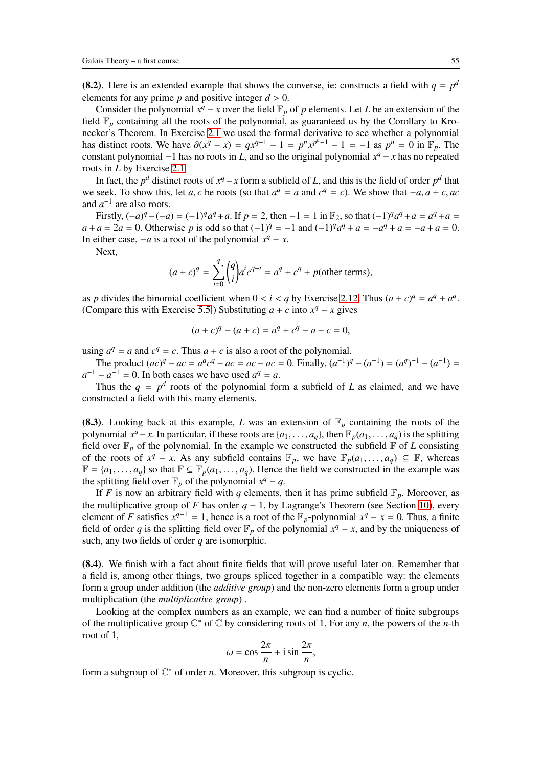(8.2). Here is an extended example that shows the converse, ie: constructs a field with  $q = p<sup>d</sup>$ elements for any prime  $p$  and positive integer  $d > 0$ .

Consider the polynomial  $x^q - x$  over the field  $\mathbb{F}_p$  of *p* elements. Let *L* be an extension of the field  $\mathbb{F}_p$  containing all the roots of the polynomial, as guaranteed us by the Corollary to Kronecker's Theorem. In Exercise [2.1](#page-14-1) we used the formal derivative to see whether a polynomial has distinct roots. We have  $\partial(x^q - x) = qx^{q-1} - 1 = p^n x^{p^n - 1} - 1 = -1$  as  $p^n = 0$  in  $\mathbb{F}_p$ . The constant polynomial  $-1$  has no roots in *L*, and so the original polynomial  $x^q - x$  has no repeated roots in *L* by Exercise [2.1.](#page-14-1)

In fact, the *p*<sup>*d*</sup> distinct roots of  $x^q - x$  form a subfield of *L*, and this is the field of order  $p^d$  that we seek. To show this, let *a*, *c* be roots (so that  $a^q = a$  and  $c^q = c$ ). We show that  $-a, a + c, ac$ and  $a^{-1}$  are also roots.

Firstly,  $(-a)^q - (-a) = (-1)^q a^q + a$ . If  $p = 2$ , then  $-1 = 1$  in  $\mathbb{F}_2$ , so that  $(-1)^q a^q + a = a^q + a =$  $a + a = 2a = 0$ . Otherwise *p* is odd so that  $(-1)^q = -1$  and  $(-1)^q a^q + a = -a^q + a = -a + a = 0$ . In either case,  $-a$  is a root of the polynomial  $x^q - x$ .

Next,

$$
(a + c)^{q} = \sum_{i=0}^{q} {q \choose i} a^{i} c^{q-i} = a^{q} + c^{q} + p(\text{other terms}),
$$

as *p* divides the binomial coefficient when  $0 < i < q$  by Exercise [2.12.](#page-20-2) Thus  $(a + c)^q = a^q + a^q$ . (Compare this with Exercise [5.5.](#page-35-1)) Substituting  $a + c$  into  $x^q - x$  gives

$$
(a + c)q - (a + c) = aq + cq - a - c = 0,
$$

using  $a^q = a$  and  $c^q = c$ . Thus  $a + c$  is also a root of the polynomial.

The product  $(ac)^q - ac = a^q c^q - ac = ac - ac = 0$ . Finally,  $(a^{-1})^q - (a^{-1}) = (a^q)^{-1} - (a^{-1}) =$  $a^{-1} - a^{-1} = 0$ . In both cases we have used  $a^q = a$ .

Thus the  $q = p^d$  roots of the polynomial form a subfield of *L* as claimed, and we have constructed a field with this many elements.

(8.3). Looking back at this example, *L* was an extension of  $\mathbb{F}_p$  containing the roots of the polynomial  $x^q - x$ . In particular, if these roots are  $\{a_1, \ldots, a_q\}$ , then  $\mathbb{F}_p(a_1, \ldots, a_q)$  is the splitting field over  $\mathbb{F}_p$  of the polynomial. In the example we constructed the subfield  $\mathbb{F}$  of *L* consisting of the roots of  $x^q - x$ . As any subfield contains  $\mathbb{F}_p$ , we have  $\mathbb{F}_p(a_1, \ldots, a_q) \subseteq \mathbb{F}$ , whereas  $\mathbb{F} = \{a_1, \ldots, a_q\}$  so that  $\mathbb{F} \subseteq \mathbb{F}_p(a_1, \ldots, a_q)$ . Hence the field we constructed in the example was the splitting field over  $\mathbb{F}_p$  of the polynomial  $x^q - q$ .

If *F* is now an arbitrary field with *q* elements, then it has prime subfield  $\mathbb{F}_p$ . Moreover, as the multiplicative group of *F* has order  $q - 1$ , by Lagrange's Theorem (see Section [10\)](#page-62-0), every element of *F* satisfies  $x^{q-1} = 1$ , hence is a root of the  $\mathbb{F}_p$ -polynomial  $x^q - x = 0$ . Thus, a finite field of order *q* is the splitting field over  $\mathbb{F}_p$  of the polynomial  $x^q - x$ , and by the uniqueness of such, any two fields of order *q* are isomorphic.

(8.4). We finish with a fact about finite fields that will prove useful later on. Remember that a field is, among other things, two groups spliced together in a compatible way: the elements form a group under addition (the *additive group*) and the non-zero elements form a group under multiplication (the *multiplicative group*) .

Looking at the complex numbers as an example, we can find a number of finite subgroups of the multiplicative group  $\mathbb{C}^*$  of  $\mathbb C$  by considering roots of 1. For any *n*, the powers of the *n*-th root of 1,

$$
\omega = \cos \frac{2\pi}{n} + i \sin \frac{2\pi}{n},
$$

form a subgroup of  $\mathbb{C}^*$  of order *n*. Moreover, this subgroup is cyclic.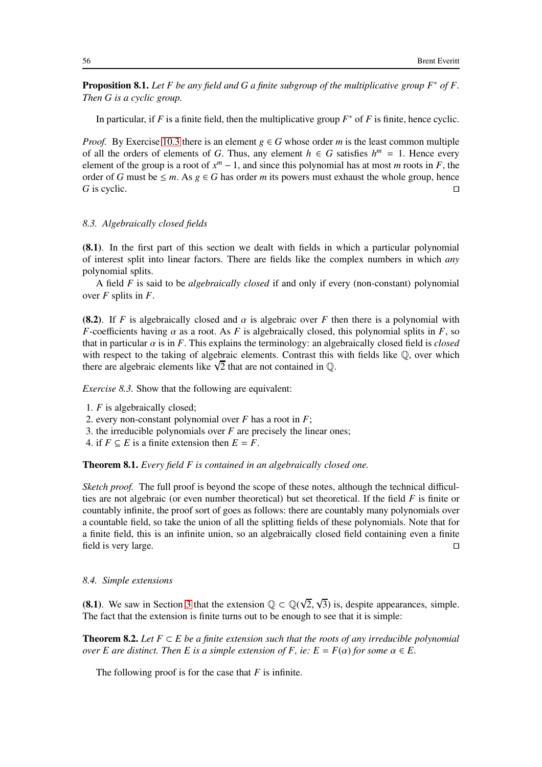Proposition 8.1. *Let F be any field and G a finite subgroup of the multiplicative group F*∗ *of F. Then G is a cyclic group.*

In particular, if  $F$  is a finite field, then the multiplicative group  $F^*$  of  $F$  is finite, hence cyclic.

*Proof.* By Exercise [10.3](#page-63-0) there is an element  $g \in G$  whose order *m* is the least common multiple of all the orders of elements of *G*. Thus, any element  $h \in G$  satisfies  $h^m = 1$ . Hence every element of the group is a root of  $x^m - 1$ , and since this polynomial has at most *m* roots in *F*, the order of *G* must be ≤ *m*. As *g* ∈ *G* has order *m* its powers must exhaust the whole group, hence *G* is cyclic.  $\Box$ *G* is cyclic.  $□$ 

### *8.3. Algebraically closed fields*

(8.1). In the first part of this section we dealt with fields in which a particular polynomial of interest split into linear factors. There are fields like the complex numbers in which *any* polynomial splits.

A field *F* is said to be *algebraically closed* if and only if every (non-constant) polynomial over *F* splits in *F*.

**(8.2).** If *F* is algebraically closed and  $\alpha$  is algebraic over *F* then there is a polynomial with *F*-coefficients having  $\alpha$  as a root. As *F* is algebraically closed, this polynomial splits in *F*, so that in particular  $\alpha$  is in *F*. This explains the terminology: an algebraically closed field is *closed* with respect to the taking of algebraic elements. Contrast this with fields like  $\mathbb{O}$ , over which there are algebraic elements like  $\sqrt{2}$  that are not contained in  $\mathbb{Q}$ .

*Exercise 8.3.* Show that the following are equivalent:

- 2. every non-constant polynomial over *F* has a root in *F*;
- 3. the irreducible polynomials over *F* are precisely the linear ones;
- 4. if  $F \subseteq E$  is a finite extension then  $E = F$ .

Theorem 8.1. *Every field F is contained in an algebraically closed one.*

*Sketch proof.* The full proof is beyond the scope of these notes, although the technical difficulties are not algebraic (or even number theoretical) but set theoretical. If the field *F* is finite or countably infinite, the proof sort of goes as follows: there are countably many polynomials over a countable field, so take the union of all the splitting fields of these polynomials. Note that for a finite field, this is an infinite union, so an algebraically closed field containing even a finite field is very large. ⊓⊔

*8.4. Simple extensions*

<span id="page-55-0"></span>(8.1). We saw in Section [3](#page-21-0) that the extension  $\mathbb{Q} \subset \mathbb{Q}(\sqrt{2}, \sqrt{3})$  is, despite appearances, simple. The fact that the extension is finite turns out to be enough to see that it is simple:

**Theorem 8.2.** Let  $F \subset E$  be a finite extension such that the roots of any irreducible polynomial *over E are distinct. Then E is a simple extension of F, ie:*  $E = F(\alpha)$  *for some*  $\alpha \in E$ .

The following proof is for the case that *F* is infinite.

<sup>1.</sup> *F* is algebraically closed;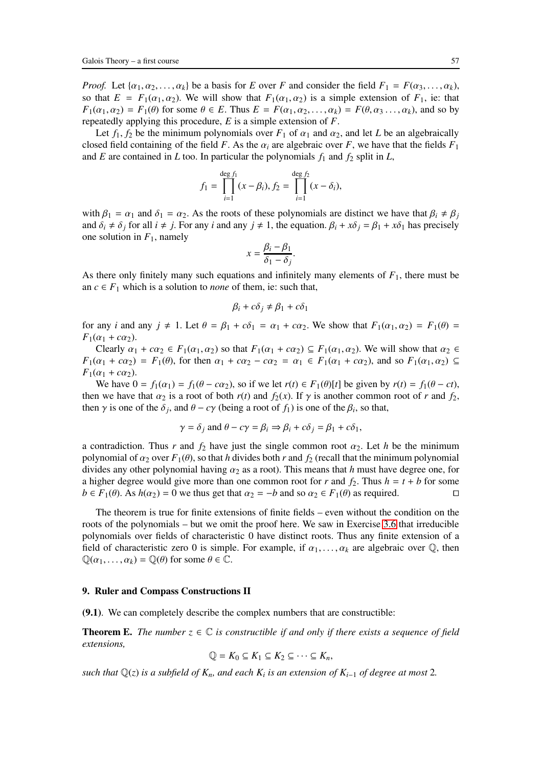*Proof.* Let  $\{\alpha_1, \alpha_2, \ldots, \alpha_k\}$  be a basis for *E* over *F* and consider the field  $F_1 = F(\alpha_3, \ldots, \alpha_k)$ , so that  $E = F_1(\alpha_1, \alpha_2)$ . We will show that  $F_1(\alpha_1, \alpha_2)$  is a simple extension of  $F_1$ , ie: that  $F_1(\alpha_1, \alpha_2) = F_1(\theta)$  for some  $\theta \in E$ . Thus  $E = F(\alpha_1, \alpha_2, \dots, \alpha_k) = F(\theta, \alpha_3, \dots, \alpha_k)$ , and so by repeatedly applying this procedure, *E* is a simple extension of *F*.

Let  $f_1$ ,  $f_2$  be the minimum polynomials over  $F_1$  of  $\alpha_1$  and  $\alpha_2$ , and let *L* be an algebraically closed field containing of the field *F*. As the  $\alpha_i$  are algebraic over *F*, we have that the fields  $F_1$ and *E* are contained in *L* too. In particular the polynomials  $f_1$  and  $f_2$  split in *L*,

$$
f_1 = \prod_{i=1}^{\deg f_1} (x - \beta_i), f_2 = \prod_{i=1}^{\deg f_2} (x - \delta_i),
$$

with  $\beta_1 = \alpha_1$  and  $\delta_1 = \alpha_2$ . As the roots of these polynomials are distinct we have that  $\beta_i \neq \beta_j$ and  $\delta_i \neq \delta_j$  for all  $i \neq j$ . For any *i* and any  $j \neq 1$ , the equation.  $\beta_i + x\delta_j = \beta_1 + x\delta_1$  has precisely one solution in  $F_1$ , namely

$$
x = \frac{\beta_i - \beta_1}{\delta_1 - \delta_j}.
$$

As there only finitely many such equations and infinitely many elements of *F*1, there must be an  $c \in F_1$  which is a solution to *none* of them, ie: such that,

$$
\beta_i + c\delta_j \neq \beta_1 + c\delta_1
$$

for any *i* and any  $j \neq 1$ . Let  $\theta = \beta_1 + c\delta_1 = \alpha_1 + c\alpha_2$ . We show that  $F_1(\alpha_1, \alpha_2) = F_1(\theta) =$  $F_1(\alpha_1 + c\alpha_2)$ .

Clearly  $\alpha_1 + c\alpha_2 \in F_1(\alpha_1, \alpha_2)$  so that  $F_1(\alpha_1 + c\alpha_2) \subseteq F_1(\alpha_1, \alpha_2)$ . We will show that  $\alpha_2 \in$ *F*<sub>1</sub>( $\alpha_1 + c\alpha_2$ ) = *F*<sub>1</sub>( $\theta$ ), for then  $\alpha_1 + c\alpha_2 - c\alpha_2 = \alpha_1 \in F_1(\alpha_1 + c\alpha_2)$ , and so *F*<sub>1</sub>( $\alpha_1, \alpha_2$ ) ⊆  $F_1(\alpha_1 + c\alpha_2)$ .

We have  $0 = f_1(\alpha_1) = f_1(\theta - c\alpha_2)$ , so if we let  $r(t) \in F_1(\theta)[t]$  be given by  $r(t) = f_1(\theta - ct)$ , then we have that  $\alpha_2$  is a root of both  $r(t)$  and  $f_2(x)$ . If  $\gamma$  is another common root of  $r$  and  $f_2$ , then  $\gamma$  is one of the  $\delta_j$ , and  $\theta - c\gamma$  (being a root of  $f_1$ ) is one of the  $\beta_i$ , so that,

$$
\gamma = \delta_j
$$
 and  $\theta - c\gamma = \beta_i \Rightarrow \beta_i + c\delta_j = \beta_1 + c\delta_1$ ,

a contradiction. Thus *r* and  $f_2$  have just the single common root  $\alpha_2$ . Let *h* be the minimum polynomial of  $\alpha_2$  over  $F_1(\theta)$ , so that *h* divides both *r* and  $f_2$  (recall that the minimum polynomial divides any other polynomial having  $\alpha_2$  as a root). This means that *h* must have degree one, for a higher degree would give more than one common root for *r* and  $f_2$ . Thus  $h = t + b$  for some  $b \in F_1(\theta)$ . As  $h(\alpha_2) = 0$  we thus get that  $\alpha_2 = -b$  and so  $\alpha_2 \in F_1(\theta)$  as required. □

The theorem is true for finite extensions of finite fields – even without the condition on the roots of the polynomials – but we omit the proof here. We saw in Exercise [3.6](#page-25-0) that irreducible polynomials over fields of characteristic 0 have distinct roots. Thus any finite extension of a field of characteristic zero 0 is simple. For example, if  $\alpha_1, \ldots, \alpha_k$  are algebraic over  $\mathbb{Q}$ , then  $\mathbb{Q}(\alpha_1,\ldots,\alpha_k) = \mathbb{Q}(\theta)$  for some  $\theta \in \mathbb{C}$ .

### 9. Ruler and Compass Constructions II

(9.1). We can completely describe the complex numbers that are constructible:

**Theorem E.** *The number*  $z \in \mathbb{C}$  *is constructible if and only if there exists a sequence of field extensions,*

$$
\mathbb{Q} = K_0 \subseteq K_1 \subseteq K_2 \subseteq \cdots \subseteq K_n,
$$

*such that* Q(*z*) *is a subfield of Kn, and each K<sup>i</sup> is an extension of Ki*−<sup>1</sup> *of degree at most* 2*.*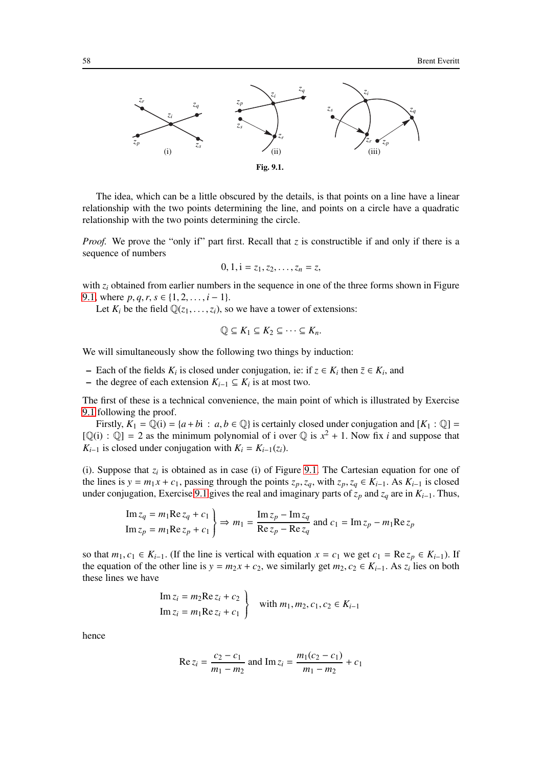

The idea, which can be a little obscured by the details, is that points on a line have a linear relationship with the two points determining the line, and points on a circle have a quadratic relationship with the two points determining the circle.

*Proof.* We prove the "only if" part first. Recall that *z* is constructible if and only if there is a sequence of numbers

$$
0, 1, i = z_1, z_2, \ldots, z_n = z,
$$

with  $z_i$  obtained from earlier numbers in the sequence in one of the three forms shown in Figure [9.1,](#page-92-0) where  $p, q, r, s \in \{1, 2, \ldots, i - 1\}$ .

Let  $K_i$  be the field  $\mathbb{Q}(z_1, \ldots, z_i)$ , so we have a tower of extensions:

$$
\mathbb{Q} \subseteq K_1 \subseteq K_2 \subseteq \cdots \subseteq K_n.
$$

We will simultaneously show the following two things by induction:

- − Each of the fields  $K_i$  is closed under conjugation, ie: if  $z \in K_i$  then  $\overline{z} \in K_i$ , and
- $-$  the degree of each extension  $K_{i-1} \subseteq K_i$  is at most two.

The first of these is a technical convenience, the main point of which is illustrated by Exercise [9.1](#page-59-0) following the proof.

Firstly,  $K_1 = \mathbb{Q}(i) = \{a + bi : a, b \in \mathbb{Q}\}\$ is certainly closed under conjugation and  $[K_1 : \mathbb{Q}] =$  $[Q(i) : Q] = 2$  as the minimum polynomial of i over Q is  $x^2 + 1$ . Now fix *i* and suppose that *K*<sub>*i*−1</sub> is closed under conjugation with  $K_i = K_{i-1}(z_i)$ .

(i). Suppose that  $z_i$  is obtained as in case (i) of Figure [9.1.](#page-92-0) The Cartesian equation for one of the lines is  $y = m_1 x + c_1$ , passing through the points  $z_p, z_q$ , with  $z_p, z_q \in K_{i-1}$ . As  $K_{i-1}$  is closed under conjugation, Exercise [9.1](#page-59-0) gives the real and imaginary parts of  $\bar{z}_p$  and  $\bar{z}_q$  are in  $K_{i-1}$ . Thus,

Im 
$$
z_q = m_1 \text{Re } z_q + c_1
$$
  
\nIm  $z_p = m_1 \text{Re } z_p + c_1$   $\Rightarrow m_1 = \frac{\text{Im } z_p - \text{Im } z_q}{\text{Re } z_p - \text{Re } z_q}$  and  $c_1 = \text{Im } z_p - m_1 \text{Re } z_p$ 

so that  $m_1, c_1 \in K_{i-1}$ . (If the line is vertical with equation  $x = c_1$  we get  $c_1 = \text{Re } z_p \in K_{i-1}$ ). If the equation of the other line is  $y = m_2 x + c_2$ , we similarly get  $m_2, c_2 \in K_{i-1}$ . As  $z_i$  lies on both these lines we have

Im 
$$
z_i = m_2 \text{Re } z_i + c_2
$$
  
Im  $z_i = m_1 \text{Re } z_i + c_1$  with  $m_1, m_2, c_1, c_2 \in K_{i-1}$ 

hence

Re 
$$
z_i = \frac{c_2 - c_1}{m_1 - m_2}
$$
 and Im  $z_i = \frac{m_1(c_2 - c_1)}{m_1 - m_2} + c_1$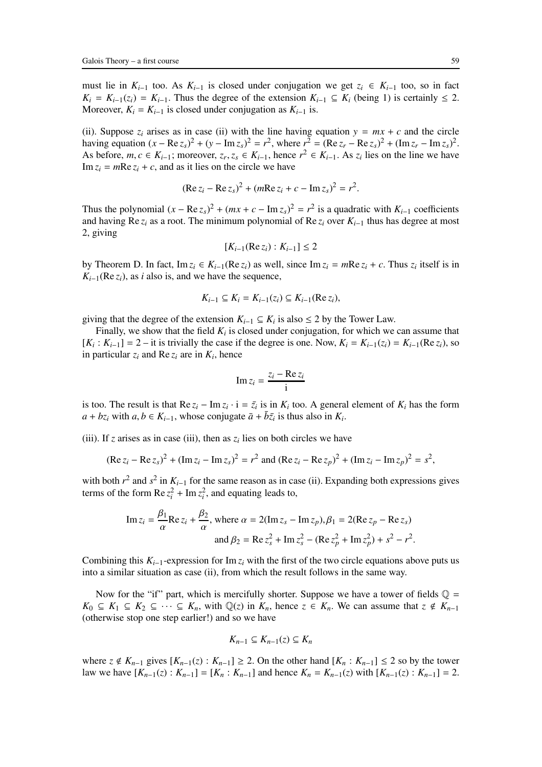must lie in  $K_{i-1}$  too. As  $K_{i-1}$  is closed under conjugation we get  $z_i \text{ ∈ } K_{i-1}$  too, so in fact  $K_i = K_{i-1}(z_i) = K_{i-1}$ . Thus the degree of the extension  $K_{i-1} \subseteq K_i$  (being 1) is certainly  $\leq 2$ . Moreover,  $K_i = K_{i-1}$  is closed under conjugation as  $K_{i-1}$  is.

(ii). Suppose  $z_i$  arises as in case (ii) with the line having equation  $y = mx + c$  and the circle having equation  $(x - \text{Re } z_s)^2 + (y - \text{Im } z_s)^2 = r^2$ , where  $r^2 = (\text{Re } z_r - \text{Re } z_s)^2 + (\text{Im } z_r - \text{Im } z_s)^2$ . As before, *m*, *c* ∈ *K*<sub>*i*−1</sub>; moreover,  $z_r$ ,  $z_s$  ∈ *K*<sub>*i*−1</sub>, hence  $r^2$  ∈ *K*<sub>*i*−1</sub>. As  $z_i$  lies on the line we have  $\text{Im } z_i = m\text{Re } z_i + c$ , and as it lies on the circle we have

$$
(\text{Re } z_i - \text{Re } z_s)^2 + (m \text{Re } z_i + c - \text{Im } z_s)^2 = r^2.
$$

Thus the polynomial  $(x - \text{Re } z_s)^2 + (mx + c - \text{Im } z_s)^2 = r^2$  is a quadratic with  $K_{i-1}$  coefficients and having Re  $z_i$  as a root. The minimum polynomial of Re  $z_i$  over  $K_{i-1}$  thus has degree at most 2, giving

$$
[K_{i-1}(\operatorname{Re} z_i):K_{i-1}]\leq 2
$$

by Theorem D. In fact,  $\text{Im } z_i \in K_{i-1}(\text{Re } z_i)$  as well, since  $\text{Im } z_i = m\text{Re } z_i + c$ . Thus  $z_i$  itself is in  $K_{i-1}$ (Re  $z_i$ ), as *i* also is, and we have the sequence,

$$
K_{i-1} \subseteq K_i = K_{i-1}(z_i) \subseteq K_{i-1}(\text{Re } z_i),
$$

giving that the degree of the extension  $K_{i-1} \subseteq K_i$  is also  $\leq 2$  by the Tower Law.

Finally, we show that the field  $K_i$  is closed under conjugation, for which we can assume that  $[K_i: K_{i-1}] = 2 -$  it is trivially the case if the degree is one. Now,  $K_i = K_{i-1}(z_i) = K_{i-1}(\text{Re } z_i)$ , so in particular  $z_i$  and Re  $z_i$  are in  $K_i$ , hence

$$
\operatorname{Im} z_i = \frac{z_i - \operatorname{Re} z_i}{i}
$$

is too. The result is that  $\text{Re } z_i - \text{Im } z_i \cdot i = \bar{z}_i$  is in  $K_i$  too. A general element of  $K_i$  has the form  $a + bz_i$  with  $a, b \in K_{i-1}$ , whose conjugate  $\bar{a} + \bar{b}\bar{z}_i$  is thus also in  $K_i$ .

(iii). If *z* arises as in case (iii), then as  $z_i$  lies on both circles we have

$$
(\text{Re } z_i - \text{Re } z_s)^2 + (\text{Im } z_i - \text{Im } z_s)^2 = r^2 \text{ and } (\text{Re } z_i - \text{Re } z_p)^2 + (\text{Im } z_i - \text{Im } z_p)^2 = s^2,
$$

with both  $r^2$  and  $s^2$  in  $K_{i-1}$  for the same reason as in case (ii). Expanding both expressions gives terms of the form  $\text{Re } z_i^2 + \text{Im } z_i^2$ , and equating leads to,

Im 
$$
z_i = \frac{\beta_1}{\alpha}
$$
 Re  $z_i + \frac{\beta_2}{\alpha}$ , where  $\alpha = 2(\text{Im } z_s - \text{Im } z_p), \beta_1 = 2(\text{Re } z_p - \text{Re } z_s)$   
and  $\beta_2 = \text{Re } z_s^2 + \text{Im } z_s^2 - (\text{Re } z_p^2 + \text{Im } z_p^2) + s^2 - r^2$ .

Combining this  $K_{i-1}$ -expression for Im  $z_i$  with the first of the two circle equations above puts us into a similar situation as case (ii), from which the result follows in the same way.

Now for the "if" part, which is mercifully shorter. Suppose we have a tower of fields  $\mathbb{Q} =$ *K*<sub>0</sub> ⊆ *K*<sub>1</sub> ⊆ *K*<sub>2</sub> ⊆ · · · ⊆ *K<sub>n</sub>*, with  $\mathbb{Q}(z)$  in *K<sub>n</sub>*, hence  $z \in K_n$ . We can assume that  $z \notin K_{n-1}$ (otherwise stop one step earlier!) and so we have

$$
K_{n-1}\subseteq K_{n-1}(z)\subseteq K_n
$$

where  $z \notin K_{n-1}$  gives  $[K_{n-1}(z): K_{n-1}] \geq 2$ . On the other hand  $[K_n: K_{n-1}] \leq 2$  so by the tower law we have  $[K_{n-1}(z): K_{n-1}] = [K_n: K_{n-1}]$  and hence  $K_n = K_{n-1}(z)$  with  $[K_{n-1}(z): K_{n-1}] = 2$ .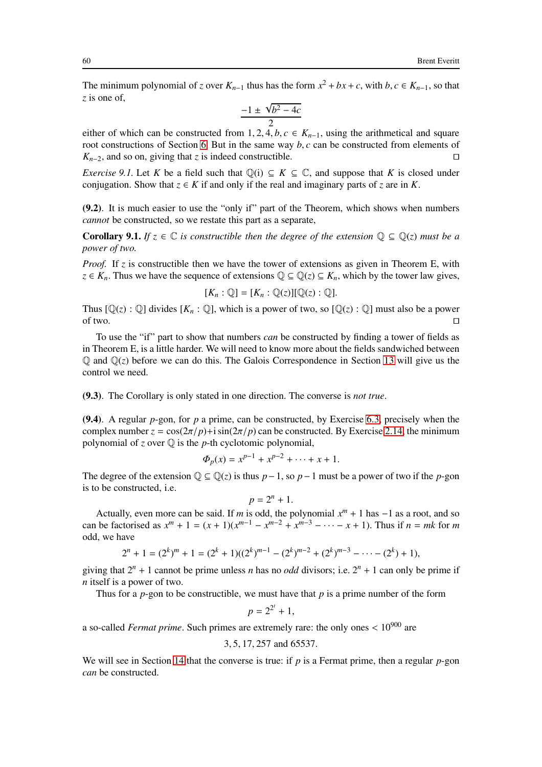The minimum polynomial of *z* over  $K_{n-1}$  thus has the form  $x^2 + bx + c$ , with  $b, c \in K_{n-1}$ , so that *z* is one of,

$$
\frac{-1 \pm \sqrt{b^2 - 4c}}{2}
$$

either of which can be constructed from 1, 2, 4, *b*,  $c \in K_{n-1}$ , using the arithmetical and square root constructions of Section [6.](#page-38-0) But in the same way *b*, *c* can be constructed from elements of  $K_{n-2}$ , and so on, giving that *z* is indeed constructible. □

<span id="page-59-0"></span>*Exercise 9.1.* Let *K* be a field such that  $\mathbb{Q}(i) \subseteq K \subseteq \mathbb{C}$ , and suppose that *K* is closed under conjugation. Show that  $z \in K$  if and only if the real and imaginary parts of *z* are in *K*.

(9.2). It is much easier to use the "only if" part of the Theorem, which shows when numbers *cannot* be constructed, so we restate this part as a separate,

**Corollary 9.1.** *If*  $z \in \mathbb{C}$  *is constructible then the degree of the extension*  $\mathbb{Q} \subseteq \mathbb{Q}(z)$  *must be a power of two.*

*Proof.* If *z* is constructible then we have the tower of extensions as given in Theorem E, with *z* ∈ *K<sub>n</sub>*. Thus we have the sequence of extensions  $\mathbb{Q} \subseteq \mathbb{Q}(z) \subseteq K_n$ , which by the tower law gives,

$$
[K_n:\mathbb{Q}]=[K_n:\mathbb{Q}(z)][\mathbb{Q}(z):\mathbb{Q}].
$$

Thus  $[\mathbb{Q}(z) : \mathbb{Q}]$  divides  $[K_n : \mathbb{Q}]$ , which is a power of two, so  $[\mathbb{Q}(z) : \mathbb{Q}]$  must also be a power of two.  $□$ 

To use the "if" part to show that numbers *can* be constructed by finding a tower of fields as in Theorem E, is a little harder. We will need to know more about the fields sandwiched between  $\mathbb{Q}$  and  $\mathbb{Q}(z)$  before we can do this. The Galois Correspondence in Section [13](#page-81-0) will give us the control we need.

(9.3). The Corollary is only stated in one direction. The converse is *not true*.

(9.4). A regular *p*-gon, for *p* a prime, can be constructed, by Exercise [6.3,](#page-44-0) precisely when the complex number  $z = \cos(2\pi/p) + i \sin(2\pi/p)$  can be constructed. By Exercise [2.14,](#page-20-1) the minimum polynomial of  $z$  over  $\mathbb Q$  is the  $p$ -th cyclotomic polynomial,

$$
\Phi_p(x) = x^{p-1} + x^{p-2} + \dots + x + 1.
$$

The degree of the extension  $\mathbb{Q} \subseteq \mathbb{Q}(z)$  is thus *p*−1, so *p*−1 must be a power of two if the *p*-gon is to be constructed, i.e.

$$
p=2^n+1.
$$

Actually, even more can be said. If *m* is odd, the polynomial  $x^m + 1$  has  $-1$  as a root, and so can be factorised as  $x^m + 1 = (x + 1)(x^{m-1} - x^{m-2} + x^{m-3} - \cdots - x + 1)$ . Thus if  $n = mk$  for *m* odd, we have

$$
2^{n} + 1 = (2^{k})^{m} + 1 = (2^{k} + 1)((2^{k})^{m-1} - (2^{k})^{m-2} + (2^{k})^{m-3} - \cdots - (2^{k}) + 1),
$$

giving that  $2^n + 1$  cannot be prime unless *n* has no *odd* divisors; i.e.  $2^n + 1$  can only be prime if *n* itself is a power of two.

Thus for a *p*-gon to be constructible, we must have that *p* is a prime number of the form

$$
p=2^{2^t}+1,
$$

a so-called *Fermat prime*. Such primes are extremely rare: the only ones < 10<sup>900</sup> are

3, 5, 17, 257 and 65537.

We will see in Section [14](#page-87-1) that the converse is true: if *p* is a Fermat prime, then a regular *p*-gon *can* be constructed.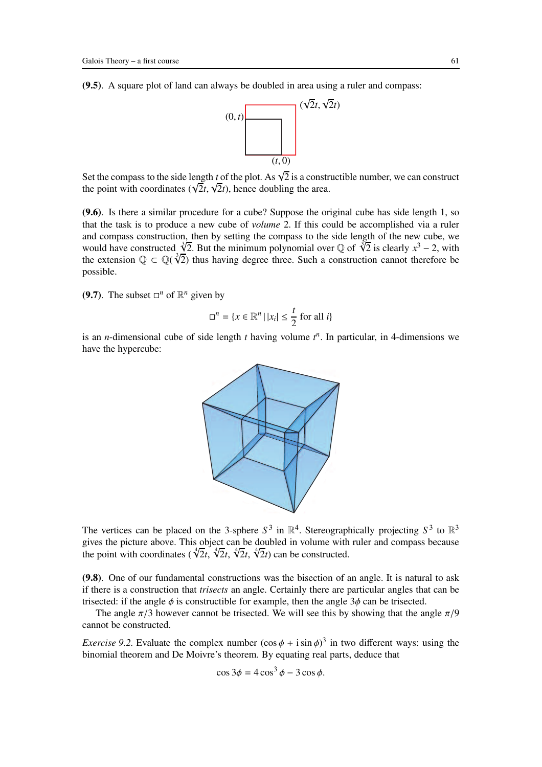(9.5). A square plot of land can always be doubled in area using a ruler and compass:



Set the compass to the side length *t* of the plot. As  $\sqrt{2}$  is a constructible number, we can construct the point with coordinates ( $\sqrt{2}t$ ,  $\sqrt{2}t$ ), hence doubling the area.

(9.6). Is there a similar procedure for a cube? Suppose the original cube has side length 1, so that the task is to produce a new cube of *volume* 2. If this could be accomplished via a ruler and compass construction, then by setting the compass to the side length of the new cube, we would have constructed  $\sqrt[3]{2}$ . But the minimum polynomial over Q of  $\sqrt[3]{2}$  is clearly  $x^3 - 2$ , with the extension  $\mathbb{Q} \subset \mathbb{Q}(\sqrt[3]{2})$  thus having degree three. Such a construction cannot therefore be possible.

(9.7). The subset  $\Box^n$  of  $\mathbb{R}^n$  given by

$$
\square^n = \{x \in \mathbb{R}^n \mid |x_i| \le \frac{t}{2} \text{ for all } i\}
$$

is an *n*-dimensional cube of side length  $t$  having volume  $t^n$ . In particular, in 4-dimensions we have the hypercube:



The vertices can be placed on the 3-sphere  $S^3$  in  $\mathbb{R}^4$ . Stereographically projecting  $S^3$  to  $\mathbb{R}^3$ gives the picture above. This object can be doubled in volume with ruler and compass because the point with coordinates ( $\sqrt[4]{2}t$ ,  $\sqrt[4]{2}t$ ,  $\sqrt[4]{2}t$ ,  $\sqrt[4]{2}t$ ) can be constructed.

(9.8). One of our fundamental constructions was the bisection of an angle. It is natural to ask if there is a construction that *trisects* an angle. Certainly there are particular angles that can be trisected: if the angle  $\phi$  is constructible for example, then the angle  $3\phi$  can be trisected.

<span id="page-60-0"></span>The angle  $\pi/3$  however cannot be trisected. We will see this by showing that the angle  $\pi/9$ cannot be constructed.

*Exercise* 9.2. Evaluate the complex number  $(\cos \phi + i \sin \phi)^3$  in two different ways: using the binomial theorem and De Moivre's theorem. By equating real parts, deduce that

$$
\cos 3\phi = 4\cos^3 \phi - 3\cos \phi.
$$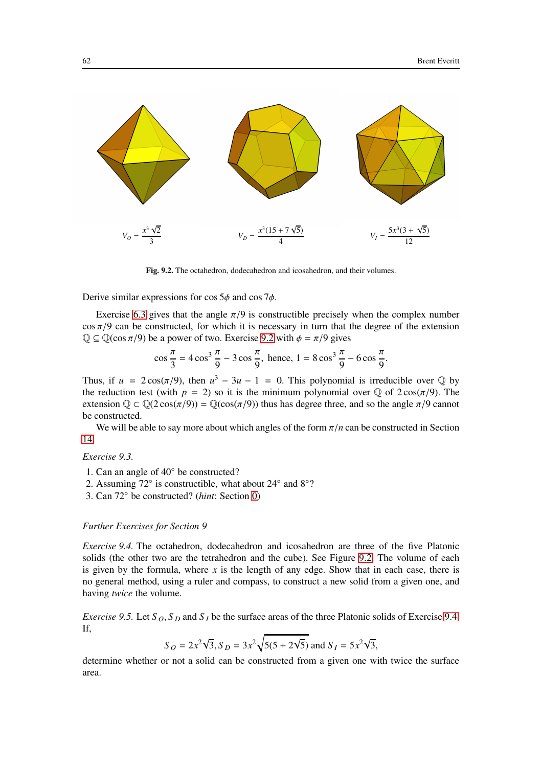

Fig. 9.2. The octahedron, dodecahedron and icosahedron, and their volumes.

Derive similar expressions for  $\cos 5\phi$  and  $\cos 7\phi$ .

Exercise [6.3](#page-44-0) gives that the angle  $\pi/9$  is constructible precisely when the complex number  $\cos \pi/9$  can be constructed, for which it is necessary in turn that the degree of the extension  $\mathbb{Q} \subseteq \mathbb{Q}(\cos \pi/9)$  be a power of two. Exercise [9.2](#page-60-0) with  $\phi = \pi/9$  gives

$$
\cos\frac{\pi}{3} = 4\cos^3\frac{\pi}{9} - 3\cos\frac{\pi}{9}, \text{ hence, } 1 = 8\cos^3\frac{\pi}{9} - 6\cos\frac{\pi}{9}.
$$

Thus, if  $u = 2\cos(\pi/9)$ , then  $u^3 - 3u - 1 = 0$ . This polynomial is irreducible over  $\mathbb{Q}$  by the reduction test (with  $p = 2$ ) so it is the minimum polynomial over  $\mathbb Q$  of  $2\cos(\pi/9)$ . The extension  $\mathbb{Q} \subset \mathbb{Q}(2\cos(\pi/9)) = \mathbb{Q}(\cos(\pi/9))$  thus has degree three, and so the angle  $\pi/9$  cannot be constructed.

We will be able to say more about which angles of the form  $\pi/n$  can be constructed in Section [14.](#page-87-1)

*Exercise 9.3.*

- 1. Can an angle of 40◦ be constructed?
- 2. Assuming 72° is constructible, what about 24° and 8°?
- 3. Can 72◦ be constructed? (*hint*: Section [0\)](#page-2-0)

#### <span id="page-61-0"></span>*Further Exercises for Section 9*

*Exercise 9.4.* The octahedron, dodecahedron and icosahedron are three of the five Platonic solids (the other two are the tetrahedron and the cube). See Figure [9.2.](#page-90-0) The volume of each is given by the formula, where  $x$  is the length of any edge. Show that in each case, there is no general method, using a ruler and compass, to construct a new solid from a given one, and having *twice* the volume.

*Exercise 9.5.* Let  $S_0$ ,  $S_p$  and  $S_l$  be the surface areas of the three Platonic solids of Exercise [9.4.](#page-61-0) If,

$$
S_O = 2x^2\sqrt{3}, S_D = 3x^2\sqrt{5(5 + 2\sqrt{5})}
$$
 and  $S_I = 5x^2\sqrt{3}$ ,

determine whether or not a solid can be constructed from a given one with twice the surface area.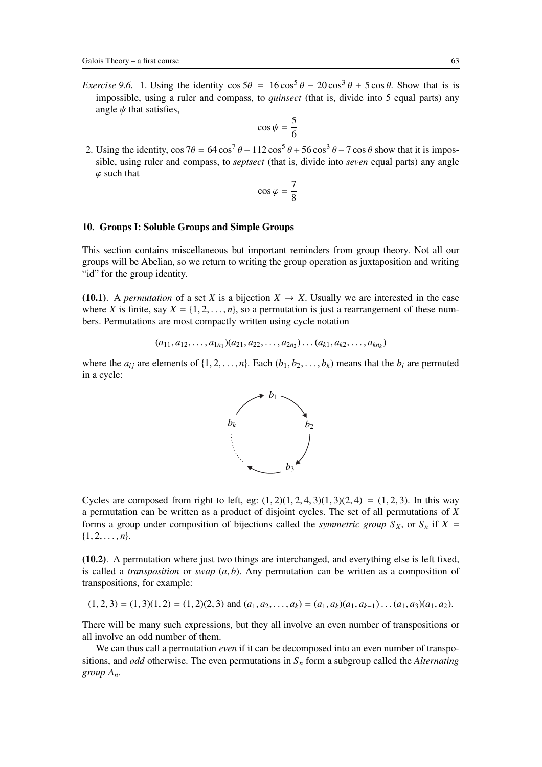*Exercise 9.6.* 1. Using the identity  $\cos 5\theta = 16 \cos^5 \theta - 20 \cos^3 \theta + 5 \cos \theta$ . Show that is is impossible, using a ruler and compass, to *quinsect* (that is, divide into 5 equal parts) any angle  $\psi$  that satisfies,

$$
\cos\psi = \frac{5}{6}
$$

2. Using the identity,  $\cos 7\theta = 64 \cos^7 \theta - 112 \cos^5 \theta + 56 \cos^3 \theta - 7 \cos \theta$  show that it is impossible, using ruler and compass, to *septsect* (that is, divide into *seven* equal parts) any angle  $\varphi$  such that

$$
\cos\varphi=\frac{7}{8}
$$

## <span id="page-62-0"></span>10. Groups I: Soluble Groups and Simple Groups

This section contains miscellaneous but important reminders from group theory. Not all our groups will be Abelian, so we return to writing the group operation as juxtaposition and writing "id" for the group identity.

(10.1). A *permutation* of a set *X* is a bijection  $X \to X$ . Usually we are interested in the case where *X* is finite, say  $X = \{1, 2, \ldots, n\}$ , so a permutation is just a rearrangement of these numbers. Permutations are most compactly written using cycle notation

$$
(a_{11}, a_{12}, \ldots, a_{1n_1})(a_{21}, a_{22}, \ldots, a_{2n_2}) \ldots (a_{k1}, a_{k2}, \ldots, a_{kn_k})
$$

where the  $a_{ij}$  are elements of  $\{1, 2, \ldots, n\}$ . Each  $(b_1, b_2, \ldots, b_k)$  means that the  $b_i$  are permuted in a cycle:



Cycles are composed from right to left, eg:  $(1, 2)(1, 2, 4, 3)(1, 3)(2, 4) = (1, 2, 3)$ . In this way a permutation can be written as a product of disjoint cycles. The set of all permutations of *X* forms a group under composition of bijections called the *symmetric group*  $S_X$ , or  $S_n$  if  $X =$  $\{1, 2, \ldots, n\}.$ 

(10.2). A permutation where just two things are interchanged, and everything else is left fixed, is called a *transposition* or *swap* (*a*, *b*). Any permutation can be written as a composition of transpositions, for example:

$$
(1,2,3) = (1,3)(1,2) = (1,2)(2,3)
$$
 and  $(a_1, a_2,..., a_k) = (a_1, a_k)(a_1, a_{k-1})...(a_1, a_3)(a_1, a_2).$ 

There will be many such expressions, but they all involve an even number of transpositions or all involve an odd number of them.

We can thus call a permutation *even* if it can be decomposed into an even number of transpositions, and *odd* otherwise. The even permutations in *S<sup>n</sup>* form a subgroup called the *Alternating group An*.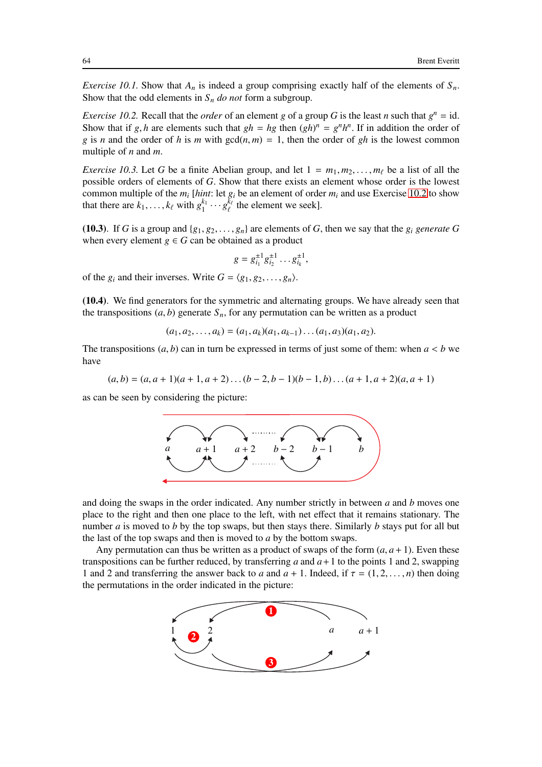*Exercise 10.1.* Show that  $A_n$  is indeed a group comprising exactly half of the elements of  $S_n$ . Show that the odd elements in  $S_n$  *do not* form a subgroup.

<span id="page-63-1"></span>*Exercise 10.2.* Recall that the *order* of an element *g* of a group *G* is the least *n* such that  $g^n = id$ . Show that if *g*, *h* are elements such that  $gh = hg$  then  $(gh)^n = g^n h^n$ . If in addition the order of *g* is *n* and the order of *h* is *m* with  $gcd(n, m) = 1$ , then the order of *gh* is the lowest common multiple of *n* and *m*.

<span id="page-63-0"></span>*Exercise 10.3.* Let *G* be a finite Abelian group, and let  $1 = m_1, m_2, \ldots, m_\ell$  be a list of all the possible orders of elements of *G*. Show that there exists an element whose order is the lowest common multiple of the *m<sup>i</sup>* [*hint*: let *g<sup>i</sup>* be an element of order *m<sup>i</sup>* and use Exercise [10.2](#page-63-1) to show that there are  $k_1, \ldots, k_\ell$  with  $g_1^{k_1}$  $\frac{k_1}{1} \cdots g_\ell^{\bar{k}_\ell}$  $\frac{k_{\ell}}{\ell}$  the element we seek].

(10.3). If *G* is a group and  $\{g_1, g_2, \ldots, g_n\}$  are elements of *G*, then we say that the  $g_i$  *generate G* when every element  $g \in G$  can be obtained as a product

$$
g = g_{i_1}^{\pm 1} g_{i_2}^{\pm 1} \dots g_{i_k}^{\pm 1},
$$

of the  $g_i$  and their inverses. Write  $G = \langle g_1, g_2, \dots, g_n \rangle$ .

(10.4). We find generators for the symmetric and alternating groups. We have already seen that the transpositions  $(a, b)$  generate  $S_n$ , for any permutation can be written as a product

$$
(a_1, a_2, \ldots, a_k) = (a_1, a_k)(a_1, a_{k-1}) \ldots (a_1, a_3)(a_1, a_2).
$$

The transpositions  $(a, b)$  can in turn be expressed in terms of just some of them: when  $a < b$  we have

$$
(a,b)=(a,a+1)(a+1,a+2)\dots(b-2,b-1)(b-1,b)\dots(a+1,a+2)(a,a+1)
$$

as can be seen by considering the picture:



and doing the swaps in the order indicated. Any number strictly in between *a* and *b* moves one place to the right and then one place to the left, with net effect that it remains stationary. The number *a* is moved to *b* by the top swaps, but then stays there. Similarly *b* stays put for all but the last of the top swaps and then is moved to *a* by the bottom swaps.

Any permutation can thus be written as a product of swaps of the form  $(a, a + 1)$ . Even these transpositions can be further reduced, by transferring  $a$  and  $a + 1$  to the points 1 and 2, swapping 1 and 2 and transferring the answer back to *a* and  $a + 1$ . Indeed, if  $\tau = (1, 2, \ldots, n)$  then doing the permutations in the order indicated in the picture:

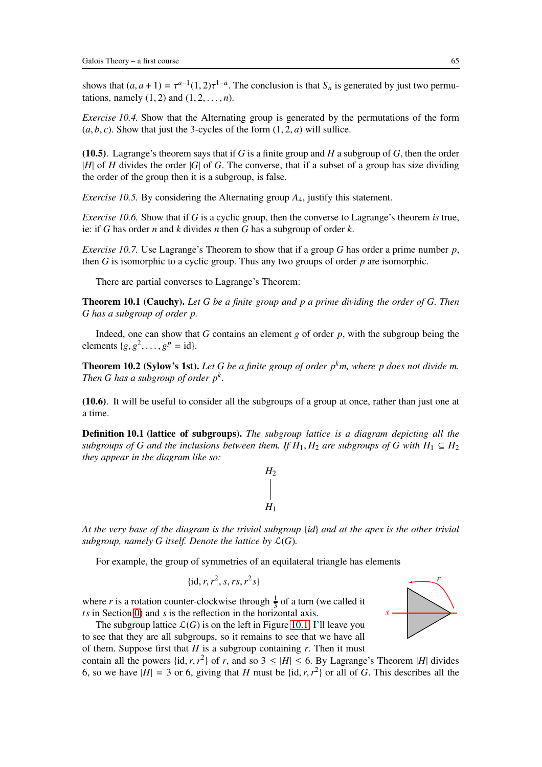shows that  $(a, a+1) = \tau^{a-1}(1, 2)\tau^{1-a}$ . The conclusion is that  $S_n$  is generated by just two permutations, namely  $(1, 2)$  and  $(1, 2, \ldots, n)$ .

*Exercise 10.4.* Show that the Alternating group is generated by the permutations of the form  $(a, b, c)$ . Show that just the 3-cycles of the form  $(1, 2, a)$  will suffice.

(10.5). Lagrange's theorem says that if *G* is a finite group and *H* a subgroup of *G*, then the order |*H*| of *H* divides the order |*G*| of *G*. The converse, that if a subset of a group has size dividing the order of the group then it is a subgroup, is false.

*Exercise 10.5.* By considering the Alternating group *A*4, justify this statement.

*Exercise 10.6.* Show that if *G* is a cyclic group, then the converse to Lagrange's theorem *is* true, ie: if *G* has order *n* and *k* divides *n* then *G* has a subgroup of order *k*.

*Exercise 10.7.* Use Lagrange's Theorem to show that if a group *G* has order a prime number *p*, then *G* is isomorphic to a cyclic group. Thus any two groups of order *p* are isomorphic.

There are partial converses to Lagrange's Theorem:

Theorem 10.1 (Cauchy). *Let G be a finite group and p a prime dividing the order of G. Then G has a subgroup of order p.*

Indeed, one can show that *G* contains an element *g* of order *p*, with the subgroup being the elements  ${g, g^2, \ldots, g^p = id}$ .

Theorem 10.2 (Sylow's 1st). *Let G be a finite group of order pkm, where p does not divide m. Then G has a subgroup of order p<sup>k</sup> .*

(10.6). It will be useful to consider all the subgroups of a group at once, rather than just one at a time.

Definition 10.1 (lattice of subgroups). *The subgroup lattice is a diagram depicting all the subgroups of G and the inclusions between them. If*  $H_1$ ,  $H_2$  *are subgroups of G with*  $H_1 \subseteq H_2$ *they appear in the diagram like so:*

> *H*1  $H<sub>2</sub>$

*At the very base of the diagram is the trivial subgroup* {*id*} *and at the apex is the other trivial subgroup, namely G itself. Denote the lattice by*  $\mathcal{L}(G)$ *.* 

For example, the group of symmetries of an equilateral triangle has elements

 $\{id, r, r^2, s, rs, r^2s\}$ 

where *r* is a rotation counter-clockwise through  $\frac{1}{3}$  of a turn (we called it  *in Section [0\)](#page-2-0) and*  $*s*$  *is the reflection in the horizontal axis.* 

The subgroup lattice  $\mathcal{L}(G)$  is on the left in Figure [10.1.](#page-92-0) I'll leave you to see that they are all subgroups, so it remains to see that we have all

of them. Suppose first that  $H$  is a subgroup containing  $r$ . Then it must contain all the powers {id, *r*, *r*<sup>2</sup>} of *r*, and so  $3 \le |H| \le 6$ . By Lagrange's Theorem |*H*| divides 6, so we have  $|H| = 3$  or 6, giving that *H* must be  $\{\text{id}, r, r^2\}$  or all of *G*. This describes all the

*r*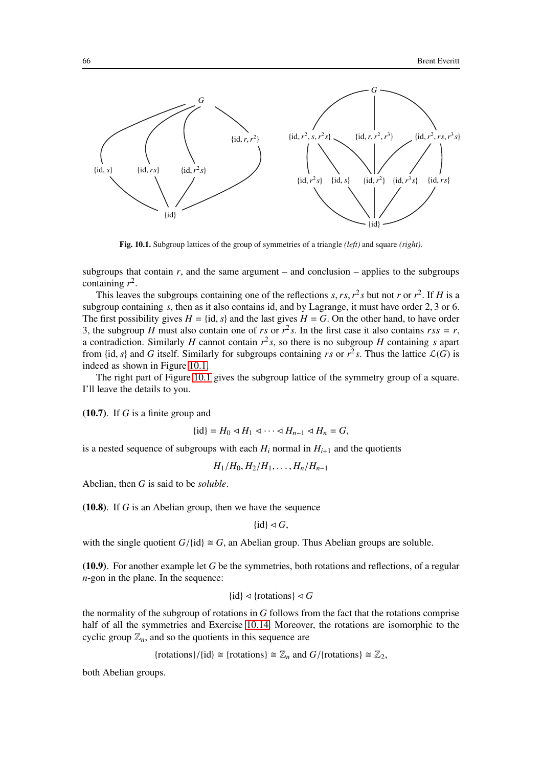

Fig. 10.1. Subgroup lattices of the group of symmetries of a triangle *(left)* and square *(right)*.

subgroups that contain  $r$ , and the same argument – and conclusion – applies to the subgroups containing  $r^2$ .

This leaves the subgroups containing one of the reflections *s*, *rs*,  $r^2$ *s* but not *r* or  $r^2$ . If *H* is a subgroup containing *s*, then as it also contains id, and by Lagrange, it must have order 2, 3 or 6. The first possibility gives  $H = \{id, s\}$  and the last gives  $H = G$ . On the other hand, to have order 3, the subgroup *H* must also contain one of *rs* or  $r^2$ *s*. In the first case it also contains  $rss = r$ , a contradiction. Similarly *H* cannot contain *r* 2 *s*, so there is no subgroup *H* containing *s* apart from {id, *s*} and *G* itself. Similarly for subgroups containing *rs* or  $r^2$ *s*. Thus the lattice  $\mathcal{L}(G)$  is indeed as shown in Figure [10.1.](#page-92-0)

The right part of Figure [10.1](#page-92-0) gives the subgroup lattice of the symmetry group of a square. I'll leave the details to you.

(10.7). If *G* is a finite group and

$$
\{\mathrm{id}\}=H_0\lhd H_1\lhd\cdots\lhd H_{n-1}\lhd H_n=G,
$$

is a nested sequence of subgroups with each  $H_i$  normal in  $H_{i+1}$  and the quotients

 $H_1/H_0, H_2/H_1, \ldots, H_n/H_{n-1}$ 

Abelian, then *G* is said to be *soluble*.

(10.8). If *G* is an Abelian group, then we have the sequence

$$
\{\mathrm{id}\}\lhd G,
$$

with the single quotient  $G/{id} \cong G$ , an Abelian group. Thus Abelian groups are soluble.

(10.9). For another example let *G* be the symmetries, both rotations and reflections, of a regular *n*-gon in the plane. In the sequence:

$$
\{id\} \lhd \{\text{rotations}\} \lhd G
$$

the normality of the subgroup of rotations in *G* follows from the fact that the rotations comprise half of all the symmetries and Exercise [10.14.](#page-68-0) Moreover, the rotations are isomorphic to the cyclic group  $\mathbb{Z}_n$ , and so the quotients in this sequence are

$$
{\text{rotations}}/{\text{id}} \cong {\text{rotations}} \cong \mathbb{Z}_n
$$
 and  $G/{\text{rotations}} \cong \mathbb{Z}_2$ ,

both Abelian groups.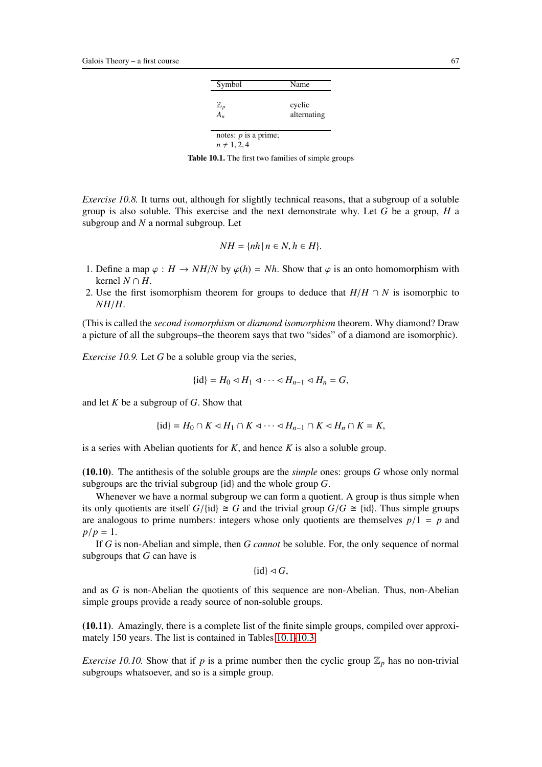| Symbol                                     | Name                  |
|--------------------------------------------|-----------------------|
| $\frac{\mathbb{Z}_p}{A_n}$                 | cyclic<br>alternating |
| notes: $p$ is a prime;<br>$n \neq 1, 2, 4$ |                       |

<span id="page-66-0"></span>Table 10.1. The first two families of simple groups

*Exercise 10.8.* It turns out, although for slightly technical reasons, that a subgroup of a soluble group is also soluble. This exercise and the next demonstrate why. Let *G* be a group, *H* a subgroup and *N* a normal subgroup. Let

$$
NH = \{nh \mid n \in N, h \in H\}.
$$

- 1. Define a map  $\varphi : H \to NH/N$  by  $\varphi(h) = Nh$ . Show that  $\varphi$  is an onto homomorphism with kernel *N* ∩ *H*.
- 2. Use the first isomorphism theorem for groups to deduce that  $H/H \cap N$  is isomorphic to *NH*/*H*.

(This is called the *second isomorphism* or *diamond isomorphism* theorem. Why diamond? Draw a picture of all the subgroups–the theorem says that two "sides" of a diamond are isomorphic).

*Exercise 10.9.* Let *G* be a soluble group via the series,

$$
\{\mathrm{id}\}=H_0\lhd H_1\lhd\cdots\lhd H_{n-1}\lhd H_n=G,
$$

and let *K* be a subgroup of *G*. Show that

$$
\{\mathrm{id}\}=H_0\cap K\lhd H_1\cap K\lhd\cdots\lhd H_{n-1}\cap K\lhd H_n\cap K=K,
$$

is a series with Abelian quotients for *K*, and hence *K* is also a soluble group.

(10.10). The antithesis of the soluble groups are the *simple* ones: groups *G* whose only normal subgroups are the trivial subgroup {id} and the whole group *G*.

Whenever we have a normal subgroup we can form a quotient. A group is thus simple when its only quotients are itself  $G/\{\text{id}\}\cong G$  and the trivial group  $G/G \cong \{\text{id}\}\)$ . Thus simple groups are analogous to prime numbers: integers whose only quotients are themselves  $p/1 = p$  and  $p/p = 1$ .

If *G* is non-Abelian and simple, then *G cannot* be soluble. For, the only sequence of normal subgroups that *G* can have is

 $\{id\} \triangleleft G$ ,

and as *G* is non-Abelian the quotients of this sequence are non-Abelian. Thus, non-Abelian simple groups provide a ready source of non-soluble groups.

(10.11). Amazingly, there is a complete list of the finite simple groups, compiled over approximately 150 years. The list is contained in Tables [10.1](#page-66-0)[-10.3.](#page-68-1)

*Exercise 10.10.* Show that if *p* is a prime number then the cyclic group  $\mathbb{Z}_p$  has no non-trivial subgroups whatsoever, and so is a simple group.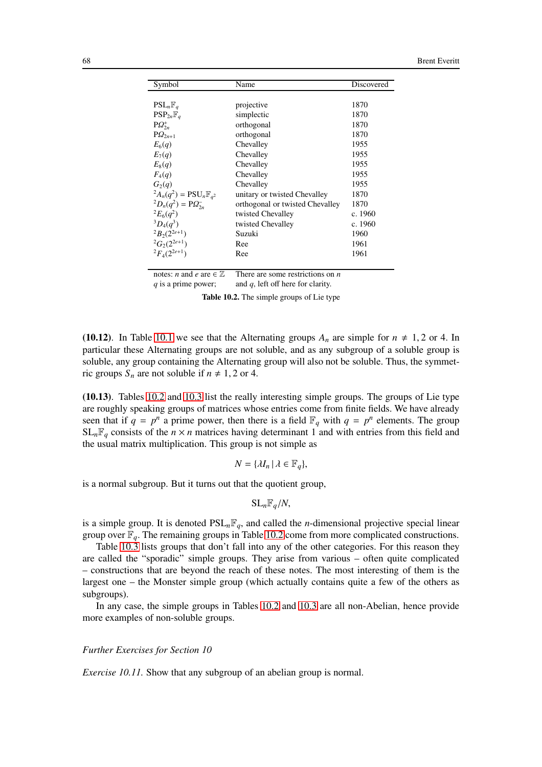| Symbol                                        | Name                            |         |  |
|-----------------------------------------------|---------------------------------|---------|--|
|                                               |                                 |         |  |
| $PSL_n\mathbb{F}_q$                           | projective                      | 1870    |  |
| $\text{PSP}_{2n}\mathbb{F}_a$                 | simplectic                      | 1870    |  |
| $P\Omega_{2n}^+$                              | orthogonal                      | 1870    |  |
| $PQ_{2n+1}$                                   | orthogonal                      | 1870    |  |
| $E_6(q)$                                      | Chevalley                       | 1955    |  |
| $E_7(q)$                                      | Chevalley                       | 1955    |  |
| $E_8(q)$                                      | Chevalley                       | 1955    |  |
| $F_4(q)$                                      | Chevalley                       | 1955    |  |
| G <sub>2</sub> (q)                            | Chevalley                       | 1955    |  |
| ${}^2A_n(q^2) = \text{PSU}_n\mathbb{F}_{q^2}$ | unitary or twisted Chevalley    | 1870    |  |
| ${}^{2}D_{n}(q^{2}) = PQ_{2n}^{-}$            | orthogonal or twisted Chevalley | 1870    |  |
| ${}^2E_6(q^2)$                                | twisted Chevalley               | c. 1960 |  |
| ${}^3D_4(q^3)$                                | twisted Chevalley               | c. 1960 |  |
| ${}^2B_2(2^{2e+1})$                           | Suzuki                          | 1960    |  |
| ${}^2G_2(2^{2e+1})$                           | Ree                             | 1961    |  |
| ${}^{2}F_{4}(2^{2e+1})$                       | Ree                             | 1961    |  |
|                                               |                                 |         |  |

notes: *n* and *e* are ∈  $\mathbb{Z}$  There are some restrictions on *n q* is a prime power; and *q*, left off here for clarity. and  $q$ , left off here for clarity.

<span id="page-67-0"></span>Table 10.2. The simple groups of Lie type

(10.12). In Table [10.1](#page-66-0) we see that the Alternating groups  $A_n$  are simple for  $n \neq 1, 2$  or 4. In particular these Alternating groups are not soluble, and as any subgroup of a soluble group is soluble, any group containing the Alternating group will also not be soluble. Thus, the symmetric groups  $S_n$  are not soluble if  $n \neq 1, 2$  or 4.

(10.13). Tables [10.2](#page-67-0) and [10.3](#page-68-1) list the really interesting simple groups. The groups of Lie type are roughly speaking groups of matrices whose entries come from finite fields. We have already seen that if  $q = p^n$  a prime power, then there is a field  $\mathbb{F}_q$  with  $q = p^n$  elements. The group  $SL_nF_q$  consists of the  $n \times n$  matrices having determinant 1 and with entries from this field and the usual matrix multiplication. This group is not simple as

$$
N = \{\lambda I_n \, | \, \lambda \in \mathbb{F}_q\},\
$$

is a normal subgroup. But it turns out that the quotient group,

$$
\mathrm{SL}_n\mathbb{F}_q/N,
$$

is a simple group. It is denoted  $PSL_nF_q$ , and called the *n*-dimensional projective special linear group over  $\mathbb{F}_q$ . The remaining groups in Table [10.2](#page-67-0) come from more complicated constructions.

Table [10.3](#page-68-1) lists groups that don't fall into any of the other categories. For this reason they are called the "sporadic" simple groups. They arise from various – often quite complicated – constructions that are beyond the reach of these notes. The most interesting of them is the largest one – the Monster simple group (which actually contains quite a few of the others as subgroups).

In any case, the simple groups in Tables [10.2](#page-67-0) and [10.3](#page-68-1) are all non-Abelian, hence provide more examples of non-soluble groups.

#### *Further Exercises for Section 10*

*Exercise 10.11.* Show that any subgroup of an abelian group is normal.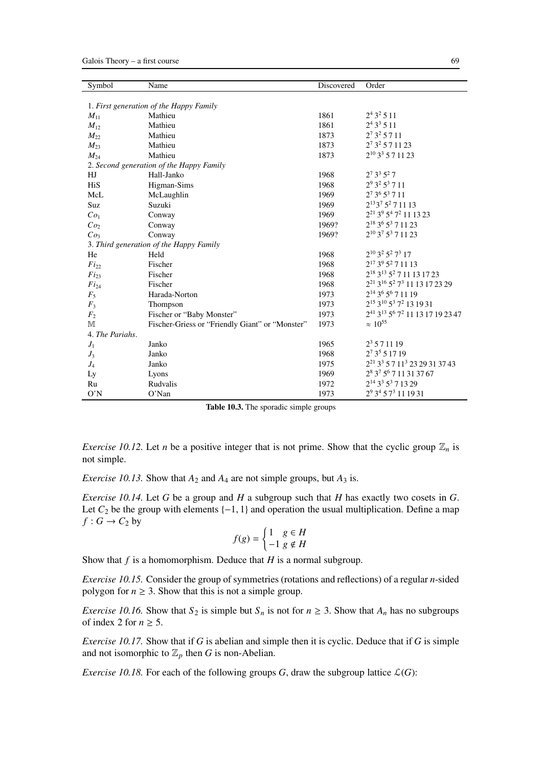| Symbol                                   | Name                                            | <b>Discovered</b> | Order                                                                        |  |  |  |  |  |  |
|------------------------------------------|-------------------------------------------------|-------------------|------------------------------------------------------------------------------|--|--|--|--|--|--|
|                                          |                                                 |                   |                                                                              |  |  |  |  |  |  |
| 1. First generation of the Happy Family  |                                                 |                   |                                                                              |  |  |  |  |  |  |
| $M_{11}$                                 | Mathieu                                         | 1861              | $2^4 3^2 5 11$                                                               |  |  |  |  |  |  |
| $M_{12}$                                 | Mathieu                                         | 1861              | $2^4 3^3 5 11$                                                               |  |  |  |  |  |  |
| $M_{22}$                                 | Mathieu                                         | 1873              | $2^7 3^2 5 7 11$                                                             |  |  |  |  |  |  |
| $M_{23}$                                 | Mathieu                                         | 1873              | $2^7$ 3 <sup>2</sup> 5 7 11 23                                               |  |  |  |  |  |  |
| $M_{24}$                                 | Mathieu                                         | 1873              | $2^{10}$ 3 <sup>3</sup> 5 7 1 1 2 3                                          |  |  |  |  |  |  |
| 2. Second generation of the Happy Family |                                                 |                   |                                                                              |  |  |  |  |  |  |
| HJ                                       | Hall-Janko                                      | 1968              | $2^7$ 3 <sup>3</sup> 5 <sup>2</sup> 7                                        |  |  |  |  |  |  |
| HiS                                      | Higman-Sims                                     | 1968              | $2^9$ 3 <sup>2</sup> 5 <sup>3</sup> 7 11                                     |  |  |  |  |  |  |
| McL                                      | McLaughlin                                      | 1969              | 27 36 53 7 11                                                                |  |  |  |  |  |  |
| Suz                                      | Suzuki                                          | 1969              | 2 <sup>13</sup> 3 <sup>7</sup> 5 <sup>2</sup> 7 11 13                        |  |  |  |  |  |  |
| Co <sub>1</sub>                          | Conway                                          | 1969              | 2 <sup>21</sup> 3 <sup>9</sup> 5 <sup>4</sup> 7 <sup>2</sup> 11 13 23        |  |  |  |  |  |  |
| Co <sub>2</sub>                          | Conway                                          | 1969?             | 2 <sup>18</sup> 3 <sup>6</sup> 5 <sup>3</sup> 7 11 23                        |  |  |  |  |  |  |
| Co <sub>3</sub>                          | Conway                                          | 1969?             | $2^{10}$ 3 <sup>7</sup> 5 <sup>3</sup> 7 11 23                               |  |  |  |  |  |  |
|                                          | 3. Third generation of the Happy Family         |                   |                                                                              |  |  |  |  |  |  |
| He                                       | Held                                            | 1968              | $2^{10}$ 3 <sup>2</sup> 5 <sup>2</sup> 7 <sup>3</sup> 17                     |  |  |  |  |  |  |
| $Fi_{22}$                                | Fischer                                         | 1968              | $2^{17}$ 3 <sup>9</sup> 5 <sup>2</sup> 7 11 13                               |  |  |  |  |  |  |
| $Fi_{23}$                                | Fischer                                         | 1968              | 2 <sup>18</sup> 3 <sup>13</sup> 5 <sup>2</sup> 7 11 13 17 23                 |  |  |  |  |  |  |
| $Fi_{24}$                                | Fischer                                         | 1968              | 2 <sup>21</sup> 3 <sup>16</sup> 5 <sup>2</sup> 7 <sup>3</sup> 11 13 17 23 29 |  |  |  |  |  |  |
| $F_5$                                    | Harada-Norton                                   | 1973              | 2 <sup>14</sup> 3 <sup>6</sup> 5 <sup>6</sup> 7 11 19                        |  |  |  |  |  |  |
| $F_3$                                    | Thompson                                        | 1973              | 2 <sup>15</sup> 3 <sup>10</sup> 5 <sup>3</sup> 7 <sup>2</sup> 13 19 31       |  |  |  |  |  |  |
| F <sub>2</sub>                           | Fischer or "Baby Monster"                       | 1973              | 241 313 56 72 11 13 17 19 23 47                                              |  |  |  |  |  |  |
| M                                        | Fischer-Griess or "Friendly Giant" or "Monster" | 1973              | $\approx 10^{55}$                                                            |  |  |  |  |  |  |
| 4. The Pariahs.                          |                                                 |                   |                                                                              |  |  |  |  |  |  |
| $J_1$                                    | Janko                                           | 1965              | $2^3$ 5 7 11 19                                                              |  |  |  |  |  |  |
| $J_3$                                    | Janko                                           | 1968              | $2^73^551719$                                                                |  |  |  |  |  |  |
| $J_4$                                    | Janko                                           | 1975              | 2 <sup>21</sup> 3 <sup>3</sup> 5 7 1 1 <sup>3</sup> 23 29 31 37 43           |  |  |  |  |  |  |
| Ly                                       | Lyons                                           | 1969              | 28 37 56 7 11 31 37 67                                                       |  |  |  |  |  |  |
| Ru                                       | Rudvalis                                        | 1972              | $2^{14}$ 3 <sup>3</sup> 5 <sup>3</sup> 7 13 29                               |  |  |  |  |  |  |
| O'N                                      | $O'$ Nan                                        | 1973              | 29 34 5 73 11 19 31                                                          |  |  |  |  |  |  |

<span id="page-68-1"></span>

|  | Table 10.3. The sporadic simple groups |  |  |
|--|----------------------------------------|--|--|
|  |                                        |  |  |

*Exercise 10.12.* Let *n* be a positive integer that is not prime. Show that the cyclic group  $\mathbb{Z}_n$  is not simple.

<span id="page-68-0"></span>*Exercise 10.13.* Show that  $A_2$  and  $A_4$  are not simple groups, but  $A_3$  is.

*Exercise 10.14.* Let *G* be a group and *H* a subgroup such that *H* has exactly two cosets in *G*. Let  $C_2$  be the group with elements  $\{-1, 1\}$  and operation the usual multiplication. Define a map  $f: G \to C_2$  by

$$
f(g)=\begin{cases}1&g\in H\\-1&g\notin H\end{cases}
$$

Show that *f* is a homomorphism. Deduce that *H* is a normal subgroup.

*Exercise 10.15.* Consider the group of symmetries (rotations and reflections) of a regular *n*-sided polygon for  $n \geq 3$ . Show that this is not a simple group.

*Exercise 10.16.* Show that  $S_2$  is simple but  $S_n$  is not for  $n \geq 3$ . Show that  $A_n$  has no subgroups of index 2 for  $n \geq 5$ .

*Exercise 10.17.* Show that if *G* is abelian and simple then it is cyclic. Deduce that if *G* is simple and not isomorphic to  $\mathbb{Z}_p$  then *G* is non-Abelian.

*Exercise 10.18.* For each of the following groups *G*, draw the subgroup lattice  $\mathcal{L}(G)$ :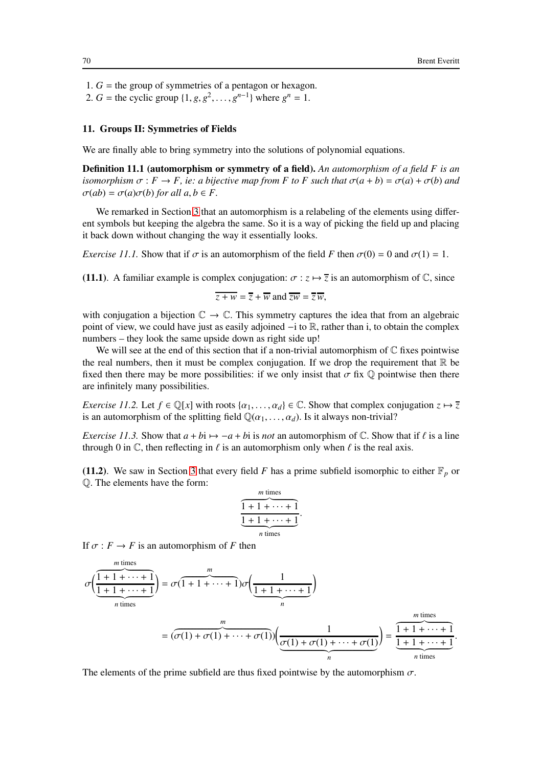1.  $G =$  the group of symmetries of a pentagon or hexagon.

2. *G* = the cyclic group  $\{1, g, g^2, \dots, g^{n-1}\}$  where  $g^n = 1$ .

## <span id="page-69-0"></span>11. Groups II: Symmetries of Fields

We are finally able to bring symmetry into the solutions of polynomial equations.

Definition 11.1 (automorphism or symmetry of a field). *An automorphism of a field F is an isomorphism*  $\sigma$ :  $F \rightarrow F$ , *ie: a bijective map from F to F such that*  $\sigma(a + b) = \sigma(a) + \sigma(b)$  *and*  $\sigma(ab) = \sigma(a)\sigma(b)$  *for all a, b*  $\in$  *F.* 

We remarked in Section [3](#page-21-0) that an automorphism is a relabeling of the elements using different symbols but keeping the algebra the same. So it is a way of picking the field up and placing it back down without changing the way it essentially looks.

*Exercise 11.1.* Show that if  $\sigma$  is an automorphism of the field *F* then  $\sigma(0) = 0$  and  $\sigma(1) = 1$ .

(11.1). A familiar example is complex conjugation:  $\sigma : z \mapsto \overline{z}$  is an automorphism of  $\mathbb{C}$ , since

 $\overline{z + w} = \overline{z} + \overline{w}$  and  $\overline{zw} = \overline{z} + \overline{w}$ .

with conjugation a bijection  $\mathbb{C} \to \mathbb{C}$ . This symmetry captures the idea that from an algebraic point of view, we could have just as easily adjoined −i to R, rather than i, to obtain the complex numbers – they look the same upside down as right side up!

We will see at the end of this section that if a non-trivial automorphism of  $\mathbb C$  fixes pointwise the real numbers, then it must be complex conjugation. If we drop the requirement that  $\mathbb R$  be fixed then there may be more possibilities: if we only insist that  $\sigma$  fix  $\mathbb Q$  pointwise then there are infinitely many possibilities.

*Exercise 11.2.* Let  $f \in \mathbb{Q}[x]$  with roots  $\{\alpha_1, \dots, \alpha_d\} \in \mathbb{C}$ . Show that complex conjugation  $z \mapsto \overline{z}$ is an automorphism of the splitting field  $\mathbb{Q}(\alpha_1, \ldots, \alpha_d)$ . Is it always non-trivial?

*Exercise 11.3.* Show that  $a + bi \rightarrow -a + bi$  is *not* an automorphism of C. Show that if  $\ell$  is a line through 0 in  $\mathbb C$ , then reflecting in  $\ell$  is an automorphism only when  $\ell$  is the real axis.

(11.2). We saw in Section [3](#page-21-0) that every field *F* has a prime subfield isomorphic to either  $\mathbb{F}_p$  or Q. The elements have the form:

$$
\overbrace{\frac{1+1+\cdots+1}{\underbrace{1+1+\cdots+1}}}_{n \text{ times}}.
$$

If  $\sigma$  :  $F \to F$  is an automorphism of *F* then

*m* times

$$
\sigma\left(\underbrace{\frac{1+1+\cdots+1}{1+1+\cdots+1}}_{n \text{ times}}\right) = \sigma(1+1+\cdots+1)\sigma\left(\underbrace{\frac{1}{1+1+\cdots+1}}_{n}\right)
$$
\n
$$
= (\sigma(1)+\sigma(1)+\cdots+\sigma(1))\left(\underbrace{\frac{1}{\sigma(1)+\sigma(1)+\cdots+\sigma(1)}}_{n}\right) = \underbrace{\frac{m \text{ times}}{1+1+\cdots+1}}_{n \text{ times}}.
$$

The elements of the prime subfield are thus fixed pointwise by the automorphism  $\sigma$ .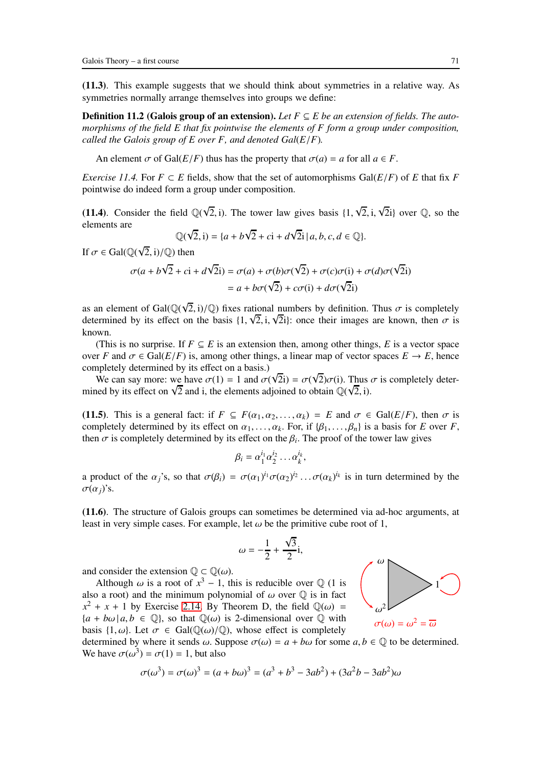(11.3). This example suggests that we should think about symmetries in a relative way. As symmetries normally arrange themselves into groups we define:

Definition 11.2 (Galois group of an extension). *Let F* ⊆ *E be an extension of fields. The automorphisms of the field E that fix pointwise the elements of F form a group under composition, called the Galois group of E over F, and denoted Gal*(*E*/*F*)*.*

An element  $\sigma$  of Gal( $E/F$ ) thus has the property that  $\sigma(a) = a$  for all  $a \in F$ .

*Exercise 11.4.* For  $F \subset E$  fields, show that the set of automorphisms Gal( $E/F$ ) of *E* that fix *F* pointwise do indeed form a group under composition.

(11.4). Consider the field  $\mathbb{Q}(\sqrt{2}, i)$ . The tower law gives basis  $\{1, \sqrt{2}, i, \sqrt{2}i\}$  over  $\mathbb{Q}$ , so the elements are

$$
\mathbb{Q}(\sqrt{2},i) = \{a+b\sqrt{2}+ci+d\sqrt{2}i\,|\,a,b,c,d \in \mathbb{Q}\}.
$$

If  $\sigma \in \text{Gal}(\mathbb{Q}(\sqrt{2}, i)/\mathbb{Q})$  then

$$
\sigma(a+b\sqrt{2}+c\mathbf{i}+d\sqrt{2}\mathbf{i}) = \sigma(a) + \sigma(b)\sigma(\sqrt{2}) + \sigma(c)\sigma(\mathbf{i}) + \sigma(d)\sigma(\sqrt{2}\mathbf{i})
$$

$$
= a + b\sigma(\sqrt{2}) + c\sigma(\mathbf{i}) + d\sigma(\sqrt{2}\mathbf{i})
$$

as an element of Gal $(\mathbb{Q}(\sqrt{2}, i)/\mathbb{Q})$  fixes rational numbers by definition. Thus  $\sigma$  is completely determined by its effect on the basis  $\{1, \sqrt{2}, i, \sqrt{2}i\}$ : once their images are known, then  $\sigma$  is known.

(This is no surprise. If  $F \subseteq E$  is an extension then, among other things, *E* is a vector space over *F* and  $\sigma \in \text{Gal}(E/F)$  is, among other things, a linear map of vector spaces  $E \to E$ , hence completely determined by its effect on a basis.)

We can say more: we have  $\sigma(1) = 1$  and  $\sigma(\sqrt{2}i) = \sigma(\sqrt{2})\sigma(i)$ . Thus  $\sigma$  is completely determined by its effect on  $\sqrt{2}$  and i, the elements adjoined to obtain  $\mathbb{Q}(\sqrt{2})$ , i).

(11.5). This is a general fact: if  $F \subseteq F(\alpha_1, \alpha_2, \dots, \alpha_k) = E$  and  $\sigma \in \text{Gal}(E/F)$ , then  $\sigma$  is completely determined by its effect on  $\alpha_1, \ldots, \alpha_k$ . For, if  $\{\beta_1, \ldots, \beta_n\}$  is a basis for *E* over *F*, then  $\sigma$  is completely determined by its effect on the  $\beta_i$ . The proof of the tower law gives

$$
\beta_i = \alpha_1^{i_1} \alpha_2^{i_2} \dots \alpha_k^{i_k},
$$

a product of the  $\alpha_j$ 's, so that  $\sigma(\beta_i) = \sigma(\alpha_1)^{i_1} \sigma(\alpha_2)^{i_2} \dots \sigma(\alpha_k)^{i_k}$  is in turn determined by the  $\sigma(\alpha_i)$ 's.

(11.6). The structure of Galois groups can sometimes be determined via ad-hoc arguments, at least in very simple cases. For example, let  $\omega$  be the primitive cube root of 1,

$$
\omega = -\frac{1}{2} + \frac{\sqrt{3}}{2}i,
$$

and consider the extension  $\mathbb{Q} \subset \mathbb{Q}(\omega)$ .

Although  $\omega$  is a root of  $x^3 - 1$ , this is reducible over Q (1 is also a root) and the minimum polynomial of  $\omega$  over  $\mathbb Q$  is in fact  $x^2 + x + 1$  by Exercise [2.14.](#page-20-1) By Theorem D, the field  $\mathbb{Q}(\omega)$  =  ${a + b\omega | a, b \in \mathbb{Q}}$ , so that  $\mathbb{Q}(\omega)$  is 2-dimensional over  $\mathbb Q$  with basis  $\{1, \omega\}$ . Let  $\sigma \in \text{Gal}(\mathbb{Q}(\omega)/\mathbb{Q})$ , whose effect is completely

determined by where it sends  $\omega$ . Suppose  $\sigma(\omega) = a + b\omega$  for some  $a, b \in \mathbb{Q}$  to be determined. We have  $\sigma(\omega^3) = \sigma(1) = 1$ , but also

$$
\sigma(\omega^3) = \sigma(\omega)^3 = (a + b\omega)^3 = (a^3 + b^3 - 3ab^2) + (3a^2b - 3ab^2)\omega
$$



1

ω 2

 $\sigma(\omega) = \omega^2 = \overline{\omega}$ 

ω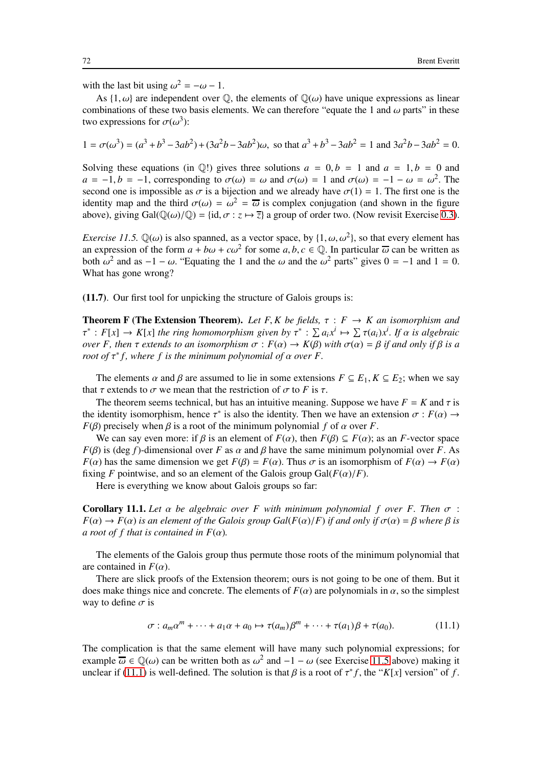with the last bit using  $\omega^2 = -\omega - 1$ .

As  $\{1, \omega\}$  are independent over  $\mathbb{Q}$ , the elements of  $\mathbb{Q}(\omega)$  have unique expressions as linear combinations of these two basis elements. We can therefore "equate the 1 and  $\omega$  parts" in these two expressions for  $\sigma(\omega^3)$ :

$$
1 = \sigma(\omega^3) = (a^3 + b^3 - 3ab^2) + (3a^2b - 3ab^2)\omega
$$
, so that  $a^3 + b^3 - 3ab^2 = 1$  and  $3a^2b - 3ab^2 = 0$ .

Solving these equations (in  $\mathbb{Q}$ !) gives three solutions  $a = 0, b = 1$  and  $a = 1, b = 0$  and  $a = -1, b = -1$ , corresponding to  $\sigma(\omega) = \omega$  and  $\sigma(\omega) = 1$  and  $\sigma(\omega) = -1 - \omega = \omega^2$ . The second one is impossible as  $\sigma$  is a bijection and we already have  $\sigma(1) = 1$ . The first one is the identity map and the third  $\sigma(\omega) = \omega^2 = \overline{\omega}$  is complex conjugation (and shown in the figure above), giving Gal $(\mathbb{Q}(\omega)/\mathbb{Q}) = \{\text{id}, \sigma : z \mapsto \overline{z}\}\$ a group of order two. (Now revisit Exercise [0.3\)](#page-6-1).

<span id="page-71-0"></span>*Exercise 11.5.*  $\mathbb{Q}(\omega)$  is also spanned, as a vector space, by  $\{1, \omega, \omega^2\}$ , so that every element has an expression of the form  $a + b\omega + c\omega^2$  for some  $a, b, c \in \mathbb{Q}$ . In particular  $\overline{\omega}$  can be written as both ω<sup>2</sup> and as −1 − ω. "Equating the 1 and the ω and the ω<sup>2</sup> parts" gives 0 = −1 and 1 = 0. What has gone wrong?

(11.7). Our first tool for unpicking the structure of Galois groups is:

**Theorem F (The Extension Theorem).** Let F, K be fields,  $\tau : F \rightarrow K$  an isomorphism and  $\tau^* : F[x] \to K[x]$  the ring homomorphism given by  $\tau^* : \sum a_i x^i \mapsto \sum \tau(a_i) x^i$ . If  $\alpha$  is algebraic *over F, then*  $\tau$  *extends to an isomorphism*  $\sigma$  :  $F(\alpha) \to K(\beta)$  *with*  $\sigma(\alpha) = \beta$  *if and only if*  $\beta$  *is a root of*  $\tau^* f$ , where f is the minimum polynomial of  $\alpha$  over F.

The elements  $\alpha$  and  $\beta$  are assumed to lie in some extensions  $F \subseteq E_1, K \subseteq E_2$ ; when we say that  $\tau$  extends to  $\sigma$  we mean that the restriction of  $\sigma$  to *F* is  $\tau$ .

The theorem seems technical, but has an intuitive meaning. Suppose we have  $F = K$  and  $\tau$  is the identity isomorphism, hence  $\tau^*$  is also the identity. Then we have an extension  $\sigma : F(\alpha) \to$ *F*( $\beta$ ) precisely when  $\beta$  is a root of the minimum polynomial *f* of  $\alpha$  over *F*.

We can say even more: if  $\beta$  is an element of  $F(\alpha)$ , then  $F(\beta) \subseteq F(\alpha)$ ; as an *F*-vector space  $F(\beta)$  is (deg *f*)-dimensional over *F* as  $\alpha$  and  $\beta$  have the same minimum polynomial over *F*. As *F*( $\alpha$ ) has the same dimension we get  $F(\beta) = F(\alpha)$ . Thus  $\sigma$  is an isomorphism of  $F(\alpha) \to F(\alpha)$ fixing *F* pointwise, and so an element of the Galois group  $Gal(F(\alpha)/F))$ .

Here is everything we know about Galois groups so far:

**Corollary 11.1.** Let  $\alpha$  be algebraic over F with minimum polynomial f over F. Then  $\sigma$  :  $F(\alpha) \rightarrow F(\alpha)$  *is an element of the Galois group Gal(F(* $\alpha$ *)/F) <i>if and only if*  $\sigma(\alpha) = \beta$  *where*  $\beta$  *is a root of f that is contained in*  $F(\alpha)$ *.* 

The elements of the Galois group thus permute those roots of the minimum polynomial that are contained in  $F(\alpha)$ .

There are slick proofs of the Extension theorem; ours is not going to be one of them. But it does make things nice and concrete. The elements of  $F(\alpha)$  are polynomials in  $\alpha$ , so the simplest way to define  $\sigma$  is

<span id="page-71-1"></span>
$$
\sigma: a_m \alpha^m + \dots + a_1 \alpha + a_0 \mapsto \tau(a_m) \beta^m + \dots + \tau(a_1) \beta + \tau(a_0). \tag{11.1}
$$

The complication is that the same element will have many such polynomial expressions; for example  $\overline{\omega} \in \mathbb{Q}(\omega)$  can be written both as  $\omega^2$  and  $-1 - \omega$  (see Exercise [11.5](#page-71-0) above) making it unclear if [\(11.1\)](#page-71-1) is well-defined. The solution is that  $\beta$  is a root of  $\tau^* f$ , the " $K[x]$  version" of f.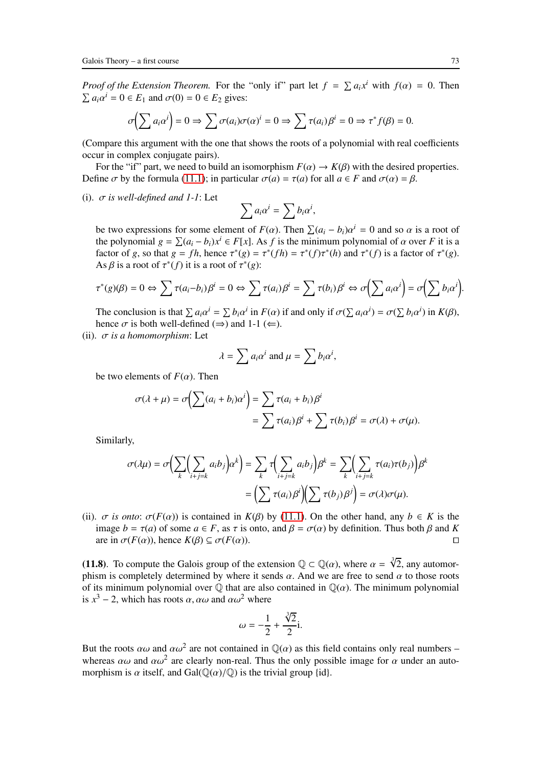*Proof of the Extension Theorem.* For the "only if" part let  $f = \sum a_i x^i$  with  $f(\alpha) = 0$ . Then  $\sum a_i \alpha^i = 0 \in E_1$  and  $\sigma(0) = 0 \in E_2$  gives:

$$
\sigma\bigg(\sum a_i\alpha^i\bigg)=0\Rightarrow\sum\sigma(a_i)\sigma(\alpha)^i=0\Rightarrow\sum\tau(a_i)\beta^i=0\Rightarrow\tau^*f(\beta)=0.
$$

(Compare this argument with the one that shows the roots of a polynomial with real coefficients occur in complex conjugate pairs).

For the "if" part, we need to build an isomorphism  $F(\alpha) \to K(\beta)$  with the desired properties. Define  $\sigma$  by the formula [\(11.1\)](#page-71-0); in particular  $\sigma(a) = \tau(a)$  for all  $a \in F$  and  $\sigma(\alpha) = \beta$ .

(i). σ *is well-defined and 1-1*: Let

$$
\sum a_i\alpha^i=\sum b_i\alpha^i,
$$

be two expressions for some element of  $F(\alpha)$ . Then  $\sum (a_i - b_i)\alpha^i = 0$  and so  $\alpha$  is a root of the polynomial  $g = \sum (a_i - b_i)x^i \in F[x]$ . As *f* is the minimum polynomial of  $\alpha$  over *F* it is a factor of *g*, so that  $g = fh$ , hence  $\tau^*(g) = \tau^*(fh) = \tau^*(f)\tau^*(h)$  and  $\tau^*(f)$  is a factor of  $\tau^*(g)$ . As  $\beta$  is a root of  $\tau^*(f)$  it is a root of  $\tau^*(g)$ :

$$
\tau^*(g)(\beta) = 0 \Leftrightarrow \sum \tau(a_i - b_i)\beta^i = 0 \Leftrightarrow \sum \tau(a_i)\beta^i = \sum \tau(b_i)\beta^i \Leftrightarrow \sigma\left(\sum a_i\alpha^i\right) = \sigma\left(\sum b_i\alpha^i\right).
$$

The conclusion is that  $\sum a_i \alpha^i = \sum b_i \alpha^i$  in  $F(\alpha)$  if and only if  $\sigma(\sum a_i \alpha^i) = \sigma(\sum b_i \alpha^i)$  in  $K(\beta)$ , hence  $\sigma$  is both well-defined ( $\Rightarrow$ ) and 1-1 ( $\Leftarrow$ ).

(ii). σ *is a homomorphism*: Let

$$
\lambda = \sum a_i \alpha^i \text{ and } \mu = \sum b_i \alpha^i,
$$

be two elements of  $F(\alpha)$ . Then

$$
\sigma(\lambda + \mu) = \sigma\left(\sum (a_i + b_i)\alpha^i\right) = \sum \tau(a_i + b_i)\beta^i
$$
  
= 
$$
\sum \tau(a_i)\beta^i + \sum \tau(b_i)\beta^i = \sigma(\lambda) + \sigma(\mu).
$$

Similarly,

$$
\sigma(\lambda \mu) = \sigma\Big(\sum_{k} \Big(\sum_{i+j=k} a_i b_j\Big) \alpha^k\Big) = \sum_{k} \tau\Big(\sum_{i+j=k} a_i b_j\Big) \beta^k = \sum_{k} \Big(\sum_{i+j=k} \tau(a_i) \tau(b_j)\Big) \beta^k
$$

$$
= \Big(\sum \tau(a_i) \beta^i\Big) \Big(\sum \tau(b_j) \beta^j\Big) = \sigma(\lambda) \sigma(\mu).
$$

(ii).  $\sigma$  *is onto:*  $\sigma(F(\alpha))$  is contained in  $K(\beta)$  by [\(11.1\)](#page-71-0). On the other hand, any  $b \in K$  is the image *b* = τ(*a*) of some *a* ∈ *F*, as τ is onto, and *β* =  $\sigma(\alpha)$  by definition. Thus both *β* and *K* are in  $\sigma(F(\alpha))$ , hence  $K(\beta) \subseteq \sigma(F(\alpha))$ . are in  $\sigma(F(\alpha))$ , hence  $K(\beta) \subseteq \sigma(F(\alpha))$ .

(11.8). To compute the Galois group of the extension  $\mathbb{Q} \subset \mathbb{Q}(\alpha)$ , where  $\alpha = \sqrt[3]{2}$ , any automorphism is completely determined by where it sends  $\alpha$ . And we are free to send  $\alpha$  to those roots of its minimum polynomial over  $\mathbb Q$  that are also contained in  $\mathbb Q(\alpha)$ . The minimum polynomial is  $x^3 - 2$ , which has roots  $\alpha$ ,  $\alpha\omega$  and  $\alpha\omega^2$  where

$$
\omega = -\frac{1}{2} + \frac{\sqrt[3]{2}}{2}i.
$$

But the roots  $\alpha\omega$  and  $\alpha\omega^2$  are not contained in  $\mathbb{Q}(\alpha)$  as this field contains only real numbers – whereas  $\alpha\omega$  and  $\alpha\omega^2$  are clearly non-real. Thus the only possible image for  $\alpha$  under an automorphism is  $\alpha$  itself, and Gal( $\mathbb{Q}(\alpha)/\mathbb{Q}$ ) is the trivial group {id}.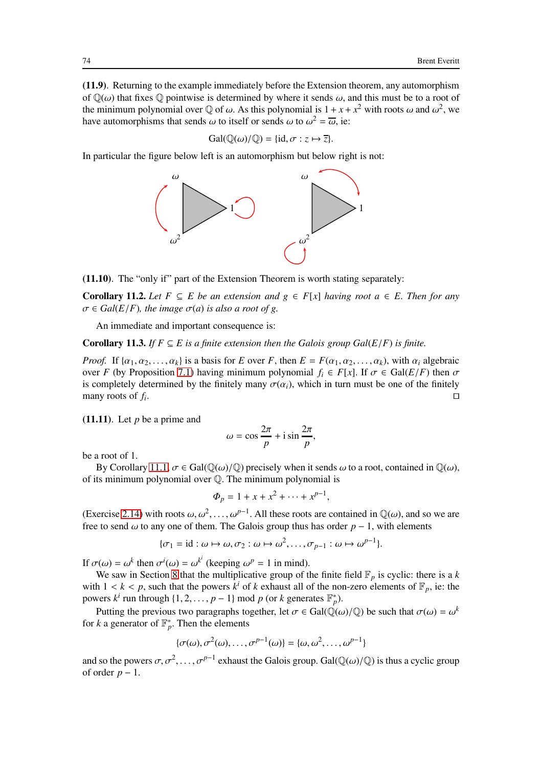(11.9). Returning to the example immediately before the Extension theorem, any automorphism of  $\mathbb{Q}(\omega)$  that fixes  $\mathbb Q$  pointwise is determined by where it sends  $\omega$ , and this must be to a root of the minimum polynomial over  $\mathbb Q$  of  $\omega$ . As this polynomial is  $1 + x + x^2$  with roots  $\omega$  and  $\omega^2$ , we have automorphisms that sends  $\omega$  to itself or sends  $\omega$  to  $\omega^2 = \overline{\omega}$ , ie:

$$
\mathrm{Gal}(\mathbb{Q}(\omega)/\mathbb{Q}) = \{\mathrm{id}, \sigma : z \mapsto \overline{z}\}.
$$

In particular the figure below left is an automorphism but below right is not:



(11.10). The "only if" part of the Extension Theorem is worth stating separately:

**Corollary 11.2.** *Let*  $F ⊆ E$  *be an extension and*  $g ∈ F[x]$  *having root*  $a ∈ E$ *. Then for any*  $\sigma \in Gal(E/F)$ , the image  $\sigma(a)$  is also a root of g.

An immediate and important consequence is:

**Corollary 11.3.** *If*  $F \subseteq E$  *is a finite extension then the Galois group Gal(* $E/F$ *) is finite.* 

*Proof.* If  $\{\alpha_1, \alpha_2, \ldots, \alpha_k\}$  is a basis for *E* over *F*, then  $E = F(\alpha_1, \alpha_2, \ldots, \alpha_k)$ , with  $\alpha_i$  algebraic over *F* (by Proposition [7.1\)](#page-48-0) having minimum polynomial  $f_i \in F[x]$ . If  $\sigma \in \text{Gal}(E/F)$  then  $\sigma$ is completely determined by the finitely many  $\sigma(\alpha_i)$ , which in turn must be one of the finitely many roots of *f<sup>i</sup>* . ⊓⊔ ⊡

 $(11.11)$ . Let *p* be a prime and

$$
\omega = \cos \frac{2\pi}{p} + i \sin \frac{2\pi}{p},
$$

be a root of 1.

By Corollary [11.1,](#page-71-1)  $\sigma \in \text{Gal}(\mathbb{O}(\omega)/\mathbb{O})$  precisely when it sends  $\omega$  to a root, contained in  $\mathbb{O}(\omega)$ . of its minimum polynomial over Q. The minimum polynomial is

$$
\Phi_p = 1 + x + x^2 + \dots + x^{p-1},
$$

(Exercise [2.14\)](#page-20-0) with roots  $\omega, \omega^2, \ldots, \omega^{p-1}$ . All these roots are contained in  $\mathbb{Q}(\omega)$ , and so we are free to send  $\omega$  to any one of them. The Galois group thus has order  $p - 1$ , with elements

$$
\{\sigma_1 = id : \omega \mapsto \omega, \sigma_2 : \omega \mapsto \omega^2, \dots, \sigma_{p-1} : \omega \mapsto \omega^{p-1}\}.
$$

If  $\sigma(\omega) = \omega^k$  then  $\sigma^i(\omega) = \omega^{k^i}$  (keeping  $\omega^p = 1$  in mind).

We saw in Section [8](#page-52-0) that the multiplicative group of the finite field  $\mathbb{F}_p$  is cyclic: there is a *k* with  $1 < k < p$ , such that the powers  $k^i$  of  $k$  exhaust all of the non-zero elements of  $\mathbb{F}_p$ , ie: the powers  $k^i$  run through  $\{1, 2, ..., p-1\}$  mod  $p$  (or  $k$  generates  $\mathbb{F}_p^*$ ).

Putting the previous two paragraphs together, let  $\sigma \in Gal(\mathbb{Q}(\omega)/\mathbb{Q})$  be such that  $\sigma(\omega) = \omega^k$ for *k* a generator of  $\mathbb{F}_p^*$ . Then the elements

$$
\{\sigma(\omega), \sigma^2(\omega), \ldots, \sigma^{p-1}(\omega)\} = \{\omega, \omega^2, \ldots, \omega^{p-1}\}\
$$

and so the powers  $\sigma, \sigma^2, \ldots, \sigma^{p-1}$  exhaust the Galois group. Gal( $\mathbb{Q}(\omega)/\mathbb{Q}$ ) is thus a cyclic group of order  $p - 1$ .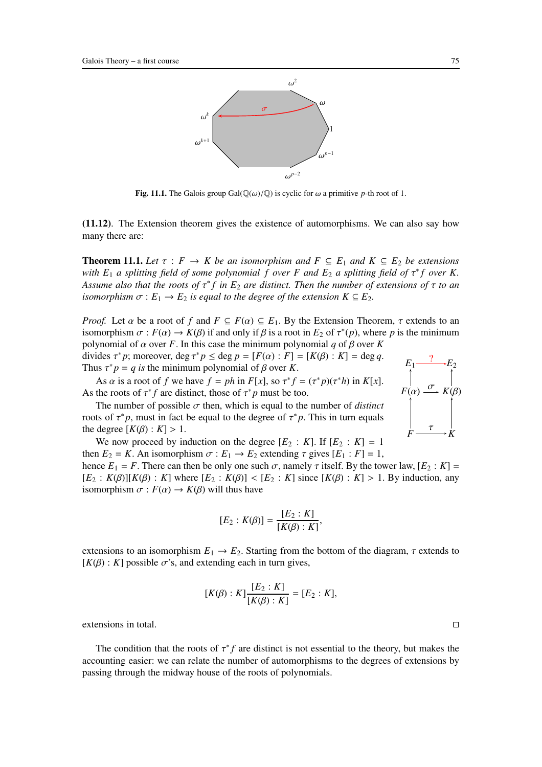

Fig. 11.1. The Galois group  $Gal(\mathbb{Q}(\omega)/\mathbb{Q})$  is cyclic for  $\omega$  a primitive *p*-th root of 1.

<span id="page-74-0"></span>(11.12). The Extension theorem gives the existence of automorphisms. We can also say how many there are:

**Theorem 11.1.** Let  $\tau : F \to K$  be an isomorphism and  $F \subseteq E_1$  and  $K \subseteq E_2$  be extensions *with E*<sup>1</sup> *a splitting field of some polynomial f over F and E*<sup>2</sup> *a splitting field of* τ ∗ *f over K. Assume also that the roots of* τ ∗ *f in E*<sup>2</sup> *are distinct. Then the number of extensions of* τ *to an isomorphism*  $\sigma$  :  $E_1 \rightarrow E_2$  *is equal to the degree of the extension*  $K \subseteq E_2$ .

*Proof.* Let  $\alpha$  be a root of  $f$  and  $F \subseteq F(\alpha) \subseteq E_1$ . By the Extension Theorem,  $\tau$  extends to an isomorphism  $\sigma : F(\alpha) \to K(\beta)$  if and only if  $\beta$  is a root in  $E_2$  of  $\tau^*(p)$ , where p is the minimum polynomial of  $\alpha$  over *F*. In this case the minimum polynomial  $q$  of  $\beta$  over *K* 

divides  $\tau^* p$ ; moreover, deg  $\tau^* p \le \text{deg } p = [F(\alpha) : F] = [K(\beta) : K] = \text{deg } q$ . Thus  $\tau^* p = q$  *is* the minimum polynomial of  $\beta$  over *K*.

As  $\alpha$  is a root of  $f$  we have  $f = ph$  in  $F[x]$ , so  $\tau^* f = (\tau^* p)(\tau^* h)$  in  $K[x]$ . As the roots of  $\tau^* f$  are distinct, those of  $\tau^* p$  must be too.



The number of possible  $\sigma$  then, which is equal to the number of *distinct* roots of  $\tau^* p$ , must in fact be equal to the degree of  $\tau^* p$ . This in turn equals the degree  $[K(\beta): K] > 1$ .

We now proceed by induction on the degree  $[E_2 : K]$ . If  $[E_2 : K] = 1$ then  $E_2 = K$ . An isomorphism  $\sigma : E_1 \rightarrow E_2$  extending  $\tau$  gives  $[E_1 : F] = 1$ ,

hence  $E_1 = F$ . There can then be only one such  $\sigma$ , namely  $\tau$  itself. By the tower law,  $[E_2 : K] =$  $[E_2 : K(\beta)][K(\beta) : K]$  where  $[E_2 : K(\beta)] < [E_2 : K]$  since  $[K(\beta) : K] > 1$ . By induction, any isomorphism  $\sigma$  :  $F(\alpha) \rightarrow K(\beta)$  will thus have

$$
[E_2 : K(\beta)] = \frac{[E_2 : K]}{[K(\beta) : K]},
$$

extensions to an isomorphism  $E_1 \rightarrow E_2$ . Starting from the bottom of the diagram,  $\tau$  extends to  $[K(\beta): K]$  possible  $\sigma$ 's, and extending each in turn gives,

$$
[K(\beta):K]\frac{[E_2:K]}{[K(\beta):K]}=[E_2:K],
$$

extensions in total. ⊓⊔

The condition that the roots of  $\tau^* f$  are distinct is not essential to the theory, but makes the accounting easier: we can relate the number of automorphisms to the degrees of extensions by passing through the midway house of the roots of polynomials.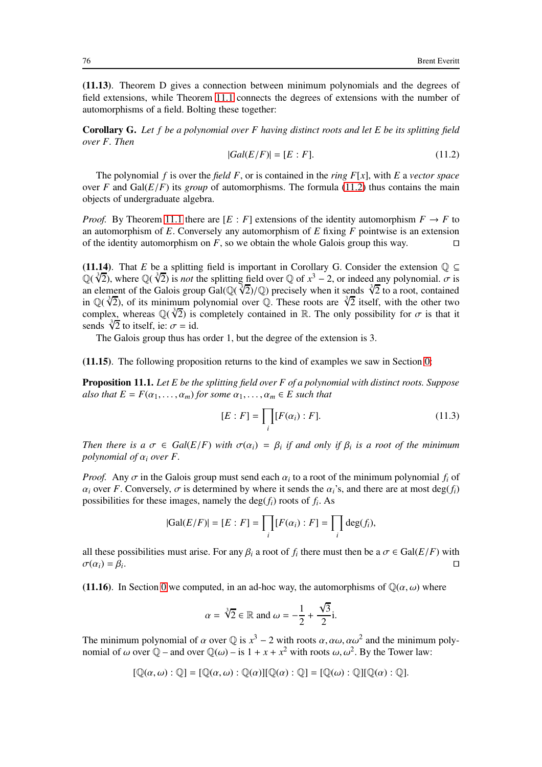(11.13). Theorem D gives a connection between minimum polynomials and the degrees of field extensions, while Theorem [11.1](#page-74-0) connects the degrees of extensions with the number of automorphisms of a field. Bolting these together:

Corollary G. *Let f be a polynomial over F having distinct roots and let E be its splitting field over F. Then*

<span id="page-75-0"></span>
$$
|Gal(E/F)| = [E : F]. \tag{11.2}
$$

The polynomial *f* is over the *field F*, or is contained in the *ring F*[*x*], with *E* a *vector space* over *F* and  $Gal(E/F)$  its *group* of automorphisms. The formula [\(11.2\)](#page-75-0) thus contains the main objects of undergraduate algebra.

*Proof.* By Theorem [11.1](#page-74-0) there are  $[E : F]$  extensions of the identity automorphism  $F \to F$  to an automorphism of *E*. Conversely any automorphism of *E* fixing *F* pointwise is an extension of the identity automorphism on *F*, so we obtain the whole Galois group this way. ⊓⊔

(11.14). That *E* be a splitting field is important in Corollary G. Consider the extension  $\mathbb{Q} \subseteq$  $\mathbb{Q}(\sqrt[3]{2})$ , where  $\mathbb{Q}(\sqrt[3]{2})$  is *not* the splitting field over  $\mathbb{Q}$  of  $x^3 - 2$ , or indeed any polynomial.  $\sigma$  is an element of the Galois group Gal( $\mathbb{Q}(\sqrt{2})/\mathbb{Q}$ ) precisely when it sends  $\sqrt[3]{2}$  to a root, contained in  $\mathbb{Q}(\sqrt[3]{2})$ , of its minimum polynomial over  $\mathbb{Q}$ . These roots are  $\sqrt[3]{2}$  itself, with the other two complex, whereas  $\mathbb{Q}(\sqrt[3]{2})$  is completely contained in R. The only possibility for  $\sigma$  is that it sends  $\sqrt[3]{2}$  to itself, ie:  $\sigma$  = id.

The Galois group thus has order 1, but the degree of the extension is 3.

<span id="page-75-1"></span>(11.15). The following proposition returns to the kind of examples we saw in Section [0:](#page-2-0)

Proposition 11.1. *Let E be the splitting field over F of a polynomial with distinct roots. Suppose also that*  $E = F(\alpha_1, \ldots, \alpha_m)$  *for some*  $\alpha_1, \ldots, \alpha_m \in E$  *such that* 

<span id="page-75-2"></span>
$$
[E : F] = \prod_{i} [F(\alpha_i) : F].
$$
 (11.3)

*Then there is a*  $\sigma \in Gal(E/F)$  *with*  $\sigma(\alpha_i) = \beta_i$  *if and only if*  $\beta_i$  *is a root of the minimum polynomial of*  $\alpha_i$  *over*  $F$ .

*Proof.* Any  $\sigma$  in the Galois group must send each  $\alpha_i$  to a root of the minimum polynomial  $f_i$  of  $\alpha_i$  over *F*. Conversely,  $\sigma$  is determined by where it sends the  $\alpha_i$ 's, and there are at most deg( $f_i$ ) possibilities for these images, namely the  $\deg(f_i)$  roots of  $f_i$ . As

$$
|\text{Gal}(E/F)| = [E : F] = \prod_i [F(\alpha_i) : F] = \prod_i \text{deg}(f_i),
$$

all these possibilities must arise. For any  $\beta_i$  a root of  $f_i$  there must then be a  $\sigma \in \text{Gal}(E/F)$  with  $\sigma(\alpha_i) = \beta_i$ . . ⊓⊐ ⊡

(11.16). In Section [0](#page-2-0) we computed, in an ad-hoc way, the automorphisms of  $\mathbb{Q}(\alpha,\omega)$  where

$$
\alpha = \sqrt[3]{2} \in \mathbb{R} \text{ and } \omega = -\frac{1}{2} + \frac{\sqrt{3}}{2}i.
$$

The minimum polynomial of  $\alpha$  over  $\mathbb{Q}$  is  $x^3 - 2$  with roots  $\alpha$ ,  $\alpha\omega$ ,  $\alpha\omega^2$  and the minimum polynomial of  $\omega$  over  $\mathbb{Q}$  – and over  $\mathbb{Q}(\omega)$  – is  $1 + x + x^2$  with roots  $\omega, \omega^2$ . By the Tower law:

$$
[\mathbb{Q}(\alpha,\omega):\mathbb{Q}]=[\mathbb{Q}(\alpha,\omega):\mathbb{Q}(\alpha)][\mathbb{Q}(\alpha):\mathbb{Q}]=[\mathbb{Q}(\omega):\mathbb{Q}][\mathbb{Q}(\alpha):\mathbb{Q}].
$$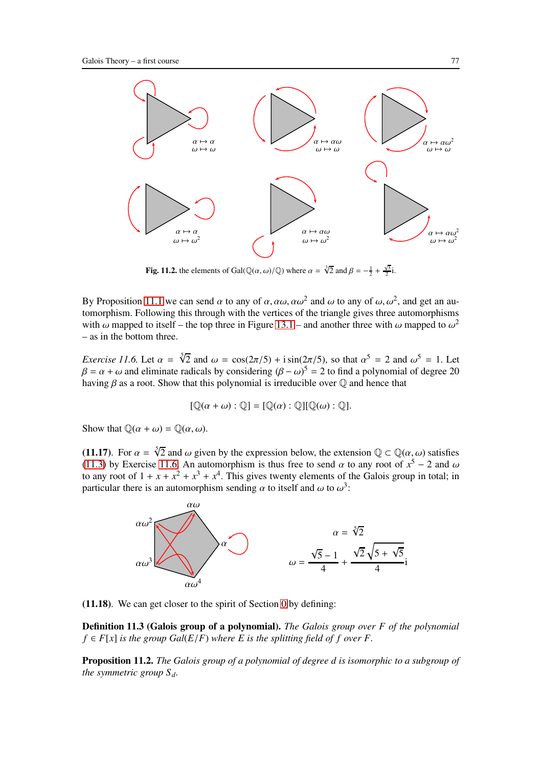

**Fig. 11.2.** the elements of Gal( $\mathbb{Q}(\alpha, \omega)/\mathbb{Q}$ ) where  $\alpha = \sqrt[3]{2}$  and  $\beta = -\frac{1}{2} + \frac{\sqrt{3}}{2}i$ .

By Proposition [11.1](#page-75-1) we can send  $\alpha$  to any of  $\alpha, \alpha\omega, \alpha\omega^2$  and  $\omega$  to any of  $\omega, \omega^2$ , and get an automorphism. Following this through with the vertices of the triangle gives three automorphisms with  $\omega$  mapped to itself – the top three in Figure [13.1](#page-92-0) – and another three with  $\omega$  mapped to  $\omega^2$ – as in the bottom three.

<span id="page-76-0"></span>*Exercise 11.6.* Let  $\alpha = \sqrt[5]{2}$  and  $\omega = \cos(2\pi/5) + i \sin(2\pi/5)$ , so that  $\alpha^5 = 2$  and  $\omega^5 = 1$ . Let  $\beta = \alpha + \omega$  and eliminate radicals by considering  $(\beta - \omega)^5 = 2$  to find a polynomial of degree 20 having  $\beta$  as a root. Show that this polynomial is irreducible over  $\mathbb Q$  and hence that

$$
[\mathbb{Q}(\alpha + \omega) : \mathbb{Q}] = [\mathbb{Q}(\alpha) : \mathbb{Q}][\mathbb{Q}(\omega) : \mathbb{Q}].
$$

Show that  $\mathbb{O}(\alpha + \omega) = \mathbb{O}(\alpha, \omega)$ .

(11.17). For  $\alpha = \sqrt[5]{2}$  and  $\omega$  given by the expression below, the extension  $\mathbb{Q} \subset \mathbb{Q}(\alpha, \omega)$  satisfies [\(11.3\)](#page-75-2) by Exercise [11.6.](#page-76-0) An automorphism is thus free to send  $\alpha$  to any root of  $x^5 - 2$  and  $\omega$ to any root of  $1 + x + x^2 + x^3 + x^4$ . This gives twenty elements of the Galois group in total; in particular there is an automorphism sending  $\alpha$  to itself and  $\omega$  to  $\omega^3$ :



(11.18). We can get closer to the spirit of Section [0](#page-2-0) by defining:

Definition 11.3 (Galois group of a polynomial). *The Galois group over F of the polynomial*  $f \in F[x]$  *is the group Gal*( $E/F$ ) *where E is the splitting field of f over F.* 

<span id="page-76-1"></span>**Proposition 11.2.** *The Galois group of a polynomial of degree d is isomorphic to a subgroup of the symmetric group Sd.*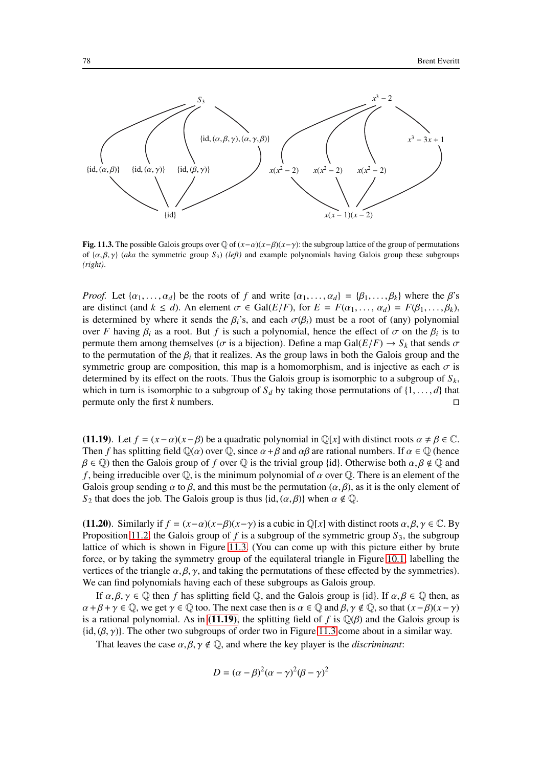

Fig. 11.3. The possible Galois groups over Q of (*x*−α)(*x*−β)(*x*−γ): the subgroup lattice of the group of permutations of {α, β, γ} (*aka* the symmetric group *S*3) *(left)* and example polynomials having Galois group these subgroups *(right)*.

*Proof.* Let  $\{\alpha_1, \ldots, \alpha_d\}$  be the roots of *f* and write  $\{\alpha_1, \ldots, \alpha_d\} = \{\beta_1, \ldots, \beta_k\}$  where the  $\beta$ 's are distinct (and  $k \le d$ ). An element  $\sigma \in \text{Gal}(E/F)$ , for  $E = F(\alpha_1, \ldots, \alpha_d) = F(\beta_1, \ldots, \beta_k)$ , is determined by where it sends the  $\beta_i$ 's, and each  $\sigma(\beta_i)$  must be a root of (any) polynomial over *F* having  $\beta_i$  as a root. But *f* is such a polynomial, hence the effect of  $\sigma$  on the  $\beta_i$  is to permute them among themselves ( $\sigma$  is a bijection). Define a map Gal( $E/F$ )  $\rightarrow$   $S_k$  that sends  $\sigma$ to the permutation of the  $\beta_i$  that it realizes. As the group laws in both the Galois group and the symmetric group are composition, this map is a homomorphism, and is injective as each  $\sigma$  is determined by its effect on the roots. Thus the Galois group is isomorphic to a subgroup of  $S_k$ , which in turn is isomorphic to a subgroup of  $S_d$  by taking those permutations of  $\{1, \ldots, d\}$  that permute only the first k numbers. permute only the first *k* numbers.

<span id="page-77-0"></span>(11.19). Let  $f = (x - \alpha)(x - \beta)$  be a quadratic polynomial in  $\mathbb{Q}[x]$  with distinct roots  $\alpha \neq \beta \in \mathbb{C}$ . Then *f* has splitting field  $\mathbb{Q}(\alpha)$  over  $\mathbb{Q}$ , since  $\alpha + \beta$  and  $\alpha\beta$  are rational numbers. If  $\alpha \in \mathbb{Q}$  (hence  $\beta \in \mathbb{Q}$ ) then the Galois group of *f* over  $\mathbb{Q}$  is the trivial group {id}. Otherwise both  $\alpha, \beta \notin \mathbb{Q}$  and *f*, being irreducible over  $\mathbb{Q}$ , is the minimum polynomial of  $\alpha$  over  $\mathbb{Q}$ . There is an element of the Galois group sending  $\alpha$  to  $\beta$ , and this must be the permutation  $(\alpha, \beta)$ , as it is the only element of *S*<sub>2</sub> that does the job. The Galois group is thus {id,  $(\alpha, \beta)$ } when  $\alpha \notin \mathbb{Q}$ .

(11.20). Similarly if  $f = (x-\alpha)(x-\beta)(x-\gamma)$  is a cubic in  $\mathbb{Q}[x]$  with distinct roots  $\alpha, \beta, \gamma \in \mathbb{C}$ . By Proposition [11.2,](#page-76-1) the Galois group of  $f$  is a subgroup of the symmetric group  $S_3$ , the subgroup lattice of which is shown in Figure [11.3.](#page-85-0) (You can come up with this picture either by brute force, or by taking the symmetry group of the equilateral triangle in Figure [10.1,](#page-92-0) labelling the vertices of the triangle  $\alpha, \beta, \gamma$ , and taking the permutations of these effected by the symmetries). We can find polynomials having each of these subgroups as Galois group.

If  $\alpha, \beta, \gamma \in \mathbb{Q}$  then *f* has splitting field  $\mathbb{Q}$ , and the Galois group is {id}. If  $\alpha, \beta \in \mathbb{Q}$  then, as  $\alpha + \beta + \gamma \in \mathbb{Q}$ , we get  $\gamma \in \mathbb{Q}$  too. The next case then is  $\alpha \in \mathbb{Q}$  and  $\beta, \gamma \notin \mathbb{Q}$ , so that  $(x - \beta)(x - \gamma)$ is a rational polynomial. As in [\(11.19\)](#page-77-0), the splitting field of *f* is  $\mathbb{Q}(\beta)$  and the Galois group is  $\{\text{id}, (\beta, \gamma)\}.$  The other two subgroups of order two in Figure [11.3](#page-85-0) come about in a similar way.

That leaves the case  $\alpha, \beta, \gamma \notin \mathbb{Q}$ , and where the key player is the *discriminant*:

$$
D = (\alpha - \beta)^2 (\alpha - \gamma)^2 (\beta - \gamma)^2
$$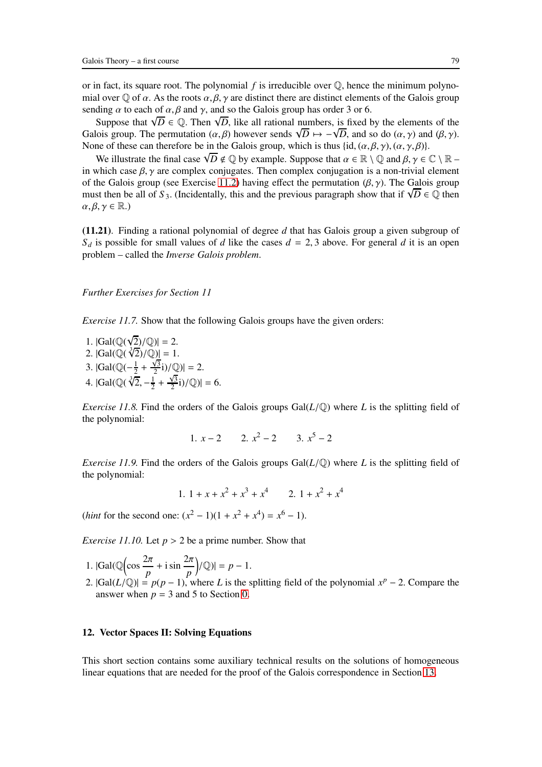or in fact, its square root. The polynomial *f* is irreducible over Q, hence the minimum polynomial over  $\mathbb Q$  of  $\alpha$ . As the roots  $\alpha, \beta, \gamma$  are distinct there are distinct elements of the Galois group sending  $\alpha$  to each of  $\alpha$ ,  $\beta$  and  $\gamma$ , and so the Galois group has order 3 or 6.

Suppose that  $\sqrt{D} \in \mathbb{Q}$ . Then  $\sqrt{D}$ , like all rational numbers, is fixed by the elements of the Galois group. The permutation  $(\alpha, \beta)$  however sends  $\sqrt{D} \mapsto -\sqrt{D}$ , and so do  $(\alpha, \gamma)$  and  $(\beta, \gamma)$ . None of these can therefore be in the Galois group, which is thus  $\{\mathrm{id}, (\alpha, \beta, \gamma), (\alpha, \gamma, \beta)\}.$ 

We illustrate the final case  $\sqrt{D} \notin \mathbb{Q}$  by example. Suppose that  $\alpha \in \mathbb{R} \setminus \mathbb{Q}$  and  $\beta, \gamma \in \mathbb{C} \setminus \mathbb{R}$ in which case  $\beta$ ,  $\gamma$  are complex conjugates. Then complex conjugation is a non-trivial element of the Galois group (see Exercise [11.2\)](#page-69-0) having effect the permutation  $(\beta, \gamma)$ . The Galois group must then be all of *S*<sub>3</sub>. (Incidentally, this and the previous paragraph show that if  $\sqrt{D} \in \mathbb{Q}$  then  $\alpha, \beta, \gamma \in \mathbb{R}$ .)

(11.21). Finding a rational polynomial of degree *d* that has Galois group a given subgroup of  $S_d$  is possible for small values of *d* like the cases  $d = 2, 3$  above. For general *d* it is an open problem – called the *Inverse Galois problem*.

## *Further Exercises for Section 11*

*Exercise 11.7.* Show that the following Galois groups have the given orders:

1.  $|Gal(\mathbb{Q}(\sqrt{2})/\mathbb{Q})| = 2.$ 2.  $|Gal(\mathbb{Q}(\sqrt[3]{2})/\mathbb{Q})| = 1.$ 3.  $|Gal(\mathbb{Q}(-\frac{1}{2})$  $\frac{1}{2} + \frac{\sqrt{3}}{2}$  $\frac{\sqrt{3}}{2}i)/\mathbb{Q}$  $\vert = 2.$ 4. |Gal( $\mathbb{Q}(\sqrt[3]{2}, -\frac{1}{2})$  $\frac{1}{2} + \frac{\sqrt{3}}{2}$  $\frac{\sqrt{3}}{2}i$ )/ $\mathbb{Q}$ )| = 6.

*Exercise 11.8.* Find the orders of the Galois groups  $Gal(L/\mathbb{Q})$  where *L* is the splitting field of the polynomial:

1. 
$$
x-2
$$
 2.  $x^2-2$  3.  $x^5-2$ 

*Exercise 11.9.* Find the orders of the Galois groups  $Gal(L/\mathbb{Q})$  where *L* is the splitting field of the polynomial:

1. 
$$
1 + x + x^2 + x^3 + x^4
$$
 2.  $1 + x^2 + x^4$ 

(*hint* for the second one:  $(x^2 - 1)(1 + x^2 + x^4) = x^6 - 1$ ).

*Exercise 11.10.* Let  $p > 2$  be a prime number. Show that

- 1.  $|Gal(\mathbb{Q}(\cos \frac{2\pi}{n}))$  $\frac{2\pi}{p}$  + i sin  $\frac{2\pi}{p}$  $(|Q| = p - 1.$
- 2.  $|Gal(L/\mathbb{Q})| = p(p-1)$ , where *L* is the splitting field of the polynomial  $x^p 2$ . Compare the answer when  $p = 3$  and 5 to Section [0.](#page-2-0)

### <span id="page-78-0"></span>12. Vector Spaces II: Solving Equations

This short section contains some auxiliary technical results on the solutions of homogeneous linear equations that are needed for the proof of the Galois correspondence in Section [13.](#page-81-0)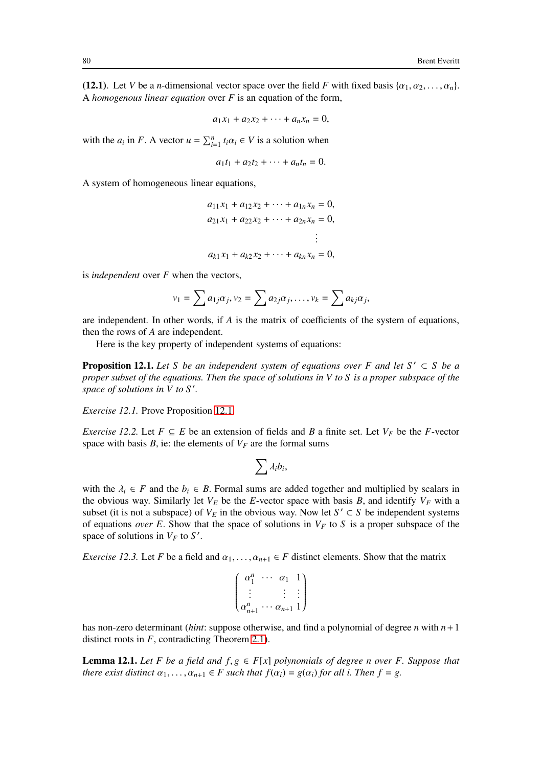(12.1). Let *V* be a *n*-dimensional vector space over the field *F* with fixed basis  $\{\alpha_1, \alpha_2, \dots, \alpha_n\}$ . A *homogenous linear equation* over *F* is an equation of the form,

$$
a_1x_1 + a_2x_2 + \cdots + a_nx_n = 0,
$$

with the  $a_i$  in *F*. A vector  $u = \sum_{i=1}^n t_i \alpha_i \in V$  is a solution when

$$
a_1t_1 + a_2t_2 + \cdots + a_nt_n = 0.
$$

A system of homogeneous linear equations,

$$
a_{11}x_1 + a_{12}x_2 + \cdots + a_{1n}x_n = 0,
$$
  
\n
$$
a_{21}x_1 + a_{22}x_2 + \cdots + a_{2n}x_n = 0,
$$
  
\n
$$
\vdots
$$
  
\n
$$
a_{k1}x_1 + a_{k2}x_2 + \cdots + a_{kn}x_n = 0,
$$

is *independent* over *F* when the vectors,

$$
v_1 = \sum a_{1j} \alpha_j, v_2 = \sum a_{2j} \alpha_j, \dots, v_k = \sum a_{kj} \alpha_j,
$$

are independent. In other words, if *A* is the matrix of coefficients of the system of equations, then the rows of *A* are independent.

<span id="page-79-0"></span>Here is the key property of independent systems of equations:

**Proposition 12.1.** Let S be an independent system of equations over F and let  $S' \subset S$  be a *proper subset of the equations. Then the space of solutions in V to S is a proper subspace of the space of solutions in V to S* ′ *.*

*Exercise 12.1.* Prove Proposition [12.1.](#page-79-0)

*Exercise 12.2.* Let  $F \subseteq E$  be an extension of fields and *B* a finite set. Let  $V_F$  be the *F*-vector space with basis  $B$ , ie: the elements of  $V_F$  are the formal sums

$$
\sum \lambda_i b_i,
$$

with the  $\lambda_i \in F$  and the  $b_i \in B$ . Formal sums are added together and multiplied by scalars in the obvious way. Similarly let  $V_E$  be the *E*-vector space with basis *B*, and identify  $V_F$  with a subset (it is not a subspace) of  $V_E$  in the obvious way. Now let  $S' \subset S$  be independent systems of equations *over E*. Show that the space of solutions in  $V_F$  to S is a proper subspace of the space of solutions in  $V_F$  to  $S'$ .

<span id="page-79-1"></span>*Exercise 12.3.* Let *F* be a field and  $\alpha_1, \ldots, \alpha_{n+1} \in F$  distinct elements. Show that the matrix

$$
\begin{pmatrix}\n\alpha_1^n & \cdots & \alpha_1 & 1 \\
\vdots & & \vdots & \vdots \\
\alpha_{n+1}^n & \cdots & \alpha_{n+1} & 1\n\end{pmatrix}
$$

has non-zero determinant (*hint*: suppose otherwise, and find a polynomial of degree *n* with *n*+1 distinct roots in *F*, contradicting Theorem [2.1\)](#page-13-0).

<span id="page-79-2"></span>**Lemma 12.1.** Let F be a field and  $f, g \in F[x]$  polynomials of degree n over F. Suppose that *there exist distinct*  $\alpha_1, \ldots, \alpha_{n+1} \in F$  *such that*  $f(\alpha_i) = g(\alpha_i)$  *for all i. Then*  $f = g$ *.*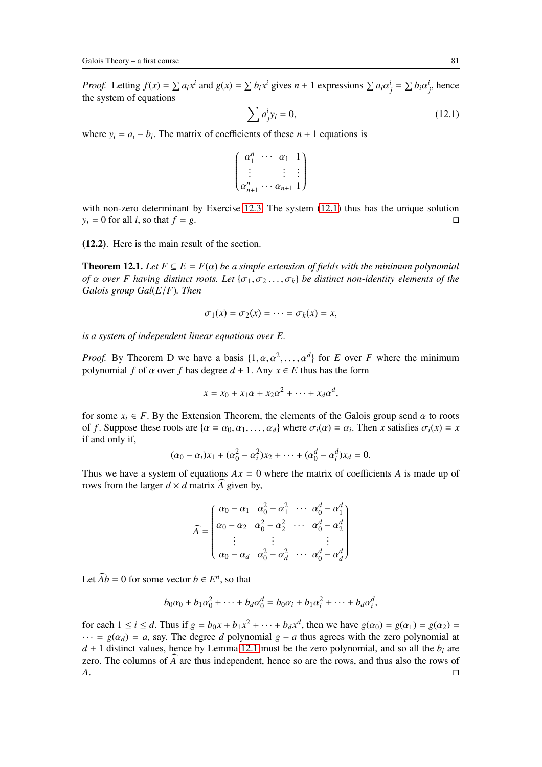*Proof.* Letting  $f(x) = \sum a_i x^i$  and  $g(x) = \sum b_i x^i$  gives  $n + 1$  expressions  $\sum a_i \alpha_j^i = \sum b_i \alpha_j^i$ , hence the system of equations

<span id="page-80-0"></span>
$$
\sum a_j^i y_i = 0,\t\t(12.1)
$$

where  $y_i = a_i - b_i$ . The matrix of coefficients of these  $n + 1$  equations is

$$
\begin{pmatrix}\n\alpha_1^n & \cdots & \alpha_1 & 1 \\
\vdots & & \vdots & \vdots \\
\alpha_{n+1}^n & \cdots & \alpha_{n+1} & 1\n\end{pmatrix}
$$

with non-zero determinant by Exercise [12.3.](#page-79-1) The system  $(12.1)$  thus has the unique solution  $y_i = 0$  for all *i*, so that *f* = *g*. □

<span id="page-80-1"></span>(12.2). Here is the main result of the section.

**Theorem 12.1.** Let  $F \subseteq E = F(\alpha)$  be a simple extension of fields with the minimum polynomial *of*  $\alpha$  *over* F having distinct roots. Let  $\{\sigma_1, \sigma_2, \ldots, \sigma_k\}$  be distinct non-identity elements of the *Galois group Gal*(*E*/*F*)*. Then*

$$
\sigma_1(x) = \sigma_2(x) = \cdots = \sigma_k(x) = x,
$$

*is a system of independent linear equations over E.*

*Proof.* By Theorem D we have a basis  $\{1, \alpha, \alpha^2, \dots, \alpha^d\}$  for *E* over *F* where the minimum polynomial *f* of  $\alpha$  over *f* has degree  $d + 1$ . Any  $x \in E$  thus has the form

$$
x = x_0 + x_1 \alpha + x_2 \alpha^2 + \dots + x_d \alpha^d,
$$

for some  $x_i \in F$ . By the Extension Theorem, the elements of the Galois group send  $\alpha$  to roots of *f*. Suppose these roots are  $\{\alpha = \alpha_0, \alpha_1, \dots, \alpha_d\}$  where  $\sigma_i(\alpha) = \alpha_i$ . Then *x* satisfies  $\sigma_i(x) = x$ if and only if,

$$
(\alpha_0 - \alpha_i)x_1 + (\alpha_0^2 - \alpha_i^2)x_2 + \dots + (\alpha_0^d - \alpha_i^d)x_d = 0.
$$

Thus we have a system of equations  $Ax = 0$  where the matrix of coefficients *A* is made up of rows from the larger  $d \times d$  matrix *A* given by,

$$
\widehat{A} = \begin{pmatrix}\n\alpha_0 - \alpha_1 & \alpha_0^2 - \alpha_1^2 & \cdots & \alpha_0^d - \alpha_1^d \\
\alpha_0 - \alpha_2 & \alpha_0^2 - \alpha_2^2 & \cdots & \alpha_0^d - \alpha_2^d \\
\vdots & \vdots & & \vdots \\
\alpha_0 - \alpha_d & \alpha_0^2 - \alpha_d^2 & \cdots & \alpha_0^d - \alpha_d^d\n\end{pmatrix}
$$

Let  $\widehat{A}b = 0$  for some vector  $b \in E^n$ , so that

$$
b_0\alpha_0+b_1\alpha_0^2+\cdots+b_d\alpha_0^d=b_0\alpha_i+b_1\alpha_i^2+\cdots+b_d\alpha_i^d,
$$

for each  $1 \le i \le d$ . Thus if  $g = b_0 x + b_1 x^2 + \dots + b_d x^d$ , then we have  $g(\alpha_0) = g(\alpha_1) = g(\alpha_2) =$  $\cdots$  =  $g(\alpha_d)$  = *a*, say. The degree *d* polynomial *g* − *a* thus agrees with the zero polynomial at  $d + 1$  distinct values, hence by Lemma [12.1](#page-79-2) must be the zero polynomial, and so all the  $b_i$  are zero. The columns of  $\overline{A}$  are thus independent, hence so are the rows, and thus also the rows of  $\overline{A}$ . *A*. ⊓⊔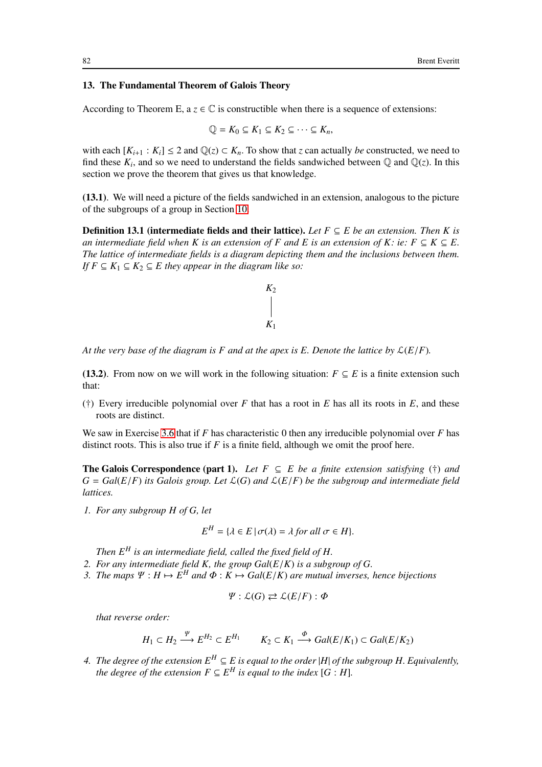# <span id="page-81-0"></span>13. The Fundamental Theorem of Galois Theory

According to Theorem E,  $a \, z \in \mathbb{C}$  is constructible when there is a sequence of extensions:

$$
\mathbb{Q} = K_0 \subseteq K_1 \subseteq K_2 \subseteq \cdots \subseteq K_n,
$$

with each  $[K_{i+1} : K_i] \leq 2$  and  $\mathbb{Q}(z) \subset K_n$ . To show that *z* can actually *be* constructed, we need to find these  $K_i$ , and so we need to understand the fields sandwiched between  $\mathbb Q$  and  $\mathbb Q(z)$ . In this section we prove the theorem that gives us that knowledge.

(13.1). We will need a picture of the fields sandwiched in an extension, analogous to the picture of the subgroups of a group in Section [10.](#page-62-0)

**Definition 13.1 (intermediate fields and their lattice).** Let  $F \subseteq E$  be an extension. Then K is *an intermediate field when K is an extension of F and E is an extension of K: ie:*  $F \subseteq K \subseteq E$ . *The lattice of intermediate fields is a diagram depicting them and the inclusions between them. If*  $F ⊆ K_1 ⊆ K_2 ⊆ E$  *they appear in the diagram like so:* 



*At the very base of the diagram is F and at the apex is E. Denote the lattice by*  $\mathcal{L}(E/F)$ .

<span id="page-81-1"></span>(13.2). From now on we will work in the following situation:  $F \subseteq E$  is a finite extension such that:

 $(+)$  Every irreducible polynomial over *F* that has a root in *E* has all its roots in *E*, and these roots are distinct.

We saw in Exercise [3.6](#page-25-0) that if *F* has characteristic 0 then any irreducible polynomial over *F* has distinct roots. This is also true if *F* is a finite field, although we omit the proof here.

**The Galois Correspondence (part 1).** Let  $F \subseteq E$  be a finite extension satisfying (†) and  $G = Gal(E/F)$  *its Galois group. Let*  $\mathcal{L}(G)$  *and*  $\mathcal{L}(E/F)$  *be the subgroup and intermediate field lattices.*

*1. For any subgroup H of G, let*

$$
E^H = \{ \lambda \in E \, | \, \sigma(\lambda) = \lambda \text{ for all } \sigma \in H \}.
$$

*Then E<sup>H</sup> is an intermediate field, called the fixed field of H.*

- *2. For any intermediate field K, the group Gal*(*E*/*K*) *is a subgroup of G.*
- *3. The maps*  $\Psi : H \mapsto E^H$  *and*  $\Phi : K \mapsto Gal(E/K)$  *are mutual inverses, hence bijections*

$$
\Psi : \mathcal{L}(G) \rightleftarrows \mathcal{L}(E/F) : \Phi
$$

*that reverse order:*

$$
H_1 \subset H_2 \xrightarrow{\Psi} E^{H_2} \subset E^{H_1} \qquad K_2 \subset K_1 \xrightarrow{\Phi} Gal(E/K_1) \subset Gal(E/K_2)
$$

*4. The degree of the extension*  $E^H ⊆ E$  *is equal to the order* |*H*| *of the subgroup H. Equivalently, the degree of the extension*  $F \subseteq E^H$  *is equal to the index*  $[G : H]$ *.*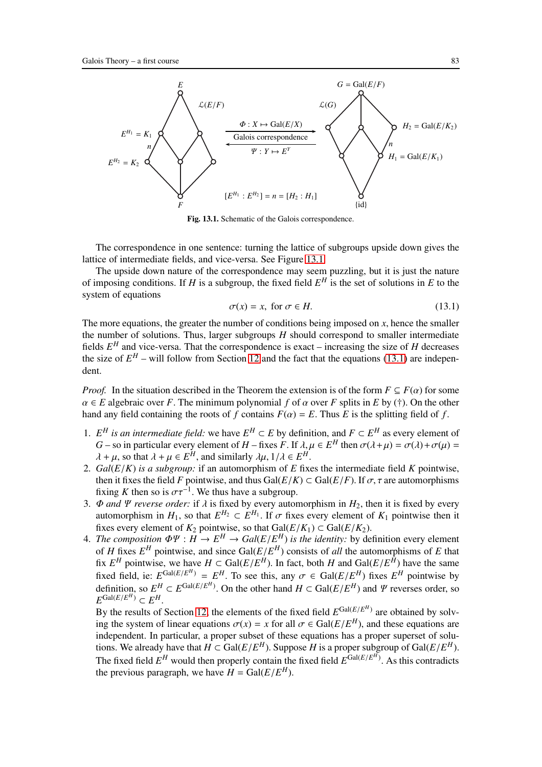

Fig. 13.1. Schematic of the Galois correspondence.

The correspondence in one sentence: turning the lattice of subgroups upside down gives the lattice of intermediate fields, and vice-versa. See Figure [13.1.](#page-92-0)

The upside down nature of the correspondence may seem puzzling, but it is just the nature of imposing conditions. If *H* is a subgroup, the fixed field  $E^H$  is the set of solutions in *E* to the system of equations

<span id="page-82-0"></span>
$$
\sigma(x) = x, \text{ for } \sigma \in H. \tag{13.1}
$$

The more equations, the greater the number of conditions being imposed on *x*, hence the smaller the number of solutions. Thus, larger subgroups *H* should correspond to smaller intermediate fields  $E^H$  and vice-versa. That the correspondence is exact – increasing the size of  $H$  decreases the size of  $E^H$  – will follow from Section [12](#page-78-0) and the fact that the equations [\(13.1\)](#page-82-0) are independent.

*Proof.* In the situation described in the Theorem the extension is of the form  $F \subseteq F(\alpha)$  for some  $\alpha \in E$  algebraic over *F*. The minimum polynomial *f* of  $\alpha$  over *F* splits in *E* by (†). On the other hand any field containing the roots of *f* contains  $F(\alpha) = E$ . Thus *E* is the splitting field of *f*.

- 1. *E<sup>H</sup> is an intermediate field:* we have *E<sup>H</sup>* ⊂ *E* by definition, and *F* ⊂ *E<sup>H</sup>* as every element of *G* – so in particular every element of *H* – fixes *F*. If  $\lambda, \mu \in E^H$  then  $\sigma(\lambda + \mu) = \sigma(\lambda) + \sigma(\mu) =$  $\lambda + \mu$ , so that  $\lambda + \mu \in E^H$ , and similarly  $\lambda \mu$ ,  $1/\lambda \in E^H$ .
- 2. *Gal*(*E*/*K*) *is a subgroup:* if an automorphism of *E* fixes the intermediate field *K* pointwise, then it fixes the field *F* pointwise, and thus Gal( $E/K$ )  $\subset$  Gal( $E/F$ ). If  $\sigma$ ,  $\tau$  are automorphisms fixing *K* then so is  $\sigma \tau^{-1}$ . We thus have a subgroup.
- 3.  $\Phi$  *and*  $\Psi$  *reverse order:* if  $\lambda$  is fixed by every automorphism in  $H_2$ , then it is fixed by every automorphism in  $H_1$ , so that  $E^{H_2} \subset E^{H_1}$ . If  $\sigma$  fixes every element of  $K_1$  pointwise then it fixes every element of  $K_2$  pointwise, so that  $Gal(E/K_1) \subset Gal(E/K_2)$ .
- 4. *The composition*  $\Phi \Psi : H \to E^H \to Gal(E/E^H)$  *is the identity:* by definition every element of *H* fixes  $E^H$  pointwise, and since Gal( $E/E^H$ ) consists of *all* the automorphisms of *E* that fix  $E^H$  pointwise, we have  $H \subset \text{Gal}(E/E^H)$ . In fact, both *H* and  $\text{Gal}(E/E^H)$  have the same fixed field, ie:  $E^{Gal(E/E^H)} = E^H$ . To see this, any  $\sigma \in Gal(E/E^H)$  fixes  $E^H$  pointwise by definition, so  $E^H \subset E^{Gal(E/E^H)}$ . On the other hand  $H \subset Gal(E/E^H)$  and  $\Psi$  reverses order, so  $E^{\text{Gal}(E/E^H)} \subset E^H$ .

By the results of Section [12,](#page-78-0) the elements of the fixed field  $E^{Gal(E/E^H)}$  are obtained by solving the system of linear equations  $\sigma(x) = x$  for all  $\sigma \in \text{Gal}(E/E^H)$ , and these equations are independent. In particular, a proper subset of these equations has a proper superset of solutions. We already have that  $H \subset \text{Gal}(E/E^H)$ . Suppose *H* is a proper subgroup of  $\text{Gal}(E/E^H)$ . The fixed field  $E^H$  would then properly contain the fixed field  $E^{Gal(E/E^H)}$ . As this contradicts the previous paragraph, we have  $H = \text{Gal}(E/E^H)$ .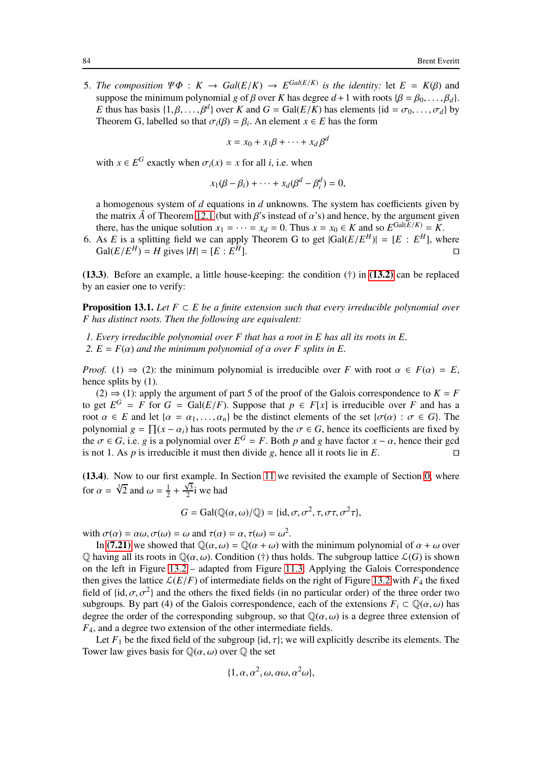5. *The composition*  $\Psi \Phi : K \to Gal(E/K) \to E^{Gal(E/K)}$  *is the identity:* let  $E = K(\beta)$  and suppose the minimum polynomial *g* of  $\beta$  over *K* has degree  $d+1$  with roots { $\beta = \beta_0, \ldots, \beta_d$  }. *E* thus has basis  $\{1, \beta, ..., \beta^d\}$  over *K* and  $G = \text{Gal}(E/K)$  has elements  $\{\text{id} = \sigma_0, ..., \sigma_d\}$  by Theorem G, labelled so that  $\sigma_i(\beta) = \beta_i$ . An element  $x \in E$  has the form

$$
x = x_0 + x_1\beta + \dots + x_d\beta^d
$$

with  $x \in E^G$  exactly when  $\sigma_i(x) = x$  for all *i*, i.e. when

$$
x_1(\beta - \beta_i) + \cdots + x_d(\beta^d - \beta_i^d) = 0,
$$

a homogenous system of *d* equations in *d* unknowns. The system has coefficients given by the matrix  $\hat{A}$  of Theorem [12.1](#page-80-1) (but with  $\beta$ 's instead of  $\alpha$ 's) and hence, by the argument given there, has the unique solution  $x_1 = \cdots = x_d = 0$ . Thus  $x = x_0 \in K$  and so  $E^{\text{Gal}(E/K)} = K$ .

6. As *E* is a splitting field we can apply Theorem G to get  $|Gal(E/E^H)| = [E : E^H]$ , where  $Gal(E/E^H) = H$  gives  $|H| = [E : E]$ *<sup>H</sup>*]. ⊓⊔

<span id="page-83-1"></span>(13.3). Before an example, a little house-keeping: the condition (†) in [\(13.2\)](#page-81-1) can be replaced by an easier one to verify:

**Proposition 13.1.** *Let*  $F \subset E$  *be a finite extension such that every irreducible polynomial over F has distinct roots. Then the following are equivalent:*

- *1. Every irreducible polynomial over F that has a root in E has all its roots in E.*
- *2.*  $E = F(\alpha)$  *and the minimum polynomial of*  $\alpha$  *over F splits in E.*

*Proof.* (1)  $\Rightarrow$  (2): the minimum polynomial is irreducible over *F* with root  $\alpha \in F(\alpha) = E$ , hence splits by  $(1)$ .

(2)  $\Rightarrow$  (1): apply the argument of part 5 of the proof of the Galois correspondence to  $K = F$ to get  $E^G = F$  for  $G = \text{Gal}(E/F)$ . Suppose that  $p \in F[x]$  is irreducible over *F* and has a root  $\alpha \in E$  and let  $\{\alpha = \alpha_1, \dots, \alpha_n\}$  be the distinct elements of the set  $\{\sigma(\alpha) : \sigma \in G\}$ . The polynomial  $g = \prod (x - \alpha_i)$  has roots permuted by the  $\sigma \in G$ , hence its coefficients are fixed by the  $\sigma \in G$ , i.e. *g* is a polynomial over  $E^G = F$ . Both *p* and *g* have factor  $x - \alpha$ , hence their gcd is not 1. As *p* is irreducible it must then divide *g*, hence all it roots lie in *E*. □

<span id="page-83-0"></span>(13.4). Now to our first example. In Section [11](#page-69-1) we revisited the example of Section [0,](#page-2-0) where for  $\alpha = \sqrt[3]{2}$  and  $\omega = \frac{1}{2}$  $rac{1}{2} + \frac{\sqrt{3}}{2}$  $\frac{\sqrt{3}}{2}i$  we had

$$
G = \text{Gal}(\mathbb{Q}(\alpha, \omega)/\mathbb{Q}) = \{\text{id}, \sigma, \sigma^2, \tau, \sigma\tau, \sigma^2\tau\},\
$$

with  $\sigma(\alpha) = \alpha \omega$ ,  $\sigma(\omega) = \omega$  and  $\tau(\alpha) = \alpha$ ,  $\tau(\omega) = \omega^2$ .

In [\(7.21\)](#page-51-0) we showed that  $\mathbb{Q}(\alpha,\omega) = \mathbb{Q}(\alpha+\omega)$  with the minimum polynomial of  $\alpha+\omega$  over  $\mathbb Q$  having all its roots in  $\mathbb Q(\alpha, \omega)$ . Condition (†) thus holds. The subgroup lattice  $\mathcal L(G)$  is shown on the left in Figure [13.2](#page-90-0) – adapted from Figure [11.3.](#page-85-0) Applying the Galois Correspondence then gives the lattice  $\mathcal{L}(E/F)$  of intermediate fields on the right of Figure [13.2](#page-90-0) with  $F_4$  the fixed field of  $\{\text{id}, \sigma, \sigma^2\}$  and the others the fixed fields (in no particular order) of the three order two subgroups. By part (4) of the Galois correspondence, each of the extensions  $F_i \subset \mathbb{Q}(\alpha, \omega)$  has degree the order of the corresponding subgroup, so that  $\mathbb{Q}(\alpha,\omega)$  is a degree three extension of *F*4, and a degree two extension of the other intermediate fields.

Let  $F_1$  be the fixed field of the subgroup {id,  $\tau$ }; we will explicitly describe its elements. The Tower law gives basis for  $\mathbb{Q}(\alpha,\omega)$  over  $\mathbb Q$  the set

$$
\{1, \alpha, \alpha^2, \omega, \alpha\omega, \alpha^2\omega\},\
$$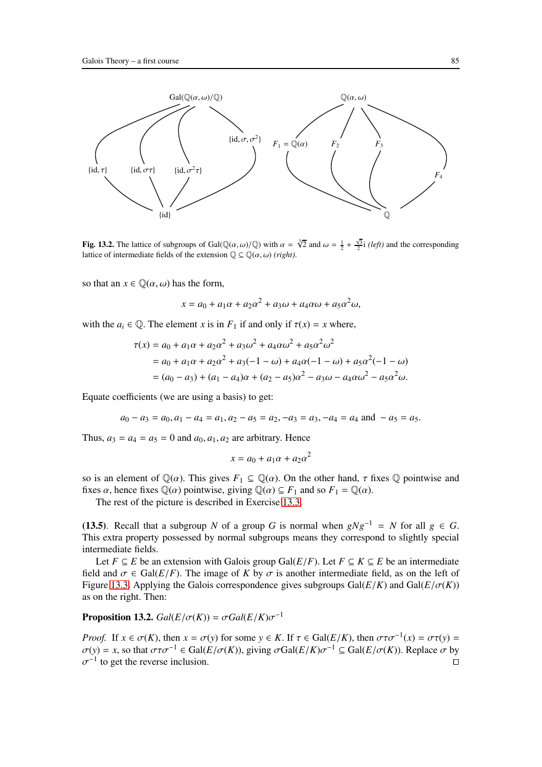

Fig. 13.2. The lattice of subgroups of Gal( $\mathbb{Q}(\alpha,\omega)/\mathbb{Q}$ ) with  $\alpha = \sqrt[3]{2}$  and  $\omega = \frac{1}{2} + \frac{\sqrt{3}}{2}i$  (*left*) and the corresponding lattice of intermediate fields of the extension  $\mathbb{Q} \subseteq \mathbb{Q}(\alpha, \omega)$  *(right)*.

so that an  $x \in \mathbb{Q}(\alpha, \omega)$  has the form,

 $x = a_0 + a_1 \alpha + a_2 \alpha^2 + a_3 \omega + a_4 \alpha \omega + a_5 \alpha^2 \omega,$ 

with the  $a_i \in \mathbb{Q}$ . The element *x* is in  $F_1$  if and only if  $\tau(x) = x$  where,

$$
\tau(x) = a_0 + a_1 \alpha + a_2 \alpha^2 + a_3 \omega^2 + a_4 \alpha \omega^2 + a_5 \alpha^2 \omega^2
$$
  
=  $a_0 + a_1 \alpha + a_2 \alpha^2 + a_3(-1 - \omega) + a_4 \alpha(-1 - \omega) + a_5 \alpha^2(-1 - \omega)$   
=  $(a_0 - a_3) + (a_1 - a_4)\alpha + (a_2 - a_5)\alpha^2 - a_3 \omega - a_4 \alpha \omega^2 - a_5 \alpha^2 \omega.$ 

Equate coefficients (we are using a basis) to get:

$$
a_0 - a_3 = a_0, a_1 - a_4 = a_1, a_2 - a_5 = a_2, -a_3 = a_3, -a_4 = a_4 \text{ and } -a_5 = a_5.
$$

Thus,  $a_3 = a_4 = a_5 = 0$  and  $a_0, a_1, a_2$  are arbitrary. Hence

$$
x = a_0 + a_1 \alpha + a_2 \alpha^2
$$

so is an element of  $\mathbb{Q}(\alpha)$ . This gives  $F_1 \subseteq \mathbb{Q}(\alpha)$ . On the other hand,  $\tau$  fixes  $\mathbb Q$  pointwise and fixes  $\alpha$ , hence fixes  $\mathbb{Q}(\alpha)$  pointwise, giving  $\mathbb{Q}(\alpha) \subseteq F_1$  and so  $F_1 = \mathbb{Q}(\alpha)$ .

The rest of the picture is described in Exercise [13.3.](#page-86-0)

(13.5). Recall that a subgroup *N* of a group *G* is normal when  $gNg^{-1} = N$  for all  $g \in G$ . This extra property possessed by normal subgroups means they correspond to slightly special intermediate fields.

Let *F* ⊆ *E* be an extension with Galois group Gal( $E/F$ ). Let *F* ⊆ *K* ⊆ *E* be an intermediate field and  $\sigma \in \text{Gal}(E/F)$ . The image of *K* by  $\sigma$  is another intermediate field, as on the left of Figure [13.3.](#page-85-0) Applying the Galois correspondence gives subgroups  $Gal(E/K)$  and  $Gal(E/\sigma(K))$ as on the right. Then:

<span id="page-84-0"></span>**Proposition 13.2.**  $Gal(E/\sigma(K)) = \sigma Gal(E/K)\sigma^{-1}$ 

*Proof.* If  $x \in \sigma(K)$ , then  $x = \sigma(y)$  for some  $y \in K$ . If  $\tau \in \text{Gal}(E/K)$ , then  $\sigma \tau \sigma^{-1}(x) = \sigma \tau(y) =$  $\sigma(y) = x$ , so that  $\sigma \tau \sigma^{-1} \in \text{Gal}(E/\sigma(K))$ , giving  $\sigma \text{Gal}(E/K) \sigma^{-1} \subseteq \text{Gal}(E/\sigma(K))$ . Replace  $\sigma$  by  $\sigma^{-1}$  to get the reverse inclusion. □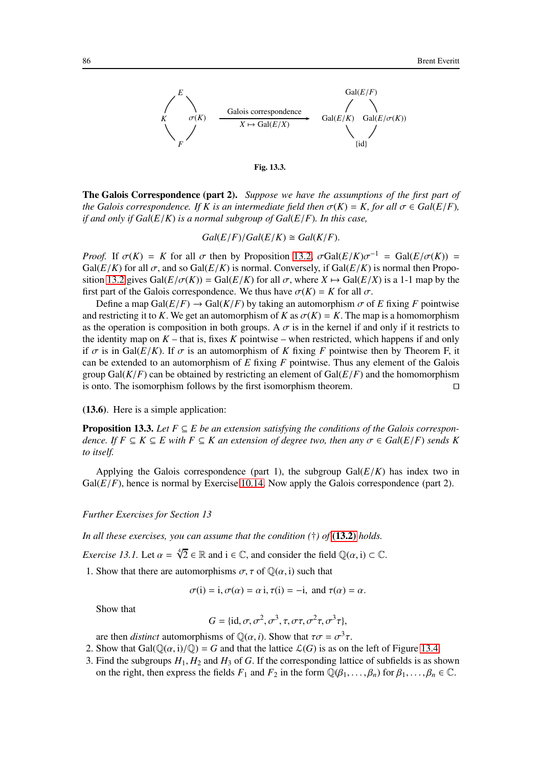

<span id="page-85-0"></span>

The Galois Correspondence (part 2). *Suppose we have the assumptions of the first part of the Galois correspondence. If K is an intermediate field then*  $\sigma(K) = K$ , for all  $\sigma \in Gal(E/F)$ , *if and only if Gal*(*E*/*K*) *is a normal subgroup of Gal*(*E*/*F*)*. In this case,*

 $Gal(E/F)/Gal(E/K) \cong Gal(K/F).$ 

*Proof.* If  $\sigma(K) = K$  for all  $\sigma$  then by Proposition [13.2,](#page-84-0)  $\sigma \text{Gal}(E/K) \sigma^{-1} = \text{Gal}(E/\sigma(K)) =$ Gal( $E/K$ ) for all  $\sigma$ , and so Gal( $E/K$ ) is normal. Conversely, if Gal( $E/K$ ) is normal then Propo-sition [13.2](#page-84-0) gives  $Gal(E/\sigma(K)) = Gal(E/K)$  for all  $\sigma$ , where  $X \mapsto Gal(E/X)$  is a 1-1 map by the first part of the Galois correspondence. We thus have  $\sigma(K) = K$  for all  $\sigma$ .

Define a map Gal( $E/F$ )  $\rightarrow$  Gal( $K/F$ ) by taking an automorphism  $\sigma$  of *E* fixing *F* pointwise and restricting it to *K*. We get an automorphism of *K* as  $\sigma(K) = K$ . The map is a homomorphism as the operation is composition in both groups. A  $\sigma$  is in the kernel if and only if it restricts to the identity map on  $K$  – that is, fixes  $K$  pointwise – when restricted, which happens if and only if  $\sigma$  is in Gal( $E/K$ ). If  $\sigma$  is an automorphism of *K* fixing *F* pointwise then by Theorem F, it can be extended to an automorphism of *E* fixing *F* pointwise. Thus any element of the Galois group Gal( $K/F$ ) can be obtained by restricting an element of Gal( $E/F$ ) and the homomorphism is onto. The isomorphism follows by the first isomorphism theorem. ⊓⊔

(13.6). Here is a simple application:

**Proposition 13.3.** *Let*  $F \subseteq E$  *be an extension satisfying the conditions of the Galois correspondence. If*  $F \subseteq K \subseteq E$  with  $F \subseteq K$  an extension of degree two, then any  $\sigma \in Gal(E/F)$  *sends* K *to itself.*

Applying the Galois correspondence (part 1), the subgroup  $Gal(E/K)$  has index two in  $Gal(E/F)$ , hence is normal by Exercise [10.14.](#page-68-0) Now apply the Galois correspondence (part 2).

### *Further Exercises for Section 13*

<span id="page-85-1"></span>*In all these exercises, you can assume that the condition (*†*) of* [\(13.2\)](#page-81-1) *holds.*

*Exercise 13.1.* Let  $\alpha = \sqrt[4]{2} \in \mathbb{R}$  and  $i \in \mathbb{C}$ , and consider the field  $\mathbb{Q}(\alpha, i) \subset \mathbb{C}$ .

1. Show that there are automorphisms  $\sigma$ ,  $\tau$  of  $\mathbb{Q}(\alpha, i)$  such that

 $\sigma(i) = i, \sigma(\alpha) = \alpha i, \tau(i) = -i, \text{ and } \tau(\alpha) = \alpha.$ 

Show that

$$
G = \{ id, \sigma, \sigma^2, \sigma^3, \tau, \sigma\tau, \sigma^2\tau, \sigma^3\tau \},\
$$

are then *distinct* automorphisms of  $\mathbb{Q}(\alpha, i)$ . Show that  $\tau \sigma = \sigma^3 \tau$ .

- 2. Show that Gal( $\mathbb{Q}(\alpha, i)/\mathbb{Q}$ ) = *G* and that the lattice  $\mathcal{L}(G)$  is as on the left of Figure [13.4.](#page-86-1)
- 3. Find the subgroups  $H_1, H_2$  and  $H_3$  of  $G$ . If the corresponding lattice of subfields is as shown on the right, then express the fields  $F_1$  and  $F_2$  in the form  $\mathbb{Q}(\beta_1, \ldots, \beta_n)$  for  $\beta_1, \ldots, \beta_n \in \mathbb{C}$ .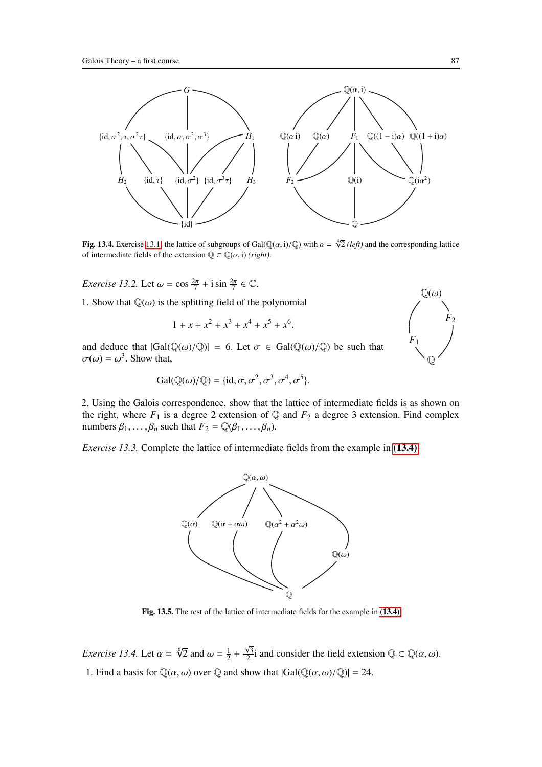

<span id="page-86-1"></span>Fig. 13.4. Exercise [13.1:](#page-85-1) the lattice of subgroups of Gal( $\mathbb{Q}(\alpha, i)/\mathbb{Q}$ ) with  $\alpha = \sqrt[4]{2}$  (*left*) and the corresponding lattice of intermediate fields of the extension  $\mathbb{Q} \subset \mathbb{Q}(\alpha, i)$  *(right)*.

*Exercise 13.2.* Let  $\omega = \cos \frac{2\pi}{7} + i \sin \frac{2\pi}{7} \in \mathbb{C}$ .

1. Show that  $\mathbb{Q}(\omega)$  is the splitting field of the polynomial

$$
1 + x + x^2 + x^3 + x^4 + x^5 + x^6.
$$

and deduce that  $|Gal(\mathbb{Q}(\omega)/\mathbb{Q})| = 6$ . Let  $\sigma \in Gal(\mathbb{Q}(\omega)/\mathbb{Q})$  be such that  $\sigma(\omega) = \omega^3$ . Show that,

$$
Gal(\mathbb{Q}(\omega)/\mathbb{Q}) = \{id, \sigma, \sigma^2, \sigma^3, \sigma^4, \sigma^5\}.
$$

2. Using the Galois correspondence, show that the lattice of intermediate fields is as shown on the right, where  $F_1$  is a degree 2 extension of  $\mathbb Q$  and  $F_2$  a degree 3 extension. Find complex numbers  $\beta_1, \ldots, \beta_n$  such that  $F_2 = \mathbb{Q}(\beta_1, \ldots, \beta_n)$ .

<span id="page-86-0"></span>*Exercise 13.3.* Complete the lattice of intermediate fields from the example in [\(13.4\)](#page-83-0):



Fig. 13.5. The rest of the lattice of intermediate fields for the example in [\(13.4\)](#page-83-0)

<span id="page-86-2"></span>*Exercise 13.4.* Let  $\alpha = \sqrt[6]{2}$  and  $\omega = \frac{1}{2}$  $rac{1}{2} + \frac{\sqrt{3}}{2}$  $\frac{\sqrt{3}}{2}$  i and consider the field extension  $\mathbb{Q} \subset \mathbb{Q}(\alpha, \omega)$ . 1. Find a basis for  $\mathbb{Q}(\alpha,\omega)$  over  $\mathbb{Q}$  and show that  $|Gal(\mathbb{Q}(\alpha,\omega)/\mathbb{Q})|=24$ .

 $\mathbb{Q}(\omega)$ 

 $F<sub>2</sub>$ 

*F*1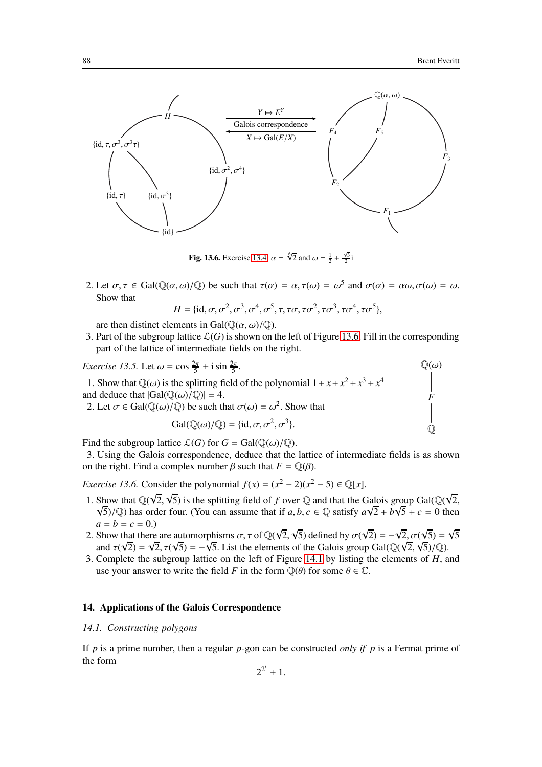*F*

 $\mathbb Q$ 



<span id="page-87-0"></span>**Fig. 13.6.** Exercise [13.4:](#page-86-2)  $\alpha = \sqrt[6]{2}$  and  $\omega = \frac{1}{2} + \frac{\sqrt{3}}{2}i$ 

2. Let  $\sigma, \tau \in Gal(\mathbb{Q}(\alpha, \omega)/\mathbb{Q})$  be such that  $\tau(\alpha) = \alpha, \tau(\omega) = \omega^5$  and  $\sigma(\alpha) = \alpha\omega, \sigma(\omega) = \omega$ . Show that

$$
H = \{\mathrm{id}, \sigma, \sigma^2, \sigma^3, \sigma^4, \sigma^5, \tau, \tau\sigma, \tau\sigma^2, \tau\sigma^3, \tau\sigma^4, \tau\sigma^5\},\
$$

are then distinct elements in Gal $(\mathbb{O}(\alpha, \omega)/\mathbb{O})$ .

3. Part of the subgroup lattice  $\mathcal{L}(G)$  is shown on the left of Figure [13.6.](#page-87-0) Fill in the corresponding part of the lattice of intermediate fields on the right.

*Exercise 13.5.* Let  $\omega = \cos \frac{2\pi}{5} + i \sin \frac{2\pi}{5}$ . 1. Show that  $\mathbb{Q}(\omega)$  is the splitting field of the polynomial  $1 + x + x^2 + x^3 + x^4$ and deduce that  $|Gal(\mathbb{O}(\omega)/\mathbb{O})| = 4$ .  $\mathbb{O}(\omega)$ 2. Let  $\sigma \in \text{Gal}(\mathbb{Q}(\omega)/\mathbb{Q})$  be such that  $\sigma(\omega) = \omega^2$ . Show that  $Gal(\mathbb{Q}(\omega)/\mathbb{Q}) = {\text{id}, \sigma, \sigma^2, \sigma^3}.$ 

Find the subgroup lattice  $\mathcal{L}(G)$  for  $G = \text{Gal}(\mathbb{Q}(\omega)/\mathbb{Q})$ .

3. Using the Galois correspondence, deduce that the lattice of intermediate fields is as shown on the right. Find a complex number  $\beta$  such that  $F = \mathbb{Q}(\beta)$ .

<span id="page-87-1"></span>*Exercise 13.6.* Consider the polynomial  $f(x) = (x^2 - 2)(x^2 - 5) \in \mathbb{Q}[x]$ .

- 1. Show that  $\mathbb{Q}(\sqrt{2}, \sqrt{5})$  is the splitting field of *f* over  $\mathbb{Q}$  and that the Galois group Gal( $\mathbb{Q}(\sqrt{2}, \sqrt{5})$  $\sqrt{5}$ / ℚ) has order four. (You can assume that if *a*, *b*, *c* ∈ ℚ satisfy  $a\sqrt{2} + b\sqrt{5} + c = 0$  then  $a = b = c = 0.$
- 2. Show that there are automorphisms  $\sigma$ ,  $\tau$  of  $\mathbb{Q}(\sqrt{2}, \sqrt{5})$  defined by  $\sigma(\sqrt{2}) = -\sqrt{2}, \sigma(\sqrt{5}) = \sqrt{5}$ and  $\tau(\sqrt{2}) = \sqrt{2}, \tau(\sqrt{5}) = -\sqrt{5}$ . List the elements of the Galois group Gal( $\mathbb{Q}(\sqrt{2}, \sqrt{5})/\mathbb{Q}$ ).
- 3. Complete the subgroup lattice on the left of Figure [14.1](#page-92-0) by listing the elements of *H*, and use your answer to write the field *F* in the form  $\mathbb{Q}(\theta)$  for some  $\theta \in \mathbb{C}$ .

# 14. Applications of the Galois Correspondence

#### *14.1. Constructing polygons*

If *p* is a prime number, then a regular *p*-gon can be constructed *only if p* is a Fermat prime of the form

$$
2^{2^t}+1.
$$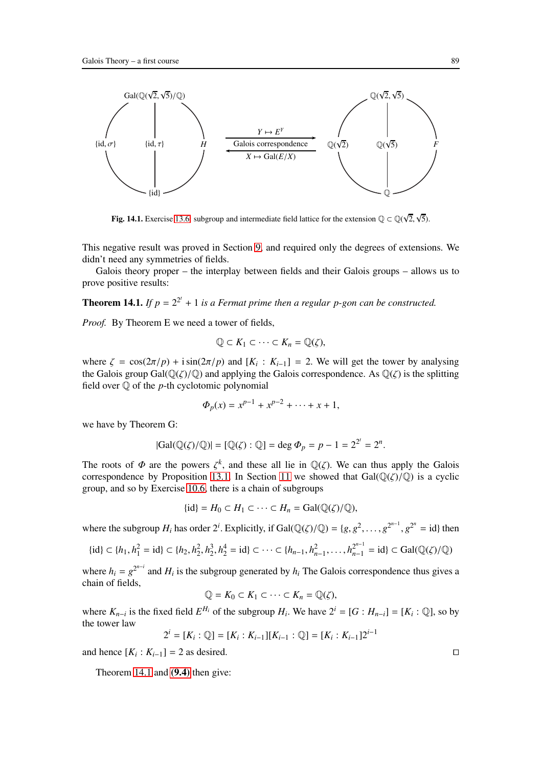

**Fig. 14.1.** Exercise [13.6:](#page-87-1) subgroup and intermediate field lattice for the extension  $\mathbb{Q} \subset \mathbb{Q}(\sqrt{2}, \sqrt{5})$ .

This negative result was proved in Section [9,](#page-56-0) and required only the degrees of extensions. We didn't need any symmetries of fields.

<span id="page-88-0"></span>Galois theory proper – the interplay between fields and their Galois groups – allows us to prove positive results:

**Theorem 14.1.** If  $p = 2^{2^t} + 1$  is a Fermat prime then a regular p-gon can be constructed.

*Proof.* By Theorem E we need a tower of fields,

$$
\mathbb{Q} \subset K_1 \subset \cdots \subset K_n = \mathbb{Q}(\zeta),
$$

where  $\zeta = \cos(2\pi/p) + i \sin(2\pi/p)$  and  $[K_i : K_{i-1}] = 2$ . We will get the tower by analysing the Galois group  $Gal(\mathbb{Q}(\zeta)/\mathbb{Q})$  and applying the Galois correspondence. As  $\mathbb{Q}(\zeta)$  is the splitting field over Q of the *p*-th cyclotomic polynomial

$$
\Phi_p(x) = x^{p-1} + x^{p-2} + \dots + x + 1,
$$

we have by Theorem G:

$$
|\text{Gal}(\mathbb{Q}(\zeta)/\mathbb{Q})| = [\mathbb{Q}(\zeta) : \mathbb{Q}] = \deg \Phi_p = p - 1 = 2^{2^t} = 2^n.
$$

The roots of  $\Phi$  are the powers  $\zeta^k$ , and these all lie in  $\mathbb{Q}(\zeta)$ . We can thus apply the Galois correspondence by Proposition [13.1.](#page-83-1) In Section [11](#page-69-1) we showed that  $Gal(\mathbb{Q}(\zeta)/\mathbb{Q})$  is a cyclic group, and so by Exercise [10.6,](#page-64-0) there is a chain of subgroups

$$
\{\mathrm{id}\}=H_0\subset H_1\subset\cdots\subset H_n=\mathrm{Gal}(\mathbb{Q}(\zeta)/\mathbb{Q}),
$$

where the subgroup  $H_i$  has order  $2^i$ . Explicitly, if Gal( $\mathbb{Q}(\zeta)/\mathbb{Q}$ ) = { $g, g^2, \ldots, g^{2^{n-1}}, g^{2^n}$  = id} then

$$
\{\mathrm{id}\} \subset \{h_1, h_1^2 = \mathrm{id}\} \subset \{h_2, h_2^2, h_2^3, h_2^4 = \mathrm{id}\} \subset \cdots \subset \{h_{n-1}, h_{n-1}^2, \ldots, h_{n-1}^{2^{n-1}} = \mathrm{id}\} \subset \mathrm{Gal}(\mathbb{Q}(\zeta)/\mathbb{Q})
$$

where  $h_i = g^{2^{n-i}}$  and  $H_i$  is the subgroup generated by  $h_i$  The Galois correspondence thus gives a chain of fields,

$$
\mathbb{Q} = K_0 \subset K_1 \subset \cdots \subset K_n = \mathbb{Q}(\zeta),
$$

where  $K_{n-i}$  is the fixed field  $E^{H_i}$  of the subgroup  $H_i$ . We have  $2^i = [G : H_{n-i}] = [K_i : \mathbb{Q}]$ , so by the tower law

$$
2^{i} = [K_{i} : \mathbb{Q}] = [K_{i} : K_{i-1}][K_{i-1} : \mathbb{Q}] = [K_{i} : K_{i-1}]2^{i-1}
$$

and hence  $[K_i : K_{i-1}] = 2$  as desired. □

Theorem [14.1](#page-88-0) and [\(9.4\)](#page-59-0) then give: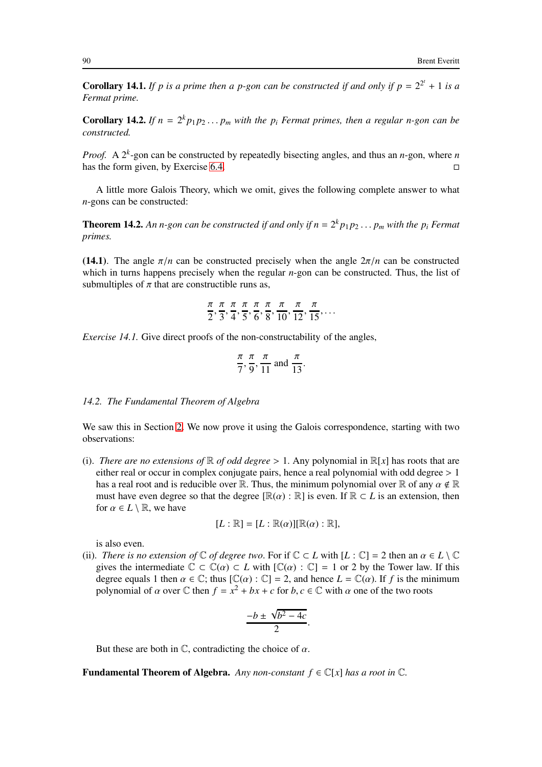**Corollary 14.1.** If p is a prime then a p-gon can be constructed if and only if  $p = 2^{2^t} + 1$  is a *Fermat prime.*

**Corollary 14.2.** If  $n = 2^k p_1 p_2 ... p_m$  with the  $p_i$  Fermat primes, then a regular n-gon can be *constructed.*

*Proof.* A  $2^k$ -gon can be constructed by repeatedly bisecting angles, and thus an *n*-gon, where *n* has the form given, by Exercise [6.4.](#page-44-0)

A little more Galois Theory, which we omit, gives the following complete answer to what *n*-gons can be constructed:

**Theorem 14.2.** An n-gon can be constructed if and only if  $n = 2^k p_1 p_2 \dots p_m$  with the  $p_i$  Fermat *primes.*

(14.1). The angle  $\pi/n$  can be constructed precisely when the angle  $2\pi/n$  can be constructed which in turns happens precisely when the regular *n*-gon can be constructed. Thus, the list of submultiples of  $\pi$  that are constructible runs as,

$$
\frac{\pi}{2}, \frac{\pi}{3}, \frac{\pi}{4}, \frac{\pi}{5}, \frac{\pi}{6}, \frac{\pi}{8}, \frac{\pi}{10}, \frac{\pi}{12}, \frac{\pi}{15}, \dots
$$

*Exercise 14.1.* Give direct proofs of the non-constructability of the angles,

$$
\frac{\pi}{7}, \frac{\pi}{9}, \frac{\pi}{11} \text{ and } \frac{\pi}{13}.
$$

### *14.2. The Fundamental Theorem of Algebra*

We saw this in Section [2.](#page-13-1) We now prove it using the Galois correspondence, starting with two observations:

(i). *There are no extensions of*  $\mathbb R$  *of odd degree* > 1. Any polynomial in  $\mathbb R[x]$  has roots that are either real or occur in complex conjugate pairs, hence a real polynomial with odd degree  $> 1$ has a real root and is reducible over R. Thus, the minimum polynomial over R of any  $\alpha \notin \mathbb{R}$ must have even degree so that the degree  $[\mathbb{R}(\alpha) : \mathbb{R}]$  is even. If  $\mathbb{R} \subset L$  is an extension, then for  $\alpha \in L \setminus \mathbb{R}$ , we have

$$
[L:\mathbb{R}]=[L:\mathbb{R}(\alpha)][\mathbb{R}(\alpha):\mathbb{R}],
$$

is also even.

(ii). *There is no extension of*  $\mathbb C$  *of degree two.* For if  $\mathbb C \subset L$  with  $[L : \mathbb C] = 2$  then an  $\alpha \in L \setminus \mathbb C$ gives the intermediate  $\mathbb{C} \subset \mathbb{C}(\alpha) \subset L$  with  $[\mathbb{C}(\alpha) : \mathbb{C}] = 1$  or 2 by the Tower law. If this degree equals 1 then  $\alpha \in \mathbb{C}$ ; thus  $[\mathbb{C}(\alpha) : \mathbb{C}] = 2$ , and hence  $L = \mathbb{C}(\alpha)$ . If f is the minimum polynomial of  $\alpha$  over  $\mathbb C$  then  $f = x^2 + bx + c$  for  $b, c \in \mathbb C$  with  $\alpha$  one of the two roots

$$
\frac{-b \pm \sqrt{b^2 - 4c}}{2}.
$$

But these are both in  $\mathbb{C}$ , contradicting the choice of  $\alpha$ .

**Fundamental Theorem of Algebra.** *Any non-constant*  $f \in \mathbb{C}[x]$  *has a root in*  $\mathbb{C}$ *.*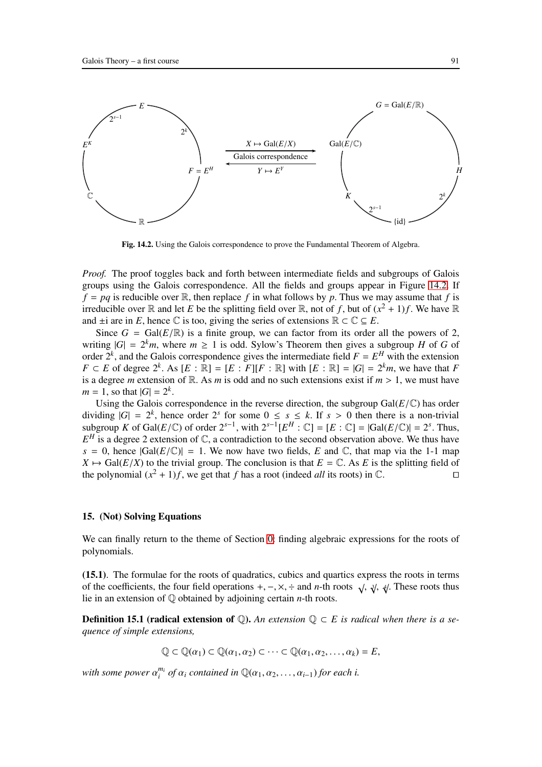

<span id="page-90-0"></span>Fig. 14.2. Using the Galois correspondence to prove the Fundamental Theorem of Algebra.

*Proof.* The proof toggles back and forth between intermediate fields and subgroups of Galois groups using the Galois correspondence. All the fields and groups appear in Figure [14.2.](#page-90-0) If  $f = pq$  is reducible over  $\mathbb{R}$ , then replace  $f$  in what follows by  $p$ . Thus we may assume that  $f$  is irreducible over  $\mathbb R$  and let *E* be the splitting field over  $\mathbb R$ , not of *f*, but of  $(x^2 + 1)f$ . We have  $\mathbb R$ and  $\pm i$  are in *E*, hence  $\mathbb C$  is too, giving the series of extensions  $\mathbb R \subset \mathbb C \subseteq E$ .

Since  $G = \text{Gal}(E/\mathbb{R})$  is a finite group, we can factor from its order all the powers of 2, writing  $|G| = 2^k m$ , where  $m \ge 1$  is odd. Sylow's Theorem then gives a subgroup *H* of *G* of order  $2^k$ , and the Galois correspondence gives the intermediate field  $F = E^H$  with the extension  $F \subset E$  of degree  $2^k$ . As  $[E : \mathbb{R}] = [E : F][F : \mathbb{R}]$  with  $[E : \mathbb{R}] = |G| = 2^k m$ , we have that *F* is a degree *m* extension of R. As *m* is odd and no such extensions exist if  $m > 1$ , we must have  $m = 1$ , so that  $|G| = 2^k$ .

Using the Galois correspondence in the reverse direction, the subgroup  $Gal(E/\mathbb{C})$  has order dividing  $|G| = 2^k$ , hence order  $2^s$  for some  $0 \le s \le k$ . If  $s > 0$  then there is a non-trivial subgroup *K* of Gal(*E*/ $\mathbb{C}$ ) of order  $2^{s-1}$ , with  $2^{s-1}[E^H : \mathbb{C}] = [E : \mathbb{C}] = |Gal(E/\mathbb{C})| = 2^s$ . Thus,  $E^H$  is a degree 2 extension of  $\mathbb{C}$ , a contradiction to the second observation above. We thus have  $s = 0$ , hence  $|Gal(E/\mathbb{C})| = 1$ . We now have two fields, *E* and  $\mathbb{C}$ , that map via the 1-1 map  $X \mapsto \text{Gal}(E/X)$  to the trivial group. The conclusion is that  $E = \mathbb{C}$ . As *E* is the splitting field of the polynomial  $(x^2 + 1)f$ , we get that *f* has a root (indeed *all* its roots) in  $\mathbb{C}$ . the polynomial  $(x^2 + 1)f$ , we get that *f* has a root (indeed *all* its roots) in  $\mathbb{C}$ . □

## 15. (Not) Solving Equations

We can finally return to the theme of Section [0:](#page-2-0) finding algebraic expressions for the roots of polynomials.

(15.1). The formulae for the roots of quadratics, cubics and quartics express the roots in terms of the coefficients, the four field operations  $+$ ,  $-$ ,  $\times$ ,  $\div$  and *n*-th roots  $\sqrt{$ ,  $\sqrt[3]{}$ ,  $\sqrt[4]{}$ . These roots thus lie in an extension of Q obtained by adjoining certain *n*-th roots.

**Definition 15.1 (radical extension of ①).** An extension  $Q ⊂ E$  is radical when there is a se*quence of simple extensions,*

 $\mathbb{Q} \subset \mathbb{Q}(\alpha_1) \subset \mathbb{Q}(\alpha_1, \alpha_2) \subset \cdots \subset \mathbb{Q}(\alpha_1, \alpha_2, \ldots, \alpha_k) = E$ 

*with some power* α *mi*  $a_i^{m_i}$  *of*  $\alpha_i$  *contained in*  $\mathbb{Q}(\alpha_1, \alpha_2, \ldots, \alpha_{i-1})$  *for each i.*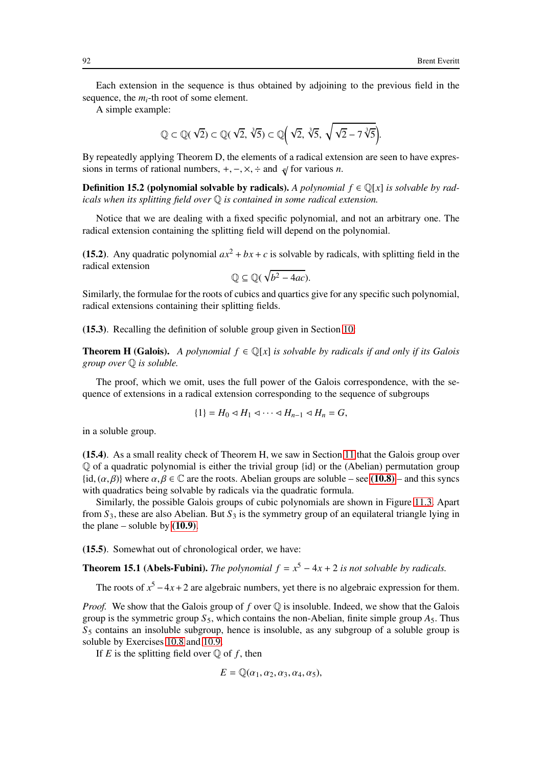Each extension in the sequence is thus obtained by adjoining to the previous field in the sequence, the *mi*-th root of some element.

A simple example:

$$
\mathbb{Q} \subset \mathbb{Q}(\sqrt{2}) \subset \mathbb{Q}(\sqrt{2}, \sqrt[3]{5}) \subset \mathbb{Q}(\sqrt{2}, \sqrt[3]{5}, \sqrt{\sqrt{2}-7\sqrt[3]{5}}).
$$

By repeatedly applying Theorem D, the elements of a radical extension are seen to have expressions in terms of rational numbers,  $+$ ,  $-$ ,  $\times$ ,  $\div$  and  $\sqrt[n]{\ }$  for various *n*.

**Definition 15.2 (polynomial solvable by radicals).** *A polynomial*  $f \in \mathbb{Q}[x]$  *is solvable by radicals when its splitting field over* Q *is contained in some radical extension.*

Notice that we are dealing with a fixed specific polynomial, and not an arbitrary one. The radical extension containing the splitting field will depend on the polynomial.

(15.2). Any quadratic polynomial  $ax^2 + bx + c$  is solvable by radicals, with splitting field in the radical extension

$$
\mathbb{Q} \subseteq \mathbb{Q}(\sqrt{b^2 - 4ac}).
$$

Similarly, the formulae for the roots of cubics and quartics give for any specific such polynomial, radical extensions containing their splitting fields.

(15.3). Recalling the definition of soluble group given in Section [10:](#page-62-0)

**Theorem H (Galois).** *A polynomial*  $f \in \mathbb{Q}[x]$  *is solvable by radicals if and only if its Galois group over* Q *is soluble.*

The proof, which we omit, uses the full power of the Galois correspondence, with the sequence of extensions in a radical extension corresponding to the sequence of subgroups

$$
\{1\} = H_0 \triangleleft H_1 \triangleleft \cdots \triangleleft H_{n-1} \triangleleft H_n = G,
$$

in a soluble group.

(15.4). As a small reality check of Theorem H, we saw in Section [11](#page-69-1) that the Galois group over  $\mathbb Q$  of a quadratic polynomial is either the trivial group {id} or the (Abelian) permutation group  $\{\mathbf i \mathbf d, (\alpha, \beta)\}\$  where  $\alpha, \beta \in \mathbb C$  are the roots. Abelian groups are soluble – see [\(10.8\)](#page-65-0) – and this syncs with quadratics being solvable by radicals via the quadratic formula.

Similarly, the possible Galois groups of cubic polynomials are shown in Figure [11.3.](#page-85-0) Apart from  $S_3$ , these are also Abelian. But  $S_3$  is the symmetry group of an equilateral triangle lying in the plane – soluble by  $(10.9)$ .

(15.5). Somewhat out of chronological order, we have:

**Theorem 15.1 (Abels-Fubini).** *The polynomial*  $f = x^5 - 4x + 2$  *is not solvable by radicals.* 

The roots of  $x^5 - 4x + 2$  are algebraic numbers, yet there is no algebraic expression for them.

*Proof.* We show that the Galois group of f over Q is insoluble. Indeed, we show that the Galois group is the symmetric group  $S_5$ , which contains the non-Abelian, finite simple group  $A_5$ . Thus  $S<sub>5</sub>$  contains an insoluble subgroup, hence is insoluble, as any subgroup of a soluble group is soluble by Exercises [10.8](#page-65-2) and [10.9.](#page-66-0)

If  $E$  is the splitting field over  $\mathbb Q$  of  $f$ , then

$$
E = \mathbb{Q}(\alpha_1, \alpha_2, \alpha_3, \alpha_4, \alpha_5),
$$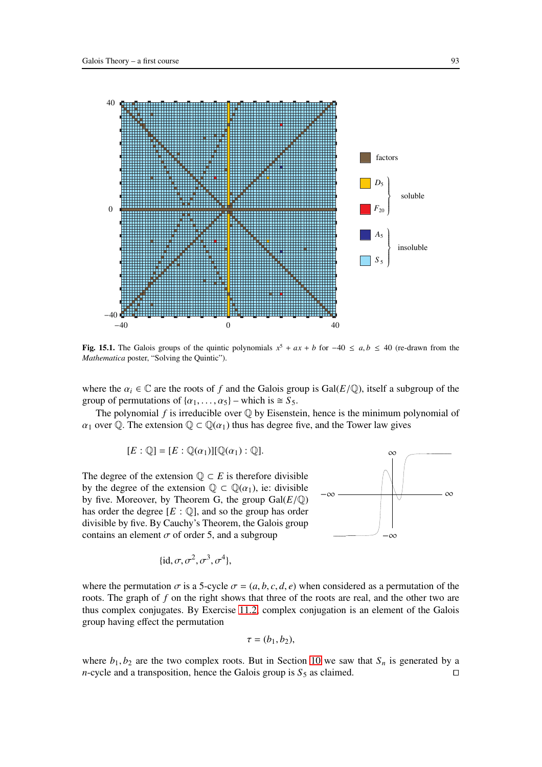

<span id="page-92-0"></span>**Fig. 15.1.** The Galois groups of the quintic polynomials  $x^5 + ax + b$  for −40 ≤ *a*, *b* ≤ 40 (re-drawn from the *Mathematica* poster, "Solving the Quintic").

where the  $\alpha_i \in \mathbb{C}$  are the roots of *f* and the Galois group is Gal( $E/\mathbb{Q}$ ), itself a subgroup of the group of permutations of  $\{\alpha_1, \dots, \alpha_5\}$  – which is  $\cong S_5$ .

The polynomial  $f$  is irreducible over  $\mathbb Q$  by Eisenstein, hence is the minimum polynomial of  $\alpha_1$  over Q. The extension  $\mathbb{Q} \subset \mathbb{Q}(\alpha_1)$  thus has degree five, and the Tower law gives

$$
[E:\mathbb{Q}]=[E:\mathbb{Q}(\alpha_1)][\mathbb{Q}(\alpha_1):\mathbb{Q}].
$$

The degree of the extension  $\mathbb{Q} \subset E$  is therefore divisible by the degree of the extension  $\mathbb{Q} \subset \mathbb{Q}(\alpha_1)$ , ie: divisible by five. Moreover, by Theorem G, the group  $Gal(E/\mathbb{Q})$ has order the degree  $[E: \mathbb{Q}]$ , and so the group has order divisible by five. By Cauchy's Theorem, the Galois group contains an element  $\sigma$  of order 5, and a subgroup

$$
\{\mathrm{id}, \sigma, \sigma^2, \sigma^3, \sigma^4\},\
$$



where the permutation  $\sigma$  is a 5-cycle  $\sigma = (a, b, c, d, e)$  when considered as a permutation of the roots. The graph of *f* on the right shows that three of the roots are real, and the other two are thus complex conjugates. By Exercise [11.2,](#page-69-0) complex conjugation is an element of the Galois group having effect the permutation

$$
\tau=(b_1,b_2),
$$

where  $b_1, b_2$  are the two complex roots. But in Section [10](#page-62-0) we saw that  $S_n$  is generated by a *n*-cycle and a transposition, hence the Galois group is  $S_5$  as claimed. □